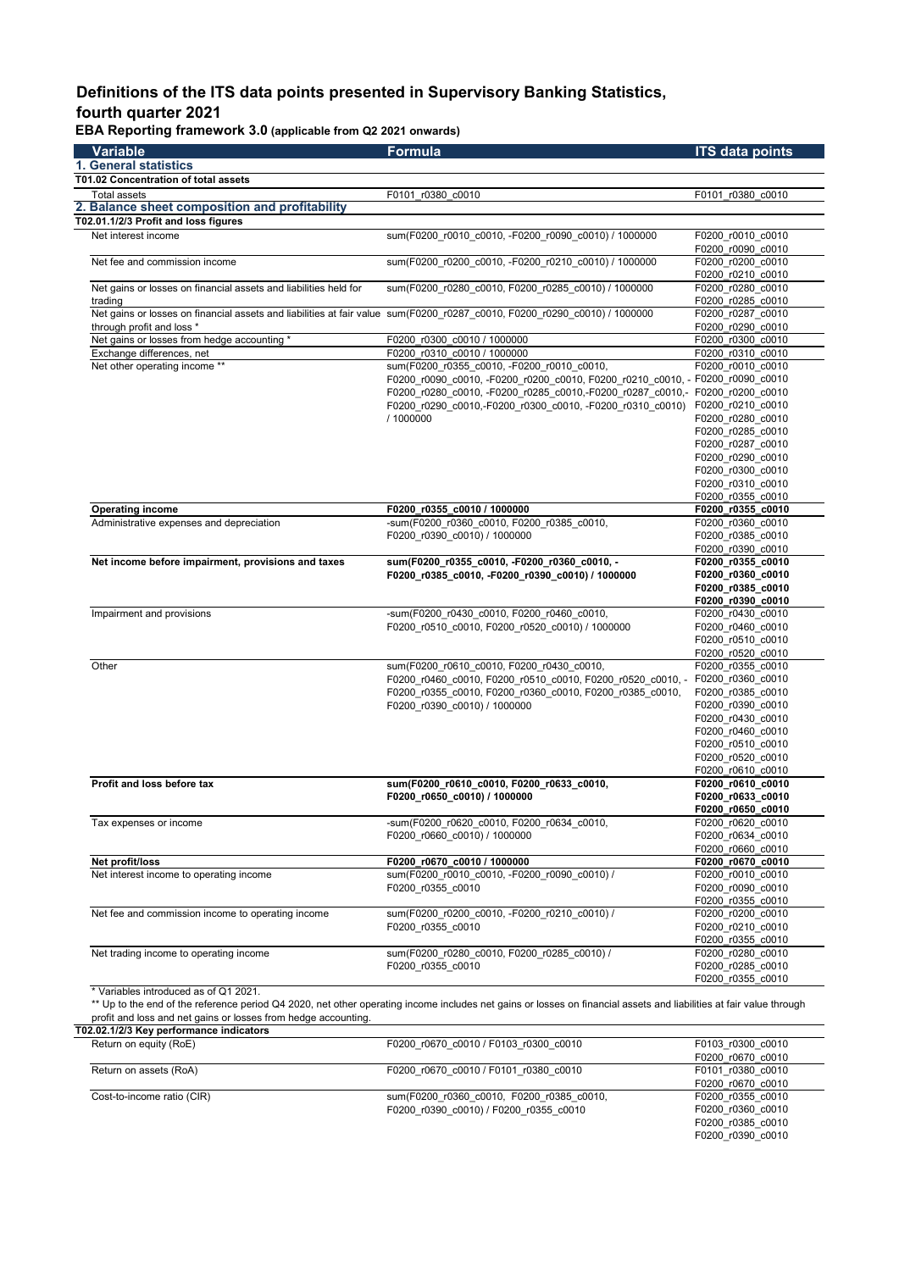# **Definitions of the ITS data points presented in Supervisory Banking Statistics, fourth quarter 2021**

**EBA Reporting framework 3.0 (applicable from Q2 2021 onwards)**

| <b>Variable</b>                                                                                                           | Formula                                                                       | <b>ITS data points</b>                 |
|---------------------------------------------------------------------------------------------------------------------------|-------------------------------------------------------------------------------|----------------------------------------|
| 1. General statistics                                                                                                     |                                                                               |                                        |
| T01.02 Concentration of total assets                                                                                      |                                                                               |                                        |
| <b>Total assets</b>                                                                                                       | F0101 r0380 c0010                                                             | F0101 r0380 c0010                      |
| 2. Balance sheet composition and profitability                                                                            |                                                                               |                                        |
| T02.01.1/2/3 Profit and loss figures                                                                                      |                                                                               |                                        |
| Net interest income                                                                                                       | sum(F0200 r0010 c0010, -F0200 r0090 c0010) / 1000000                          | F0200_r0010_c0010                      |
|                                                                                                                           |                                                                               | F0200 r0090 c0010                      |
| Net fee and commission income                                                                                             | sum(F0200 r0200 c0010, -F0200 r0210 c0010) / 1000000                          | F0200 r0200 c0010                      |
|                                                                                                                           |                                                                               | F0200 r0210 c0010                      |
| Net gains or losses on financial assets and liabilities held for                                                          | sum(F0200 r0280 c0010, F0200 r0285 c0010) / 1000000                           | F0200 r0280 c0010                      |
| trading                                                                                                                   |                                                                               | F0200_r0285_c0010                      |
| Net gains or losses on financial assets and liabilities at fair value sum(F0200 r0287 c0010, F0200 r0290 c0010) / 1000000 |                                                                               | F0200 r0287 c0010                      |
| through profit and loss *                                                                                                 |                                                                               | F0200 r0290 c0010                      |
| Net gains or losses from hedge accounting *                                                                               | F0200 r0300 c0010 / 1000000                                                   | F0200 r0300 c0010                      |
| Exchange differences, net                                                                                                 | F0200 r0310 c0010 / 1000000                                                   | F0200 r0310 c0010                      |
| Net other operating income **                                                                                             | sum(F0200_r0355_c0010, -F0200_r0010_c0010,                                    | F0200 r0010 c0010                      |
|                                                                                                                           | F0200 r0090 c0010, -F0200 r0200 c0010, F0200 r0210 c0010, - F0200 r0090 c0010 |                                        |
|                                                                                                                           | F0200_r0280_c0010,-F0200_r0285_c0010,-F0200_r0287_c0010,-F0200_r0200_c0010    |                                        |
|                                                                                                                           | F0200 r0290 c0010,-F0200 r0300 c0010,-F0200 r0310 c0010)                      | F0200_r0210_c0010                      |
|                                                                                                                           | / 1000000                                                                     | F0200_r0280_c0010                      |
|                                                                                                                           |                                                                               | F0200 r0285 c0010                      |
|                                                                                                                           |                                                                               | F0200_r0287_c0010                      |
|                                                                                                                           |                                                                               | F0200_r0290_c0010                      |
|                                                                                                                           |                                                                               | F0200_r0300_c0010                      |
|                                                                                                                           |                                                                               | F0200_r0310_c0010                      |
|                                                                                                                           |                                                                               | F0200_r0355_c0010                      |
| <b>Operating income</b><br>Administrative expenses and depreciation                                                       | F0200_r0355_c0010 / 1000000<br>-sum(F0200 r0360 c0010, F0200 r0385 c0010,     | F0200_r0355_c0010<br>F0200 r0360 c0010 |
|                                                                                                                           | F0200 r0390 c0010) / 1000000                                                  | F0200_r0385_c0010                      |
|                                                                                                                           |                                                                               | F0200_r0390_c0010                      |
| Net income before impairment, provisions and taxes                                                                        | sum(F0200_r0355_c0010, -F0200_r0360_c0010, -                                  | F0200_r0355_c0010                      |
|                                                                                                                           | F0200_r0385_c0010, -F0200_r0390_c0010) / 1000000                              | F0200_r0360_c0010                      |
|                                                                                                                           |                                                                               | F0200_r0385_c0010                      |
|                                                                                                                           |                                                                               | F0200_r0390_c0010                      |
| Impairment and provisions                                                                                                 | -sum(F0200 r0430 c0010, F0200 r0460 c0010,                                    | F0200 r0430 c0010                      |
|                                                                                                                           | F0200 r0510 c0010, F0200 r0520 c0010) / 1000000                               | F0200 r0460 c0010                      |
|                                                                                                                           |                                                                               | F0200_r0510_c0010                      |
|                                                                                                                           |                                                                               | F0200 r0520 c0010                      |
| Other                                                                                                                     | sum(F0200 r0610 c0010, F0200 r0430 c0010,                                     | F0200 r0355 c0010                      |
|                                                                                                                           | F0200 r0460 c0010, F0200 r0510 c0010, F0200 r0520 c0010, -                    | F0200_r0360_c0010                      |
|                                                                                                                           | F0200_r0355_c0010, F0200_r0360_c0010, F0200_r0385_c0010,                      | F0200_r0385_c0010                      |
|                                                                                                                           | F0200 r0390 c0010) / 1000000                                                  | F0200_r0390_c0010                      |
|                                                                                                                           |                                                                               | F0200 r0430 c0010                      |
|                                                                                                                           |                                                                               | F0200_r0460_c0010                      |
|                                                                                                                           |                                                                               | F0200 r0510 c0010                      |
|                                                                                                                           |                                                                               | F0200_r0520_c0010                      |
|                                                                                                                           |                                                                               | F0200 r0610 c0010                      |
| Profit and loss before tax                                                                                                | sum(F0200_r0610_c0010, F0200_r0633_c0010,                                     | F0200_r0610_c0010                      |
|                                                                                                                           | F0200_r0650_c0010) / 1000000                                                  | F0200_r0633_c0010                      |
|                                                                                                                           |                                                                               | F0200_r0650_c0010                      |
| Tax expenses or income                                                                                                    | -sum(F0200_r0620_c0010, F0200_r0634_c0010,                                    | F0200 r0620 c0010                      |
|                                                                                                                           | F0200 r0660 c0010) / 1000000                                                  | F0200 r0634 c0010                      |
|                                                                                                                           |                                                                               | F0200 r0660 c0010                      |
| Net profit/loss                                                                                                           | F0200_r0670_c0010 / 1000000                                                   | F0200_r0670_c0010                      |
| Net interest income to operating income                                                                                   | sum(F0200 r0010 c0010, -F0200 r0090 c0010) /                                  | F0200 r0010 c0010                      |
|                                                                                                                           | F0200 r0355 c0010                                                             | F0200_r0090_c0010                      |
|                                                                                                                           |                                                                               | F0200 r0355 c0010                      |
| Net fee and commission income to operating income                                                                         | sum(F0200 r0200 c0010, -F0200 r0210 c0010) /                                  | F0200 r0200 c0010                      |
|                                                                                                                           | F0200 r0355 c0010                                                             | F0200 r0210 c0010                      |
|                                                                                                                           |                                                                               | F0200 r0355 c0010                      |
|                                                                                                                           |                                                                               |                                        |
| Net trading income to operating income                                                                                    | sum(F0200 r0280 c0010, F0200 r0285 c0010) /                                   | F0200 r0280 c0010                      |
|                                                                                                                           | F0200 r0355 c0010                                                             | F0200 r0285 c0010<br>F0200 r0355 c0010 |

profit and loss and net gains or losses from hedge accounting.

| T02.02.1/2/3 Key performance indicators |                                           |                   |
|-----------------------------------------|-------------------------------------------|-------------------|
| Return on equity (RoE)                  | F0200 r0670 c0010 / F0103 r0300 c0010     | F0103 r0300 c0010 |
|                                         |                                           | F0200 r0670 c0010 |
| Return on assets (RoA)                  | F0200 r0670 c0010 / F0101 r0380 c0010     | F0101 r0380 c0010 |
|                                         |                                           | F0200 r0670 c0010 |
| Cost-to-income ratio (CIR)              | sum(F0200 r0360 c0010, F0200 r0385 c0010, | F0200 r0355 c0010 |
|                                         | F0200 r0390 c0010) / F0200 r0355 c0010    | F0200 r0360 c0010 |
|                                         |                                           | F0200 r0385 c0010 |
|                                         |                                           | F0200 r0390 c0010 |
|                                         |                                           |                   |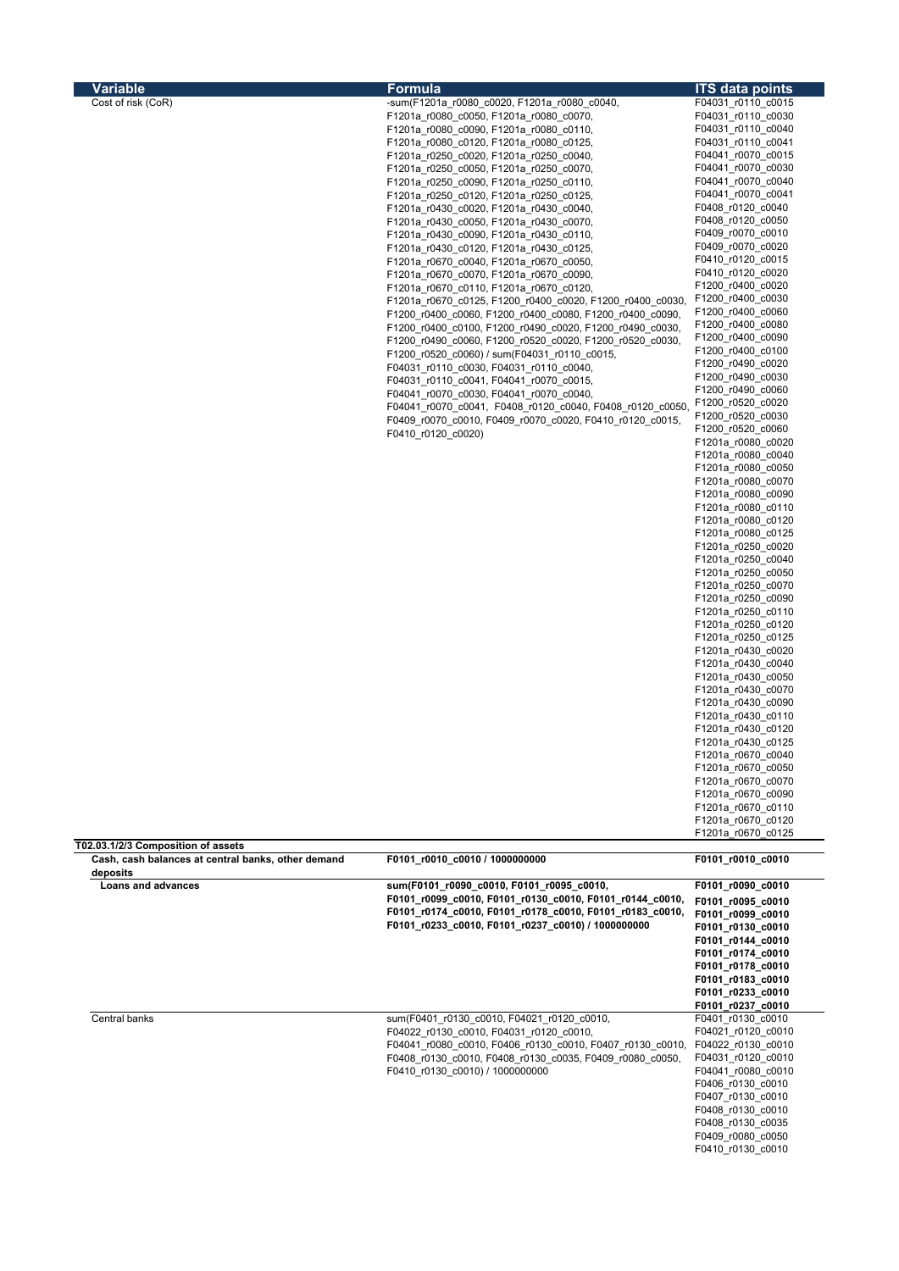| Variable                                           | Formula                                                                                                  | <b>ITS data points</b>                   |
|----------------------------------------------------|----------------------------------------------------------------------------------------------------------|------------------------------------------|
| Cost of risk (CoR)                                 | -sum(F1201a r0080 c0020, F1201a r0080 c0040,                                                             | F04031_r0110_c0015                       |
|                                                    | F1201a r0080 c0050, F1201a r0080 c0070,                                                                  | F04031 r0110 c0030                       |
|                                                    | F1201a_r0080_c0090, F1201a_r0080_c0110,                                                                  | F04031 r0110 c0040                       |
|                                                    | F1201a r0080 c0120, F1201a r0080 c0125,                                                                  | F04031 r0110 c0041                       |
|                                                    | F1201a_r0250_c0020, F1201a_r0250_c0040,                                                                  | F04041 r0070 c0015                       |
|                                                    | F1201a_r0250_c0050, F1201a_r0250_c0070,                                                                  | F04041_r0070_c0030                       |
|                                                    | F1201a_r0250_c0090, F1201a_r0250_c0110,                                                                  | F04041 r0070 c0040                       |
|                                                    | F1201a r0250 c0120, F1201a r0250 c0125,                                                                  | F04041 r0070 c0041                       |
|                                                    | F1201a_r0430_c0020, F1201a_r0430_c0040,                                                                  | F0408 r0120 c0040                        |
|                                                    | F1201a_r0430_c0050, F1201a_r0430_c0070,                                                                  | F0408 r0120 c0050                        |
|                                                    | F1201a_r0430_c0090, F1201a_r0430_c0110,                                                                  | F0409_r0070_c0010                        |
|                                                    | F1201a r0430 c0120, F1201a r0430 c0125,                                                                  | F0409_r0070_c0020                        |
|                                                    | F1201a r0670 c0040, F1201a r0670 c0050,                                                                  | F0410_r0120_c0015<br>F0410_r0120_c0020   |
|                                                    | F1201a_r0670_c0070, F1201a_r0670_c0090,                                                                  | F1200 r0400 c0020                        |
|                                                    | F1201a r0670 c0110, F1201a r0670 c0120,                                                                  | F1200 r0400 c0030                        |
|                                                    | F1201a r0670 c0125, F1200 r0400 c0020, F1200 r0400 c0030,                                                | F1200_r0400_c0060                        |
|                                                    | F1200 r0400 c0060, F1200 r0400 c0080, F1200 r0400 c0090,                                                 | F1200_r0400_c0080                        |
|                                                    | F1200_r0400_c0100, F1200_r0490_c0020, F1200_r0490_c0030,                                                 | F1200_r0400_c0090                        |
|                                                    | F1200_r0490_c0060, F1200_r0520_c0020, F1200_r0520_c0030,<br>F1200_r0520_c0060) / sum(F04031_r0110_c0015, | F1200_r0400_c0100                        |
|                                                    | F04031 r0110 c0030, F04031 r0110 c0040,                                                                  | F1200_r0490_c0020                        |
|                                                    | F04031 r0110 c0041, F04041 r0070 c0015,                                                                  | F1200_r0490_c0030                        |
|                                                    | F04041 r0070 c0030, F04041 r0070 c0040,                                                                  | F1200_r0490_c0060                        |
|                                                    | F04041 r0070 c0041, F0408 r0120 c0040, F0408 r0120 c0050,                                                | F1200_r0520_c0020                        |
|                                                    | F0409 r0070 c0010, F0409 r0070 c0020, F0410 r0120 c0015,                                                 | F1200_r0520_c0030                        |
|                                                    | F0410 r0120 c0020)                                                                                       | F1200_r0520_c0060                        |
|                                                    |                                                                                                          | F1201a r0080 c0020                       |
|                                                    |                                                                                                          | F1201a_r0080_c0040                       |
|                                                    |                                                                                                          | F1201a_r0080_c0050                       |
|                                                    |                                                                                                          | F1201a_r0080_c0070                       |
|                                                    |                                                                                                          | F1201a_r0080_c0090                       |
|                                                    |                                                                                                          | F1201a r0080 c0110                       |
|                                                    |                                                                                                          | F1201a r0080 c0120<br>F1201a_r0080_c0125 |
|                                                    |                                                                                                          | F1201a r0250 c0020                       |
|                                                    |                                                                                                          | F1201a r0250 c0040                       |
|                                                    |                                                                                                          | F1201a r0250 c0050                       |
|                                                    |                                                                                                          | F1201a r0250 c0070                       |
|                                                    |                                                                                                          | F1201a r0250 c0090                       |
|                                                    |                                                                                                          | F1201a_r0250_c0110                       |
|                                                    |                                                                                                          | F1201a_r0250_c0120                       |
|                                                    |                                                                                                          | F1201a_r0250_c0125                       |
|                                                    |                                                                                                          | F1201a_r0430_c0020                       |
|                                                    |                                                                                                          | F1201a r0430 c0040                       |
|                                                    |                                                                                                          | F1201a_r0430_c0050                       |
|                                                    |                                                                                                          | F1201a_r0430_c0070                       |
|                                                    |                                                                                                          | F1201a r0430 c0090                       |
|                                                    |                                                                                                          | F1201a r0430 c0110                       |
|                                                    |                                                                                                          | F1201a r0430 c0120                       |
|                                                    |                                                                                                          | F1201a_r0430_c0125                       |
|                                                    |                                                                                                          | F1201a_r0670_c0040<br>F1201a_r0670_c0050 |
|                                                    |                                                                                                          | F1201a_r0670_c0070                       |
|                                                    |                                                                                                          | F1201a_r0670_c0090                       |
|                                                    |                                                                                                          | F1201a_r0670_c0110                       |
|                                                    |                                                                                                          | F1201a_r0670_c0120                       |
|                                                    |                                                                                                          | F1201a_r0670_c0125                       |
| T02.03.1/2/3 Composition of assets                 |                                                                                                          |                                          |
| Cash, cash halances at central hanks, other demand | E0101 r0010 c0010 / 1000000000                                                                           | E0101 r0010 c0010                        |

| Cash, cash balances at central banks, other demand<br>deposits | F0101 r0010 c0010 / 1000000000                            | F0101_r0010_c0010  |
|----------------------------------------------------------------|-----------------------------------------------------------|--------------------|
| <b>Loans and advances</b>                                      | sum(F0101_r0090_c0010, F0101_r0095_c0010,                 | F0101_r0090_c0010  |
|                                                                | F0101_r0099_c0010, F0101_r0130_c0010, F0101_r0144_c0010,  | F0101 r0095 c0010  |
|                                                                | F0101_r0174_c0010, F0101_r0178_c0010, F0101_r0183_c0010,  | F0101 r0099 c0010  |
|                                                                | F0101 r0233 c0010, F0101 r0237 c0010) / 1000000000        | F0101_r0130_c0010  |
|                                                                |                                                           | F0101_r0144_c0010  |
|                                                                |                                                           | F0101_r0174_c0010  |
|                                                                |                                                           | F0101_r0178_c0010  |
|                                                                |                                                           | F0101_r0183_c0010  |
|                                                                |                                                           | F0101_r0233_c0010  |
|                                                                |                                                           | F0101 r0237 c0010  |
| Central banks                                                  | sum(F0401 r0130 c0010, F04021 r0120 c0010,                | F0401 r0130 c0010  |
|                                                                | F04022 r0130 c0010, F04031 r0120 c0010,                   | F04021 r0120 c0010 |
|                                                                | F04041 r0080 c0010, F0406 r0130 c0010, F0407 r0130 c0010, | F04022 r0130 c0010 |
|                                                                | F0408 r0130 c0010, F0408 r0130 c0035, F0409 r0080 c0050,  | F04031 r0120 c0010 |
|                                                                | F0410 r0130 c0010) / 1000000000                           | F04041 r0080 c0010 |
|                                                                |                                                           | F0406 r0130 c0010  |
|                                                                |                                                           | F0407 r0130 c0010  |
|                                                                |                                                           | F0408 r0130 c0010  |
|                                                                |                                                           | F0408 r0130 c0035  |
|                                                                |                                                           | F0409 r0080 c0050  |
|                                                                |                                                           | F0410 r0130 c0010  |
|                                                                |                                                           |                    |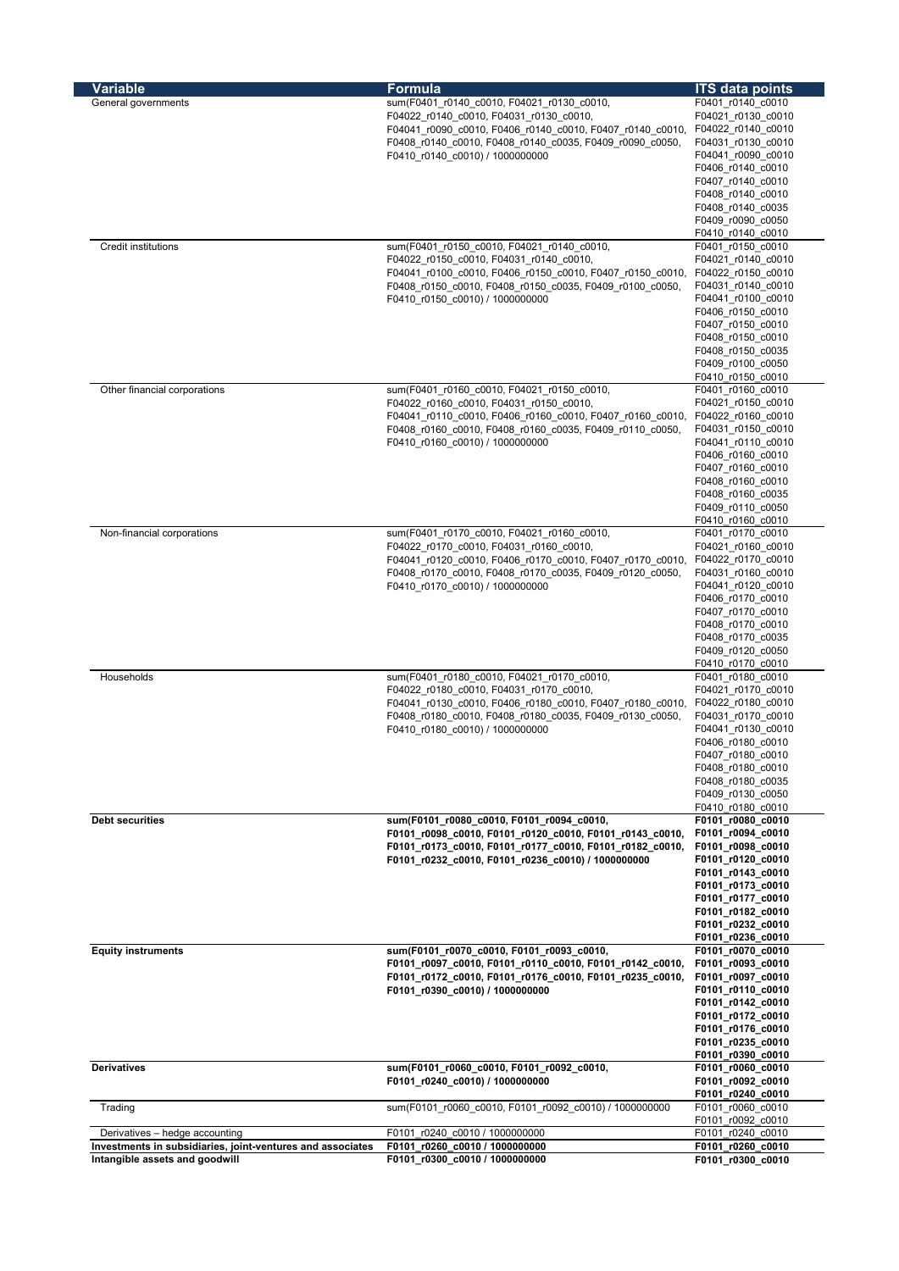| <b>Variable</b>                                            | <b>Formula</b>                                                                                       | <b>ITS data points</b>                   |
|------------------------------------------------------------|------------------------------------------------------------------------------------------------------|------------------------------------------|
| General governments                                        | sum(F0401_r0140_c0010, F04021_r0130_c0010,                                                           | F0401_r0140_c0010                        |
|                                                            | F04022_r0140_c0010, F04031_r0130_c0010,                                                              | F04021 r0130 c0010                       |
|                                                            | F04041_r0090_c0010, F0406_r0140_c0010, F0407_r0140_c0010,                                            | F04022 r0140 c0010                       |
|                                                            | F0408 r0140 c0010, F0408 r0140 c0035, F0409 r0090 c0050,                                             | F04031 r0130 c0010                       |
|                                                            | F0410 r0140 c0010) / 1000000000                                                                      | F04041_r0090_c0010<br>F0406_r0140_c0010  |
|                                                            |                                                                                                      | F0407_r0140_c0010                        |
|                                                            |                                                                                                      | F0408_r0140_c0010                        |
|                                                            |                                                                                                      | F0408_r0140_c0035                        |
|                                                            |                                                                                                      | F0409_r0090_c0050                        |
| <b>Credit institutions</b>                                 |                                                                                                      | F0410_r0140_c0010                        |
|                                                            | sum(F0401 r0150 c0010, F04021 r0140 c0010,<br>F04022 r0150 c0010, F04031 r0140 c0010,                | F0401 r0150 c0010<br>F04021_r0140_c0010  |
|                                                            | F04041 r0100 c0010, F0406 r0150 c0010, F0407 r0150 c0010,                                            | F04022_r0150_c0010                       |
|                                                            | F0408_r0150_c0010, F0408_r0150_c0035, F0409_r0100_c0050,                                             | F04031 r0140 c0010                       |
|                                                            | F0410 r0150 c0010) / 1000000000                                                                      | F04041 r0100 c0010                       |
|                                                            |                                                                                                      | F0406_r0150_c0010                        |
|                                                            |                                                                                                      | F0407_r0150_c0010                        |
|                                                            |                                                                                                      | F0408_r0150_c0010                        |
|                                                            |                                                                                                      | F0408_r0150_c0035<br>F0409_r0100_c0050   |
|                                                            |                                                                                                      | F0410 r0150 c0010                        |
| Other financial corporations                               | sum(F0401_r0160_c0010, F04021_r0150_c0010,                                                           | F0401 r0160 c0010                        |
|                                                            | F04022 r0160 c0010, F04031 r0150 c0010,                                                              | F04021 r0150 c0010                       |
|                                                            | F04041_r0110_c0010, F0406_r0160_c0010, F0407_r0160_c0010,                                            | F04022 r0160 c0010                       |
|                                                            | F0408 r0160 c0010, F0408 r0160 c0035, F0409 r0110 c0050,                                             | F04031_r0150_c0010                       |
|                                                            | F0410_r0160_c0010) / 1000000000                                                                      | F04041_r0110_c0010                       |
|                                                            |                                                                                                      | F0406_r0160_c0010<br>F0407 r0160 c0010   |
|                                                            |                                                                                                      | F0408_r0160_c0010                        |
|                                                            |                                                                                                      | F0408_r0160_c0035                        |
|                                                            |                                                                                                      | F0409_r0110_c0050                        |
|                                                            |                                                                                                      | F0410_r0160_c0010                        |
| Non-financial corporations                                 | sum(F0401 r0170 c0010, F04021 r0160 c0010,                                                           | F0401 r0170 c0010                        |
|                                                            | F04022_r0170_c0010, F04031_r0160_c0010,                                                              | F04021_r0160_c0010                       |
|                                                            | F04041 r0120 c0010, F0406 r0170 c0010, F0407 r0170 c0010,                                            | F04022_r0170_c0010                       |
|                                                            | F0408_r0170_c0010, F0408_r0170_c0035, F0409_r0120_c0050,                                             | F04031 r0160 c0010                       |
|                                                            | F0410_r0170_c0010) / 1000000000                                                                      | F04041_r0120_c0010<br>F0406_r0170_c0010  |
|                                                            |                                                                                                      | F0407_r0170_c0010                        |
|                                                            |                                                                                                      | F0408_r0170_c0010                        |
|                                                            |                                                                                                      | F0408_r0170_c0035                        |
|                                                            |                                                                                                      | F0409_r0120_c0050                        |
|                                                            |                                                                                                      | F0410 r0170 c0010                        |
| Households                                                 | sum(F0401 r0180 c0010, F04021 r0170 c0010,                                                           | F0401 r0180 c0010                        |
|                                                            | F04022 r0180 c0010, F04031 r0170 c0010,<br>F04041_r0130_c0010, F0406_r0180_c0010, F0407_r0180_c0010, | F04021 r0170 c0010<br>F04022 r0180 c0010 |
|                                                            | F0408 r0180 c0010, F0408 r0180 c0035, F0409 r0130 c0050,                                             | F04031_r0170_c0010                       |
|                                                            | F0410_r0180_c0010) / 1000000000                                                                      | F04041_r0130_c0010                       |
|                                                            |                                                                                                      | F0406 r0180 c0010                        |
|                                                            |                                                                                                      | F0407_r0180_c0010                        |
|                                                            |                                                                                                      | F0408_r0180_c0010                        |
|                                                            |                                                                                                      | F0408_r0180_c0035                        |
|                                                            |                                                                                                      | F0409 r0130 c0050                        |
| <b>Debt securities</b>                                     | sum(F0101_r0080_c0010, F0101_r0094_c0010,                                                            | F0410 r0180 c0010<br>F0101_r0080_c0010   |
|                                                            | F0101_r0098_c0010, F0101_r0120_c0010, F0101_r0143_c0010,                                             | F0101_r0094_c0010                        |
|                                                            | F0101_r0173_c0010, F0101_r0177_c0010, F0101_r0182_c0010,                                             | F0101 r0098 c0010                        |
|                                                            | F0101 r0232 c0010, F0101 r0236 c0010) / 1000000000                                                   | F0101_r0120_c0010                        |
|                                                            |                                                                                                      | F0101_r0143_c0010                        |
|                                                            |                                                                                                      | F0101_r0173_c0010                        |
|                                                            |                                                                                                      | F0101_r0177_c0010                        |
|                                                            |                                                                                                      | F0101_r0182_c0010                        |
|                                                            |                                                                                                      | F0101_r0232_c0010                        |
| <b>Equity instruments</b>                                  | sum(F0101_r0070_c0010, F0101_r0093_c0010,                                                            | F0101 r0236 c0010<br>F0101_r0070_c0010   |
|                                                            | F0101_r0097_c0010, F0101_r0110_c0010, F0101_r0142_c0010,                                             | F0101_r0093_c0010                        |
|                                                            | F0101_r0172_c0010, F0101_r0176_c0010, F0101_r0235_c0010,                                             | F0101_r0097_c0010                        |
|                                                            | F0101_r0390_c0010) / 1000000000                                                                      | F0101_r0110_c0010                        |
|                                                            |                                                                                                      | F0101_r0142_c0010                        |
|                                                            |                                                                                                      | F0101_r0172_c0010                        |
|                                                            |                                                                                                      | F0101_r0176_c0010                        |
|                                                            |                                                                                                      | F0101_r0235_c0010                        |
| <b>Derivatives</b>                                         | sum(F0101_r0060_c0010, F0101_r0092_c0010,                                                            | F0101_r0390_c0010                        |
|                                                            | F0101_r0240_c0010) / 1000000000                                                                      | F0101_r0060_c0010<br>F0101_r0092_c0010   |
|                                                            |                                                                                                      | F0101_r0240_c0010                        |
| Trading                                                    | sum(F0101 r0060 c0010, F0101 r0092 c0010) / 1000000000                                               | F0101_r0060_c0010                        |
|                                                            |                                                                                                      | F0101 r0092 c0010                        |
| Derivatives - hedge accounting                             | F0101_r0240_c0010 / 1000000000                                                                       | F0101 r0240 c0010                        |
| Investments in subsidiaries, joint-ventures and associates | F0101_r0260_c0010 / 1000000000                                                                       | F0101_r0260_c0010                        |
| Intangible assets and goodwill                             | F0101_r0300_c0010 / 1000000000                                                                       | F0101_r0300_c0010                        |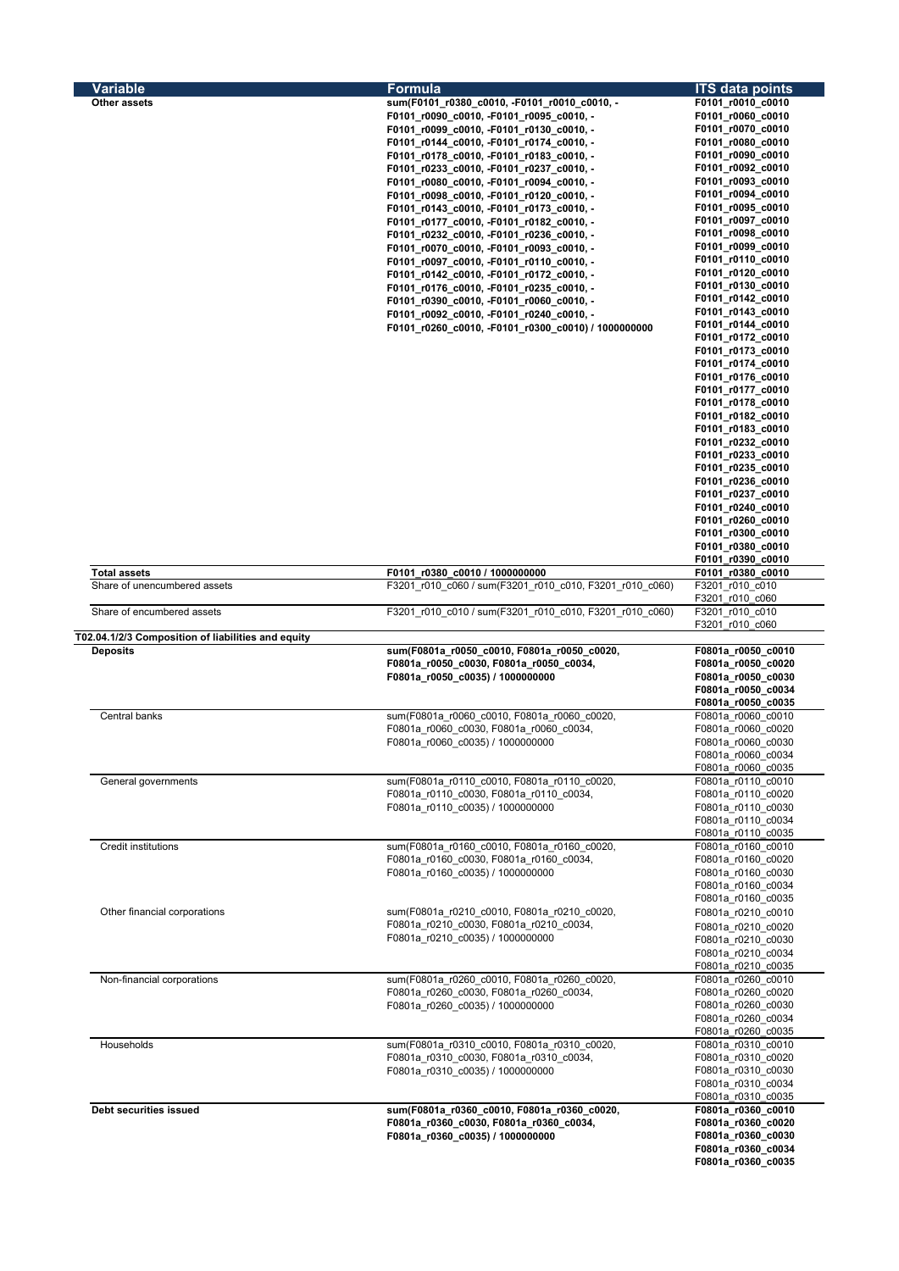| <b>Variable</b>                                    | Formula                                                                                | <b>ITS data points</b>                   |
|----------------------------------------------------|----------------------------------------------------------------------------------------|------------------------------------------|
| Other assets                                       | sum(F0101_r0380_c0010, -F0101_r0010_c0010, -                                           | F0101_r0010_c0010                        |
|                                                    | F0101_r0090_c0010, -F0101_r0095_c0010, -                                               | F0101 r0060 c0010                        |
|                                                    | F0101_r0099_c0010, -F0101_r0130_c0010, -                                               | F0101_r0070_c0010                        |
|                                                    | F0101_r0144_c0010, -F0101_r0174_c0010, -                                               | F0101_r0080_c0010                        |
|                                                    | F0101_r0178_c0010, -F0101_r0183_c0010, -                                               | F0101_r0090_c0010                        |
|                                                    | F0101_r0233_c0010, -F0101_r0237_c0010, -                                               | F0101_r0092_c0010<br>F0101_r0093_c0010   |
|                                                    | F0101_r0080_c0010, -F0101_r0094_c0010, -<br>F0101_r0098_c0010, -F0101_r0120_c0010, -   | F0101_r0094_c0010                        |
|                                                    | F0101_r0143_c0010, -F0101_r0173_c0010, -                                               | F0101_r0095_c0010                        |
|                                                    | F0101_r0177_c0010, -F0101_r0182_c0010, -                                               | F0101_r0097_c0010                        |
|                                                    | F0101_r0232_c0010, -F0101_r0236_c0010, -                                               | F0101_r0098_c0010                        |
|                                                    | F0101_r0070_c0010, -F0101_r0093_c0010, -                                               | F0101_r0099_c0010                        |
|                                                    | F0101_r0097_c0010, -F0101_r0110_c0010, -                                               | F0101_r0110_c0010<br>F0101_r0120_c0010   |
|                                                    | F0101_r0142_c0010, -F0101_r0172_c0010, -                                               | F0101_r0130_c0010                        |
|                                                    | F0101_r0176_c0010, -F0101_r0235_c0010, -<br>F0101_r0390_c0010, -F0101_r0060_c0010, -   | F0101_r0142_c0010                        |
|                                                    | F0101_r0092_c0010, -F0101_r0240_c0010, -                                               | F0101_r0143_c0010                        |
|                                                    | F0101_r0260_c0010, -F0101_r0300_c0010) / 1000000000                                    | F0101_r0144_c0010                        |
|                                                    |                                                                                        | F0101_r0172_c0010                        |
|                                                    |                                                                                        | F0101_r0173_c0010                        |
|                                                    |                                                                                        | F0101_r0174_c0010                        |
|                                                    |                                                                                        | F0101_r0176_c0010<br>F0101_r0177_c0010   |
|                                                    |                                                                                        | F0101_r0178_c0010                        |
|                                                    |                                                                                        | F0101_r0182_c0010                        |
|                                                    |                                                                                        | F0101_r0183_c0010                        |
|                                                    |                                                                                        | F0101_r0232_c0010                        |
|                                                    |                                                                                        | F0101_r0233_c0010                        |
|                                                    |                                                                                        | F0101_r0235_c0010                        |
|                                                    |                                                                                        | F0101_r0236_c0010                        |
|                                                    |                                                                                        | F0101_r0237_c0010                        |
|                                                    |                                                                                        | F0101_r0240_c0010                        |
|                                                    |                                                                                        | F0101_r0260_c0010<br>F0101_r0300_c0010   |
|                                                    |                                                                                        | F0101_r0380_c0010                        |
|                                                    |                                                                                        | F0101_r0390_c0010                        |
| <b>Total assets</b>                                | F0101_r0380_c0010 / 1000000000                                                         | F0101_r0380_c0010                        |
| Share of unencumbered assets                       | F3201_r010_c060 / sum(F3201_r010_c010, F3201_r010_c060)                                | F3201_r010_c010                          |
| Share of encumbered assets                         | F3201 r010 c010 / sum(F3201 r010 c010, F3201 r010 c060)                                | F3201 r010 c060<br>F3201 r010 c010       |
|                                                    |                                                                                        | F3201_r010_c060                          |
| T02.04.1/2/3 Composition of liabilities and equity |                                                                                        |                                          |
| <b>Deposits</b>                                    | sum(F0801a_r0050_c0010, F0801a_r0050_c0020,                                            | F0801a_r0050_c0010                       |
|                                                    |                                                                                        |                                          |
|                                                    | F0801a_r0050_c0030, F0801a_r0050_c0034,                                                | F0801a_r0050_c0020                       |
|                                                    | F0801a_r0050_c0035) / 1000000000                                                       | F0801a_r0050_c0030                       |
|                                                    |                                                                                        | F0801a_r0050_c0034                       |
|                                                    |                                                                                        | F0801a_r0050_c0035                       |
| Central banks                                      | sum(F0801a r0060 c0010, F0801a r0060 c0020,                                            | F0801a r0060 c0010                       |
|                                                    | F0801a_r0060_c0030, F0801a_r0060_c0034,                                                | F0801a r0060 c0020                       |
|                                                    | F0801a_r0060_c0035) / 1000000000                                                       | F0801a_r0060_c0030<br>F0801a r0060 c0034 |
|                                                    |                                                                                        | F0801a r0060 c0035                       |
| General governments                                | sum(F0801a r0110 c0010, F0801a r0110 c0020,                                            | F0801a r0110 c0010                       |
|                                                    | F0801a r0110 c0030, F0801a r0110 c0034,                                                | F0801a r0110 c0020                       |
|                                                    | F0801a r0110 c0035) / 1000000000                                                       | F0801a r0110 c0030                       |
|                                                    |                                                                                        | F0801a r0110 c0034                       |
| Credit institutions                                |                                                                                        | F0801a r0110 c0035                       |
|                                                    | sum(F0801a r0160 c0010, F0801a r0160 c0020,<br>F0801a r0160 c0030, F0801a r0160 c0034, | F0801a r0160 c0010<br>F0801a r0160 c0020 |
|                                                    | F0801a r0160 c0035) / 1000000000                                                       | F0801a r0160 c0030                       |
|                                                    |                                                                                        | F0801a r0160 c0034                       |
|                                                    |                                                                                        | F0801a_r0160_c0035                       |
| Other financial corporations                       | sum(F0801a r0210 c0010, F0801a r0210 c0020,                                            | F0801a_r0210_c0010                       |
|                                                    | F0801a r0210 c0030, F0801a r0210 c0034,                                                | F0801a r0210 c0020                       |
|                                                    | F0801a r0210 c0035) / 1000000000                                                       | F0801a r0210 c0030                       |
|                                                    |                                                                                        | F0801a r0210 c0034                       |
|                                                    |                                                                                        | F0801a r0210 c0035                       |
| Non-financial corporations                         | sum(F0801a r0260 c0010, F0801a r0260 c0020,<br>F0801a r0260 c0030, F0801a r0260 c0034, | F0801a r0260 c0010<br>F0801a r0260 c0020 |
|                                                    | F0801a r0260 c0035) / 1000000000                                                       | F0801a r0260 c0030                       |
|                                                    |                                                                                        | F0801a r0260 c0034                       |
|                                                    |                                                                                        | F0801a r0260 c0035                       |
| Households                                         | sum(F0801a r0310 c0010, F0801a r0310 c0020,                                            | F0801a r0310 c0010                       |
|                                                    | F0801a r0310 c0030, F0801a r0310 c0034,                                                | F0801a r0310 c0020                       |
|                                                    | F0801a r0310 c0035) / 1000000000                                                       | F0801a_r0310_c0030                       |
|                                                    |                                                                                        | F0801a r0310 c0034                       |
| Debt securities issued                             | sum(F0801a_r0360_c0010, F0801a_r0360_c0020,                                            | F0801a r0310 c0035<br>F0801a_r0360_c0010 |
|                                                    | F0801a_r0360_c0030, F0801a_r0360_c0034,                                                | F0801a_r0360_c0020                       |
|                                                    | F0801a_r0360_c0035) / 1000000000                                                       | F0801a_r0360_c0030                       |
|                                                    |                                                                                        | F0801a_r0360_c0034<br>F0801a_r0360_c0035 |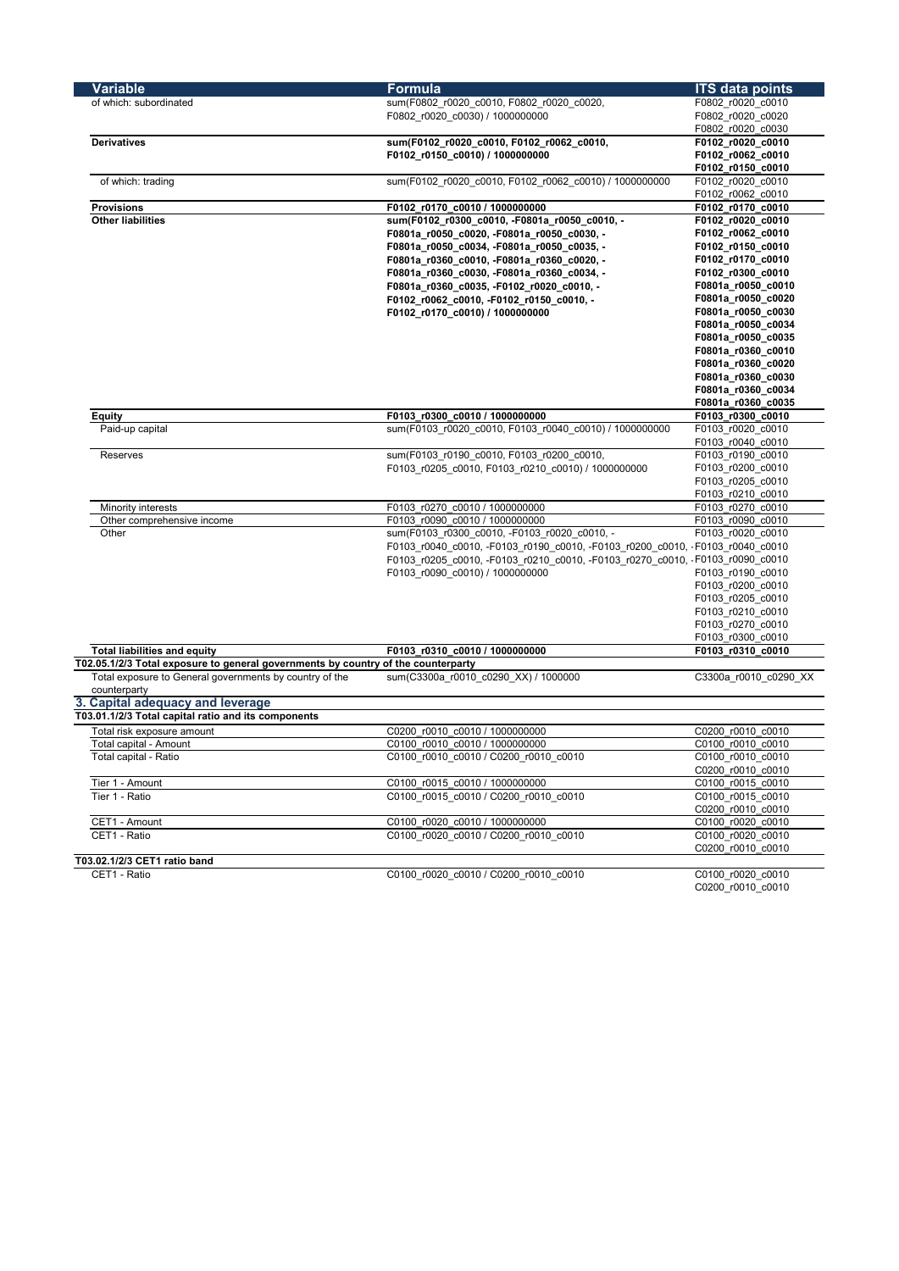| <b>Variable</b>                                                                   | Formula                                                                       | <b>ITS data points</b>                   |
|-----------------------------------------------------------------------------------|-------------------------------------------------------------------------------|------------------------------------------|
| of which: subordinated                                                            | sum(F0802 r0020 c0010, F0802 r0020 c0020,                                     | F0802 r0020 c0010                        |
|                                                                                   | F0802 r0020 c0030) / 1000000000                                               | F0802 r0020 c0020                        |
|                                                                                   |                                                                               | F0802 r0020 c0030                        |
| <b>Derivatives</b>                                                                | sum(F0102_r0020_c0010, F0102_r0062_c0010,                                     | F0102_r0020_c0010                        |
|                                                                                   | F0102_r0150_c0010) / 1000000000                                               | F0102_r0062_c0010                        |
|                                                                                   |                                                                               | F0102_r0150_c0010                        |
| of which: trading                                                                 | sum(F0102_r0020_c0010, F0102_r0062_c0010) / 1000000000                        | F0102_r0020_c0010                        |
|                                                                                   |                                                                               | F0102_r0062_c0010                        |
| <b>Provisions</b>                                                                 | F0102_r0170_c0010 / 1000000000                                                | F0102_r0170_c0010                        |
| <b>Other liabilities</b>                                                          | sum(F0102_r0300_c0010, -F0801a_r0050_c0010, -                                 | F0102_r0020_c0010                        |
|                                                                                   | F0801a_r0050_c0020, -F0801a_r0050_c0030, -                                    | F0102_r0062_c0010                        |
|                                                                                   | F0801a_r0050_c0034, -F0801a_r0050_c0035, -                                    | F0102_r0150_c0010                        |
|                                                                                   | F0801a r0360 c0010, -F0801a r0360 c0020, -                                    | F0102_r0170_c0010                        |
|                                                                                   | F0801a_r0360_c0030, -F0801a_r0360_c0034, -                                    | F0102_r0300_c0010                        |
|                                                                                   | F0801a_r0360_c0035, -F0102_r0020_c0010, -                                     | F0801a_r0050_c0010                       |
|                                                                                   | F0102_r0062_c0010, -F0102_r0150_c0010, -                                      | F0801a_r0050_c0020<br>F0801a_r0050_c0030 |
|                                                                                   | F0102_r0170_c0010) / 1000000000                                               | F0801a_r0050_c0034                       |
|                                                                                   |                                                                               | F0801a_r0050_c0035                       |
|                                                                                   |                                                                               | F0801a_r0360_c0010                       |
|                                                                                   |                                                                               | F0801a_r0360_c0020                       |
|                                                                                   |                                                                               | F0801a_r0360_c0030                       |
|                                                                                   |                                                                               | F0801a_r0360_c0034                       |
|                                                                                   |                                                                               | F0801a_r0360_c0035                       |
| Equity                                                                            | F0103_r0300_c0010 / 1000000000                                                | F0103 r0300 c0010                        |
| Paid-up capital                                                                   | sum(F0103_r0020_c0010, F0103_r0040_c0010) / 1000000000                        | F0103_r0020_c0010                        |
|                                                                                   |                                                                               | F0103 r0040 c0010                        |
| <b>Reserves</b>                                                                   | sum(F0103 r0190 c0010, F0103 r0200 c0010,                                     | F0103 r0190 c0010                        |
|                                                                                   | F0103_r0205_c0010, F0103_r0210_c0010) / 1000000000                            | F0103 r0200 c0010                        |
|                                                                                   |                                                                               | F0103_r0205_c0010                        |
|                                                                                   |                                                                               | F0103 r0210 c0010                        |
| Minority interests                                                                | F0103 r0270 c0010 / 1000000000                                                | F0103 r0270 c0010                        |
| Other comprehensive income                                                        | F0103 r0090 c0010 / 1000000000                                                | F0103 r0090 c0010                        |
| Other                                                                             | sum(F0103 r0300 c0010, -F0103 r0020 c0010, -                                  | F0103 r0020 c0010                        |
|                                                                                   | F0103 r0040 c0010, -F0103 r0190 c0010, -F0103 r0200 c0010, -F0103 r0040 c0010 |                                          |
|                                                                                   | F0103 r0205 c0010, -F0103 r0210 c0010, -F0103 r0270 c0010, -F0103_r0090_c0010 |                                          |
|                                                                                   | F0103 r0090 c0010) / 1000000000                                               | F0103 r0190 c0010                        |
|                                                                                   |                                                                               | F0103 r0200 c0010                        |
|                                                                                   |                                                                               | F0103_r0205_c0010                        |
|                                                                                   |                                                                               | F0103_r0210_c0010<br>F0103_r0270_c0010   |
|                                                                                   |                                                                               | F0103_r0300_c0010                        |
| Total liabilities and equity                                                      | F0103_r0310_c0010 / 1000000000                                                | F0103_r0310_c0010                        |
| T02.05.1/2/3 Total exposure to general governments by country of the counterparty |                                                                               |                                          |
| Total exposure to General governments by country of the                           | sum(C3300a r0010 c0290 XX) / 1000000                                          | C3300a r0010 c0290 XX                    |
| counterparty                                                                      |                                                                               |                                          |
| 3. Capital adequacy and leverage                                                  |                                                                               |                                          |
| T03.01.1/2/3 Total capital ratio and its components                               |                                                                               |                                          |
| Total risk exposure amount                                                        | C0200 r0010 c0010 / 1000000000                                                | C0200 r0010 c0010                        |
| Total capital - Amount                                                            | C0100 r0010 c0010 / 1000000000                                                | C0100 r0010 c0010                        |
| Total capital - Ratio                                                             | C0100_r0010_c0010 / C0200_r0010_c0010                                         | C0100_r0010_c0010                        |
|                                                                                   |                                                                               | C0200 r0010 c0010                        |
| Tier 1 - Amount                                                                   | C0100 r0015 c0010 / 1000000000                                                | C0100 r0015 c0010                        |
| Tier 1 - Ratio                                                                    | C0100 r0015 c0010 / C0200 r0010 c0010                                         | C0100 r0015 c0010                        |
|                                                                                   |                                                                               | C0200 r0010 c0010                        |
| CET1 - Amount                                                                     | C0100 r0020 c0010 / 1000000000                                                | C0100 r0020 c0010                        |
| CET1 - Ratio                                                                      | C0100 r0020 c0010 / C0200 r0010 c0010                                         | C0100 r0020 c0010                        |
|                                                                                   |                                                                               | C0200 r0010 c0010                        |
| T03.02.1/2/3 CET1 ratio band                                                      |                                                                               |                                          |
| CET1 - Ratio                                                                      | C0100_r0020_c0010 / C0200_r0010_c0010                                         | C0100 r0020 c0010                        |
|                                                                                   |                                                                               | C0200 r0010 c0010                        |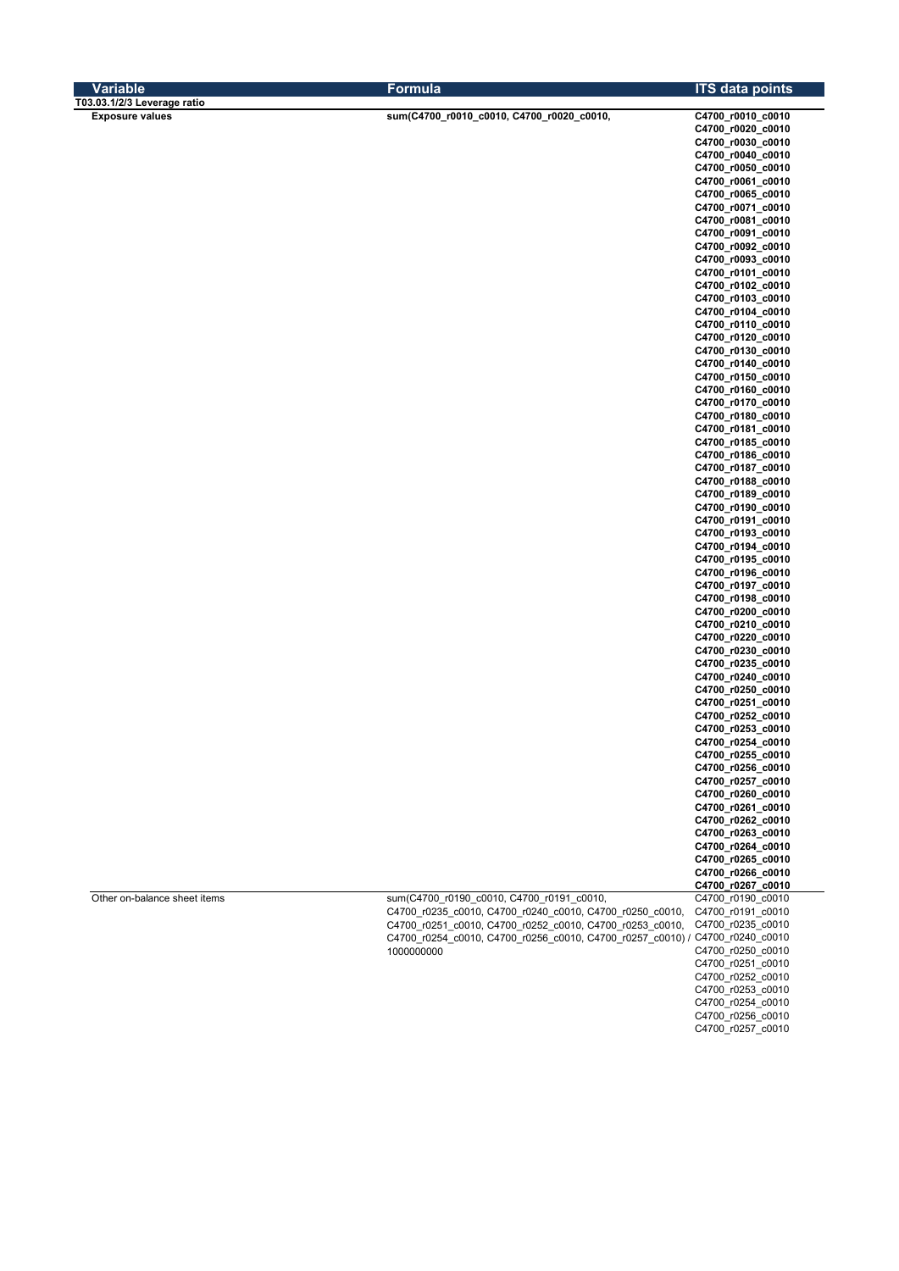| <b>Variable</b>              | <b>Formula</b>                                                               | <b>ITS data points</b>                 |
|------------------------------|------------------------------------------------------------------------------|----------------------------------------|
| T03.03.1/2/3 Leverage ratio  |                                                                              |                                        |
| <b>Exposure values</b>       | sum(C4700_r0010_c0010, C4700_r0020_c0010,                                    | C4700_r0010_c0010                      |
|                              |                                                                              | C4700_r0020_c0010<br>C4700_r0030_c0010 |
|                              |                                                                              | C4700_r0040_c0010                      |
|                              |                                                                              | C4700_r0050_c0010                      |
|                              |                                                                              | C4700_r0061_c0010                      |
|                              |                                                                              | C4700_r0065_c0010                      |
|                              |                                                                              | C4700_r0071_c0010                      |
|                              |                                                                              | C4700_r0081_c0010                      |
|                              |                                                                              | C4700_r0091_c0010                      |
|                              |                                                                              | C4700_r0092_c0010<br>C4700_r0093_c0010 |
|                              |                                                                              | C4700_r0101_c0010                      |
|                              |                                                                              | C4700_r0102_c0010                      |
|                              |                                                                              | C4700_r0103_c0010                      |
|                              |                                                                              | C4700_r0104_c0010                      |
|                              |                                                                              | C4700_r0110_c0010                      |
|                              |                                                                              | C4700_r0120_c0010                      |
|                              |                                                                              | C4700_r0130_c0010<br>C4700_r0140_c0010 |
|                              |                                                                              | C4700_r0150_c0010                      |
|                              |                                                                              | C4700_r0160_c0010                      |
|                              |                                                                              | C4700_r0170_c0010                      |
|                              |                                                                              | C4700_r0180_c0010                      |
|                              |                                                                              | C4700_r0181_c0010                      |
|                              |                                                                              | C4700_r0185_c0010                      |
|                              |                                                                              | C4700_r0186_c0010<br>C4700_r0187_c0010 |
|                              |                                                                              | C4700_r0188_c0010                      |
|                              |                                                                              | C4700_r0189_c0010                      |
|                              |                                                                              | C4700_r0190_c0010                      |
|                              |                                                                              | C4700_r0191_c0010                      |
|                              |                                                                              | C4700_r0193_c0010                      |
|                              |                                                                              | C4700_r0194_c0010                      |
|                              |                                                                              | C4700_r0195_c0010<br>C4700_r0196_c0010 |
|                              |                                                                              | C4700_r0197_c0010                      |
|                              |                                                                              | C4700_r0198_c0010                      |
|                              |                                                                              | C4700_r0200_c0010                      |
|                              |                                                                              | C4700_r0210_c0010                      |
|                              |                                                                              | C4700_r0220_c0010                      |
|                              |                                                                              | C4700_r0230_c0010                      |
|                              |                                                                              | C4700_r0235_c0010<br>C4700_r0240_c0010 |
|                              |                                                                              | C4700_r0250_c0010                      |
|                              |                                                                              | C4700_r0251_c0010                      |
|                              |                                                                              | C4700_r0252_c0010                      |
|                              |                                                                              | C4700_r0253_c0010                      |
|                              |                                                                              | C4700_r0254_c0010                      |
|                              |                                                                              | C4700_r0255_c0010                      |
|                              |                                                                              | C4700_r0256_c0010<br>C4700_r0257_c0010 |
|                              |                                                                              | C4700_r0260_c0010                      |
|                              |                                                                              | C4700_r0261_c0010                      |
|                              |                                                                              | C4700_r0262_c0010                      |
|                              |                                                                              | C4700_r0263_c0010                      |
|                              |                                                                              | C4700_r0264_c0010                      |
|                              |                                                                              | C4700_r0265_c0010<br>C4700_r0266_c0010 |
|                              |                                                                              | C4700_r0267_c0010                      |
| Other on-balance sheet items | sum(C4700 r0190 c0010, C4700 r0191 c0010,                                    | C4700_r0190_c0010                      |
|                              | C4700 r0235 c0010, C4700 r0240 c0010, C4700 r0250 c0010,                     | C4700_r0191_c0010                      |
|                              | C4700_r0251_c0010, C4700_r0252_c0010, C4700_r0253_c0010,                     | C4700_r0235_c0010                      |
|                              | C4700_r0254_c0010, C4700_r0256_c0010, C4700_r0257_c0010) / C4700_r0240_c0010 |                                        |
|                              | 1000000000                                                                   | C4700_r0250_c0010<br>C4700_r0251_c0010 |
|                              |                                                                              | C4700_r0252_c0010                      |
|                              |                                                                              | C4700_r0253_c0010                      |
|                              |                                                                              | C4700_r0254_c0010                      |
|                              |                                                                              | C4700_r0256_c0010                      |
|                              |                                                                              | C4700_r0257_c0010                      |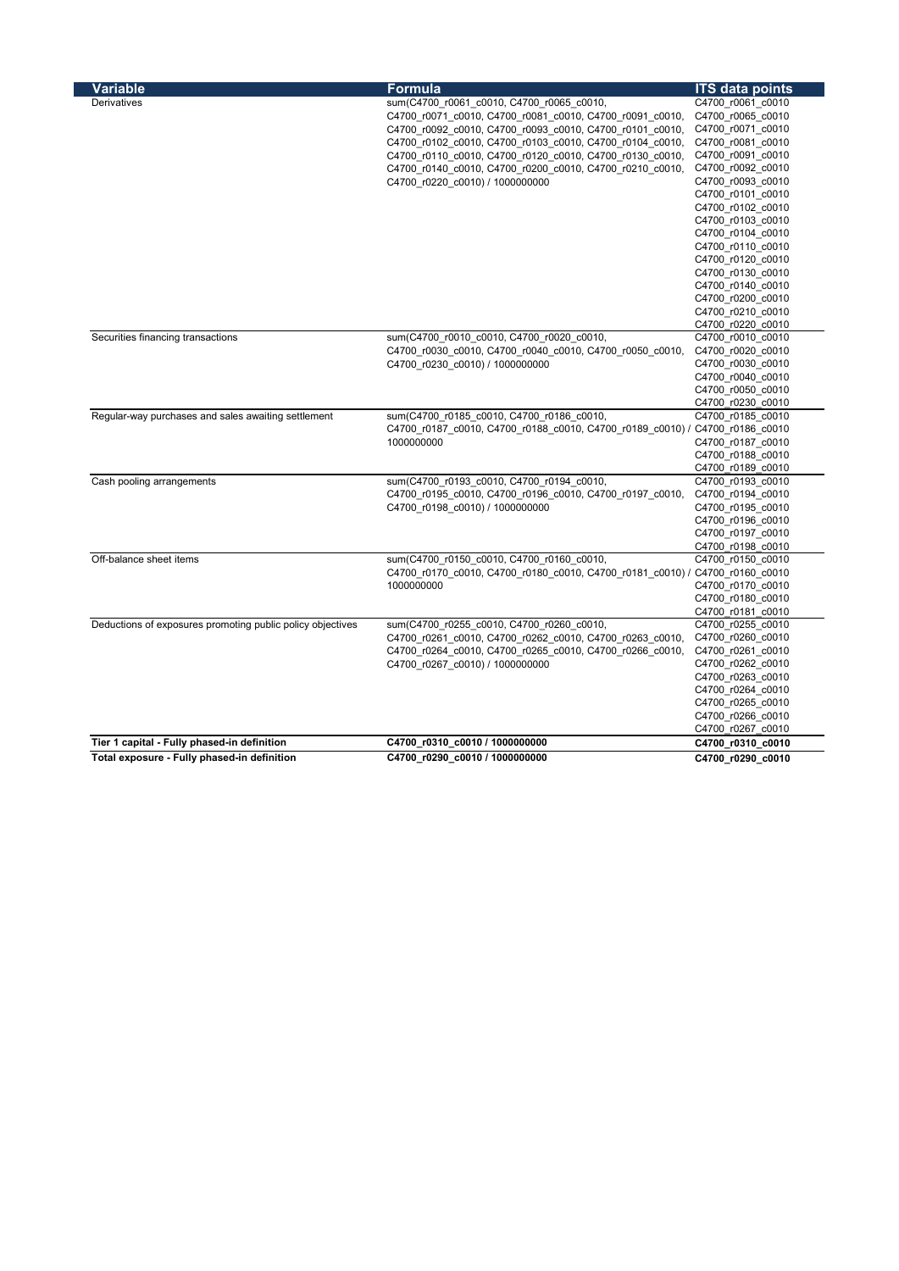| <b>Variable</b>                                            | <b>Formula</b>                                                               | <b>ITS data points</b> |
|------------------------------------------------------------|------------------------------------------------------------------------------|------------------------|
| Derivatives                                                | sum(C4700 r0061 c0010, C4700 r0065 c0010,                                    | C4700 r0061 c0010      |
|                                                            | C4700 r0071 c0010, C4700 r0081 c0010, C4700 r0091 c0010,                     | C4700 r0065 c0010      |
|                                                            | C4700 r0092 c0010, C4700 r0093 c0010, C4700 r0101 c0010,                     | C4700 r0071 c0010      |
|                                                            | C4700 r0102 c0010, C4700 r0103 c0010, C4700 r0104 c0010,                     | C4700 r0081 c0010      |
|                                                            | C4700_r0110_c0010, C4700_r0120_c0010, C4700_r0130_c0010,                     | C4700 r0091 c0010      |
|                                                            | C4700_r0140_c0010, C4700_r0200_c0010, C4700_r0210_c0010,                     | C4700_r0092_c0010      |
|                                                            | C4700_r0220_c0010) / 1000000000                                              | C4700_r0093_c0010      |
|                                                            |                                                                              | C4700_r0101_c0010      |
|                                                            |                                                                              | C4700_r0102_c0010      |
|                                                            |                                                                              | C4700_r0103_c0010      |
|                                                            |                                                                              | C4700 r0104 c0010      |
|                                                            |                                                                              | C4700 r0110 c0010      |
|                                                            |                                                                              | C4700 r0120 c0010      |
|                                                            |                                                                              | C4700_r0130_c0010      |
|                                                            |                                                                              | C4700 r0140 c0010      |
|                                                            |                                                                              | C4700 r0200 c0010      |
|                                                            |                                                                              | C4700_r0210_c0010      |
|                                                            |                                                                              | C4700_r0220_c0010      |
| Securities financing transactions                          | sum(C4700 r0010 c0010, C4700 r0020 c0010,                                    | C4700_r0010_c0010      |
|                                                            | C4700 r0030 c0010, C4700 r0040 c0010, C4700 r0050 c0010,                     | C4700 r0020 c0010      |
|                                                            | C4700 r0230 c0010) / 1000000000                                              | C4700 r0030 c0010      |
|                                                            |                                                                              | C4700 r0040 c0010      |
|                                                            |                                                                              | C4700_r0050_c0010      |
|                                                            |                                                                              | C4700 r0230 c0010      |
| Regular-way purchases and sales awaiting settlement        | sum(C4700 r0185 c0010, C4700 r0186 c0010,                                    | C4700 r0185 c0010      |
|                                                            | C4700 r0187 c0010, C4700 r0188 c0010, C4700 r0189 c0010) / C4700 r0186 c0010 |                        |
|                                                            | 1000000000                                                                   | C4700 r0187 c0010      |
|                                                            |                                                                              | C4700 r0188 c0010      |
|                                                            |                                                                              | C4700 r0189 c0010      |
| Cash pooling arrangements                                  | sum(C4700 r0193 c0010, C4700 r0194 c0010,                                    | C4700 r0193 c0010      |
|                                                            | C4700_r0195_c0010, C4700_r0196_c0010, C4700_r0197_c0010,                     | C4700_r0194_c0010      |
|                                                            | C4700 r0198 c0010) / 1000000000                                              | C4700 r0195 c0010      |
|                                                            |                                                                              | C4700 r0196 c0010      |
|                                                            |                                                                              | C4700_r0197_c0010      |
|                                                            |                                                                              | C4700_r0198_c0010      |
| Off-balance sheet items                                    | sum(C4700 r0150 c0010, C4700 r0160 c0010,                                    | C4700 r0150 c0010      |
|                                                            | C4700 r0170 c0010, C4700 r0180 c0010, C4700 r0181 c0010) / C4700_r0160_c0010 |                        |
|                                                            | 1000000000                                                                   | C4700 r0170 c0010      |
|                                                            |                                                                              | C4700 r0180 c0010      |
|                                                            |                                                                              | C4700_r0181_c0010      |
| Deductions of exposures promoting public policy objectives | sum(C4700 r0255 c0010, C4700 r0260 c0010,                                    | C4700 r0255 c0010      |
|                                                            | C4700 r0261 c0010, C4700 r0262 c0010, C4700 r0263 c0010,                     | C4700_r0260_c0010      |
|                                                            | C4700 r0264 c0010, C4700 r0265 c0010, C4700 r0266 c0010,                     | C4700_r0261_c0010      |
|                                                            | C4700 r0267 c0010) / 1000000000                                              | C4700 r0262 c0010      |
|                                                            |                                                                              | C4700 r0263 c0010      |
|                                                            |                                                                              | C4700_r0264_c0010      |
|                                                            |                                                                              | C4700_r0265_c0010      |
|                                                            |                                                                              | C4700 r0266 c0010      |
|                                                            |                                                                              | C4700_r0267_c0010      |
| Tier 1 capital - Fully phased-in definition                | C4700_r0310_c0010 / 1000000000                                               |                        |
|                                                            |                                                                              | C4700 r0310 c0010      |
| Total exposure - Fully phased-in definition                | C4700_r0290_c0010 / 1000000000                                               | C4700 r0290 c0010      |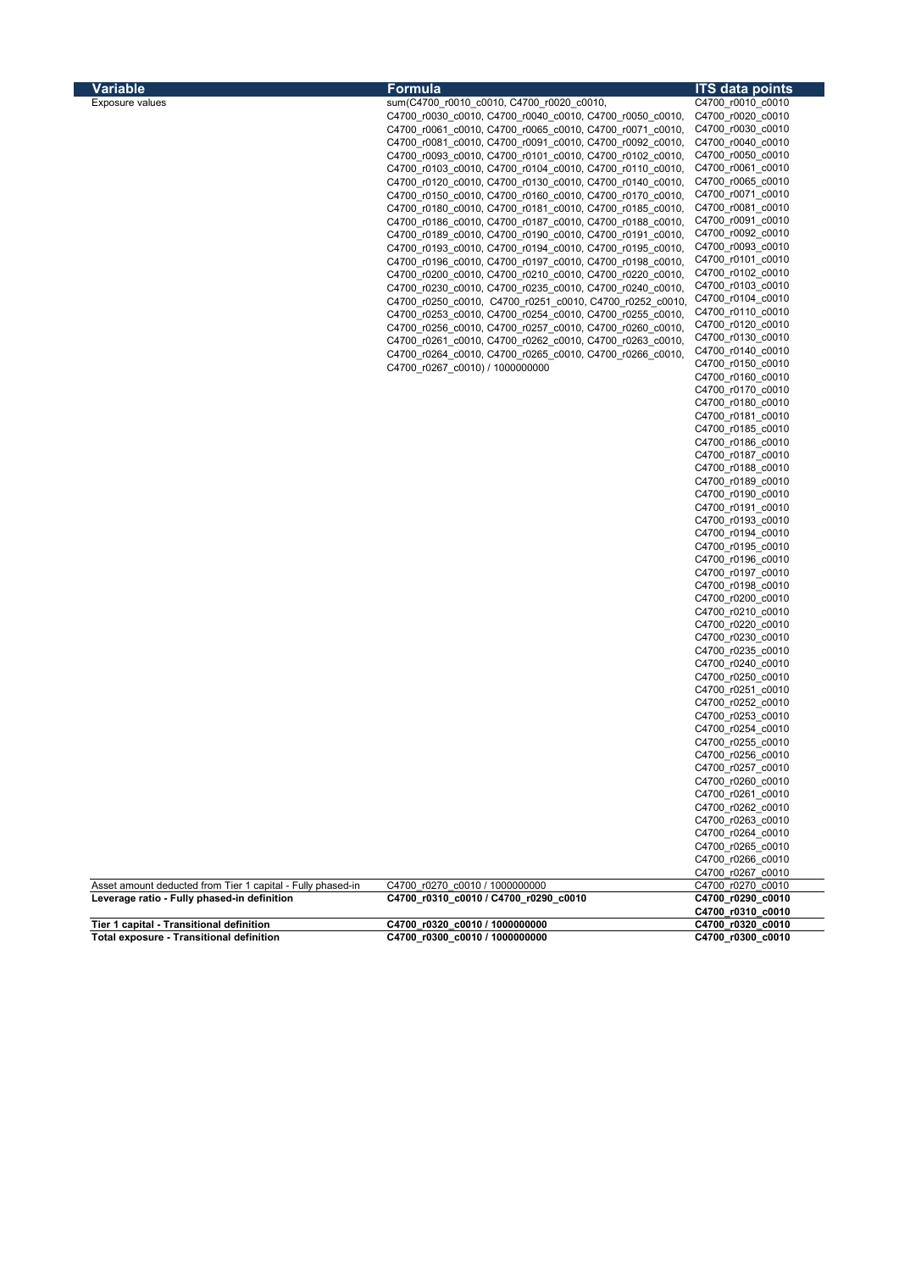| <b>Variable</b>                                             | Formula                                                  | <b>ITS data points</b> |
|-------------------------------------------------------------|----------------------------------------------------------|------------------------|
| Exposure values                                             | sum(C4700_r0010_c0010, C4700_r0020_c0010,                | C4700_r0010_c0010      |
|                                                             |                                                          |                        |
|                                                             | C4700_r0030_c0010, C4700_r0040_c0010, C4700_r0050_c0010, | C4700_r0020_c0010      |
|                                                             | C4700_r0061_c0010, C4700_r0065_c0010, C4700_r0071_c0010, | C4700 r0030 c0010      |
|                                                             | C4700 r0081 c0010, C4700 r0091 c0010, C4700 r0092 c0010, | C4700_r0040_c0010      |
|                                                             | C4700_r0093_c0010, C4700_r0101_c0010, C4700_r0102_c0010, | C4700_r0050_c0010      |
|                                                             | C4700_r0103_c0010, C4700_r0104_c0010, C4700_r0110_c0010, | C4700_r0061_c0010      |
|                                                             | C4700 r0120 c0010, C4700 r0130 c0010, C4700 r0140 c0010, | C4700_r0065_c0010      |
|                                                             | C4700_r0150_c0010, C4700_r0160_c0010, C4700_r0170_c0010, | C4700_r0071_c0010      |
|                                                             | C4700_r0180_c0010, C4700_r0181_c0010, C4700_r0185_c0010, | C4700_r0081_c0010      |
|                                                             | C4700 r0186 c0010, C4700 r0187 c0010, C4700 r0188 c0010, | C4700_r0091_c0010      |
|                                                             | C4700 r0189 c0010, C4700 r0190 c0010, C4700 r0191 c0010, | C4700_r0092_c0010      |
|                                                             |                                                          | C4700_r0093_c0010      |
|                                                             | C4700_r0193_c0010, C4700_r0194_c0010, C4700_r0195_c0010, | C4700_r0101_c0010      |
|                                                             | C4700 r0196 c0010, C4700 r0197 c0010, C4700 r0198 c0010, |                        |
|                                                             | C4700_r0200_c0010, C4700_r0210_c0010, C4700_r0220_c0010, | C4700_r0102_c0010      |
|                                                             | C4700_r0230_c0010, C4700_r0235_c0010, C4700_r0240_c0010, | C4700_r0103_c0010      |
|                                                             | C4700 r0250 c0010, C4700 r0251 c0010, C4700 r0252 c0010, | C4700_r0104_c0010      |
|                                                             | C4700_r0253_c0010, C4700_r0254_c0010, C4700_r0255_c0010, | C4700_r0110_c0010      |
|                                                             | C4700 r0256 c0010, C4700 r0257 c0010, C4700 r0260 c0010, | C4700_r0120_c0010      |
|                                                             | C4700_r0261_c0010, C4700_r0262_c0010, C4700_r0263_c0010, | C4700_r0130_c0010      |
|                                                             | C4700_r0264_c0010, C4700_r0265_c0010, C4700_r0266_c0010, | C4700_r0140_c0010      |
|                                                             | C4700_r0267_c0010) / 1000000000                          | C4700_r0150_c0010      |
|                                                             |                                                          | C4700 r0160 c0010      |
|                                                             |                                                          | C4700 r0170 c0010      |
|                                                             |                                                          | C4700_r0180_c0010      |
|                                                             |                                                          |                        |
|                                                             |                                                          | C4700_r0181_c0010      |
|                                                             |                                                          | C4700 r0185 c0010      |
|                                                             |                                                          | C4700_r0186_c0010      |
|                                                             |                                                          | C4700_r0187_c0010      |
|                                                             |                                                          | C4700 r0188 c0010      |
|                                                             |                                                          | C4700_r0189_c0010      |
|                                                             |                                                          | C4700 r0190 c0010      |
|                                                             |                                                          | C4700_r0191_c0010      |
|                                                             |                                                          | C4700_r0193_c0010      |
|                                                             |                                                          | C4700_r0194_c0010      |
|                                                             |                                                          | C4700_r0195_c0010      |
|                                                             |                                                          | C4700_r0196_c0010      |
|                                                             |                                                          |                        |
|                                                             |                                                          | C4700_r0197_c0010      |
|                                                             |                                                          | C4700_r0198_c0010      |
|                                                             |                                                          | C4700_r0200_c0010      |
|                                                             |                                                          | C4700_r0210_c0010      |
|                                                             |                                                          | C4700_r0220_c0010      |
|                                                             |                                                          | C4700_r0230_c0010      |
|                                                             |                                                          | C4700_r0235_c0010      |
|                                                             |                                                          | C4700_r0240_c0010      |
|                                                             |                                                          | C4700 r0250 c0010      |
|                                                             |                                                          | C4700_r0251_c0010      |
|                                                             |                                                          | C4700_r0252_c0010      |
|                                                             |                                                          |                        |
|                                                             |                                                          | C4700_r0253_c0010      |
|                                                             |                                                          | C4700 r0254 c0010      |
|                                                             |                                                          |                        |
|                                                             |                                                          | C4700_r0255_c0010      |
|                                                             |                                                          | C4700_r0256_c0010      |
|                                                             |                                                          | C4700_r0257_c0010      |
|                                                             |                                                          | C4700 r0260 c0010      |
|                                                             |                                                          | C4700_r0261_c0010      |
|                                                             |                                                          | C4700_r0262_c0010      |
|                                                             |                                                          |                        |
|                                                             |                                                          | C4700_r0263_c0010      |
|                                                             |                                                          | C4700 r0264 c0010      |
|                                                             |                                                          | C4700_r0265_c0010      |
|                                                             |                                                          | C4700_r0266_c0010      |
|                                                             |                                                          | C4700 r0267 c0010      |
| Asset amount deducted from Tier 1 capital - Fully phased-in | C4700 r0270 c0010 / 1000000000                           | C4700 r0270 c0010      |
| Leverage ratio - Fully phased-in definition                 | C4700_r0310_c0010 / C4700_r0290_c0010                    | C4700_r0290_c0010      |
|                                                             |                                                          | C4700_r0310_c0010      |
| Tier 1 capital - Transitional definition                    | C4700_r0320_c0010 / 1000000000                           | C4700_r0320_c0010      |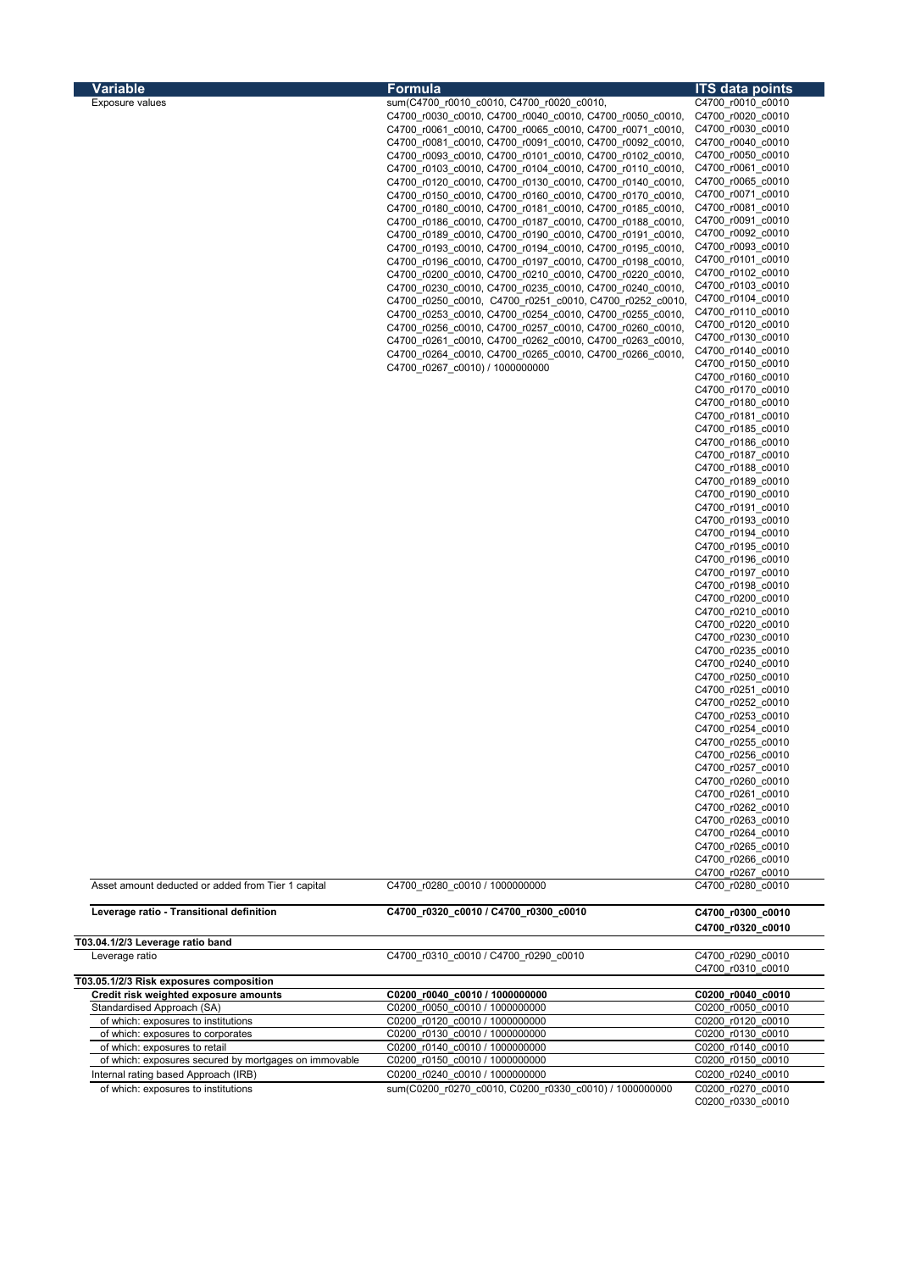| Variable                                                                 | Formula                                                                                                              | <b>ITS data points</b>                 |
|--------------------------------------------------------------------------|----------------------------------------------------------------------------------------------------------------------|----------------------------------------|
| <b>Exposure values</b>                                                   | sum(C4700 r0010 c0010, C4700 r0020 c0010,                                                                            | C4700 r0010 c0010                      |
|                                                                          | C4700_r0030_c0010, C4700_r0040_c0010, C4700_r0050_c0010,                                                             | C4700_r0020_c0010                      |
|                                                                          | C4700_r0061_c0010, C4700_r0065_c0010, C4700_r0071_c0010,                                                             | C4700_r0030_c0010                      |
|                                                                          | C4700 r0081 c0010, C4700 r0091 c0010, C4700 r0092 c0010,                                                             | C4700 r0040 c0010                      |
|                                                                          | C4700 r0093 c0010, C4700 r0101 c0010, C4700 r0102 c0010,                                                             | C4700_r0050_c0010                      |
|                                                                          | C4700 r0103 c0010, C4700 r0104 c0010, C4700 r0110 c0010,<br>C4700 r0120 c0010, C4700 r0130 c0010, C4700 r0140 c0010, | C4700_r0061_c0010<br>C4700_r0065_c0010 |
|                                                                          | C4700_r0150_c0010, C4700_r0160_c0010, C4700_r0170_c0010,                                                             | C4700 r0071 c0010                      |
|                                                                          | C4700_r0180_c0010, C4700_r0181_c0010, C4700_r0185_c0010,                                                             | C4700_r0081_c0010                      |
|                                                                          | C4700 r0186 c0010, C4700 r0187 c0010, C4700 r0188 c0010,                                                             | C4700_r0091_c0010                      |
|                                                                          | C4700_r0189_c0010, C4700_r0190_c0010, C4700_r0191_c0010,                                                             | C4700_r0092_c0010                      |
|                                                                          | C4700 r0193 c0010, C4700 r0194 c0010, C4700 r0195 c0010,                                                             | C4700 r0093 c0010                      |
|                                                                          | C4700_r0196_c0010, C4700_r0197_c0010, C4700_r0198_c0010,                                                             | C4700_r0101_c0010                      |
|                                                                          | C4700 r0200 c0010, C4700 r0210 c0010, C4700 r0220 c0010,                                                             | C4700 r0102 c0010                      |
|                                                                          | C4700 r0230 c0010, C4700 r0235 c0010, C4700 r0240 c0010,                                                             | C4700_r0103_c0010                      |
|                                                                          | C4700_r0250_c0010, C4700_r0251_c0010, C4700_r0252_c0010,                                                             | C4700_r0104_c0010                      |
|                                                                          | C4700 r0253 c0010, C4700 r0254 c0010, C4700 r0255 c0010,                                                             | C4700_r0110_c0010                      |
|                                                                          | C4700 r0256 c0010, C4700 r0257 c0010, C4700 r0260 c0010,                                                             | C4700_r0120_c0010<br>C4700_r0130_c0010 |
|                                                                          | C4700_r0261_c0010, C4700_r0262_c0010, C4700_r0263_c0010,                                                             | C4700_r0140_c0010                      |
|                                                                          | C4700_r0264_c0010, C4700_r0265_c0010, C4700_r0266_c0010,<br>C4700 r0267 c0010) / 1000000000                          | C4700_r0150_c0010                      |
|                                                                          |                                                                                                                      | C4700 r0160 c0010                      |
|                                                                          |                                                                                                                      | C4700 r0170 c0010                      |
|                                                                          |                                                                                                                      | C4700_r0180_c0010                      |
|                                                                          |                                                                                                                      | C4700_r0181_c0010                      |
|                                                                          |                                                                                                                      | C4700_r0185_c0010                      |
|                                                                          |                                                                                                                      | C4700_r0186_c0010                      |
|                                                                          |                                                                                                                      | C4700_r0187_c0010                      |
|                                                                          |                                                                                                                      | C4700_r0188_c0010<br>C4700 r0189 c0010 |
|                                                                          |                                                                                                                      | C4700 r0190 c0010                      |
|                                                                          |                                                                                                                      | C4700_r0191_c0010                      |
|                                                                          |                                                                                                                      | C4700_r0193_c0010                      |
|                                                                          |                                                                                                                      | C4700_r0194_c0010                      |
|                                                                          |                                                                                                                      | C4700_r0195_c0010                      |
|                                                                          |                                                                                                                      | C4700_r0196_c0010                      |
|                                                                          |                                                                                                                      | C4700_r0197_c0010                      |
|                                                                          |                                                                                                                      | C4700_r0198_c0010                      |
|                                                                          |                                                                                                                      | C4700_r0200_c0010                      |
|                                                                          |                                                                                                                      | C4700_r0210_c0010                      |
|                                                                          |                                                                                                                      | C4700_r0220_c0010<br>C4700_r0230_c0010 |
|                                                                          |                                                                                                                      | C4700 r0235 c0010                      |
|                                                                          |                                                                                                                      | C4700_r0240_c0010                      |
|                                                                          |                                                                                                                      | C4700 r0250 c0010                      |
|                                                                          |                                                                                                                      | C4700_r0251_c0010                      |
|                                                                          |                                                                                                                      | C4700 r0252 c0010                      |
|                                                                          |                                                                                                                      | C4700 r0253 c0010                      |
|                                                                          |                                                                                                                      | C4700_r0254_c0010                      |
|                                                                          |                                                                                                                      | C4700 r0255 c0010                      |
|                                                                          |                                                                                                                      | C4700 r0256 c0010                      |
|                                                                          |                                                                                                                      | C4700_r0257_c0010                      |
|                                                                          |                                                                                                                      | C4700_r0260_c0010<br>C4700_r0261_c0010 |
|                                                                          |                                                                                                                      | C4700 r0262 c0010                      |
|                                                                          |                                                                                                                      | C4700_r0263_c0010                      |
|                                                                          |                                                                                                                      | C4700_r0264_c0010                      |
|                                                                          |                                                                                                                      | C4700_r0265_c0010                      |
|                                                                          |                                                                                                                      | C4700_r0266_c0010                      |
|                                                                          |                                                                                                                      | C4700 r0267 c0010                      |
| Asset amount deducted or added from Tier 1 capital                       | C4700 r0280 c0010 / 1000000000                                                                                       | C4700_r0280_c0010                      |
| Leverage ratio - Transitional definition                                 | C4700_r0320_c0010 / C4700_r0300_c0010                                                                                | C4700_r0300_c0010                      |
| T03.04.1/2/3 Leverage ratio band                                         |                                                                                                                      | C4700_r0320_c0010                      |
| Leverage ratio                                                           | C4700_r0310_c0010 / C4700_r0290_c0010                                                                                | C4700 r0290 c0010                      |
|                                                                          |                                                                                                                      | C4700 r0310 c0010                      |
| T03.05.1/2/3 Risk exposures composition                                  |                                                                                                                      |                                        |
| Credit risk weighted exposure amounts                                    | C0200_r0040_c0010 / 1000000000                                                                                       | C0200_r0040_c0010                      |
| Standardised Approach (SA)                                               | C0200 r0050 c0010 / 1000000000                                                                                       | C0200 r0050 c0010                      |
| of which: exposures to institutions<br>of which: exposures to corporates | C0200 r0120 c0010 / 1000000000<br>C0200 r0130 c0010 / 1000000000                                                     | C0200 r0120 c0010<br>C0200 r0130 c0010 |
|                                                                          |                                                                                                                      |                                        |

| Internal rating based Approach (IRB) | C0200 r0240 c0010 / 1000000000                                              | C0200 r0240 c0010 |
|--------------------------------------|-----------------------------------------------------------------------------|-------------------|
| of which: exposures to institutions  | sum(C0200 r0270 c0010, C0200 r0330 c0010) / 1000000000    C0200 r0270 c0010 |                   |

of which: exposures secured by mortgages on immovable C0200\_r0150\_c0010 / 1000000000 C0200\_r0150\_c0010

0f 20200\_r0140\_c0010 / 1000000000 C0200\_r0140\_c0010 C0200\_r0140\_c0010 C0200\_r0150\_c0010 <br>C0200\_r0150\_c0010 / 1000000000 C0200\_r0150\_c0010

C0200\_r0270\_c0010 C0200\_r0330\_c0010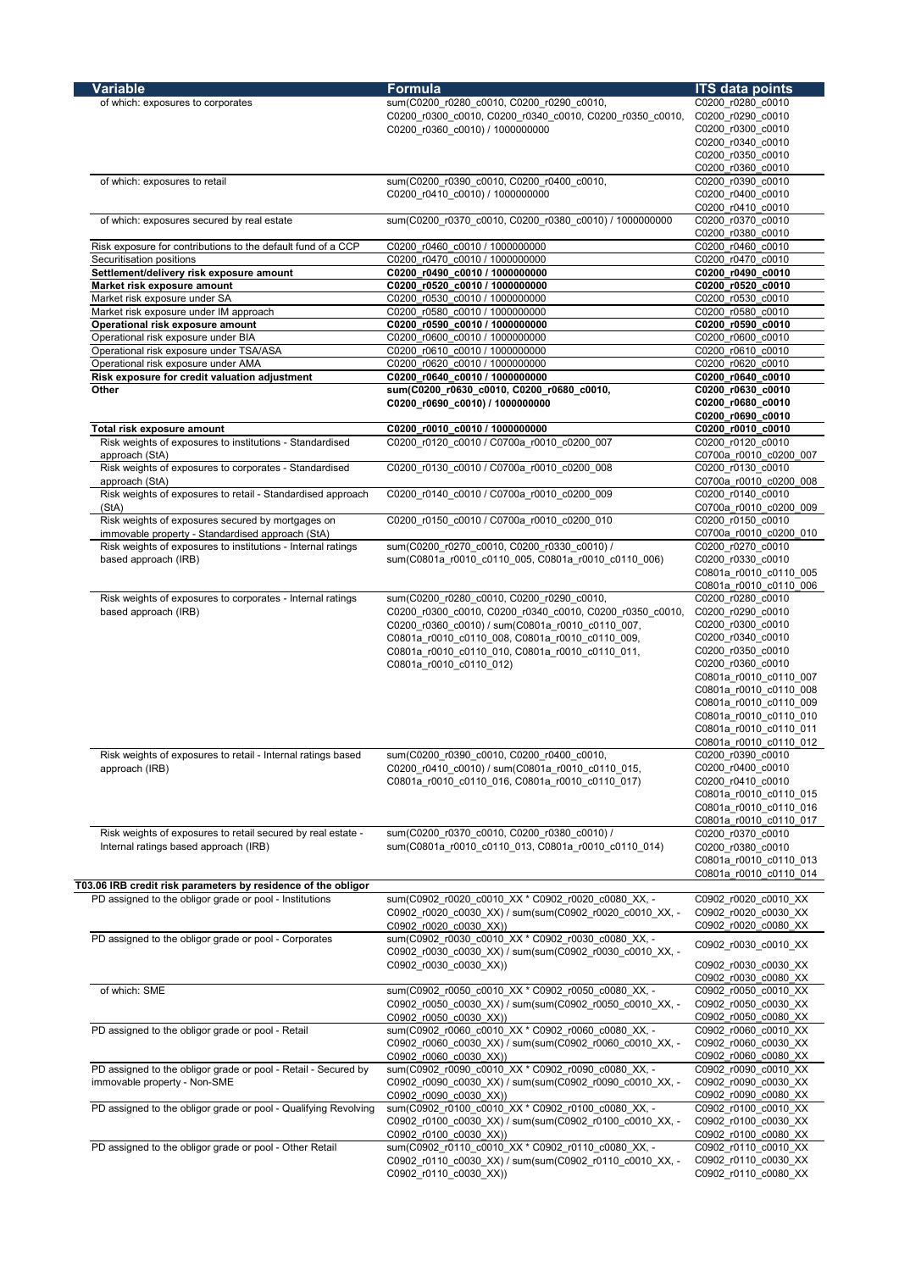| <b>Variable</b>                                                                | <b>Formula</b>                                                                                | <b>ITS data points</b> |
|--------------------------------------------------------------------------------|-----------------------------------------------------------------------------------------------|------------------------|
|                                                                                |                                                                                               |                        |
| of which: exposures to corporates                                              | sum(C0200 r0280 c0010, C0200 r0290 c0010,                                                     | C0200 r0280 c0010      |
|                                                                                | C0200 r0300 c0010, C0200 r0340 c0010, C0200 r0350 c0010,                                      | C0200 r0290 c0010      |
|                                                                                | C0200 r0360 c0010) / 1000000000                                                               | C0200 r0300 c0010      |
|                                                                                |                                                                                               | C0200_r0340_c0010      |
|                                                                                |                                                                                               | C0200_r0350_c0010      |
|                                                                                |                                                                                               | C0200 r0360 c0010      |
| of which: exposures to retail                                                  | sum(C0200 r0390 c0010, C0200 r0400 c0010,                                                     | C0200 r0390 c0010      |
|                                                                                | C0200 r0410 c0010) / 1000000000                                                               | C0200_r0400_c0010      |
|                                                                                |                                                                                               | C0200_r0410_c0010      |
| of which: exposures secured by real estate                                     | sum(C0200 r0370 c0010, C0200 r0380 c0010) / 1000000000                                        | C0200 r0370 c0010      |
|                                                                                |                                                                                               | C0200 r0380 c0010      |
| Risk exposure for contributions to the default fund of a CCP                   | C0200 r0460 c0010 / 1000000000                                                                | C0200 r0460 c0010      |
| Securitisation positions                                                       | C0200 r0470 c0010 / 1000000000                                                                | C0200 r0470 c0010      |
| Settlement/delivery risk exposure amount                                       | C0200_r0490_c0010 / 1000000000                                                                | C0200_r0490_c0010      |
| Market risk exposure amount                                                    | C0200_r0520_c0010 / 1000000000                                                                | C0200_r0520_c0010      |
| Market risk exposure under SA                                                  | C0200 r0530 c0010 / 1000000000                                                                | C0200 r0530 c0010      |
| Market risk exposure under IM approach                                         | C0200 r0580 c0010 / 1000000000                                                                | C0200 r0580 c0010      |
| Operational risk exposure amount                                               | C0200_r0590_c0010 / 1000000000                                                                | C0200_r0590_c0010      |
| Operational risk exposure under BIA                                            | C0200 r0600 c0010 / 1000000000                                                                | C0200 r0600 c0010      |
| Operational risk exposure under TSA/ASA                                        | C0200 r0610 c0010 / 1000000000                                                                | C0200 r0610 c0010      |
| Operational risk exposure under AMA                                            | C0200 r0620 c0010 / 1000000000                                                                | C0200 r0620 c0010      |
| Risk exposure for credit valuation adjustment                                  | C0200 r0640 c0010 / 1000000000                                                                | C0200 r0640 c0010      |
| Other                                                                          | sum(C0200_r0630_c0010, C0200_r0680_c0010,                                                     | C0200_r0630_c0010      |
|                                                                                | C0200_r0690_c0010) / 1000000000                                                               | C0200_r0680_c0010      |
|                                                                                |                                                                                               |                        |
|                                                                                |                                                                                               | C0200_r0690_c0010      |
| Total risk exposure amount                                                     | C0200_r0010_c0010 / 1000000000                                                                | C0200_r0010_c0010      |
| Risk weights of exposures to institutions - Standardised                       | C0200 r0120 c0010 / C0700a r0010 c0200 007                                                    | C0200 r0120 c0010      |
| approach (StA)                                                                 |                                                                                               | C0700a_r0010_c0200_007 |
| Risk weights of exposures to corporates - Standardised                         | C0200 r0130 c0010 / C0700a r0010 c0200 008                                                    | C0200 r0130 c0010      |
| approach (StA)                                                                 |                                                                                               | C0700a_r0010_c0200_008 |
| Risk weights of exposures to retail - Standardised approach                    | C0200 r0140 c0010 / C0700a r0010 c0200 009                                                    | C0200 r0140 c0010      |
| (StA)                                                                          |                                                                                               | C0700a r0010 c0200 009 |
| Risk weights of exposures secured by mortgages on                              | C0200 r0150 c0010 / C0700a r0010 c0200 010                                                    | C0200 r0150 c0010      |
| immovable property - Standardised approach (StA)                               |                                                                                               | C0700a_r0010_c0200_010 |
| Risk weights of exposures to institutions - Internal ratings                   | sum(C0200 r0270 c0010, C0200 r0330 c0010) /                                                   | C0200 r0270 c0010      |
| based approach (IRB)                                                           | sum(C0801a_r0010_c0110_005, C0801a_r0010_c0110_006)                                           | C0200 r0330 c0010      |
|                                                                                |                                                                                               | C0801a_r0010_c0110_005 |
|                                                                                |                                                                                               | C0801a_r0010_c0110_006 |
| Risk weights of exposures to corporates - Internal ratings                     | sum(C0200 r0280 c0010, C0200 r0290 c0010,                                                     | C0200 r0280 c0010      |
| based approach (IRB)                                                           | C0200 r0300 c0010, C0200 r0340 c0010, C0200 r0350 c0010,                                      | C0200 r0290 c0010      |
|                                                                                | C0200 r0360 c0010) / sum(C0801a r0010 c0110 007,                                              | C0200 r0300 c0010      |
|                                                                                | C0801a_r0010_c0110_008, C0801a_r0010_c0110_009,                                               | C0200_r0340_c0010      |
|                                                                                | C0801a_r0010_c0110_010, C0801a_r0010_c0110_011,                                               | C0200_r0350_c0010      |
|                                                                                | C0801a_r0010_c0110_012)                                                                       | C0200 r0360 c0010      |
|                                                                                |                                                                                               | C0801a r0010 c0110 007 |
|                                                                                |                                                                                               | C0801a_r0010_c0110_008 |
|                                                                                |                                                                                               | C0801a_r0010_c0110_009 |
|                                                                                |                                                                                               | C0801a_r0010_c0110_010 |
|                                                                                |                                                                                               | C0801a_r0010_c0110_011 |
|                                                                                |                                                                                               | C0801a_r0010_c0110_012 |
|                                                                                |                                                                                               | C0200 r0390 c0010      |
| Risk weights of exposures to retail - Internal ratings based<br>approach (IRB) | sum(C0200_r0390_c0010, C0200_r0400_c0010,<br>C0200 r0410 c0010) / sum(C0801a r0010 c0110 015, | C0200 r0400 c0010      |
|                                                                                | C0801a r0010 c0110 016, C0801a r0010 c0110 017)                                               | C0200 r0410 c0010      |
|                                                                                |                                                                                               | C0801a_r0010_c0110_015 |
|                                                                                |                                                                                               |                        |
|                                                                                |                                                                                               | C0801a r0010 c0110 016 |
|                                                                                | sum(C0200 r0370 c0010, C0200 r0380 c0010) /                                                   | C0801a_r0010_c0110_017 |
| Risk weights of exposures to retail secured by real estate -                   |                                                                                               | C0200_r0370_c0010      |
| Internal ratings based approach (IRB)                                          | sum(C0801a r0010 c0110 013, C0801a r0010 c0110 014)                                           | C0200 r0380 c0010      |
|                                                                                |                                                                                               | C0801a r0010 c0110 013 |
|                                                                                |                                                                                               | C0801a_r0010_c0110_014 |
| T03.06 IRB credit risk parameters by residence of the obligor                  |                                                                                               |                        |
| PD assigned to the obligor grade or pool - Institutions                        | sum(C0902 r0020 c0010 XX * C0902 r0020 c0080 XX, -                                            | C0902 r0020 c0010 XX   |
|                                                                                | C0902 r0020 c0030 XX) / sum(sum(C0902 r0020 c0010 XX, -                                       | C0902_r0020_c0030_XX   |
|                                                                                | C0902 r0020 c0030 XX))                                                                        | C0902_r0020_c0080_XX   |
| PD assigned to the obligor grade or pool - Corporates                          | sum(C0902 r0030 c0010 XX * C0902 r0030 c0080 XX, -                                            | C0902 r0030 c0010 XX   |
|                                                                                | C0902_r0030_c0030_XX) / sum(sum(C0902_r0030_c0010_XX, -                                       |                        |
|                                                                                | C0902 r0030 c0030 XX))                                                                        | C0902_r0030_c0030_XX   |
|                                                                                |                                                                                               | C0902 r0030 c0080 XX   |
| of which: SME                                                                  | sum(C0902 r0050 c0010 XX * C0902 r0050 c0080 XX, -                                            | C0902 r0050 c0010 XX   |
|                                                                                | C0902 r0050 c0030 XX) / sum(sum(C0902 r0050 c0010 XX, -                                       | C0902 r0050 c0030 XX   |
|                                                                                | C0902 r0050 c0030 XX))                                                                        | C0902 r0050 c0080 XX   |
| PD assigned to the obligor grade or pool - Retail                              | sum(C0902 r0060 c0010 XX * C0902 r0060 c0080 XX, -                                            | C0902 r0060 c0010 XX   |
|                                                                                | C0902_r0060_c0030_XX) / sum(sum(C0902_r0060_c0010_XX, -                                       | C0902_r0060_c0030_XX   |
|                                                                                | C0902 r0060 c0030 XX))                                                                        | C0902 r0060 c0080 XX   |
| PD assigned to the obligor grade or pool - Retail - Secured by                 | sum(C0902 r0090 c0010 XX * C0902 r0090 c0080 XX, -                                            | C0902 r0090 c0010 XX   |
| immovable property - Non-SME                                                   | C0902_r0090_c0030_XX) / sum(sum(C0902_r0090_c0010_XX, -                                       | C0902 r0090 c0030 XX   |
|                                                                                | C0902 r0090 c0030 XX))                                                                        | C0902 r0090 c0080 XX   |
| PD assigned to the obligor grade or pool - Qualifying Revolving                | sum(C0902 r0100 c0010 XX * C0902 r0100 c0080 XX, -                                            | C0902 r0100 c0010 XX   |
|                                                                                | C0902_r0100_c0030_XX) / sum(sum(C0902_r0100_c0010_XX, -                                       | C0902 r0100 c0030 XX   |
|                                                                                | C0902 r0100 c0030 XX))                                                                        | C0902_r0100_c0080_XX   |
| PD assigned to the obligor grade or pool - Other Retail                        | sum(C0902 r0110 c0010 XX * C0902 r0110 c0080 XX, -                                            | C0902 r0110 c0010 XX   |
|                                                                                | C0902_r0110_c0030_XX) / sum(sum(C0902_r0110_c0010_XX, -                                       | C0902_r0110_c0030_XX   |
|                                                                                | C0902_r0110_c0030_XX))                                                                        | C0902_r0110_c0080_XX   |
|                                                                                |                                                                                               |                        |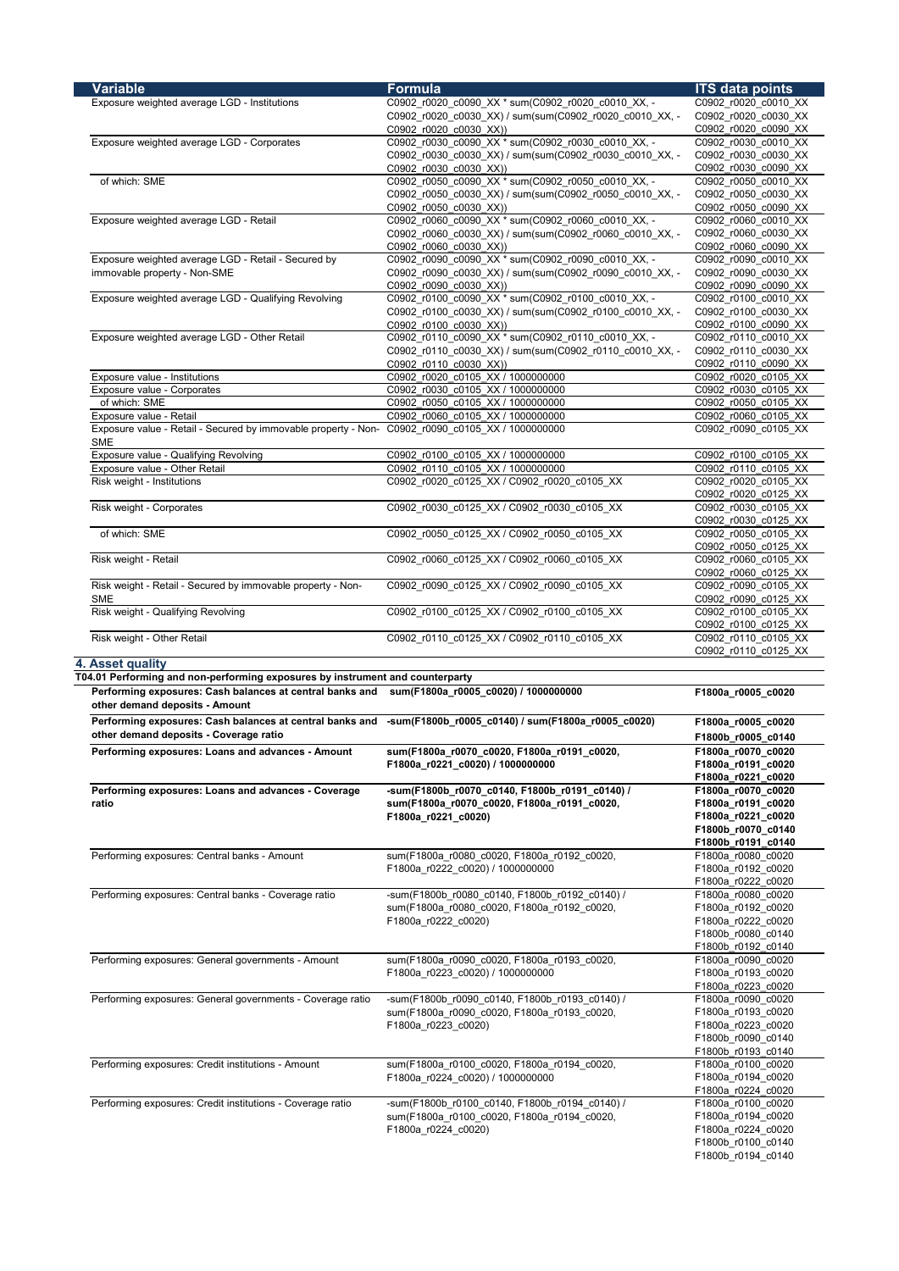| <b>Variable</b>                                                                                                                                                                                                                                                                                                                                                                                                                                                                                                                                                                                                                                                                                                                                               | <b>Formula</b>                                          | <b>ITS data points</b>                                                                                                                                                                                                                         |
|---------------------------------------------------------------------------------------------------------------------------------------------------------------------------------------------------------------------------------------------------------------------------------------------------------------------------------------------------------------------------------------------------------------------------------------------------------------------------------------------------------------------------------------------------------------------------------------------------------------------------------------------------------------------------------------------------------------------------------------------------------------|---------------------------------------------------------|------------------------------------------------------------------------------------------------------------------------------------------------------------------------------------------------------------------------------------------------|
| Exposure weighted average LGD - Institutions                                                                                                                                                                                                                                                                                                                                                                                                                                                                                                                                                                                                                                                                                                                  | C0902_r0020_c0090_XX * sum(C0902_r0020_c0010_XX, -      | C0902_r0020_c0010_XX                                                                                                                                                                                                                           |
|                                                                                                                                                                                                                                                                                                                                                                                                                                                                                                                                                                                                                                                                                                                                                               | C0902_r0020_c0030_XX) / sum(sum(C0902_r0020_c0010_XX, - | C0902 r0020 c0030 XX                                                                                                                                                                                                                           |
|                                                                                                                                                                                                                                                                                                                                                                                                                                                                                                                                                                                                                                                                                                                                                               | C0902 r0020 c0030 XX))                                  | C0902 r0020 c0090 XX                                                                                                                                                                                                                           |
| Exposure weighted average LGD - Corporates                                                                                                                                                                                                                                                                                                                                                                                                                                                                                                                                                                                                                                                                                                                    | C0902_r0030_c0090_XX * sum(C0902_r0030_c0010_XX, -      | C0902 r0030 c0010 XX                                                                                                                                                                                                                           |
|                                                                                                                                                                                                                                                                                                                                                                                                                                                                                                                                                                                                                                                                                                                                                               |                                                         |                                                                                                                                                                                                                                                |
|                                                                                                                                                                                                                                                                                                                                                                                                                                                                                                                                                                                                                                                                                                                                                               | C0902_r0030_c0030_XX) / sum(sum(C0902_r0030_c0010_XX, - | C0902 r0030 c0030 XX                                                                                                                                                                                                                           |
|                                                                                                                                                                                                                                                                                                                                                                                                                                                                                                                                                                                                                                                                                                                                                               | C0902 r0030 c0030 XX))                                  | C0902_r0030_c0090_XX                                                                                                                                                                                                                           |
| of which: SME                                                                                                                                                                                                                                                                                                                                                                                                                                                                                                                                                                                                                                                                                                                                                 | C0902_r0050_c0090_XX * sum(C0902_r0050_c0010_XX, -      | C0902 r0050 c0010 XX                                                                                                                                                                                                                           |
|                                                                                                                                                                                                                                                                                                                                                                                                                                                                                                                                                                                                                                                                                                                                                               | C0902_r0050_c0030_XX) / sum(sum(C0902_r0050_c0010_XX, - | C0902_r0050_c0030_XX                                                                                                                                                                                                                           |
|                                                                                                                                                                                                                                                                                                                                                                                                                                                                                                                                                                                                                                                                                                                                                               | C0902 r0050 c0030 XX))                                  | C0902 r0050 c0090 XX                                                                                                                                                                                                                           |
| Exposure weighted average LGD - Retail                                                                                                                                                                                                                                                                                                                                                                                                                                                                                                                                                                                                                                                                                                                        | C0902_r0060_c0090_XX * sum(C0902_r0060_c0010_XX, -      | C0902 r0060 c0010 XX                                                                                                                                                                                                                           |
|                                                                                                                                                                                                                                                                                                                                                                                                                                                                                                                                                                                                                                                                                                                                                               | C0902_r0060_c0030_XX) / sum(sum(C0902_r0060_c0010_XX, - | C0902 r0060 c0030 XX                                                                                                                                                                                                                           |
|                                                                                                                                                                                                                                                                                                                                                                                                                                                                                                                                                                                                                                                                                                                                                               | C0902 r0060 c0030 XX))                                  | C0902_r0060_c0090_XX                                                                                                                                                                                                                           |
| Exposure weighted average LGD - Retail - Secured by                                                                                                                                                                                                                                                                                                                                                                                                                                                                                                                                                                                                                                                                                                           | C0902_r0090_c0090_XX * sum(C0902_r0090_c0010_XX, -      | C0902 r0090 c0010 XX                                                                                                                                                                                                                           |
| immovable property - Non-SME                                                                                                                                                                                                                                                                                                                                                                                                                                                                                                                                                                                                                                                                                                                                  | C0902_r0090_c0030_XX) / sum(sum(C0902_r0090_c0010_XX, - | C0902 r0090 c0030 XX                                                                                                                                                                                                                           |
|                                                                                                                                                                                                                                                                                                                                                                                                                                                                                                                                                                                                                                                                                                                                                               | C0902 r0090 c0030 XX))                                  | C0902 r0090 c0090 XX                                                                                                                                                                                                                           |
| Exposure weighted average LGD - Qualifying Revolving                                                                                                                                                                                                                                                                                                                                                                                                                                                                                                                                                                                                                                                                                                          | C0902_r0100_c0090_XX * sum(C0902_r0100_c0010_XX, -      | C0902_r0100_c0010_XX                                                                                                                                                                                                                           |
|                                                                                                                                                                                                                                                                                                                                                                                                                                                                                                                                                                                                                                                                                                                                                               |                                                         |                                                                                                                                                                                                                                                |
|                                                                                                                                                                                                                                                                                                                                                                                                                                                                                                                                                                                                                                                                                                                                                               | C0902_r0100_c0030_XX) / sum(sum(C0902_r0100_c0010_XX, - | C0902_r0100_c0030_XX                                                                                                                                                                                                                           |
|                                                                                                                                                                                                                                                                                                                                                                                                                                                                                                                                                                                                                                                                                                                                                               | C0902 r0100 c0030 XX))                                  | C0902_r0100_c0090_XX                                                                                                                                                                                                                           |
| Exposure weighted average LGD - Other Retail                                                                                                                                                                                                                                                                                                                                                                                                                                                                                                                                                                                                                                                                                                                  | C0902_r0110_c0090_XX * sum(C0902_r0110_c0010_XX, -      | C0902_r0110_c0010_XX                                                                                                                                                                                                                           |
|                                                                                                                                                                                                                                                                                                                                                                                                                                                                                                                                                                                                                                                                                                                                                               | C0902_r0110_c0030_XX) / sum(sum(C0902_r0110_c0010_XX, - | C0902_r0110_c0030_XX                                                                                                                                                                                                                           |
|                                                                                                                                                                                                                                                                                                                                                                                                                                                                                                                                                                                                                                                                                                                                                               | C0902_r0110_c0030_XX))                                  | C0902_r0110_c0090_XX                                                                                                                                                                                                                           |
| Exposure value - Institutions                                                                                                                                                                                                                                                                                                                                                                                                                                                                                                                                                                                                                                                                                                                                 | C0902 r0020 c0105 XX / 1000000000                       | C0902 r0020 c0105 XX                                                                                                                                                                                                                           |
| Exposure value - Corporates                                                                                                                                                                                                                                                                                                                                                                                                                                                                                                                                                                                                                                                                                                                                   | C0902 r0030 c0105 XX / 1000000000                       | C0902 r0030 c0105 XX                                                                                                                                                                                                                           |
| of which: SME                                                                                                                                                                                                                                                                                                                                                                                                                                                                                                                                                                                                                                                                                                                                                 | C0902_r0050_c0105_XX / 1000000000                       | C0902 r0050 c0105 XX                                                                                                                                                                                                                           |
|                                                                                                                                                                                                                                                                                                                                                                                                                                                                                                                                                                                                                                                                                                                                                               |                                                         |                                                                                                                                                                                                                                                |
| Exposure value - Retail                                                                                                                                                                                                                                                                                                                                                                                                                                                                                                                                                                                                                                                                                                                                       | C0902 r0060 c0105 XX / 1000000000                       | C0902 r0060 c0105 XX                                                                                                                                                                                                                           |
| Exposure value - Retail - Secured by immovable property - Non- C0902_r0090_c0105_XX / 1000000000                                                                                                                                                                                                                                                                                                                                                                                                                                                                                                                                                                                                                                                              |                                                         | C0902 r0090 c0105 XX                                                                                                                                                                                                                           |
| <b>SME</b>                                                                                                                                                                                                                                                                                                                                                                                                                                                                                                                                                                                                                                                                                                                                                    |                                                         |                                                                                                                                                                                                                                                |
| Exposure value - Qualifying Revolving                                                                                                                                                                                                                                                                                                                                                                                                                                                                                                                                                                                                                                                                                                                         | C0902_r0100_c0105_XX / 1000000000                       | C0902_r0100_c0105_XX                                                                                                                                                                                                                           |
| Exposure value - Other Retail                                                                                                                                                                                                                                                                                                                                                                                                                                                                                                                                                                                                                                                                                                                                 | C0902 r0110 c0105 XX / 1000000000                       | C0902 r0110 c0105 XX                                                                                                                                                                                                                           |
| Risk weight - Institutions                                                                                                                                                                                                                                                                                                                                                                                                                                                                                                                                                                                                                                                                                                                                    | C0902_r0020_c0125_XX / C0902_r0020_c0105_XX             | C0902 r0020 c0105 XX                                                                                                                                                                                                                           |
|                                                                                                                                                                                                                                                                                                                                                                                                                                                                                                                                                                                                                                                                                                                                                               |                                                         | C0902 r0020 c0125 XX                                                                                                                                                                                                                           |
|                                                                                                                                                                                                                                                                                                                                                                                                                                                                                                                                                                                                                                                                                                                                                               |                                                         |                                                                                                                                                                                                                                                |
| Risk weight - Corporates                                                                                                                                                                                                                                                                                                                                                                                                                                                                                                                                                                                                                                                                                                                                      | C0902_r0030_c0125_XX / C0902_r0030_c0105_XX             | C0902 r0030 c0105 XX                                                                                                                                                                                                                           |
|                                                                                                                                                                                                                                                                                                                                                                                                                                                                                                                                                                                                                                                                                                                                                               |                                                         | C0902_r0030_c0125_XX                                                                                                                                                                                                                           |
| of which: SME                                                                                                                                                                                                                                                                                                                                                                                                                                                                                                                                                                                                                                                                                                                                                 | C0902_r0050_c0125_XX / C0902_r0050_c0105_XX             | C0902 r0050 c0105 XX                                                                                                                                                                                                                           |
|                                                                                                                                                                                                                                                                                                                                                                                                                                                                                                                                                                                                                                                                                                                                                               |                                                         | C0902_r0050_c0125_XX                                                                                                                                                                                                                           |
| Risk weight - Retail                                                                                                                                                                                                                                                                                                                                                                                                                                                                                                                                                                                                                                                                                                                                          | C0902_r0060_c0125_XX / C0902_r0060_c0105_XX             | C0902_r0060_c0105_XX                                                                                                                                                                                                                           |
|                                                                                                                                                                                                                                                                                                                                                                                                                                                                                                                                                                                                                                                                                                                                                               |                                                         | C0902_r0060_c0125_XX                                                                                                                                                                                                                           |
| Risk weight - Retail - Secured by immovable property - Non-                                                                                                                                                                                                                                                                                                                                                                                                                                                                                                                                                                                                                                                                                                   | C0902_r0090_c0125_XX / C0902_r0090_c0105_XX             | C0902 r0090 c0105 XX                                                                                                                                                                                                                           |
| SME                                                                                                                                                                                                                                                                                                                                                                                                                                                                                                                                                                                                                                                                                                                                                           |                                                         |                                                                                                                                                                                                                                                |
|                                                                                                                                                                                                                                                                                                                                                                                                                                                                                                                                                                                                                                                                                                                                                               |                                                         | C0902_r0090_c0125_XX                                                                                                                                                                                                                           |
| Risk weight - Qualifying Revolving                                                                                                                                                                                                                                                                                                                                                                                                                                                                                                                                                                                                                                                                                                                            | C0902_r0100_c0125_XX / C0902_r0100_c0105_XX             | C0902 r0100 c0105 XX                                                                                                                                                                                                                           |
|                                                                                                                                                                                                                                                                                                                                                                                                                                                                                                                                                                                                                                                                                                                                                               |                                                         | C0902_r0100_c0125_XX                                                                                                                                                                                                                           |
| Risk weight - Other Retail                                                                                                                                                                                                                                                                                                                                                                                                                                                                                                                                                                                                                                                                                                                                    | C0902_r0110_c0125_XX / C0902_r0110_c0105_XX             | C0902_r0110_c0105_XX                                                                                                                                                                                                                           |
|                                                                                                                                                                                                                                                                                                                                                                                                                                                                                                                                                                                                                                                                                                                                                               |                                                         | C0902 r0110 c0125 XX                                                                                                                                                                                                                           |
| 4. Asset quality                                                                                                                                                                                                                                                                                                                                                                                                                                                                                                                                                                                                                                                                                                                                              |                                                         |                                                                                                                                                                                                                                                |
| T04.01 Performing and non-performing exposures by instrument and counterparty                                                                                                                                                                                                                                                                                                                                                                                                                                                                                                                                                                                                                                                                                 |                                                         |                                                                                                                                                                                                                                                |
|                                                                                                                                                                                                                                                                                                                                                                                                                                                                                                                                                                                                                                                                                                                                                               |                                                         |                                                                                                                                                                                                                                                |
|                                                                                                                                                                                                                                                                                                                                                                                                                                                                                                                                                                                                                                                                                                                                                               |                                                         | F1800a_r0005_c0020                                                                                                                                                                                                                             |
|                                                                                                                                                                                                                                                                                                                                                                                                                                                                                                                                                                                                                                                                                                                                                               |                                                         |                                                                                                                                                                                                                                                |
|                                                                                                                                                                                                                                                                                                                                                                                                                                                                                                                                                                                                                                                                                                                                                               |                                                         |                                                                                                                                                                                                                                                |
|                                                                                                                                                                                                                                                                                                                                                                                                                                                                                                                                                                                                                                                                                                                                                               |                                                         |                                                                                                                                                                                                                                                |
|                                                                                                                                                                                                                                                                                                                                                                                                                                                                                                                                                                                                                                                                                                                                                               | sum(F1800a_r0070_c0020, F1800a_r0191_c0020,             |                                                                                                                                                                                                                                                |
|                                                                                                                                                                                                                                                                                                                                                                                                                                                                                                                                                                                                                                                                                                                                                               | F1800a_r0221_c0020) / 1000000000                        |                                                                                                                                                                                                                                                |
|                                                                                                                                                                                                                                                                                                                                                                                                                                                                                                                                                                                                                                                                                                                                                               |                                                         |                                                                                                                                                                                                                                                |
|                                                                                                                                                                                                                                                                                                                                                                                                                                                                                                                                                                                                                                                                                                                                                               | -sum(F1800b r0070 c0140, F1800b r0191 c0140) /          |                                                                                                                                                                                                                                                |
|                                                                                                                                                                                                                                                                                                                                                                                                                                                                                                                                                                                                                                                                                                                                                               |                                                         |                                                                                                                                                                                                                                                |
|                                                                                                                                                                                                                                                                                                                                                                                                                                                                                                                                                                                                                                                                                                                                                               | sum(F1800a_r0070_c0020, F1800a_r0191_c0020,             |                                                                                                                                                                                                                                                |
|                                                                                                                                                                                                                                                                                                                                                                                                                                                                                                                                                                                                                                                                                                                                                               | F1800a_r0221_c0020)                                     |                                                                                                                                                                                                                                                |
|                                                                                                                                                                                                                                                                                                                                                                                                                                                                                                                                                                                                                                                                                                                                                               |                                                         |                                                                                                                                                                                                                                                |
|                                                                                                                                                                                                                                                                                                                                                                                                                                                                                                                                                                                                                                                                                                                                                               |                                                         |                                                                                                                                                                                                                                                |
|                                                                                                                                                                                                                                                                                                                                                                                                                                                                                                                                                                                                                                                                                                                                                               | sum(F1800a r0080 c0020, F1800a r0192 c0020,             |                                                                                                                                                                                                                                                |
|                                                                                                                                                                                                                                                                                                                                                                                                                                                                                                                                                                                                                                                                                                                                                               | F1800a r0222 c0020) / 1000000000                        |                                                                                                                                                                                                                                                |
|                                                                                                                                                                                                                                                                                                                                                                                                                                                                                                                                                                                                                                                                                                                                                               |                                                         | F1800a r0222 c0020                                                                                                                                                                                                                             |
|                                                                                                                                                                                                                                                                                                                                                                                                                                                                                                                                                                                                                                                                                                                                                               | -sum(F1800b r0080 c0140, F1800b r0192 c0140) /          |                                                                                                                                                                                                                                                |
|                                                                                                                                                                                                                                                                                                                                                                                                                                                                                                                                                                                                                                                                                                                                                               |                                                         |                                                                                                                                                                                                                                                |
|                                                                                                                                                                                                                                                                                                                                                                                                                                                                                                                                                                                                                                                                                                                                                               | sum(F1800a r0080 c0020, F1800a r0192 c0020,             | F1800a_r0192_c0020                                                                                                                                                                                                                             |
|                                                                                                                                                                                                                                                                                                                                                                                                                                                                                                                                                                                                                                                                                                                                                               | F1800a_r0222_c0020)                                     |                                                                                                                                                                                                                                                |
|                                                                                                                                                                                                                                                                                                                                                                                                                                                                                                                                                                                                                                                                                                                                                               |                                                         | F1800b_r0080_c0140                                                                                                                                                                                                                             |
|                                                                                                                                                                                                                                                                                                                                                                                                                                                                                                                                                                                                                                                                                                                                                               |                                                         |                                                                                                                                                                                                                                                |
|                                                                                                                                                                                                                                                                                                                                                                                                                                                                                                                                                                                                                                                                                                                                                               | sum(F1800a r0090 c0020, F1800a r0193 c0020,             | F1800a r0090 c0020                                                                                                                                                                                                                             |
|                                                                                                                                                                                                                                                                                                                                                                                                                                                                                                                                                                                                                                                                                                                                                               | F1800a r0223 c0020) / 1000000000                        |                                                                                                                                                                                                                                                |
|                                                                                                                                                                                                                                                                                                                                                                                                                                                                                                                                                                                                                                                                                                                                                               |                                                         |                                                                                                                                                                                                                                                |
|                                                                                                                                                                                                                                                                                                                                                                                                                                                                                                                                                                                                                                                                                                                                                               |                                                         |                                                                                                                                                                                                                                                |
|                                                                                                                                                                                                                                                                                                                                                                                                                                                                                                                                                                                                                                                                                                                                                               | -sum(F1800b r0090 c0140, F1800b r0193 c0140) /          | F1800a r0090 c0020                                                                                                                                                                                                                             |
|                                                                                                                                                                                                                                                                                                                                                                                                                                                                                                                                                                                                                                                                                                                                                               | sum(F1800a_r0090_c0020, F1800a_r0193_c0020,             |                                                                                                                                                                                                                                                |
|                                                                                                                                                                                                                                                                                                                                                                                                                                                                                                                                                                                                                                                                                                                                                               | F1800a_r0223_c0020)                                     |                                                                                                                                                                                                                                                |
|                                                                                                                                                                                                                                                                                                                                                                                                                                                                                                                                                                                                                                                                                                                                                               |                                                         |                                                                                                                                                                                                                                                |
|                                                                                                                                                                                                                                                                                                                                                                                                                                                                                                                                                                                                                                                                                                                                                               |                                                         | F1800b r0193 c0140                                                                                                                                                                                                                             |
|                                                                                                                                                                                                                                                                                                                                                                                                                                                                                                                                                                                                                                                                                                                                                               | sum(F1800a r0100 c0020, F1800a r0194 c0020,             | F1800a r0080 c0020<br>F1800a_r0192_c0020<br>F1800a r0080 c0020<br>F1800a_r0222_c0020<br>F1800b_r0192_c0140<br>F1800a_r0193_c0020<br>F1800a r0223 c0020<br>F1800a_r0193_c0020<br>F1800a_r0223_c0020<br>F1800b_r0090_c0140<br>F1800a r0100 c0020 |
|                                                                                                                                                                                                                                                                                                                                                                                                                                                                                                                                                                                                                                                                                                                                                               | F1800a r0224 c0020) / 1000000000                        | F1800a_r0194_c0020                                                                                                                                                                                                                             |
|                                                                                                                                                                                                                                                                                                                                                                                                                                                                                                                                                                                                                                                                                                                                                               |                                                         |                                                                                                                                                                                                                                                |
|                                                                                                                                                                                                                                                                                                                                                                                                                                                                                                                                                                                                                                                                                                                                                               |                                                         | F1800a_r0070_c0020<br>F1800a_r0191_c0020<br>F1800a_r0221_c0020<br>F1800a_r0070_c0020<br>F1800a_r0191_c0020<br>F1800a_r0221_c0020<br>F1800a r0224 c0020                                                                                         |
|                                                                                                                                                                                                                                                                                                                                                                                                                                                                                                                                                                                                                                                                                                                                                               | -sum(F1800b r0100 c0140, F1800b r0194 c0140) /          | F1800a r0100 c0020                                                                                                                                                                                                                             |
|                                                                                                                                                                                                                                                                                                                                                                                                                                                                                                                                                                                                                                                                                                                                                               | sum(F1800a_r0100_c0020, F1800a_r0194_c0020,             | F1800a_r0194_c0020                                                                                                                                                                                                                             |
|                                                                                                                                                                                                                                                                                                                                                                                                                                                                                                                                                                                                                                                                                                                                                               | F1800a_r0224_c0020)                                     | F1800a_r0005_c0020<br>F1800b_r0070_c0140<br>F1800b_r0191_c0140<br>F1800a_r0224_c0020                                                                                                                                                           |
| Performing exposures: Cash balances at central banks and sum(F1800a r0005 c0020) / 1000000000<br>other demand deposits - Amount<br>Performing exposures: Cash balances at central banks and -sum(F1800b_r0005_c0140) / sum(F1800a_r0005_c0020)<br>other demand deposits - Coverage ratio<br>Performing exposures: Loans and advances - Amount<br>Performing exposures: Loans and advances - Coverage<br>ratio<br>Performing exposures: Central banks - Amount<br>Performing exposures: Central banks - Coverage ratio<br>Performing exposures: General governments - Amount<br>Performing exposures: General governments - Coverage ratio<br>Performing exposures: Credit institutions - Amount<br>Performing exposures: Credit institutions - Coverage ratio |                                                         | F1800b_r0005_c0140<br>F1800b r0100 c0140<br>F1800b_r0194_c0140                                                                                                                                                                                 |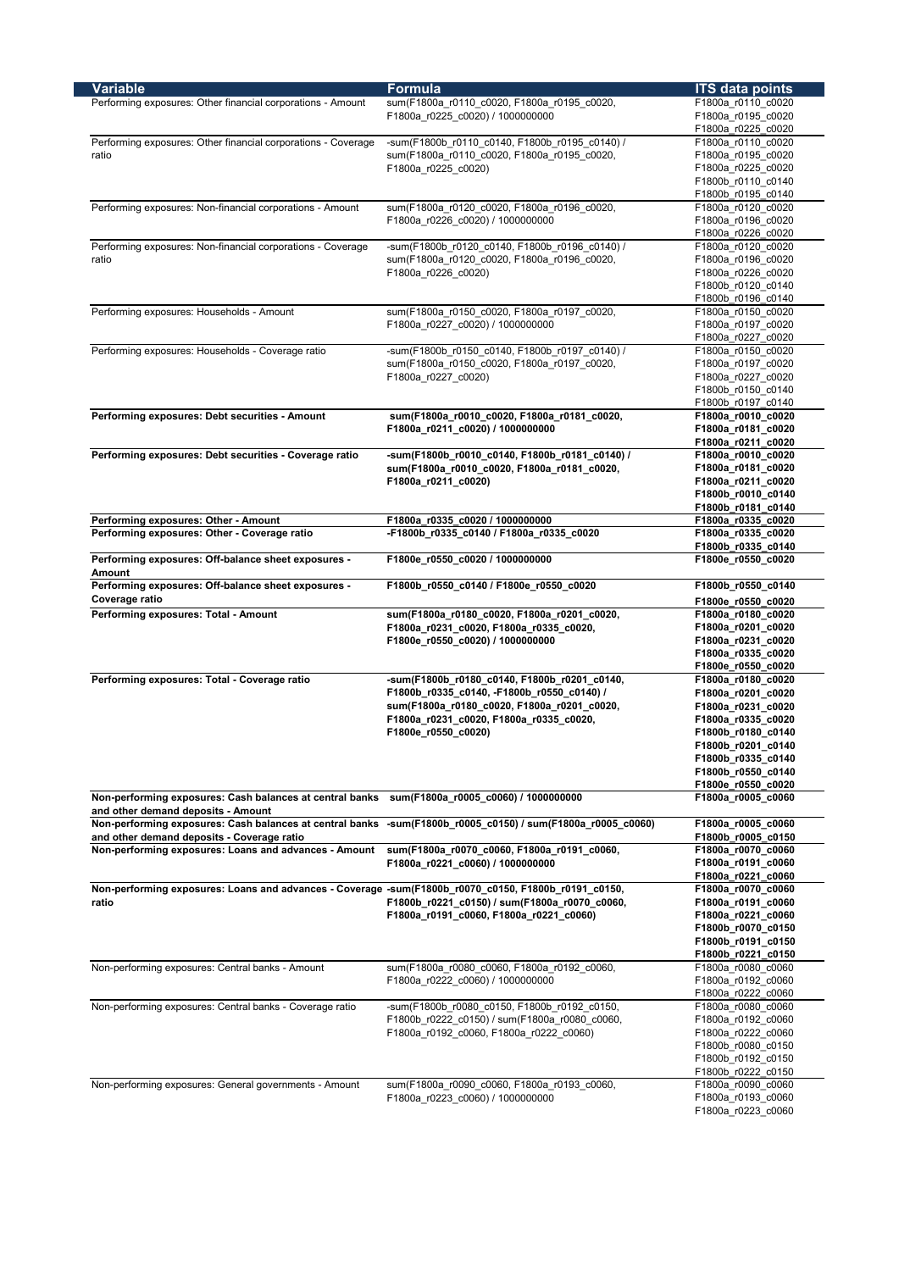| <b>Variable</b>                                                                                                                                                                                                                                                                                                                                                                                                                                                                                                                                                                                              | <b>Formula</b>                                     |                                              |
|--------------------------------------------------------------------------------------------------------------------------------------------------------------------------------------------------------------------------------------------------------------------------------------------------------------------------------------------------------------------------------------------------------------------------------------------------------------------------------------------------------------------------------------------------------------------------------------------------------------|----------------------------------------------------|----------------------------------------------|
| Performing exposures: Other financial corporations - Amount                                                                                                                                                                                                                                                                                                                                                                                                                                                                                                                                                  | sum(F1800a_r0110_c0020, F1800a_r0195_c0020,        | <b>ITS data points</b><br>F1800a_r0110_c0020 |
|                                                                                                                                                                                                                                                                                                                                                                                                                                                                                                                                                                                                              |                                                    |                                              |
|                                                                                                                                                                                                                                                                                                                                                                                                                                                                                                                                                                                                              | F1800a r0225 c0020) / 1000000000                   | F1800a r0195 c0020                           |
|                                                                                                                                                                                                                                                                                                                                                                                                                                                                                                                                                                                                              |                                                    | F1800a r0225 c0020                           |
| Performing exposures: Other financial corporations - Coverage                                                                                                                                                                                                                                                                                                                                                                                                                                                                                                                                                | -sum(F1800b_r0110_c0140, F1800b_r0195_c0140) /     | F1800a r0110 c0020                           |
| ratio                                                                                                                                                                                                                                                                                                                                                                                                                                                                                                                                                                                                        | sum(F1800a_r0110_c0020, F1800a_r0195_c0020,        | F1800a_r0195_c0020                           |
|                                                                                                                                                                                                                                                                                                                                                                                                                                                                                                                                                                                                              | F1800a_r0225_c0020)                                | F1800a r0225 c0020                           |
|                                                                                                                                                                                                                                                                                                                                                                                                                                                                                                                                                                                                              |                                                    | F1800b r0110 c0140                           |
|                                                                                                                                                                                                                                                                                                                                                                                                                                                                                                                                                                                                              |                                                    | F1800b_r0195_c0140                           |
| Performing exposures: Non-financial corporations - Amount                                                                                                                                                                                                                                                                                                                                                                                                                                                                                                                                                    | sum(F1800a r0120 c0020, F1800a r0196 c0020,        | F1800a r0120 c0020                           |
|                                                                                                                                                                                                                                                                                                                                                                                                                                                                                                                                                                                                              | F1800a r0226 c0020) / 1000000000                   | F1800a_r0196_c0020                           |
|                                                                                                                                                                                                                                                                                                                                                                                                                                                                                                                                                                                                              |                                                    | F1800a r0226 c0020                           |
| Performing exposures: Non-financial corporations - Coverage                                                                                                                                                                                                                                                                                                                                                                                                                                                                                                                                                  | -sum(F1800b r0120 c0140, F1800b r0196 c0140) /     | F1800a r0120 c0020                           |
| ratio                                                                                                                                                                                                                                                                                                                                                                                                                                                                                                                                                                                                        | sum(F1800a_r0120_c0020, F1800a_r0196_c0020,        | F1800a_r0196_c0020                           |
|                                                                                                                                                                                                                                                                                                                                                                                                                                                                                                                                                                                                              | F1800a r0226 c0020)                                | F1800a r0226 c0020                           |
|                                                                                                                                                                                                                                                                                                                                                                                                                                                                                                                                                                                                              |                                                    | F1800b r0120 c0140                           |
|                                                                                                                                                                                                                                                                                                                                                                                                                                                                                                                                                                                                              |                                                    | F1800b r0196 c0140                           |
| Performing exposures: Households - Amount                                                                                                                                                                                                                                                                                                                                                                                                                                                                                                                                                                    | sum(F1800a_r0150_c0020, F1800a_r0197_c0020,        | F1800a_r0150_c0020                           |
|                                                                                                                                                                                                                                                                                                                                                                                                                                                                                                                                                                                                              |                                                    |                                              |
|                                                                                                                                                                                                                                                                                                                                                                                                                                                                                                                                                                                                              | F1800a_r0227_c0020) / 1000000000                   | F1800a_r0197_c0020                           |
|                                                                                                                                                                                                                                                                                                                                                                                                                                                                                                                                                                                                              |                                                    | F1800a r0227 c0020                           |
| Performing exposures: Households - Coverage ratio                                                                                                                                                                                                                                                                                                                                                                                                                                                                                                                                                            | -sum(F1800b r0150 c0140, F1800b r0197 c0140) /     | F1800a r0150 c0020                           |
|                                                                                                                                                                                                                                                                                                                                                                                                                                                                                                                                                                                                              | sum(F1800a_r0150_c0020, F1800a_r0197_c0020,        | F1800a_r0197_c0020                           |
|                                                                                                                                                                                                                                                                                                                                                                                                                                                                                                                                                                                                              | F1800a_r0227_c0020)                                | F1800a r0227 c0020                           |
|                                                                                                                                                                                                                                                                                                                                                                                                                                                                                                                                                                                                              |                                                    | F1800b r0150 c0140                           |
|                                                                                                                                                                                                                                                                                                                                                                                                                                                                                                                                                                                                              |                                                    | F1800b r0197 c0140                           |
| Performing exposures: Debt securities - Amount                                                                                                                                                                                                                                                                                                                                                                                                                                                                                                                                                               | sum(F1800a r0010 c0020, F1800a r0181 c0020,        | F1800a r0010 c0020                           |
|                                                                                                                                                                                                                                                                                                                                                                                                                                                                                                                                                                                                              | F1800a_r0211_c0020) / 1000000000                   | F1800a_r0181_c0020                           |
|                                                                                                                                                                                                                                                                                                                                                                                                                                                                                                                                                                                                              |                                                    | F1800a_r0211_c0020                           |
| Performing exposures: Debt securities - Coverage ratio                                                                                                                                                                                                                                                                                                                                                                                                                                                                                                                                                       | -sum(F1800b_r0010_c0140, F1800b_r0181_c0140) /     | F1800a_r0010_c0020                           |
|                                                                                                                                                                                                                                                                                                                                                                                                                                                                                                                                                                                                              | sum(F1800a_r0010_c0020, F1800a_r0181_c0020,        | F1800a_r0181_c0020                           |
|                                                                                                                                                                                                                                                                                                                                                                                                                                                                                                                                                                                                              |                                                    |                                              |
|                                                                                                                                                                                                                                                                                                                                                                                                                                                                                                                                                                                                              | F1800a r0211 c0020)                                | F1800a_r0211_c0020                           |
|                                                                                                                                                                                                                                                                                                                                                                                                                                                                                                                                                                                                              |                                                    | F1800b_r0010_c0140                           |
|                                                                                                                                                                                                                                                                                                                                                                                                                                                                                                                                                                                                              |                                                    | F1800b_r0181_c0140                           |
| Performing exposures: Other - Amount                                                                                                                                                                                                                                                                                                                                                                                                                                                                                                                                                                         | F1800a_r0335_c0020 / 1000000000                    | F1800a_r0335_c0020                           |
| Performing exposures: Other - Coverage ratio                                                                                                                                                                                                                                                                                                                                                                                                                                                                                                                                                                 | -F1800b_r0335_c0140 / F1800a_r0335_c0020           | F1800a_r0335_c0020                           |
|                                                                                                                                                                                                                                                                                                                                                                                                                                                                                                                                                                                                              |                                                    | F1800b_r0335_c0140                           |
| Performing exposures: Off-balance sheet exposures -                                                                                                                                                                                                                                                                                                                                                                                                                                                                                                                                                          | F1800e_r0550_c0020 / 1000000000                    | F1800e_r0550_c0020                           |
| Amount                                                                                                                                                                                                                                                                                                                                                                                                                                                                                                                                                                                                       |                                                    |                                              |
| Performing exposures: Off-balance sheet exposures -                                                                                                                                                                                                                                                                                                                                                                                                                                                                                                                                                          | F1800b_r0550_c0140 / F1800e_r0550_c0020            | F1800b_r0550_c0140                           |
| Coverage ratio                                                                                                                                                                                                                                                                                                                                                                                                                                                                                                                                                                                               |                                                    |                                              |
|                                                                                                                                                                                                                                                                                                                                                                                                                                                                                                                                                                                                              |                                                    | F1800e_r0550_c0020                           |
| Performing exposures: Total - Amount                                                                                                                                                                                                                                                                                                                                                                                                                                                                                                                                                                         | sum(F1800a_r0180_c0020, F1800a_r0201_c0020,        | F1800a_r0180_c0020                           |
|                                                                                                                                                                                                                                                                                                                                                                                                                                                                                                                                                                                                              |                                                    |                                              |
|                                                                                                                                                                                                                                                                                                                                                                                                                                                                                                                                                                                                              | F1800a_r0231_c0020, F1800a_r0335_c0020,            | F1800a_r0201_c0020                           |
|                                                                                                                                                                                                                                                                                                                                                                                                                                                                                                                                                                                                              | F1800e_r0550_c0020) / 1000000000                   | F1800a_r0231_c0020                           |
|                                                                                                                                                                                                                                                                                                                                                                                                                                                                                                                                                                                                              |                                                    | F1800a_r0335_c0020                           |
|                                                                                                                                                                                                                                                                                                                                                                                                                                                                                                                                                                                                              |                                                    | F1800e_r0550_c0020                           |
|                                                                                                                                                                                                                                                                                                                                                                                                                                                                                                                                                                                                              | -sum(F1800b_r0180_c0140, F1800b_r0201_c0140,       | F1800a_r0180_c0020                           |
|                                                                                                                                                                                                                                                                                                                                                                                                                                                                                                                                                                                                              | F1800b r0335 c0140, -F1800b r0550 c0140) /         | F1800a r0201 c0020                           |
|                                                                                                                                                                                                                                                                                                                                                                                                                                                                                                                                                                                                              |                                                    |                                              |
|                                                                                                                                                                                                                                                                                                                                                                                                                                                                                                                                                                                                              | sum(F1800a_r0180_c0020, F1800a_r0201_c0020,        | F1800a_r0231_c0020                           |
|                                                                                                                                                                                                                                                                                                                                                                                                                                                                                                                                                                                                              | F1800a_r0231_c0020, F1800a_r0335_c0020,            | F1800a_r0335_c0020                           |
|                                                                                                                                                                                                                                                                                                                                                                                                                                                                                                                                                                                                              | F1800e_r0550_c0020)                                | F1800b_r0180_c0140                           |
|                                                                                                                                                                                                                                                                                                                                                                                                                                                                                                                                                                                                              |                                                    | F1800b_r0201_c0140                           |
|                                                                                                                                                                                                                                                                                                                                                                                                                                                                                                                                                                                                              |                                                    | F1800b_r0335_c0140                           |
|                                                                                                                                                                                                                                                                                                                                                                                                                                                                                                                                                                                                              |                                                    | F1800b r0550 c0140                           |
|                                                                                                                                                                                                                                                                                                                                                                                                                                                                                                                                                                                                              |                                                    | F1800e_r0550_c0020                           |
|                                                                                                                                                                                                                                                                                                                                                                                                                                                                                                                                                                                                              | sum(F1800a_r0005_c0060) / 1000000000               | F1800a_r0005_c0060                           |
|                                                                                                                                                                                                                                                                                                                                                                                                                                                                                                                                                                                                              |                                                    |                                              |
|                                                                                                                                                                                                                                                                                                                                                                                                                                                                                                                                                                                                              | -sum(F1800b_r0005_c0150) / sum(F1800a_r0005_c0060) | F1800a_r0005_c0060                           |
|                                                                                                                                                                                                                                                                                                                                                                                                                                                                                                                                                                                                              |                                                    | F1800b r0005 c0150                           |
|                                                                                                                                                                                                                                                                                                                                                                                                                                                                                                                                                                                                              | sum(F1800a_r0070_c0060, F1800a_r0191_c0060,        | F1800a_r0070_c0060                           |
|                                                                                                                                                                                                                                                                                                                                                                                                                                                                                                                                                                                                              |                                                    |                                              |
|                                                                                                                                                                                                                                                                                                                                                                                                                                                                                                                                                                                                              | F1800a_r0221_c0060) / 1000000000                   | F1800a_r0191_c0060                           |
|                                                                                                                                                                                                                                                                                                                                                                                                                                                                                                                                                                                                              |                                                    | F1800a r0221 c0060                           |
|                                                                                                                                                                                                                                                                                                                                                                                                                                                                                                                                                                                                              |                                                    | F1800a_r0070_c0060                           |
|                                                                                                                                                                                                                                                                                                                                                                                                                                                                                                                                                                                                              | F1800b_r0221_c0150) / sum(F1800a_r0070_c0060,      | F1800a_r0191_c0060                           |
|                                                                                                                                                                                                                                                                                                                                                                                                                                                                                                                                                                                                              | F1800a_r0191_c0060, F1800a_r0221_c0060)            | F1800a_r0221_c0060                           |
|                                                                                                                                                                                                                                                                                                                                                                                                                                                                                                                                                                                                              |                                                    | F1800b r0070 c0150                           |
|                                                                                                                                                                                                                                                                                                                                                                                                                                                                                                                                                                                                              |                                                    | F1800b_r0191_c0150                           |
|                                                                                                                                                                                                                                                                                                                                                                                                                                                                                                                                                                                                              |                                                    | F1800b_r0221_c0150                           |
|                                                                                                                                                                                                                                                                                                                                                                                                                                                                                                                                                                                                              | sum(F1800a r0080 c0060, F1800a r0192 c0060,        | F1800a r0080 c0060                           |
|                                                                                                                                                                                                                                                                                                                                                                                                                                                                                                                                                                                                              | F1800a r0222 c0060) / 1000000000                   | F1800a r0192 c0060                           |
|                                                                                                                                                                                                                                                                                                                                                                                                                                                                                                                                                                                                              |                                                    |                                              |
|                                                                                                                                                                                                                                                                                                                                                                                                                                                                                                                                                                                                              |                                                    | F1800a r0222 c0060                           |
|                                                                                                                                                                                                                                                                                                                                                                                                                                                                                                                                                                                                              | -sum(F1800b r0080 c0150, F1800b r0192 c0150,       | F1800a r0080 c0060                           |
|                                                                                                                                                                                                                                                                                                                                                                                                                                                                                                                                                                                                              | F1800b r0222 c0150) / sum(F1800a r0080 c0060,      | F1800a r0192 c0060                           |
|                                                                                                                                                                                                                                                                                                                                                                                                                                                                                                                                                                                                              | F1800a r0192 c0060, F1800a r0222 c0060)            | F1800a r0222 c0060                           |
|                                                                                                                                                                                                                                                                                                                                                                                                                                                                                                                                                                                                              |                                                    | F1800b r0080 c0150                           |
|                                                                                                                                                                                                                                                                                                                                                                                                                                                                                                                                                                                                              |                                                    | F1800b_r0192_c0150                           |
|                                                                                                                                                                                                                                                                                                                                                                                                                                                                                                                                                                                                              |                                                    | F1800b r0222 c0150                           |
| Performing exposures: Total - Coverage ratio<br>Non-performing exposures: Cash balances at central banks<br>and other demand deposits - Amount<br>Non-performing exposures: Cash balances at central banks<br>and other demand deposits - Coverage ratio<br>Non-performing exposures: Loans and advances - Amount<br>Non-performing exposures: Loans and advances - Coverage -sum(F1800b_r0070_c0150, F1800b_r0191_c0150,<br>ratio<br>Non-performing exposures: Central banks - Amount<br>Non-performing exposures: Central banks - Coverage ratio<br>Non-performing exposures: General governments - Amount | sum(F1800a r0090 c0060, F1800a r0193 c0060,        | F1800a r0090 c0060                           |
|                                                                                                                                                                                                                                                                                                                                                                                                                                                                                                                                                                                                              |                                                    |                                              |
|                                                                                                                                                                                                                                                                                                                                                                                                                                                                                                                                                                                                              | F1800a r0223 c0060) / 1000000000                   | F1800a_r0193_c0060<br>F1800a r0223 c0060     |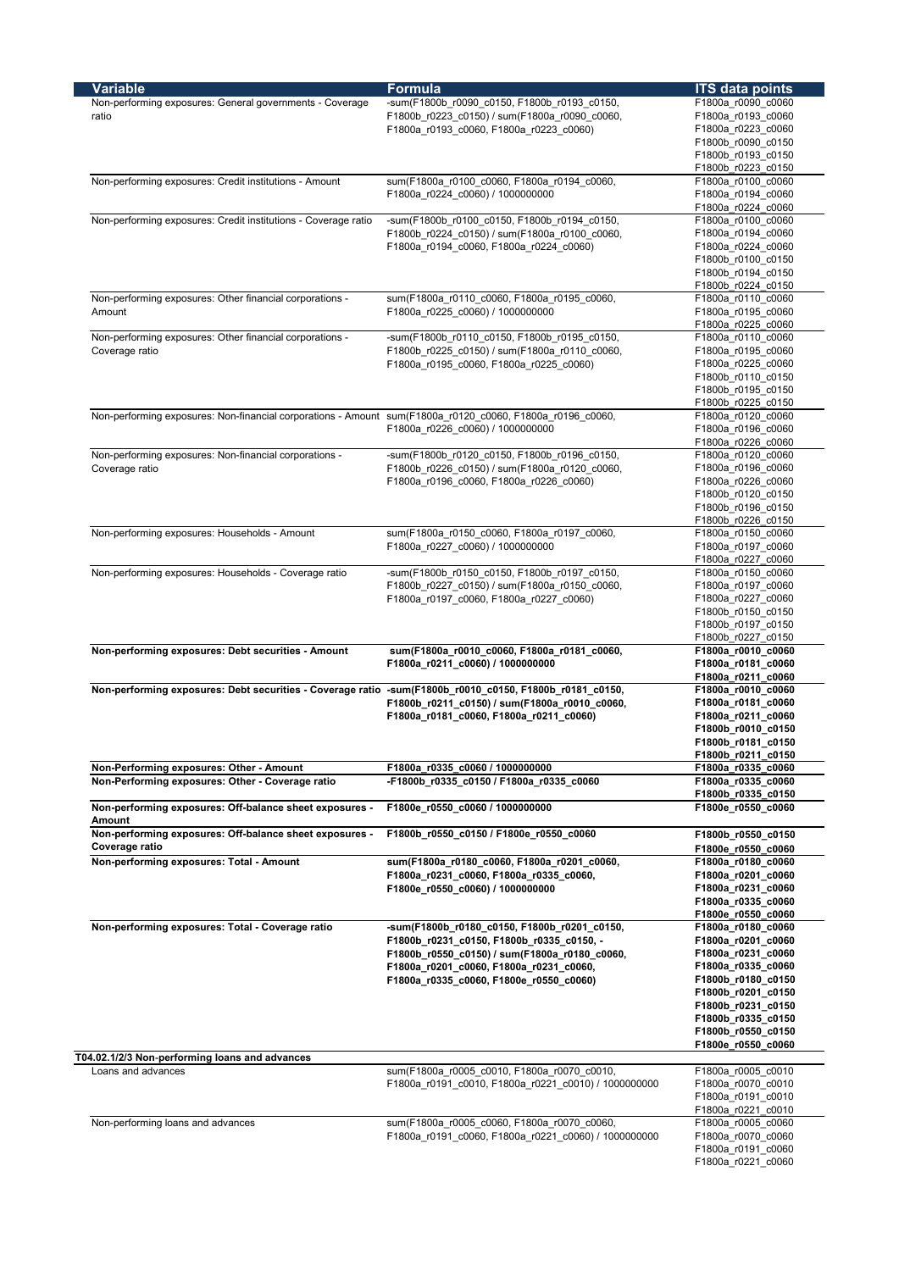| <b>Variable</b>                                                                                           | Formula                                              | <b>ITS data points</b> |
|-----------------------------------------------------------------------------------------------------------|------------------------------------------------------|------------------------|
|                                                                                                           |                                                      |                        |
| Non-performing exposures: General governments - Coverage<br>ratio                                         | -sum(F1800b_r0090_c0150, F1800b_r0193_c0150,         | F1800a_r0090_c0060     |
|                                                                                                           | F1800b_r0223_c0150) / sum(F1800a_r0090_c0060,        | F1800a r0193 c0060     |
|                                                                                                           | F1800a_r0193_c0060, F1800a_r0223_c0060)              | F1800a_r0223_c0060     |
|                                                                                                           |                                                      | F1800b_r0090_c0150     |
|                                                                                                           |                                                      | F1800b r0193 c0150     |
|                                                                                                           |                                                      | F1800b_r0223_c0150     |
| Non-performing exposures: Credit institutions - Amount                                                    | sum(F1800a r0100 c0060, F1800a r0194 c0060,          | F1800a r0100 c0060     |
|                                                                                                           | F1800a_r0224_c0060) / 1000000000                     | F1800a r0194 c0060     |
|                                                                                                           |                                                      | F1800a r0224 c0060     |
| Non-performing exposures: Credit institutions - Coverage ratio                                            | -sum(F1800b r0100 c0150, F1800b r0194 c0150,         | F1800a_r0100_c0060     |
|                                                                                                           | F1800b_r0224_c0150) / sum(F1800a_r0100_c0060,        | F1800a_r0194_c0060     |
|                                                                                                           | F1800a_r0194_c0060, F1800a_r0224_c0060)              | F1800a r0224 c0060     |
|                                                                                                           |                                                      | F1800b_r0100_c0150     |
|                                                                                                           |                                                      | F1800b_r0194_c0150     |
|                                                                                                           |                                                      | F1800b_r0224_c0150     |
| Non-performing exposures: Other financial corporations -                                                  | sum(F1800a r0110 c0060, F1800a r0195 c0060,          | F1800a r0110 c0060     |
|                                                                                                           |                                                      |                        |
| Amount                                                                                                    | F1800a r0225 c0060) / 1000000000                     | F1800a_r0195_c0060     |
|                                                                                                           |                                                      | F1800a r0225 c0060     |
| Non-performing exposures: Other financial corporations -                                                  | -sum(F1800b_r0110_c0150, F1800b_r0195_c0150,         | F1800a_r0110_c0060     |
| Coverage ratio                                                                                            | F1800b r0225 c0150) / sum(F1800a r0110 c0060,        | F1800a_r0195_c0060     |
|                                                                                                           | F1800a_r0195_c0060, F1800a_r0225_c0060)              | F1800a_r0225_c0060     |
|                                                                                                           |                                                      | F1800b r0110 c0150     |
|                                                                                                           |                                                      | F1800b r0195 c0150     |
|                                                                                                           |                                                      | F1800b_r0225_c0150     |
| Non-performing exposures: Non-financial corporations - Amount sum(F1800a_r0120_c0060, F1800a_r0196_c0060, |                                                      | F1800a r0120 c0060     |
|                                                                                                           |                                                      |                        |
|                                                                                                           | F1800a_r0226_c0060) / 1000000000                     | F1800a_r0196_c0060     |
|                                                                                                           |                                                      | F1800a r0226 c0060     |
| Non-performing exposures: Non-financial corporations -                                                    | -sum(F1800b r0120 c0150, F1800b r0196 c0150,         | F1800a_r0120_c0060     |
| Coverage ratio                                                                                            | F1800b r0226 c0150) / sum(F1800a r0120 c0060,        | F1800a r0196 c0060     |
|                                                                                                           | F1800a r0196 c0060, F1800a r0226 c0060)              | F1800a r0226 c0060     |
|                                                                                                           |                                                      | F1800b_r0120_c0150     |
|                                                                                                           |                                                      | F1800b_r0196_c0150     |
|                                                                                                           |                                                      | F1800b_r0226_c0150     |
| Non-performing exposures: Households - Amount                                                             | sum(F1800a r0150 c0060, F1800a r0197 c0060,          | F1800a_r0150_c0060     |
|                                                                                                           | F1800a_r0227_c0060) / 1000000000                     | F1800a_r0197_c0060     |
|                                                                                                           |                                                      |                        |
|                                                                                                           |                                                      | F1800a r0227 c0060     |
| Non-performing exposures: Households - Coverage ratio                                                     | -sum(F1800b_r0150_c0150, F1800b_r0197_c0150,         | F1800a r0150 c0060     |
|                                                                                                           | F1800b r0227 c0150) / sum(F1800a r0150 c0060,        | F1800a_r0197_c0060     |
|                                                                                                           | F1800a_r0197_c0060, F1800a_r0227_c0060)              | F1800a_r0227_c0060     |
|                                                                                                           |                                                      | F1800b r0150 c0150     |
|                                                                                                           |                                                      | F1800b_r0197_c0150     |
|                                                                                                           |                                                      | F1800b_r0227_c0150     |
| Non-performing exposures: Debt securities - Amount                                                        | sum(F1800a_r0010_c0060, F1800a_r0181_c0060,          | F1800a_r0010_c0060     |
|                                                                                                           | F1800a_r0211_c0060) / 1000000000                     | F1800a_r0181_c0060     |
|                                                                                                           |                                                      | F1800a_r0211_c0060     |
| Non-performing exposures: Debt securities - Coverage ratio -sum(F1800b_r0010_c0150, F1800b_r0181_c0150,   |                                                      | F1800a_r0010_c0060     |
|                                                                                                           |                                                      |                        |
|                                                                                                           | F1800b_r0211_c0150) / sum(F1800a_r0010_c0060,        | F1800a_r0181_c0060     |
|                                                                                                           | F1800a_r0181_c0060, F1800a_r0211_c0060)              | F1800a_r0211_c0060     |
|                                                                                                           |                                                      | F1800b_r0010_c0150     |
|                                                                                                           |                                                      | F1800b_r0181_c0150     |
|                                                                                                           |                                                      | F1800b_r0211_c0150     |
| Non-Performing exposures: Other - Amount                                                                  | F1800a_r0335_c0060 / 1000000000                      | F1800a r0335 c0060     |
| Non-Performing exposures: Other - Coverage ratio                                                          | -F1800b_r0335_c0150 / F1800a_r0335_c0060             | F1800a_r0335_c0060     |
|                                                                                                           |                                                      | F1800b_r0335_c0150     |
| Non-performing exposures: Off-balance sheet exposures -                                                   | F1800e_r0550_c0060 / 1000000000                      | F1800e_r0550_c0060     |
| Amount                                                                                                    |                                                      |                        |
|                                                                                                           | F1800b r0550 c0150 / F1800e r0550 c0060              |                        |
| Non-performing exposures: Off-balance sheet exposures -                                                   |                                                      | F1800b_r0550_c0150     |
| Coverage ratio                                                                                            |                                                      | F1800e r0550 c0060     |
| Non-performing exposures: Total - Amount                                                                  | sum(F1800a_r0180_c0060, F1800a_r0201_c0060,          | F1800a_r0180_c0060     |
|                                                                                                           | F1800a_r0231_c0060, F1800a_r0335_c0060,              | F1800a_r0201_c0060     |
|                                                                                                           | F1800e_r0550_c0060) / 1000000000                     | F1800a_r0231_c0060     |
|                                                                                                           |                                                      | F1800a_r0335_c0060     |
|                                                                                                           |                                                      | F1800e r0550 c0060     |
| Non-performing exposures: Total - Coverage ratio                                                          | -sum(F1800b_r0180_c0150, F1800b_r0201_c0150,         | F1800a_r0180_c0060     |
|                                                                                                           | F1800b r0231 c0150, F1800b r0335 c0150, -            |                        |
|                                                                                                           |                                                      | F1800a_r0201_c0060     |
|                                                                                                           |                                                      | F1800a_r0231_c0060     |
|                                                                                                           | F1800b_r0550_c0150) / sum(F1800a_r0180_c0060,        |                        |
|                                                                                                           | F1800a_r0201_c0060, F1800a_r0231_c0060,              | F1800a_r0335_c0060     |
|                                                                                                           | F1800a_r0335_c0060, F1800e_r0550_c0060)              | F1800b_r0180_c0150     |
|                                                                                                           |                                                      | F1800b_r0201_c0150     |
|                                                                                                           |                                                      | F1800b_r0231_c0150     |
|                                                                                                           |                                                      |                        |
|                                                                                                           |                                                      | F1800b_r0335_c0150     |
|                                                                                                           |                                                      | F1800b_r0550_c0150     |
|                                                                                                           |                                                      | F1800e_r0550_c0060     |
|                                                                                                           |                                                      |                        |
| Loans and advances                                                                                        | sum(F1800a r0005 c0010, F1800a r0070 c0010,          | F1800a_r0005_c0010     |
|                                                                                                           | F1800a_r0191_c0010, F1800a_r0221_c0010) / 1000000000 | F1800a r0070 c0010     |
|                                                                                                           |                                                      | F1800a_r0191_c0010     |
|                                                                                                           |                                                      | F1800a_r0221_c0010     |
| T04.02.1/2/3 Non-performing loans and advances<br>Non-performing loans and advances                       | sum(F1800a r0005 c0060, F1800a r0070 c0060,          | F1800a_r0005_c0060     |
|                                                                                                           | F1800a_r0191_c0060, F1800a_r0221_c0060) / 1000000000 | F1800a_r0070_c0060     |
|                                                                                                           |                                                      | F1800a_r0191_c0060     |
|                                                                                                           |                                                      | F1800a_r0221_c0060     |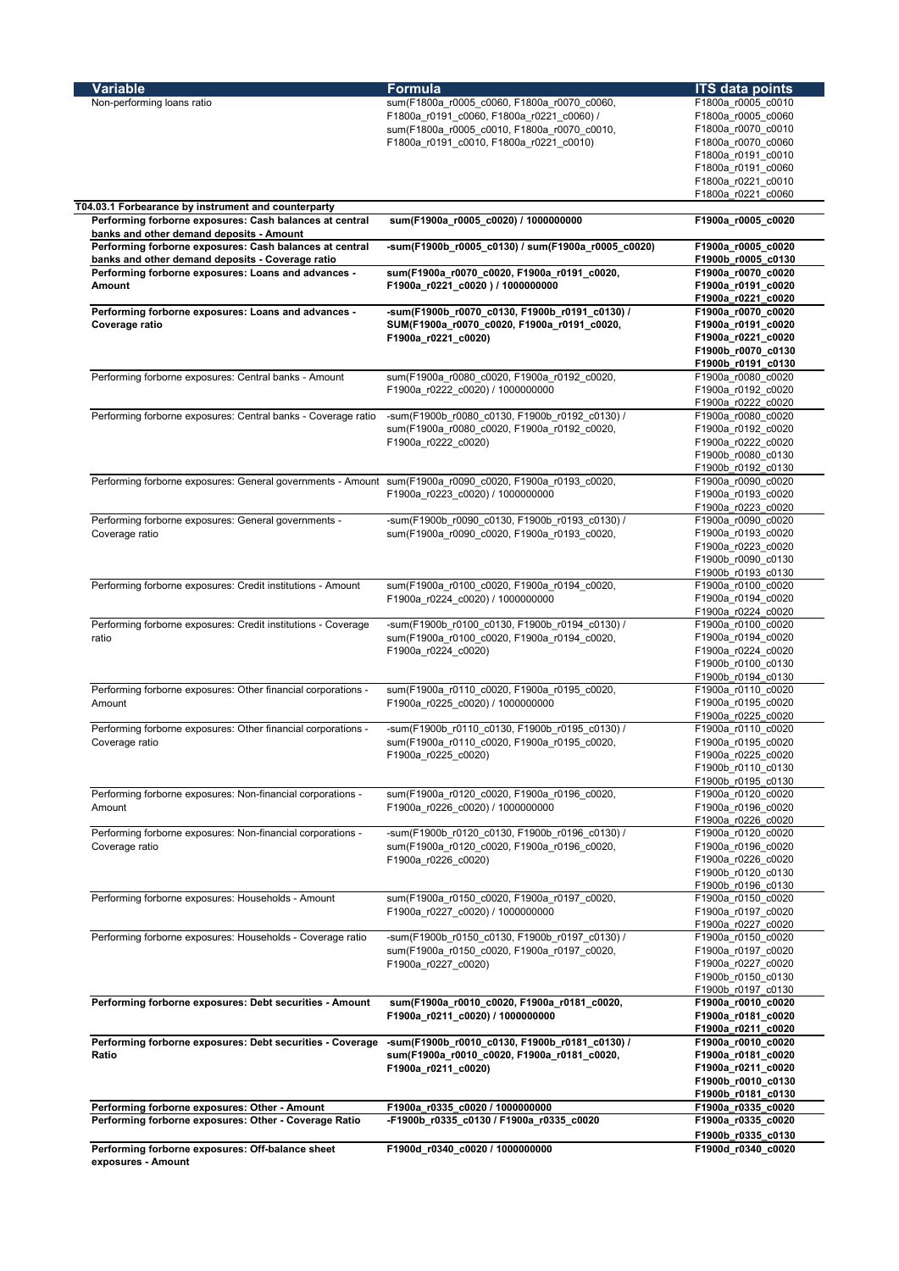| Variable                                                                                                    | <b>Formula</b>                                                                                | <b>ITS data points</b>                   |
|-------------------------------------------------------------------------------------------------------------|-----------------------------------------------------------------------------------------------|------------------------------------------|
| Non-performing loans ratio                                                                                  | sum(F1800a_r0005_c0060, F1800a_r0070_c0060,                                                   | F1800a_r0005_c0010                       |
|                                                                                                             | F1800a_r0191_c0060, F1800a_r0221_c0060) /                                                     | F1800a_r0005_c0060                       |
|                                                                                                             | sum(F1800a_r0005_c0010, F1800a_r0070_c0010,                                                   | F1800a_r0070_c0010                       |
|                                                                                                             | F1800a_r0191_c0010, F1800a_r0221_c0010)                                                       | F1800a_r0070_c0060                       |
|                                                                                                             |                                                                                               | F1800a_r0191_c0010                       |
|                                                                                                             |                                                                                               | F1800a_r0191_c0060<br>F1800a_r0221_c0010 |
|                                                                                                             |                                                                                               | F1800a_r0221_c0060                       |
| T04.03.1 Forbearance by instrument and counterparty                                                         |                                                                                               |                                          |
| Performing forborne exposures: Cash balances at central<br>banks and other demand deposits - Amount         | sum(F1900a_r0005_c0020) / 1000000000                                                          | F1900a_r0005_c0020                       |
| Performing forborne exposures: Cash balances at central<br>banks and other demand deposits - Coverage ratio | -sum(F1900b_r0005_c0130) / sum(F1900a_r0005_c0020)                                            | F1900a r0005 c0020<br>F1900b_r0005_c0130 |
| Performing forborne exposures: Loans and advances -                                                         | sum(F1900a_r0070_c0020, F1900a_r0191_c0020,                                                   | F1900a_r0070_c0020                       |
| Amount                                                                                                      | F1900a_r0221_c0020) / 1000000000                                                              | F1900a_r0191_c0020<br>F1900a_r0221_c0020 |
| Performing forborne exposures: Loans and advances -                                                         | -sum(F1900b_r0070_c0130, F1900b_r0191_c0130) /                                                | F1900a_r0070_c0020                       |
| Coverage ratio                                                                                              | SUM(F1900a_r0070_c0020, F1900a_r0191_c0020,                                                   | F1900a_r0191_c0020                       |
|                                                                                                             | F1900a_r0221_c0020)                                                                           | F1900a_r0221_c0020                       |
|                                                                                                             |                                                                                               | F1900b_r0070_c0130                       |
| Performing forborne exposures: Central banks - Amount                                                       | sum(F1900a_r0080_c0020, F1900a_r0192_c0020,                                                   | F1900b_r0191_c0130<br>F1900a r0080 c0020 |
|                                                                                                             | F1900a r0222 c0020) / 1000000000                                                              | F1900a r0192 c0020                       |
|                                                                                                             |                                                                                               | F1900a r0222 c0020                       |
| Performing forborne exposures: Central banks - Coverage ratio                                               | -sum(F1900b_r0080_c0130, F1900b_r0192_c0130) /                                                | F1900a_r0080_c0020                       |
|                                                                                                             | sum(F1900a_r0080_c0020, F1900a_r0192_c0020,                                                   | F1900a_r0192_c0020                       |
|                                                                                                             | F1900a_r0222_c0020)                                                                           | F1900a_r0222_c0020                       |
|                                                                                                             |                                                                                               | F1900b r0080 c0130                       |
|                                                                                                             |                                                                                               | F1900b_r0192_c0130                       |
| Performing forborne exposures: General governments - Amount sum(F1900a_r0090_c0020, F1900a_r0193_c0020,     |                                                                                               | F1900a r0090 c0020                       |
|                                                                                                             | F1900a r0223 c0020) / 1000000000                                                              | F1900a_r0193_c0020                       |
| Performing forborne exposures: General governments -                                                        | -sum(F1900b_r0090_c0130, F1900b_r0193_c0130) /                                                | F1900a_r0223_c0020<br>F1900a_r0090_c0020 |
| Coverage ratio                                                                                              | sum(F1900a_r0090_c0020, F1900a_r0193_c0020,                                                   | F1900a_r0193_c0020                       |
|                                                                                                             |                                                                                               | F1900a_r0223_c0020                       |
|                                                                                                             |                                                                                               | F1900b_r0090_c0130                       |
|                                                                                                             |                                                                                               | F1900b_r0193_c0130                       |
| Performing forborne exposures: Credit institutions - Amount                                                 | sum(F1900a_r0100_c0020, F1900a_r0194_c0020,                                                   | F1900a_r0100_c0020                       |
|                                                                                                             | F1900a_r0224_c0020) / 1000000000                                                              | F1900a_r0194_c0020                       |
|                                                                                                             |                                                                                               | F1900a_r0224_c0020                       |
| Performing forborne exposures: Credit institutions - Coverage                                               | -sum(F1900b_r0100_c0130, F1900b_r0194_c0130) /                                                | F1900a_r0100_c0020                       |
| ratio                                                                                                       | sum(F1900a r0100 c0020, F1900a r0194 c0020,                                                   | F1900a_r0194_c0020                       |
|                                                                                                             | F1900a_r0224_c0020)                                                                           | F1900a_r0224_c0020<br>F1900b_r0100_c0130 |
|                                                                                                             |                                                                                               | F1900b_r0194_c0130                       |
| Performing forborne exposures: Other financial corporations -                                               | sum(F1900a_r0110_c0020, F1900a_r0195_c0020,                                                   | F1900a r0110 c0020                       |
| Amount                                                                                                      | F1900a_r0225_c0020) / 1000000000                                                              | F1900a_r0195_c0020                       |
|                                                                                                             |                                                                                               | F1900a_r0225_c0020                       |
| Performing forborne exposures: Other financial corporations -                                               | -sum(F1900b r0110 c0130, F1900b r0195 c0130) /                                                | F1900a_r0110_c0020                       |
| Coverage ratio                                                                                              | sum(F1900a_r0110_c0020, F1900a_r0195_c0020,                                                   | F1900a_r0195_c0020                       |
|                                                                                                             | F1900a_r0225_c0020)                                                                           | F1900a_r0225_c0020                       |
|                                                                                                             |                                                                                               | F1900b r0110 c0130                       |
|                                                                                                             |                                                                                               | F1900b_r0195_c0130                       |
| Performing forborne exposures: Non-financial corporations -<br>Amount                                       | sum(F1900a r0120 c0020, F1900a r0196 c0020,<br>F1900a r0226 c0020) / 1000000000               | F1900a r0120 c0020                       |
|                                                                                                             |                                                                                               | F1900a_r0196_c0020<br>F1900a r0226 c0020 |
| Performing forborne exposures: Non-financial corporations -                                                 | -sum(F1900b r0120 c0130, F1900b r0196 c0130) /                                                | F1900a_r0120_c0020                       |
| Coverage ratio                                                                                              | sum(F1900a r0120 c0020, F1900a r0196 c0020,<br>F1900a_r0226_c0020)                            | F1900a_r0196_c0020                       |
|                                                                                                             |                                                                                               | F1900a_r0226_c0020                       |
|                                                                                                             |                                                                                               | F1900b r0120 c0130                       |
|                                                                                                             |                                                                                               | F1900b_r0196_c0130                       |
| Performing forborne exposures: Households - Amount                                                          | sum(F1900a_r0150_c0020, F1900a_r0197_c0020,                                                   | F1900a_r0150_c0020                       |
|                                                                                                             | F1900a r0227 c0020) / 1000000000                                                              | F1900a_r0197_c0020                       |
|                                                                                                             |                                                                                               | F1900a r0227 c0020                       |
| Performing forborne exposures: Households - Coverage ratio                                                  | -sum(F1900b r0150 c0130, F1900b r0197 c0130) /<br>sum(F1900a r0150 c0020, F1900a r0197 c0020, | F1900a_r0150_c0020<br>F1900a r0197 c0020 |
|                                                                                                             | F1900a_r0227_c0020)                                                                           | F1900a r0227 c0020                       |
|                                                                                                             |                                                                                               | F1900b_r0150_c0130                       |
|                                                                                                             |                                                                                               | F1900b_r0197_c0130                       |
| Performing forborne exposures: Debt securities - Amount                                                     | sum(F1900a_r0010_c0020, F1900a_r0181_c0020,                                                   | F1900a_r0010_c0020                       |
|                                                                                                             | F1900a_r0211_c0020) / 1000000000                                                              | F1900a_r0181_c0020                       |
|                                                                                                             |                                                                                               | F1900a_r0211_c0020                       |
| Performing forborne exposures: Debt securities - Coverage                                                   | -sum(F1900b_r0010_c0130, F1900b_r0181_c0130) /                                                | F1900a_r0010_c0020                       |
| Ratio                                                                                                       | sum(F1900a_r0010_c0020, F1900a_r0181_c0020,                                                   | F1900a_r0181_c0020                       |
|                                                                                                             | F1900a_r0211_c0020)                                                                           | F1900a_r0211_c0020                       |
|                                                                                                             |                                                                                               | F1900b_r0010_c0130<br>F1900b_r0181_c0130 |
|                                                                                                             |                                                                                               |                                          |
|                                                                                                             |                                                                                               |                                          |
| Performing forborne exposures: Other - Amount<br>Performing forborne exposures: Other - Coverage Ratio      | F1900a_r0335_c0020 / 1000000000<br>-F1900b_r0335_c0130 / F1900a_r0335_c0020                   | F1900a_r0335_c0020<br>F1900a_r0335_c0020 |
|                                                                                                             |                                                                                               | F1900b_r0335_c0130                       |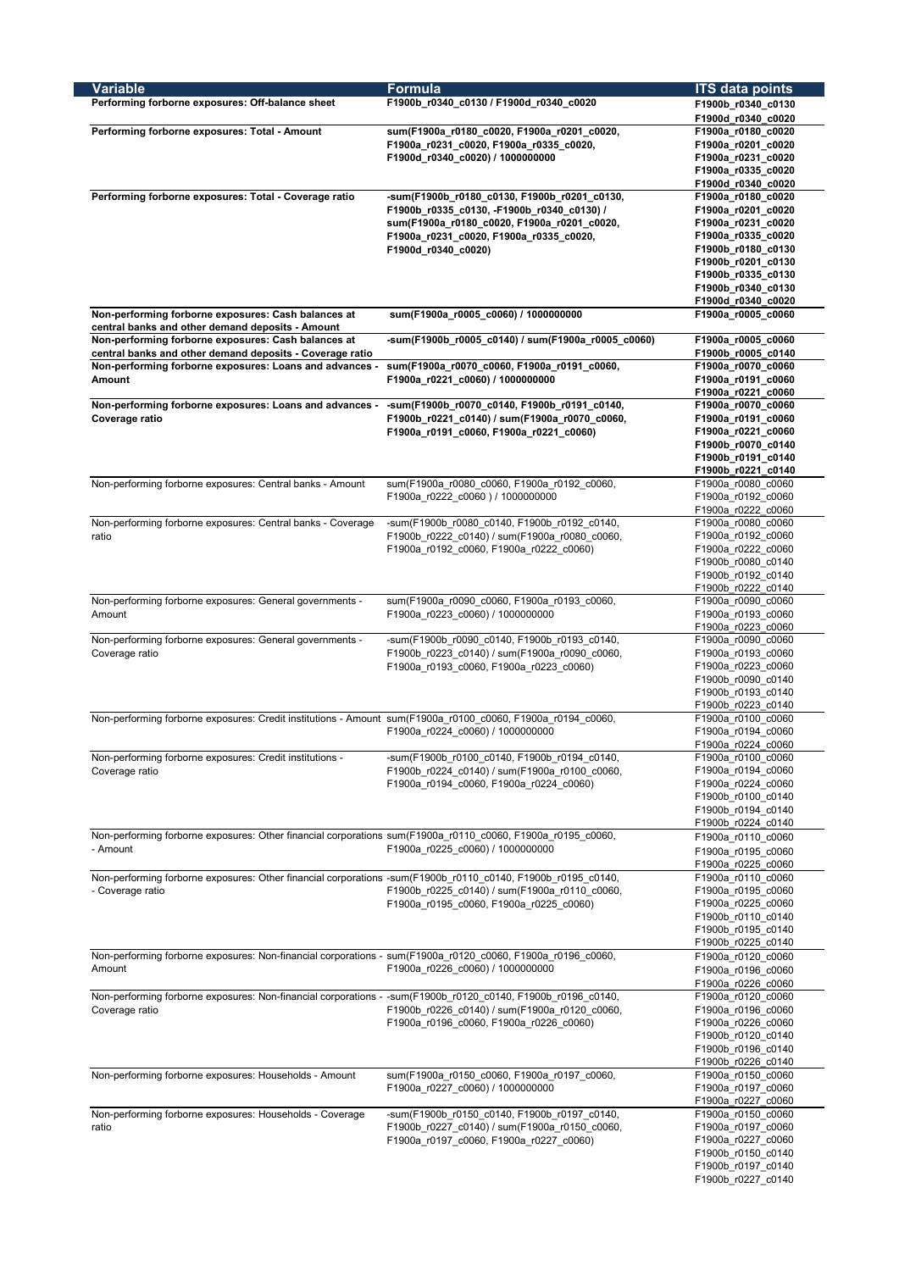| <b>Variable</b>                                                                                              | <b>Formula</b>                                                                            | <b>ITS data points</b>                   |
|--------------------------------------------------------------------------------------------------------------|-------------------------------------------------------------------------------------------|------------------------------------------|
| Performing forborne exposures: Off-balance sheet                                                             | F1900b_r0340_c0130 / F1900d_r0340_c0020                                                   | F1900b_r0340_c0130                       |
|                                                                                                              |                                                                                           | F1900d_r0340_c0020                       |
| Performing forborne exposures: Total - Amount                                                                | sum(F1900a_r0180_c0020, F1900a_r0201_c0020,                                               | F1900a_r0180_c0020                       |
|                                                                                                              | F1900a_r0231_c0020, F1900a_r0335_c0020,                                                   | F1900a_r0201_c0020                       |
|                                                                                                              | F1900d_r0340_c0020) / 1000000000                                                          | F1900a_r0231_c0020                       |
|                                                                                                              |                                                                                           | F1900a_r0335_c0020                       |
|                                                                                                              |                                                                                           | F1900d_r0340_c0020                       |
| Performing forborne exposures: Total - Coverage ratio                                                        | -sum(F1900b_r0180_c0130, F1900b_r0201_c0130,                                              | F1900a_r0180_c0020                       |
|                                                                                                              | F1900b_r0335_c0130, -F1900b_r0340_c0130) /<br>sum(F1900a_r0180_c0020, F1900a_r0201_c0020, | F1900a_r0201_c0020<br>F1900a_r0231_c0020 |
|                                                                                                              | F1900a_r0231_c0020, F1900a_r0335_c0020,                                                   | F1900a_r0335_c0020                       |
|                                                                                                              | F1900d_r0340_c0020)                                                                       | F1900b_r0180_c0130                       |
|                                                                                                              |                                                                                           | F1900b_r0201_c0130                       |
|                                                                                                              |                                                                                           | F1900b_r0335_c0130                       |
|                                                                                                              |                                                                                           | F1900b_r0340_c0130                       |
|                                                                                                              |                                                                                           | F1900d_r0340_c0020                       |
| Non-performing forborne exposures: Cash balances at<br>central banks and other demand deposits - Amount      | sum(F1900a_r0005_c0060) / 1000000000                                                      | F1900a_r0005_c0060                       |
| Non-performing forborne exposures: Cash balances at                                                          | -sum(F1900b_r0005_c0140) / sum(F1900a_r0005_c0060)                                        | F1900a_r0005_c0060                       |
| central banks and other demand deposits - Coverage ratio                                                     |                                                                                           | F1900b_r0005_c0140                       |
| Non-performing forborne exposures: Loans and advances -                                                      | sum(F1900a_r0070_c0060, F1900a_r0191_c0060,                                               | F1900a_r0070_c0060                       |
| Amount                                                                                                       | F1900a_r0221_c0060) / 1000000000                                                          | F1900a_r0191_c0060<br>F1900a_r0221_c0060 |
| Non-performing forborne exposures: Loans and advances -                                                      | -sum(F1900b r0070 c0140, F1900b r0191 c0140,                                              | F1900a_r0070_c0060                       |
| Coverage ratio                                                                                               | F1900b_r0221_c0140) / sum(F1900a_r0070_c0060,                                             | F1900a_r0191_c0060                       |
|                                                                                                              | F1900a_r0191_c0060, F1900a_r0221_c0060)                                                   | F1900a_r0221_c0060                       |
|                                                                                                              |                                                                                           | F1900b_r0070_c0140                       |
|                                                                                                              |                                                                                           | F1900b_r0191_c0140                       |
|                                                                                                              |                                                                                           | F1900b_r0221_c0140                       |
| Non-performing forborne exposures: Central banks - Amount                                                    | sum(F1900a r0080 c0060, F1900a r0192 c0060,                                               | F1900a_r0080_c0060                       |
|                                                                                                              | F1900a r0222 c0060 ) / 1000000000                                                         | F1900a_r0192_c0060                       |
|                                                                                                              |                                                                                           | F1900a r0222 c0060                       |
| Non-performing forborne exposures: Central banks - Coverage                                                  | -sum(F1900b r0080 c0140, F1900b r0192 c0140,                                              | F1900a r0080 c0060                       |
| ratio                                                                                                        | F1900b r0222 c0140) / sum(F1900a r0080 c0060,                                             | F1900a r0192 c0060                       |
|                                                                                                              | F1900a_r0192_c0060, F1900a_r0222_c0060)                                                   | F1900a r0222 c0060<br>F1900b_r0080_c0140 |
|                                                                                                              |                                                                                           | F1900b_r0192_c0140                       |
|                                                                                                              |                                                                                           | F1900b r0222 c0140                       |
| Non-performing forborne exposures: General governments -                                                     | sum(F1900a r0090 c0060, F1900a r0193 c0060,                                               | F1900a_r0090_c0060                       |
| Amount                                                                                                       | F1900a_r0223_c0060) / 1000000000                                                          | F1900a_r0193_c0060                       |
|                                                                                                              |                                                                                           | F1900a r0223 c0060                       |
| Non-performing forborne exposures: General governments -                                                     | -sum(F1900b r0090 c0140, F1900b r0193 c0140,                                              | F1900a r0090 c0060                       |
| Coverage ratio                                                                                               | F1900b_r0223_c0140) / sum(F1900a_r0090_c0060,                                             | F1900a_r0193_c0060                       |
|                                                                                                              | F1900a r0193 c0060, F1900a r0223 c0060)                                                   | F1900a r0223 c0060                       |
|                                                                                                              |                                                                                           | F1900b_r0090_c0140                       |
|                                                                                                              |                                                                                           | F1900b_r0193_c0140<br>F1900b r0223 c0140 |
| Non-performing forborne exposures: Credit institutions - Amount sum(F1900a_r0100_c0060, F1900a_r0194_c0060,  |                                                                                           | F1900a r0100 c0060                       |
|                                                                                                              | F1900a_r0224_c0060) / 1000000000                                                          | F1900a_r0194_c0060                       |
|                                                                                                              |                                                                                           | F1900a r0224 c0060                       |
| Non-performing forborne exposures: Credit institutions -                                                     | -sum(F1900b_r0100_c0140, F1900b_r0194_c0140,                                              | F1900a_r0100_c0060                       |
| Coverage ratio                                                                                               | F1900b r0224 c0140) / sum(F1900a r0100 c0060,                                             | F1900a_r0194_c0060                       |
|                                                                                                              | F1900a_r0194_c0060, F1900a_r0224_c0060)                                                   | F1900a_r0224_c0060                       |
|                                                                                                              |                                                                                           | F1900b_r0100_c0140                       |
|                                                                                                              |                                                                                           | F1900b r0194 c0140                       |
|                                                                                                              |                                                                                           | F1900b_r0224_c0140                       |
| Non-performing forborne exposures: Other financial corporations sum(F1900a r0110 c0060, F1900a r0195 c0060,  |                                                                                           | F1900a r0110 c0060                       |
| - Amount                                                                                                     | F1900a r0225 c0060) / 1000000000                                                          | F1900a r0195 c0060                       |
|                                                                                                              |                                                                                           | F1900a r0225 c0060                       |
| Non-performing forborne exposures: Other financial corporations -sum(F1900b_r0110_c0140, F1900b_r0195_c0140, |                                                                                           | F1900a_r0110_c0060                       |
| - Coverage ratio                                                                                             | F1900b_r0225_c0140) / sum(F1900a_r0110_c0060,                                             | F1900a r0195 c0060                       |
|                                                                                                              | F1900a_r0195_c0060, F1900a_r0225_c0060)                                                   | F1900a r0225 c0060<br>F1900b r0110 c0140 |
|                                                                                                              |                                                                                           | F1900b_r0195_c0140                       |
|                                                                                                              |                                                                                           | F1900b r0225 c0140                       |
| Non-performing forborne exposures: Non-financial corporations - sum(F1900a r0120 c0060, F1900a r0196 c0060,  |                                                                                           | F1900a_r0120_c0060                       |
| Amount                                                                                                       | F1900a r0226 c0060) / 1000000000                                                          | F1900a r0196 c0060                       |
|                                                                                                              |                                                                                           | F1900a r0226 c0060                       |
| Non-performing forborne exposures: Non-financial corporations - -sum(F1900b r0120 c0140, F1900b r0196 c0140, |                                                                                           | F1900a_r0120_c0060                       |
| Coverage ratio                                                                                               | F1900b_r0226_c0140) / sum(F1900a_r0120_c0060,                                             | F1900a r0196 c0060                       |
|                                                                                                              | F1900a r0196_c0060, F1900a_r0226_c0060)                                                   | F1900a_r0226_c0060                       |
|                                                                                                              |                                                                                           | F1900b_r0120_c0140                       |
|                                                                                                              |                                                                                           | F1900b_r0196_c0140                       |
|                                                                                                              |                                                                                           | F1900b_r0226_c0140                       |
| Non-performing forborne exposures: Households - Amount                                                       | sum(F1900a r0150 c0060, F1900a r0197 c0060,                                               | F1900a r0150 c0060<br>F1900a_r0197_c0060 |
|                                                                                                              | F1900a_r0227_c0060) / 1000000000                                                          | F1900a_r0227_c0060                       |
| Non-performing forborne exposures: Households - Coverage                                                     | -sum(F1900b_r0150_c0140, F1900b_r0197_c0140,                                              | F1900a_r0150_c0060                       |
| ratio                                                                                                        | F1900b r0227 c0140) / sum(F1900a r0150 c0060,                                             | F1900a_r0197_c0060                       |
|                                                                                                              | F1900a_r0197_c0060, F1900a_r0227_c0060)                                                   | F1900a_r0227_c0060                       |
|                                                                                                              |                                                                                           | F1900b_r0150_c0140                       |
|                                                                                                              |                                                                                           | F1900b_r0197_c0140                       |
|                                                                                                              |                                                                                           | F1900b_r0227_c0140                       |
|                                                                                                              |                                                                                           |                                          |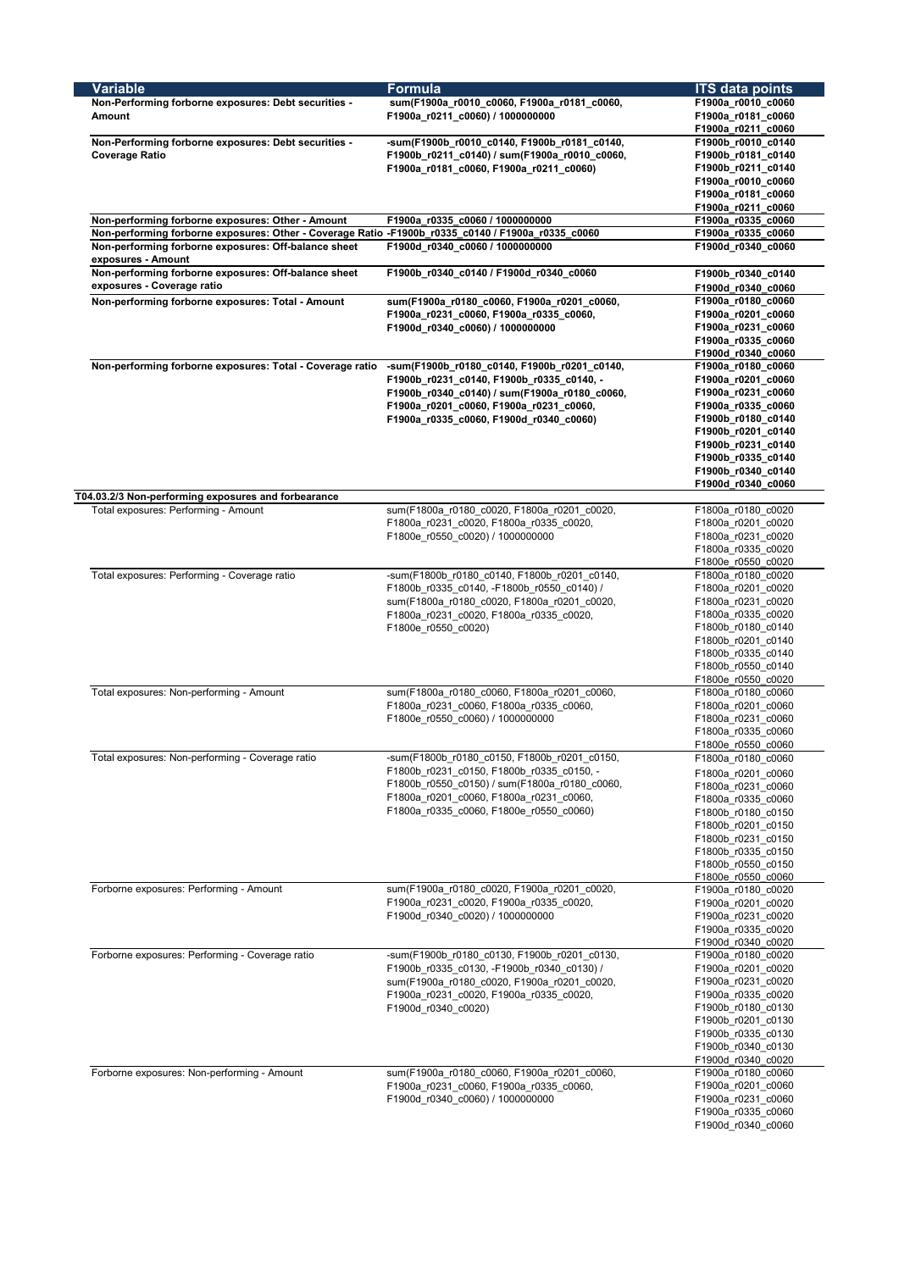| <b>Variable</b>                                                                                    | Formula                                                                            | <b>ITS data points</b> |
|----------------------------------------------------------------------------------------------------|------------------------------------------------------------------------------------|------------------------|
| Non-Performing forborne exposures: Debt securities -                                               | sum(F1900a r0010 c0060, F1900a r0181 c0060,                                        | F1900a_r0010_c0060     |
|                                                                                                    |                                                                                    |                        |
| Amount                                                                                             | F1900a_r0211_c0060) / 1000000000                                                   | F1900a_r0181_c0060     |
|                                                                                                    |                                                                                    | F1900a_r0211_c0060     |
| Non-Performing forborne exposures: Debt securities -                                               | -sum(F1900b_r0010_c0140, F1900b_r0181_c0140,                                       | F1900b_r0010_c0140     |
|                                                                                                    |                                                                                    |                        |
| <b>Coverage Ratio</b>                                                                              | F1900b_r0211_c0140) / sum(F1900a_r0010_c0060,                                      | F1900b_r0181_c0140     |
|                                                                                                    | F1900a_r0181_c0060, F1900a_r0211_c0060)                                            | F1900b_r0211_c0140     |
|                                                                                                    |                                                                                    |                        |
|                                                                                                    |                                                                                    | F1900a_r0010_c0060     |
|                                                                                                    |                                                                                    | F1900a_r0181_c0060     |
|                                                                                                    |                                                                                    | F1900a_r0211_c0060     |
|                                                                                                    |                                                                                    |                        |
| Non-performing forborne exposures: Other - Amount                                                  | F1900a_r0335_c0060 / 1000000000                                                    | F1900a_r0335_c0060     |
| Non-performing forborne exposures: Other - Coverage Ratio -F1900b_r0335_c0140 / F1900a_r0335_c0060 |                                                                                    | F1900a_r0335_c0060     |
| Non-performing forborne exposures: Off-balance sheet                                               | F1900d r0340 c0060 / 1000000000                                                    | F1900d_r0340_c0060     |
|                                                                                                    |                                                                                    |                        |
| exposures - Amount                                                                                 |                                                                                    |                        |
| Non-performing forborne exposures: Off-balance sheet                                               | F1900b r0340 c0140 / F1900d r0340 c0060                                            | F1900b_r0340_c0140     |
| exposures - Coverage ratio                                                                         |                                                                                    |                        |
|                                                                                                    |                                                                                    | F1900d r0340 c0060     |
| Non-performing forborne exposures: Total - Amount                                                  | sum(F1900a_r0180_c0060, F1900a_r0201_c0060,                                        | F1900a_r0180_c0060     |
|                                                                                                    | F1900a_r0231_c0060, F1900a_r0335_c0060,                                            | F1900a_r0201_c0060     |
|                                                                                                    |                                                                                    |                        |
|                                                                                                    | F1900d_r0340_c0060) / 1000000000                                                   | F1900a_r0231_c0060     |
|                                                                                                    |                                                                                    | F1900a_r0335_c0060     |
|                                                                                                    |                                                                                    |                        |
|                                                                                                    |                                                                                    | F1900d_r0340_c0060     |
| Non-performing forborne exposures: Total - Coverage ratio                                          | -sum(F1900b_r0180_c0140, F1900b_r0201_c0140,                                       | F1900a_r0180_c0060     |
|                                                                                                    |                                                                                    | F1900a_r0201_c0060     |
|                                                                                                    | F1900b_r0231_c0140, F1900b_r0335_c0140, -                                          |                        |
|                                                                                                    | F1900b_r0340_c0140) / sum(F1900a_r0180_c0060,                                      | F1900a_r0231_c0060     |
|                                                                                                    | F1900a_r0201_c0060, F1900a_r0231_c0060,                                            | F1900a_r0335_c0060     |
|                                                                                                    |                                                                                    |                        |
|                                                                                                    | F1900a_r0335_c0060, F1900d_r0340_c0060)                                            | F1900b_r0180_c0140     |
|                                                                                                    |                                                                                    | F1900b_r0201_c0140     |
|                                                                                                    |                                                                                    |                        |
|                                                                                                    |                                                                                    | F1900b_r0231_c0140     |
|                                                                                                    |                                                                                    | F1900b_r0335_c0140     |
|                                                                                                    |                                                                                    | F1900b_r0340_c0140     |
|                                                                                                    |                                                                                    |                        |
|                                                                                                    |                                                                                    | F1900d_r0340_c0060     |
| T04.03.2/3 Non-performing exposures and forbearance                                                |                                                                                    |                        |
| Total exposures: Performing - Amount                                                               | sum(F1800a_r0180_c0020, F1800a_r0201_c0020,                                        | F1800a r0180 c0020     |
|                                                                                                    |                                                                                    |                        |
|                                                                                                    | F1800a_r0231_c0020, F1800a_r0335_c0020,                                            | F1800a r0201 c0020     |
|                                                                                                    | F1800e r0550 c0020) / 1000000000                                                   | F1800a r0231 c0020     |
|                                                                                                    |                                                                                    |                        |
|                                                                                                    |                                                                                    | F1800a_r0335_c0020     |
|                                                                                                    |                                                                                    | F1800e r0550 c0020     |
| Total exposures: Performing - Coverage ratio                                                       | -sum(F1800b_r0180_c0140, F1800b_r0201_c0140,                                       | F1800a_r0180_c0020     |
|                                                                                                    |                                                                                    |                        |
|                                                                                                    | F1800b_r0335_c0140, -F1800b_r0550_c0140) /                                         | F1800a_r0201_c0020     |
|                                                                                                    | sum(F1800a r0180 c0020, F1800a r0201 c0020,                                        | F1800a r0231 c0020     |
|                                                                                                    |                                                                                    | F1800a_r0335_c0020     |
|                                                                                                    | F1800a_r0231_c0020, F1800a_r0335_c0020,                                            |                        |
|                                                                                                    | F1800e_r0550_c0020)                                                                | F1800b_r0180_c0140     |
|                                                                                                    |                                                                                    | F1800b_r0201_c0140     |
|                                                                                                    |                                                                                    |                        |
|                                                                                                    |                                                                                    | F1800b r0335 c0140     |
|                                                                                                    |                                                                                    | F1800b_r0550_c0140     |
|                                                                                                    |                                                                                    | F1800e_r0550_c0020     |
|                                                                                                    |                                                                                    |                        |
| Total exposures: Non-performing - Amount                                                           | sum(F1800a r0180 c0060, F1800a r0201 c0060,                                        | F1800a_r0180_c0060     |
|                                                                                                    | F1800a r0231 c0060, F1800a r0335 c0060,                                            | F1800a r0201 c0060     |
|                                                                                                    |                                                                                    |                        |
|                                                                                                    | F1800e_r0550_c0060) / 1000000000                                                   | F1800a r0231 c0060     |
|                                                                                                    |                                                                                    | F1800a_r0335_c0060     |
|                                                                                                    |                                                                                    |                        |
|                                                                                                    |                                                                                    | F1800e_r0550_c0060     |
| Total exposures: Non-performing - Coverage ratio                                                   | -sum(F1800b r0180 c0150, F1800b r0201 c0150,                                       | F1800a_r0180_c0060     |
|                                                                                                    | F1800b r0231 c0150, F1800b r0335 c0150, -                                          | F1800a r0201 c0060     |
|                                                                                                    |                                                                                    |                        |
|                                                                                                    | F1800b_r0550_c0150) / sum(F1800a_r0180_c0060,                                      | F1800a r0231 c0060     |
|                                                                                                    | F1800a r0201 c0060, F1800a r0231 c0060,<br>F1800a_r0335_c0060, F1800e_r0550_c0060) | F1800a r0335 c0060     |
|                                                                                                    |                                                                                    |                        |
|                                                                                                    |                                                                                    | F1800b r0180 c0150     |
|                                                                                                    |                                                                                    | F1800b r0201 c0150     |
|                                                                                                    |                                                                                    | F1800b_r0231_c0150     |
|                                                                                                    |                                                                                    |                        |
|                                                                                                    |                                                                                    | F1800b_r0335_c0150     |
|                                                                                                    |                                                                                    | F1800b_r0550_c0150     |
|                                                                                                    |                                                                                    | F1800e_r0550_c0060     |
|                                                                                                    |                                                                                    |                        |
| Forborne exposures: Performing - Amount                                                            | sum(F1900a r0180 c0020, F1900a r0201 c0020,                                        | F1900a r0180 c0020     |
|                                                                                                    | F1900a r0231 c0020, F1900a r0335 c0020,                                            | F1900a r0201 c0020     |
|                                                                                                    |                                                                                    |                        |
|                                                                                                    | F1900d r0340 c0020) / 1000000000                                                   | F1900a r0231 c0020     |
|                                                                                                    |                                                                                    | F1900a r0335 c0020     |
|                                                                                                    |                                                                                    | F1900d r0340 c0020     |
|                                                                                                    |                                                                                    |                        |
| Forborne exposures: Performing - Coverage ratio                                                    | -sum(F1900b r0180 c0130, F1900b r0201 c0130,                                       | F1900a_r0180_c0020     |
|                                                                                                    | F1900b_r0335_c0130, -F1900b_r0340_c0130) /                                         | F1900a_r0201_c0020     |
|                                                                                                    |                                                                                    |                        |
|                                                                                                    | sum(F1900a r0180 c0020, F1900a r0201 c0020,                                        | F1900a r0231 c0020     |
|                                                                                                    | F1900a r0231 c0020, F1900a r0335 c0020,                                            | F1900a_r0335_c0020     |
|                                                                                                    |                                                                                    |                        |
|                                                                                                    | F1900d r0340 c0020)                                                                | F1900b_r0180_c0130     |
|                                                                                                    |                                                                                    | F1900b_r0201_c0130     |
|                                                                                                    |                                                                                    | F1900b r0335 c0130     |
|                                                                                                    |                                                                                    |                        |
|                                                                                                    |                                                                                    | F1900b r0340 c0130     |
|                                                                                                    |                                                                                    | F1900d r0340 c0020     |
|                                                                                                    |                                                                                    |                        |
| Forborne exposures: Non-performing - Amount                                                        | sum(F1900a r0180 c0060, F1900a r0201 c0060,                                        | F1900a_r0180_c0060     |
|                                                                                                    | F1900a r0231 c0060, F1900a r0335 c0060,                                            | F1900a r0201 c0060     |
|                                                                                                    | F1900d r0340 c0060) / 1000000000                                                   | F1900a_r0231_c0060     |
|                                                                                                    |                                                                                    |                        |
|                                                                                                    |                                                                                    | F1900a_r0335_c0060     |
|                                                                                                    |                                                                                    | F1900d_r0340_c0060     |
|                                                                                                    |                                                                                    |                        |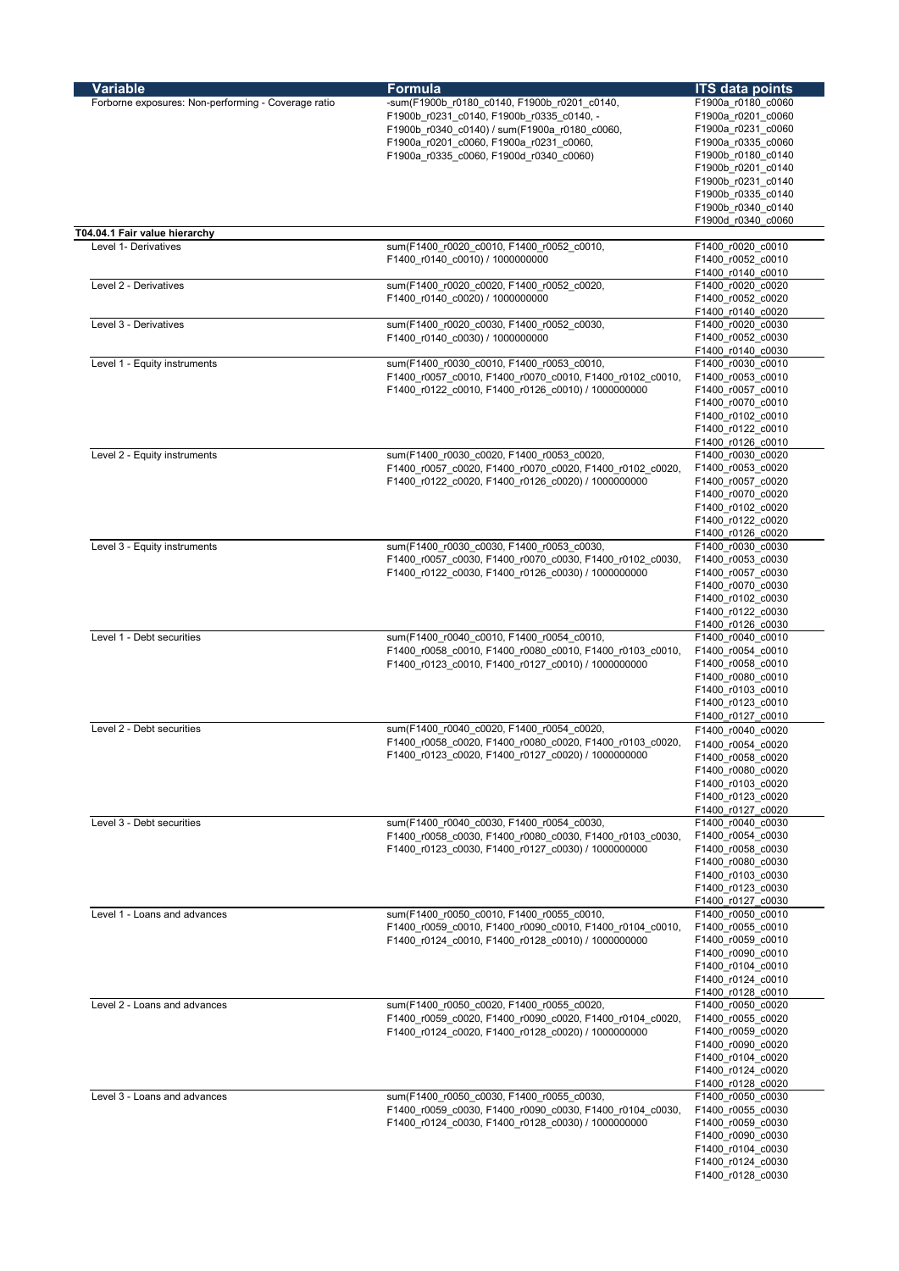| <b>Variable</b>                                     | <b>Formula</b>                                                                                                 | <b>ITS data points</b>                 |
|-----------------------------------------------------|----------------------------------------------------------------------------------------------------------------|----------------------------------------|
| Forborne exposures: Non-performing - Coverage ratio | -sum(F1900b r0180 c0140, F1900b r0201 c0140,                                                                   | F1900a_r0180_c0060                     |
|                                                     | F1900b_r0231_c0140, F1900b_r0335_c0140, -                                                                      | F1900a_r0201_c0060                     |
|                                                     | F1900b_r0340_c0140) / sum(F1900a_r0180_c0060,                                                                  | F1900a_r0231_c0060                     |
|                                                     | F1900a r0201 c0060, F1900a r0231 c0060,                                                                        | F1900a r0335 c0060                     |
|                                                     | F1900a_r0335_c0060, F1900d_r0340_c0060)                                                                        | F1900b r0180 c0140                     |
|                                                     |                                                                                                                | F1900b_r0201_c0140                     |
|                                                     |                                                                                                                | F1900b_r0231_c0140                     |
|                                                     |                                                                                                                | F1900b r0335 c0140                     |
|                                                     |                                                                                                                | F1900b_r0340_c0140                     |
| T04.04.1 Fair value hierarchy                       |                                                                                                                | F1900d r0340 c0060                     |
| Level 1- Derivatives                                | sum(F1400 r0020 c0010, F1400 r0052 c0010,                                                                      | F1400 r0020 c0010                      |
|                                                     | F1400_r0140_c0010) / 1000000000                                                                                | F1400_r0052_c0010                      |
|                                                     |                                                                                                                | F1400 r0140 c0010                      |
| Level 2 - Derivatives                               | sum(F1400_r0020_c0020, F1400_r0052_c0020,                                                                      | F1400 r0020 c0020                      |
|                                                     | F1400 r0140 c0020) / 1000000000                                                                                | F1400_r0052_c0020                      |
|                                                     |                                                                                                                | F1400 r0140 c0020                      |
| Level 3 - Derivatives                               | sum(F1400 r0020 c0030, F1400 r0052 c0030,                                                                      | F1400 r0020 c0030                      |
|                                                     | F1400 r0140 c0030) / 1000000000                                                                                | F1400 r0052 c0030                      |
| Level 1 - Equity instruments                        | sum(F1400 r0030 c0010, F1400 r0053 c0010,                                                                      | F1400 r0140 c0030<br>F1400_r0030_c0010 |
|                                                     | F1400 r0057 c0010, F1400 r0070 c0010, F1400 r0102 c0010,                                                       | F1400 r0053 c0010                      |
|                                                     | F1400_r0122_c0010, F1400_r0126_c0010) / 1000000000                                                             | F1400_r0057_c0010                      |
|                                                     |                                                                                                                | F1400_r0070_c0010                      |
|                                                     |                                                                                                                | F1400 r0102 c0010                      |
|                                                     |                                                                                                                | F1400_r0122_c0010                      |
|                                                     |                                                                                                                | F1400_r0126_c0010                      |
| Level 2 - Equity instruments                        | sum(F1400 r0030 c0020, F1400 r0053 c0020,                                                                      | F1400 r0030 c0020                      |
|                                                     | F1400 r0057 c0020, F1400 r0070 c0020, F1400 r0102 c0020,                                                       | F1400 r0053 c0020                      |
|                                                     | F1400 r0122 c0020, F1400 r0126 c0020) / 1000000000                                                             | F1400_r0057_c0020                      |
|                                                     |                                                                                                                | F1400 r0070 c0020                      |
|                                                     |                                                                                                                | F1400_r0102_c0020                      |
|                                                     |                                                                                                                | F1400_r0122_c0020                      |
|                                                     |                                                                                                                | F1400 r0126 c0020                      |
| Level 3 - Equity instruments                        | sum(F1400 r0030 c0030, F1400 r0053 c0030,                                                                      | F1400 r0030 c0030                      |
|                                                     | F1400_r0057_c0030, F1400_r0070_c0030, F1400_r0102_c0030,                                                       | F1400 r0053 c0030                      |
|                                                     | F1400 r0122 c0030, F1400 r0126 c0030) / 1000000000                                                             | F1400 r0057 c0030                      |
|                                                     |                                                                                                                | F1400_r0070_c0030                      |
|                                                     |                                                                                                                | F1400_r0102_c0030                      |
|                                                     |                                                                                                                | F1400_r0122_c0030                      |
|                                                     |                                                                                                                | F1400 r0126 c0030                      |
| Level 1 - Debt securities                           | sum(F1400 r0040 c0010, F1400 r0054 c0010,                                                                      | F1400 r0040 c0010                      |
|                                                     | F1400 r0058 c0010, F1400 r0080 c0010, F1400 r0103 c0010,                                                       | F1400_r0054_c0010                      |
|                                                     | F1400 r0123 c0010, F1400 r0127 c0010) / 1000000000                                                             | F1400 r0058 c0010<br>F1400 r0080 c0010 |
|                                                     |                                                                                                                | F1400 r0103 c0010                      |
|                                                     |                                                                                                                | F1400 r0123 c0010                      |
|                                                     |                                                                                                                | F1400 r0127 c0010                      |
| Level 2 - Debt securities                           | sum(F1400 r0040 c0020, F1400 r0054 c0020,                                                                      | F1400 r0040 c0020                      |
|                                                     | F1400 r0058 c0020, F1400 r0080 c0020, F1400 r0103 c0020,<br>F1400_r0123_c0020, F1400_r0127_c0020) / 1000000000 | F1400 r0054 c0020                      |
|                                                     |                                                                                                                | F1400_r0058_c0020                      |
|                                                     |                                                                                                                | F1400_r0080_c0020                      |
|                                                     |                                                                                                                | F1400_r0103_c0020                      |
|                                                     |                                                                                                                | F1400_r0123_c0020                      |
|                                                     |                                                                                                                | F1400 r0127 c0020                      |
| Level 3 - Debt securities                           | sum(F1400 r0040 c0030, F1400 r0054 c0030,                                                                      | F1400 r0040 c0030                      |
|                                                     | F1400 r0058 c0030, F1400 r0080 c0030, F1400 r0103 c0030,                                                       | F1400 r0054 c0030                      |
|                                                     | F1400 r0123 c0030, F1400 r0127 c0030) / 1000000000                                                             | F1400 r0058 c0030                      |
|                                                     |                                                                                                                | F1400 r0080 c0030                      |
|                                                     |                                                                                                                | F1400 r0103 c0030                      |
|                                                     |                                                                                                                | F1400_r0123_c0030                      |
|                                                     |                                                                                                                | F1400 r0127 c0030                      |
| Level 1 - Loans and advances                        | sum(F1400 r0050 c0010, F1400 r0055 c0010,                                                                      | F1400 r0050 c0010                      |
|                                                     | F1400 r0059 c0010, F1400 r0090 c0010, F1400 r0104 c0010,                                                       | F1400_r0055_c0010                      |
|                                                     | F1400 r0124 c0010, F1400 r0128 c0010) / 1000000000                                                             | F1400 r0059 c0010                      |
|                                                     |                                                                                                                | F1400 r0090 c0010                      |
|                                                     |                                                                                                                | F1400 r0104 c0010                      |
|                                                     |                                                                                                                | F1400_r0124_c0010                      |
| Level 2 - Loans and advances                        | sum(F1400 r0050 c0020, F1400 r0055 c0020,                                                                      | F1400 r0128 c0010<br>F1400 r0050 c0020 |
|                                                     | F1400 r0059 c0020, F1400 r0090 c0020, F1400 r0104 c0020,                                                       | F1400 r0055 c0020                      |
|                                                     | F1400 r0124 c0020, F1400 r0128 c0020) / 1000000000                                                             | F1400 r0059 c0020                      |
|                                                     |                                                                                                                | F1400 r0090 c0020                      |
|                                                     |                                                                                                                | F1400 r0104 c0020                      |
|                                                     |                                                                                                                | F1400_r0124_c0020                      |
|                                                     |                                                                                                                | F1400 r0128 c0020                      |
| Level 3 - Loans and advances                        | sum(F1400 r0050 c0030, F1400 r0055 c0030,                                                                      | F1400 r0050 c0030                      |
|                                                     | F1400 r0059 c0030, F1400 r0090 c0030, F1400 r0104 c0030,                                                       | F1400 r0055 c0030                      |
|                                                     | F1400 r0124 c0030, F1400 r0128 c0030) / 1000000000                                                             | F1400 r0059 c0030                      |
|                                                     |                                                                                                                | F1400 r0090 c0030                      |
|                                                     |                                                                                                                | F1400 r0104 c0030                      |
|                                                     |                                                                                                                | F1400_r0124_c0030                      |
|                                                     |                                                                                                                | F1400_r0128_c0030                      |
|                                                     |                                                                                                                |                                        |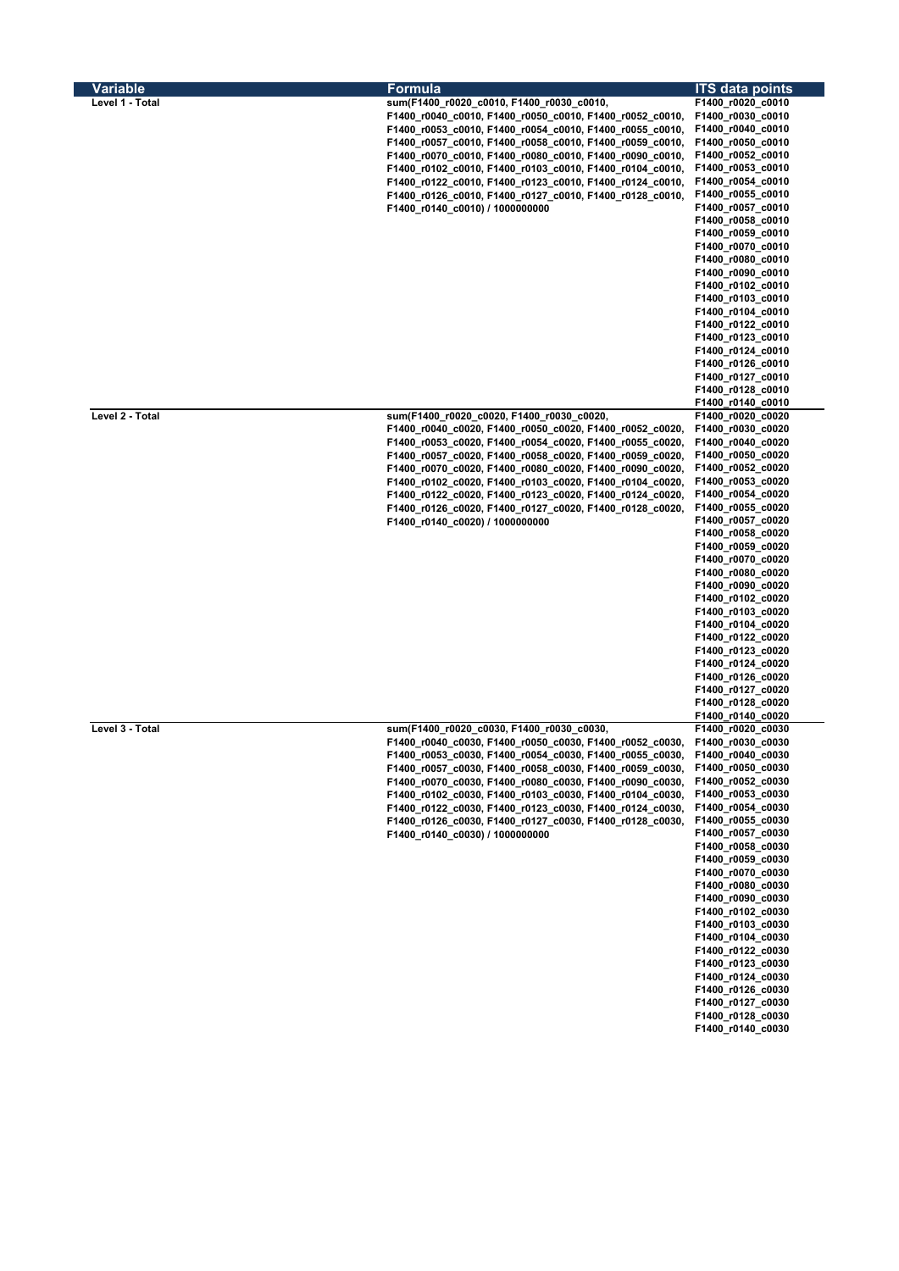| <b>Variable</b> | Formula                                                                                     | <b>ITS data points</b>                 |
|-----------------|---------------------------------------------------------------------------------------------|----------------------------------------|
| Level 1 - Total | sum(F1400_r0020_c0010, F1400_r0030_c0010,                                                   | F1400_r0020_c0010                      |
|                 | F1400_r0040_c0010, F1400_r0050_c0010, F1400_r0052_c0010,                                    | F1400_r0030_c0010                      |
|                 | F1400_r0053_c0010, F1400_r0054_c0010, F1400_r0055_c0010,                                    | F1400_r0040_c0010                      |
|                 | F1400_r0057_c0010, F1400_r0058_c0010, F1400_r0059_c0010,                                    | F1400_r0050_c0010                      |
|                 | F1400_r0070_c0010, F1400_r0080_c0010, F1400_r0090_c0010,                                    | F1400_r0052_c0010                      |
|                 | F1400_r0102_c0010, F1400_r0103_c0010, F1400_r0104_c0010,                                    | F1400_r0053_c0010                      |
|                 | F1400_r0122_c0010, F1400_r0123_c0010, F1400_r0124_c0010,                                    | F1400_r0054_c0010                      |
|                 | F1400_r0126_c0010, F1400_r0127_c0010, F1400_r0128_c0010,                                    | F1400_r0055_c0010                      |
|                 | F1400_r0140_c0010) / 1000000000                                                             | F1400_r0057_c0010                      |
|                 |                                                                                             | F1400_r0058_c0010                      |
|                 |                                                                                             | F1400_r0059_c0010                      |
|                 |                                                                                             | F1400_r0070_c0010                      |
|                 |                                                                                             | F1400_r0080_c0010                      |
|                 |                                                                                             | F1400_r0090_c0010                      |
|                 |                                                                                             | F1400_r0102_c0010                      |
|                 |                                                                                             | F1400_r0103_c0010                      |
|                 |                                                                                             | F1400_r0104_c0010                      |
|                 |                                                                                             | F1400_r0122_c0010                      |
|                 |                                                                                             | F1400_r0123_c0010                      |
|                 |                                                                                             | F1400_r0124_c0010                      |
|                 |                                                                                             | F1400_r0126_c0010                      |
|                 |                                                                                             | F1400_r0127_c0010                      |
|                 |                                                                                             | F1400_r0128_c0010                      |
|                 |                                                                                             | F1400_r0140_c0010                      |
| Level 2 - Total | sum(F1400_r0020_c0020, F1400_r0030_c0020,                                                   | F1400_r0020_c0020                      |
|                 | F1400_r0040_c0020, F1400_r0050_c0020, F1400_r0052_c0020,                                    | F1400_r0030_c0020                      |
|                 | F1400_r0053_c0020, F1400_r0054_c0020, F1400_r0055_c0020,                                    | F1400_r0040_c0020                      |
|                 | F1400_r0057_c0020, F1400_r0058_c0020, F1400_r0059_c0020,                                    | F1400_r0050_c0020<br>F1400_r0052_c0020 |
|                 | F1400_r0070_c0020, F1400_r0080_c0020, F1400_r0090_c0020,                                    | F1400 r0053 c0020                      |
|                 | F1400_r0102_c0020, F1400_r0103_c0020, F1400_r0104_c0020,                                    | F1400_r0054_c0020                      |
|                 | F1400_r0122_c0020, F1400_r0123_c0020, F1400_r0124_c0020,                                    | F1400_r0055_c0020                      |
|                 | F1400_r0126_c0020, F1400_r0127_c0020, F1400_r0128_c0020,<br>F1400_r0140_c0020) / 1000000000 | F1400_r0057_c0020                      |
|                 |                                                                                             | F1400_r0058_c0020                      |
|                 |                                                                                             | F1400_r0059_c0020                      |
|                 |                                                                                             | F1400_r0070_c0020                      |
|                 |                                                                                             | F1400_r0080_c0020                      |
|                 |                                                                                             | F1400_r0090_c0020                      |
|                 |                                                                                             | F1400_r0102_c0020                      |
|                 |                                                                                             | F1400_r0103_c0020                      |
|                 |                                                                                             | F1400_r0104_c0020                      |
|                 |                                                                                             | F1400_r0122_c0020                      |
|                 |                                                                                             | F1400_r0123_c0020                      |
|                 |                                                                                             | F1400_r0124_c0020                      |
|                 |                                                                                             | F1400_r0126_c0020                      |
|                 |                                                                                             | F1400_r0127_c0020                      |
|                 |                                                                                             | F1400_r0128_c0020                      |
|                 |                                                                                             | F1400_r0140_c0020                      |
| Level 3 - Total | sum(F1400_r0020_c0030, F1400_r0030_c0030,                                                   | F1400_r0020_c0030                      |
|                 | F1400_r0040_c0030, F1400_r0050_c0030, F1400_r0052_c0030,                                    | F1400_r0030_c0030                      |
|                 | F1400_r0053_c0030, F1400_r0054_c0030, F1400_r0055_c0030,                                    | F1400_r0040_c0030                      |
|                 | F1400 r0057 c0030, F1400 r0058 c0030, F1400 r0059 c0030,                                    | F1400_r0050_c0030                      |
|                 | F1400_r0070_c0030, F1400_r0080_c0030, F1400_r0090_c0030,                                    | F1400_r0052_c0030                      |
|                 | F1400_r0102_c0030, F1400_r0103_c0030, F1400_r0104_c0030,                                    | F1400_r0053_c0030                      |
|                 | F1400_r0122_c0030, F1400_r0123_c0030, F1400_r0124_c0030,                                    | F1400_r0054_c0030                      |
|                 | F1400_r0126_c0030, F1400_r0127_c0030, F1400_r0128_c0030,                                    | F1400_r0055_c0030                      |
|                 | F1400_r0140_c0030) / 1000000000                                                             | F1400_r0057_c0030                      |
|                 |                                                                                             | F1400_r0058_c0030                      |
|                 |                                                                                             | F1400_r0059_c0030                      |
|                 |                                                                                             | F1400_r0070_c0030                      |
|                 |                                                                                             | F1400_r0080_c0030                      |
|                 |                                                                                             | F1400_r0090_c0030                      |
|                 |                                                                                             | F1400_r0102_c0030                      |
|                 |                                                                                             | F1400_r0103_c0030                      |
|                 |                                                                                             | F1400_r0104_c0030                      |
|                 |                                                                                             | F1400_r0122_c0030                      |
|                 |                                                                                             | F1400_r0123_c0030                      |
|                 |                                                                                             | F1400_r0124_c0030                      |
|                 |                                                                                             | F1400_r0126_c0030                      |
|                 |                                                                                             | F1400_r0127_c0030<br>F1400_r0128_c0030 |
|                 |                                                                                             | F1400_r0140_c0030                      |
|                 |                                                                                             |                                        |
|                 |                                                                                             |                                        |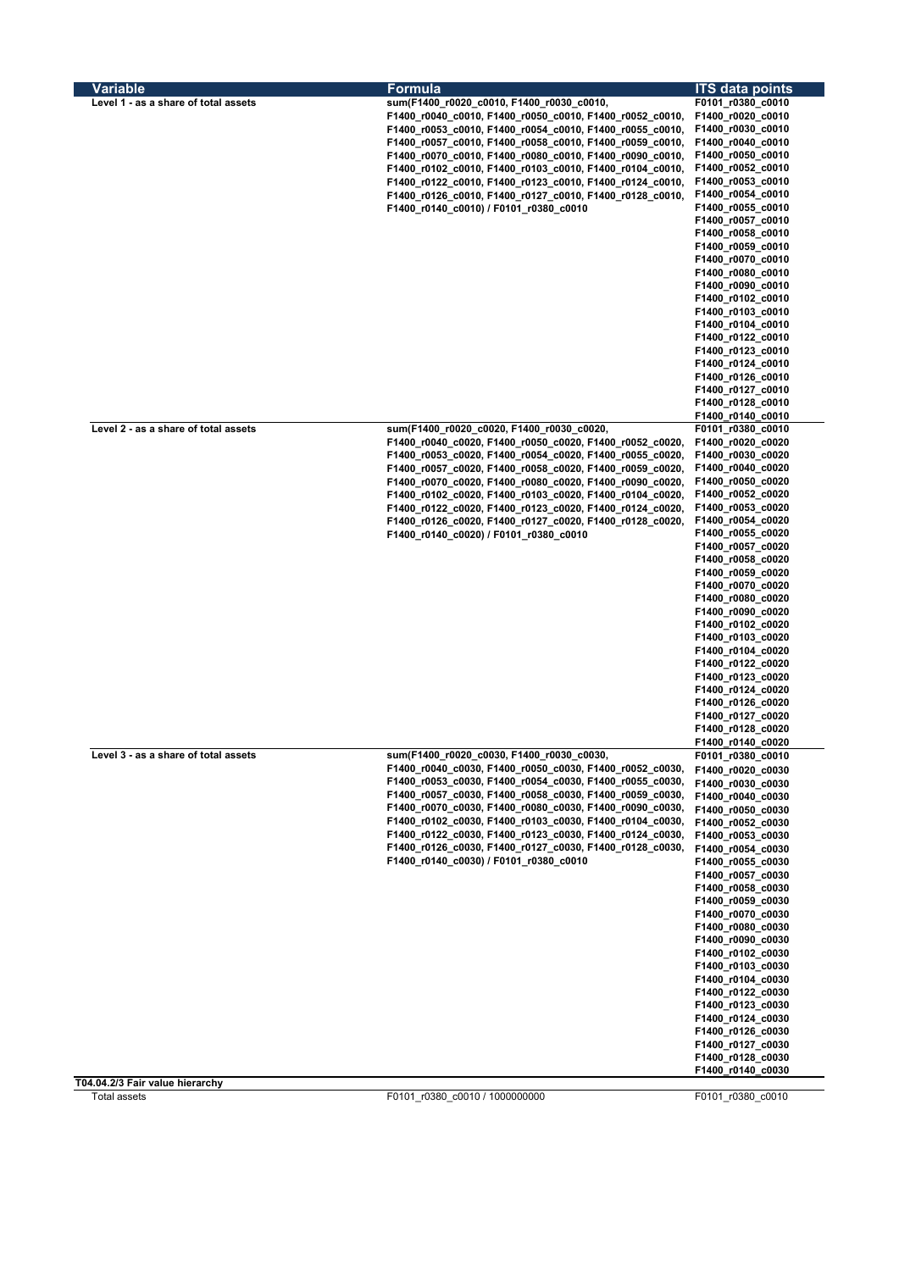| Variable                             | <b>Formula</b>                                           | <b>ITS data points</b> |
|--------------------------------------|----------------------------------------------------------|------------------------|
| Level 1 - as a share of total assets | sum(F1400_r0020_c0010, F1400_r0030_c0010,                | F0101_r0380_c0010      |
|                                      | F1400_r0040_c0010, F1400_r0050_c0010, F1400_r0052_c0010, | F1400_r0020_c0010      |
|                                      | F1400_r0053_c0010, F1400_r0054_c0010, F1400_r0055_c0010, | F1400_r0030_c0010      |
|                                      | F1400_r0057_c0010, F1400_r0058_c0010, F1400_r0059_c0010, | F1400_r0040_c0010      |
|                                      | F1400_r0070_c0010, F1400_r0080_c0010, F1400_r0090_c0010, | F1400_r0050_c0010      |
|                                      | F1400_r0102_c0010, F1400_r0103_c0010, F1400_r0104_c0010, | F1400_r0052_c0010      |
|                                      | F1400_r0122_c0010, F1400_r0123_c0010, F1400_r0124_c0010, | F1400_r0053_c0010      |
|                                      | F1400_r0126_c0010, F1400_r0127_c0010, F1400_r0128_c0010, | F1400_r0054_c0010      |
|                                      | F1400_r0140_c0010) / F0101_r0380_c0010                   | F1400_r0055_c0010      |
|                                      |                                                          | F1400_r0057_c0010      |
|                                      |                                                          | F1400_r0058_c0010      |
|                                      |                                                          | F1400_r0059_c0010      |
|                                      |                                                          | F1400_r0070_c0010      |
|                                      |                                                          | F1400_r0080_c0010      |
|                                      |                                                          | F1400_r0090_c0010      |
|                                      |                                                          | F1400_r0102_c0010      |
|                                      |                                                          | F1400_r0103_c0010      |
|                                      |                                                          | F1400_r0104_c0010      |
|                                      |                                                          | F1400_r0122_c0010      |
|                                      |                                                          | F1400_r0123_c0010      |
|                                      |                                                          | F1400_r0124_c0010      |
|                                      |                                                          | F1400_r0126_c0010      |
|                                      |                                                          | F1400_r0127_c0010      |
|                                      |                                                          | F1400_r0128_c0010      |
|                                      |                                                          | F1400_r0140_c0010      |
| Level 2 - as a share of total assets | sum(F1400_r0020_c0020, F1400_r0030_c0020,                | F0101_r0380_c0010      |
|                                      | F1400_r0040_c0020, F1400_r0050_c0020, F1400_r0052_c0020, | F1400_r0020_c0020      |
|                                      | F1400_r0053_c0020, F1400_r0054_c0020, F1400_r0055_c0020, | F1400_r0030_c0020      |
|                                      | F1400_r0057_c0020, F1400_r0058_c0020, F1400_r0059_c0020, | F1400_r0040_c0020      |
|                                      | F1400_r0070_c0020, F1400_r0080_c0020, F1400_r0090_c0020, | F1400_r0050_c0020      |
|                                      | F1400_r0102_c0020, F1400_r0103_c0020, F1400_r0104_c0020, | F1400_r0052_c0020      |
|                                      | F1400_r0122_c0020, F1400_r0123_c0020, F1400_r0124_c0020, | F1400_r0053_c0020      |
|                                      | F1400_r0126_c0020, F1400_r0127_c0020, F1400_r0128_c0020, | F1400_r0054_c0020      |
|                                      | F1400_r0140_c0020) / F0101_r0380_c0010                   | F1400_r0055_c0020      |
|                                      |                                                          | F1400_r0057_c0020      |
|                                      |                                                          | F1400_r0058_c0020      |
|                                      |                                                          | F1400_r0059_c0020      |
|                                      |                                                          | F1400_r0070_c0020      |
|                                      |                                                          | F1400_r0080_c0020      |
|                                      |                                                          | F1400_r0090_c0020      |
|                                      |                                                          | F1400_r0102_c0020      |
|                                      |                                                          | F1400_r0103_c0020      |
|                                      |                                                          | F1400_r0104_c0020      |
|                                      |                                                          | F1400_r0122_c0020      |
|                                      |                                                          | F1400_r0123_c0020      |
|                                      |                                                          | F1400_r0124_c0020      |
|                                      |                                                          | F1400_r0126_c0020      |
|                                      |                                                          | F1400_r0127_c0020      |
|                                      |                                                          | F1400_r0128_c0020      |
|                                      |                                                          | F1400_r0140_c0020      |
| Level 3 - as a share of total assets | sum(F1400_r0020_c0030, F1400_r0030_c0030,                | F0101_r0380_c0010      |
|                                      | F1400_r0040_c0030, F1400_r0050_c0030, F1400_r0052_c0030, | F1400_r0020_c0030      |
|                                      | F1400_r0053_c0030, F1400_r0054_c0030, F1400_r0055_c0030, | F1400_r0030_c0030      |
|                                      | F1400_r0057_c0030, F1400_r0058_c0030, F1400_r0059_c0030, | F1400_r0040_c0030      |
|                                      | F1400_r0070_c0030, F1400_r0080_c0030, F1400_r0090_c0030, | F1400_r0050_c0030      |
|                                      | F1400_r0102_c0030, F1400_r0103_c0030, F1400_r0104_c0030, | F1400_r0052_c0030      |
|                                      | F1400_r0122_c0030, F1400_r0123_c0030, F1400_r0124_c0030, | F1400_r0053_c0030      |
|                                      | F1400_r0126_c0030, F1400_r0127_c0030, F1400_r0128_c0030, | F1400_r0054_c0030      |
|                                      | F1400_r0140_c0030) / F0101_r0380_c0010                   | F1400_r0055_c0030      |
|                                      |                                                          | F1400_r0057_c0030      |
|                                      |                                                          | F1400_r0058_c0030      |
|                                      |                                                          | F1400_r0059_c0030      |
|                                      |                                                          | F1400_r0070_c0030      |
|                                      |                                                          | F1400_r0080_c0030      |
|                                      |                                                          | F1400_r0090_c0030      |
|                                      |                                                          | F1400_r0102_c0030      |
|                                      |                                                          | F1400_r0103_c0030      |
|                                      |                                                          | F1400_r0104_c0030      |
|                                      |                                                          | F1400_r0122_c0030      |
|                                      |                                                          | F1400_r0123_c0030      |
|                                      |                                                          |                        |
|                                      |                                                          | F1400_r0124_c0030      |
|                                      |                                                          | F1400_r0126_c0030      |
|                                      |                                                          | F1400_r0127_c0030      |
|                                      |                                                          | F1400_r0128_c0030      |
| T04.04.2/3 Fair value hierarchy      |                                                          | F1400_r0140_c0030      |
|                                      | F0101 r0380 c0010 / 1000000000                           | F0101 r0380 c0010      |
| Total assets                         |                                                          |                        |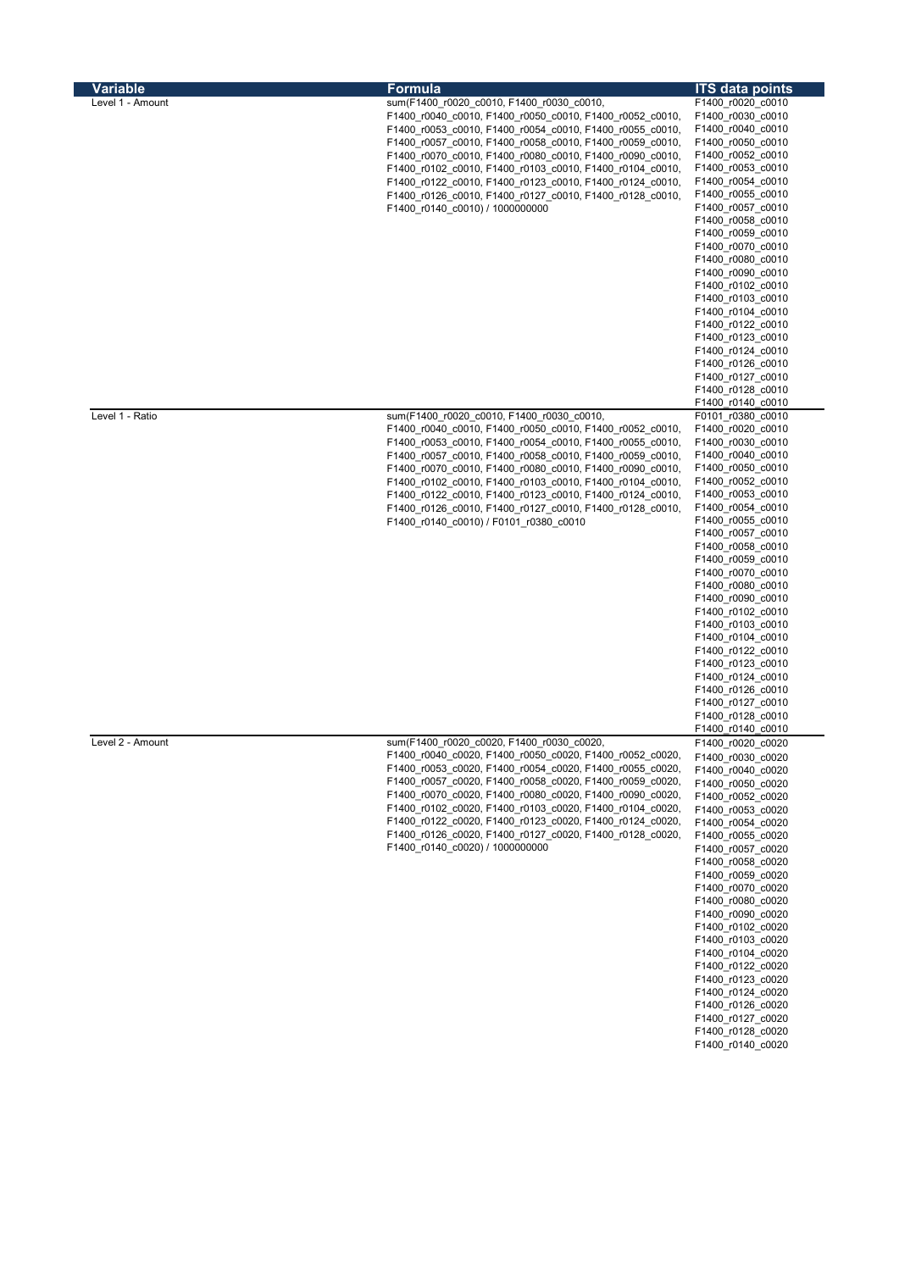| Variable         |                                                          |                        |
|------------------|----------------------------------------------------------|------------------------|
|                  | Formula                                                  | <b>ITS data points</b> |
| Level 1 - Amount | sum(F1400_r0020_c0010, F1400_r0030_c0010,                | F1400_r0020_c0010      |
|                  | F1400_r0040_c0010, F1400_r0050_c0010, F1400_r0052_c0010, | F1400_r0030_c0010      |
|                  | F1400_r0053_c0010, F1400_r0054_c0010, F1400_r0055_c0010, | F1400_r0040_c0010      |
|                  | F1400_r0057_c0010, F1400_r0058_c0010, F1400_r0059_c0010, | F1400_r0050_c0010      |
|                  | F1400 r0070 c0010, F1400 r0080 c0010, F1400 r0090 c0010, | F1400 r0052 c0010      |
|                  |                                                          |                        |
|                  | F1400_r0102_c0010, F1400_r0103_c0010, F1400_r0104_c0010, | F1400_r0053_c0010      |
|                  | F1400_r0122_c0010, F1400_r0123_c0010, F1400_r0124_c0010, | F1400_r0054_c0010      |
|                  | F1400_r0126_c0010, F1400_r0127_c0010, F1400_r0128_c0010, | F1400_r0055_c0010      |
|                  | F1400_r0140_c0010) / 1000000000                          | F1400_r0057_c0010      |
|                  |                                                          | F1400_r0058_c0010      |
|                  |                                                          | F1400_r0059_c0010      |
|                  |                                                          | F1400_r0070_c0010      |
|                  |                                                          | F1400_r0080_c0010      |
|                  |                                                          | F1400_r0090_c0010      |
|                  |                                                          | F1400_r0102_c0010      |
|                  |                                                          |                        |
|                  |                                                          | F1400_r0103_c0010      |
|                  |                                                          | F1400_r0104_c0010      |
|                  |                                                          | F1400_r0122_c0010      |
|                  |                                                          | F1400_r0123_c0010      |
|                  |                                                          | F1400_r0124_c0010      |
|                  |                                                          | F1400_r0126_c0010      |
|                  |                                                          | F1400_r0127_c0010      |
|                  |                                                          | F1400_r0128_c0010      |
|                  |                                                          | F1400 r0140 c0010      |
|                  |                                                          |                        |
| Level 1 - Ratio  | sum(F1400_r0020_c0010, F1400_r0030_c0010,                | F0101_r0380_c0010      |
|                  | F1400_r0040_c0010, F1400_r0050_c0010, F1400_r0052_c0010, | F1400 r0020 c0010      |
|                  | F1400 r0053 c0010, F1400 r0054 c0010, F1400 r0055 c0010, | F1400_r0030_c0010      |
|                  | F1400 r0057 c0010, F1400 r0058 c0010, F1400 r0059 c0010, | F1400 r0040 c0010      |
|                  | F1400 r0070 c0010, F1400 r0080 c0010, F1400 r0090 c0010, | F1400_r0050_c0010      |
|                  | F1400_r0102_c0010, F1400_r0103_c0010, F1400_r0104_c0010, | F1400_r0052_c0010      |
|                  | F1400 r0122 c0010, F1400 r0123 c0010, F1400 r0124 c0010, | F1400_r0053_c0010      |
|                  | F1400 r0126 c0010, F1400 r0127 c0010, F1400 r0128 c0010, | F1400 r0054 c0010      |
|                  |                                                          | F1400_r0055_c0010      |
|                  | F1400_r0140_c0010) / F0101_r0380_c0010                   |                        |
|                  |                                                          | F1400_r0057_c0010      |
|                  |                                                          | F1400_r0058_c0010      |
|                  |                                                          | F1400_r0059_c0010      |
|                  |                                                          | F1400_r0070_c0010      |
|                  |                                                          | F1400_r0080_c0010      |
|                  |                                                          | F1400_r0090_c0010      |
|                  |                                                          | F1400_r0102_c0010      |
|                  |                                                          | F1400_r0103_c0010      |
|                  |                                                          | F1400_r0104_c0010      |
|                  |                                                          |                        |
|                  |                                                          |                        |
|                  |                                                          | F1400_r0122_c0010      |
|                  |                                                          | F1400_r0123_c0010      |
|                  |                                                          | F1400_r0124_c0010      |
|                  |                                                          | F1400_r0126_c0010      |
|                  |                                                          | F1400_r0127_c0010      |
|                  |                                                          |                        |
|                  |                                                          | F1400_r0128_c0010      |
|                  |                                                          | F1400_r0140_c0010      |
|                  | sum(F1400_r0020_c0020, F1400_r0030_c0020,                | F1400 r0020 c0020      |
|                  | F1400_r0040_c0020, F1400_r0050_c0020, F1400_r0052_c0020, | F1400_r0030_c0020      |
|                  | F1400_r0053_c0020, F1400_r0054_c0020, F1400_r0055_c0020, | F1400_r0040_c0020      |
|                  | F1400_r0057_c0020, F1400_r0058_c0020, F1400_r0059_c0020, | F1400_r0050_c0020      |
|                  | F1400_r0070_c0020, F1400_r0080_c0020, F1400_r0090_c0020, | F1400_r0052_c0020      |
|                  | F1400 r0102 c0020, F1400 r0103 c0020, F1400 r0104 c0020, |                        |
|                  | F1400 r0122 c0020, F1400 r0123 c0020, F1400 r0124 c0020, | F1400_r0053_c0020      |
|                  |                                                          | F1400_r0054_c0020      |
|                  | F1400_r0126_c0020, F1400_r0127_c0020, F1400_r0128_c0020, | F1400 r0055 c0020      |
|                  | F1400_r0140_c0020) / 1000000000                          | F1400_r0057_c0020      |
|                  |                                                          | F1400_r0058_c0020      |
|                  |                                                          | F1400_r0059_c0020      |
|                  |                                                          | F1400_r0070_c0020      |
|                  |                                                          | F1400_r0080_c0020      |
|                  |                                                          | F1400_r0090_c0020      |
|                  |                                                          | F1400_r0102_c0020      |
|                  |                                                          |                        |
|                  |                                                          | F1400_r0103_c0020      |
|                  |                                                          | F1400_r0104_c0020      |
| Level 2 - Amount |                                                          | F1400_r0122_c0020      |
|                  |                                                          | F1400_r0123_c0020      |
|                  |                                                          | F1400_r0124_c0020      |
|                  |                                                          | F1400_r0126_c0020      |
|                  |                                                          | F1400_r0127_c0020      |
|                  |                                                          | F1400_r0128_c0020      |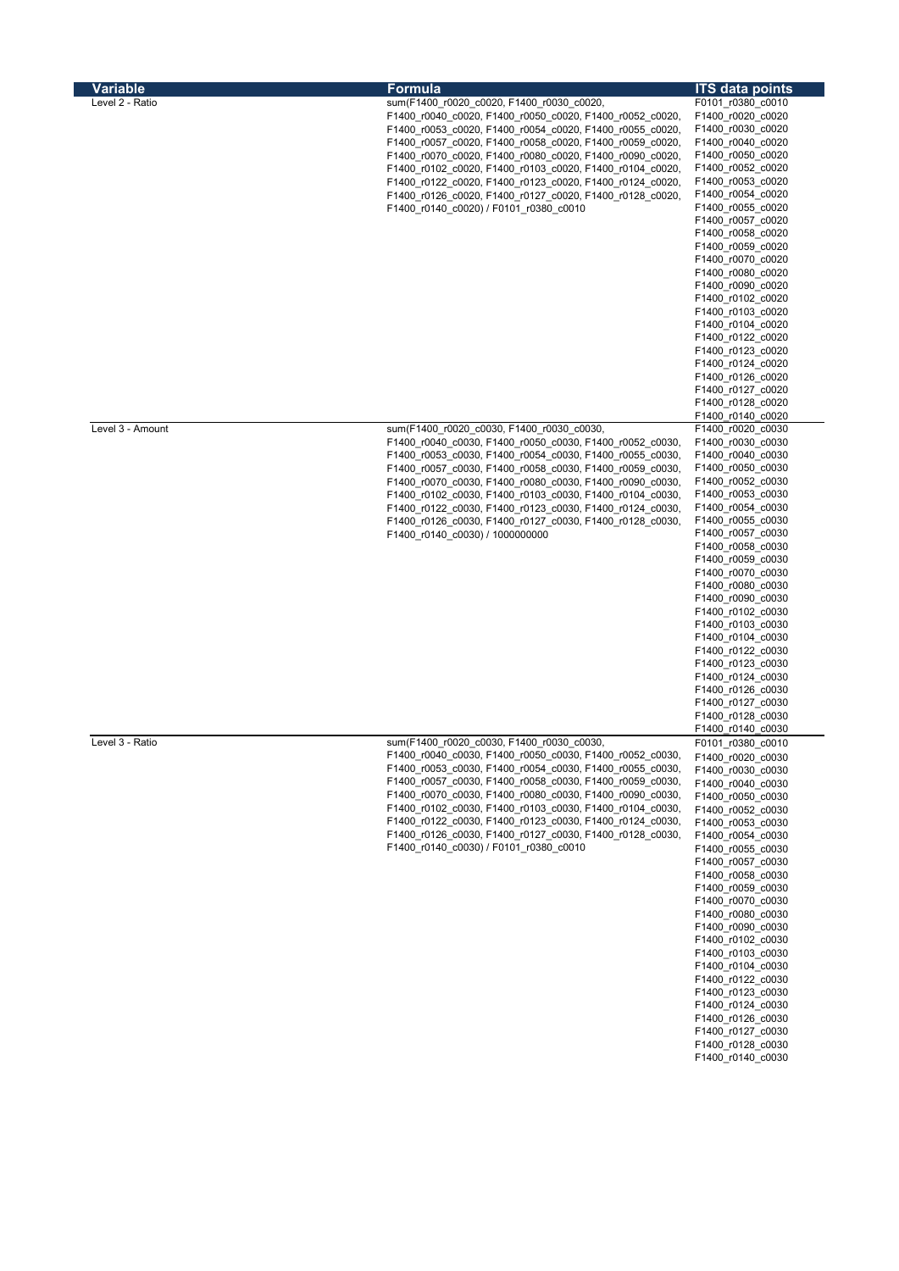| <b>Variable</b>  | <b>Formula</b>                                           | <b>ITS data points</b> |
|------------------|----------------------------------------------------------|------------------------|
| Level 2 - Ratio  | sum(F1400_r0020_c0020, F1400_r0030_c0020,                | F0101 r0380 c0010      |
|                  | F1400_r0040_c0020, F1400_r0050_c0020, F1400_r0052_c0020, | F1400_r0020_c0020      |
|                  | F1400_r0053_c0020, F1400_r0054_c0020, F1400_r0055_c0020, | F1400 r0030 c0020      |
|                  | F1400 r0057 c0020, F1400 r0058 c0020, F1400 r0059 c0020, | F1400 r0040 c0020      |
|                  | F1400 r0070 c0020, F1400 r0080 c0020, F1400 r0090 c0020, | F1400_r0050_c0020      |
|                  | F1400_r0102_c0020, F1400_r0103_c0020, F1400_r0104_c0020, | F1400_r0052_c0020      |
|                  | F1400_r0122_c0020, F1400_r0123_c0020, F1400_r0124_c0020, | F1400_r0053_c0020      |
|                  | F1400_r0126_c0020, F1400_r0127_c0020, F1400_r0128_c0020, | F1400_r0054_c0020      |
|                  | F1400_r0140_c0020) / F0101_r0380_c0010                   | F1400_r0055_c0020      |
|                  |                                                          | F1400_r0057_c0020      |
|                  |                                                          | F1400 r0058 c0020      |
|                  |                                                          | F1400 r0059 c0020      |
|                  |                                                          | F1400_r0070_c0020      |
|                  |                                                          | F1400_r0080_c0020      |
|                  |                                                          |                        |
|                  |                                                          | F1400_r0090_c0020      |
|                  |                                                          | F1400 r0102 c0020      |
|                  |                                                          | F1400_r0103_c0020      |
|                  |                                                          | F1400_r0104_c0020      |
|                  |                                                          | F1400_r0122_c0020      |
|                  |                                                          | F1400_r0123_c0020      |
|                  |                                                          | F1400_r0124_c0020      |
|                  |                                                          | F1400_r0126_c0020      |
|                  |                                                          | F1400_r0127_c0020      |
|                  |                                                          | F1400_r0128_c0020      |
|                  |                                                          | F1400_r0140_c0020      |
| Level 3 - Amount | sum(F1400 r0020 c0030, F1400 r0030 c0030,                | F1400 r0020 c0030      |
|                  | F1400 r0040 c0030, F1400 r0050 c0030, F1400 r0052 c0030, | F1400_r0030_c0030      |
|                  | F1400_r0053_c0030, F1400_r0054_c0030, F1400_r0055_c0030, | F1400 r0040 c0030      |
|                  | F1400 r0057 c0030, F1400 r0058 c0030, F1400 r0059 c0030, | F1400 r0050 c0030      |
|                  |                                                          |                        |
|                  | F1400 r0070 c0030, F1400 r0080 c0030, F1400 r0090 c0030, | F1400_r0052_c0030      |
|                  | F1400 r0102 c0030, F1400 r0103 c0030, F1400 r0104 c0030, | F1400 r0053 c0030      |
|                  | F1400_r0122_c0030, F1400_r0123_c0030, F1400_r0124_c0030, | F1400_r0054_c0030      |
|                  | F1400_r0126_c0030, F1400_r0127_c0030, F1400_r0128_c0030, | F1400_r0055_c0030      |
|                  | F1400_r0140_c0030) / 1000000000                          | F1400 r0057 c0030      |
|                  |                                                          | F1400_r0058_c0030      |
|                  |                                                          | F1400_r0059_c0030      |
|                  |                                                          | F1400_r0070_c0030      |
|                  |                                                          | F1400_r0080_c0030      |
|                  |                                                          | F1400_r0090_c0030      |
|                  |                                                          | F1400_r0102_c0030      |
|                  |                                                          | F1400_r0103_c0030      |
|                  |                                                          | F1400_r0104_c0030      |
|                  |                                                          | F1400_r0122_c0030      |
|                  |                                                          | F1400 r0123 c0030      |
|                  |                                                          | F1400_r0124_c0030      |
|                  |                                                          |                        |
|                  |                                                          | F1400_r0126_c0030      |
|                  |                                                          | F1400 r0127 c0030      |
|                  |                                                          | F1400_r0128_c0030      |
|                  |                                                          | F1400 r0140 c0030      |
| Level 3 - Ratio  | sum(F1400 r0020 c0030, F1400 r0030 c0030,                | F0101_r0380_c0010      |
|                  | F1400 r0040 c0030, F1400 r0050 c0030, F1400 r0052 c0030, | F1400_r0020_c0030      |
|                  | F1400_r0053_c0030, F1400_r0054_c0030, F1400_r0055_c0030, | F1400 r0030 c0030      |
|                  | F1400 r0057 c0030, F1400 r0058 c0030, F1400 r0059 c0030, | F1400_r0040_c0030      |
|                  | F1400 r0070 c0030, F1400 r0080 c0030, F1400 r0090 c0030, | F1400_r0050_c0030      |
|                  | F1400 r0102 c0030, F1400 r0103 c0030, F1400 r0104 c0030, | F1400_r0052_c0030      |
|                  | F1400_r0122_c0030, F1400_r0123_c0030, F1400_r0124_c0030, | F1400_r0053_c0030      |
|                  | F1400 r0126 c0030, F1400 r0127 c0030, F1400 r0128 c0030, |                        |
|                  |                                                          | F1400_r0054_c0030      |
|                  | F1400_r0140_c0030) / F0101_r0380_c0010                   | F1400_r0055_c0030      |
|                  |                                                          | F1400_r0057_c0030      |
|                  |                                                          | F1400_r0058_c0030      |
|                  |                                                          | F1400_r0059_c0030      |
|                  |                                                          | F1400_r0070_c0030      |
|                  |                                                          | F1400_r0080_c0030      |
|                  |                                                          | F1400 r0090 c0030      |
|                  |                                                          | F1400_r0102_c0030      |
|                  |                                                          | F1400_r0103_c0030      |
|                  |                                                          | F1400_r0104_c0030      |
|                  |                                                          | F1400_r0122_c0030      |
|                  |                                                          | F1400_r0123_c0030      |
|                  |                                                          | F1400_r0124_c0030      |
|                  |                                                          |                        |
|                  |                                                          | F1400_r0126_c0030      |
|                  |                                                          | F1400_r0127_c0030      |
|                  |                                                          | F1400_r0128_c0030      |
|                  |                                                          | F1400_r0140_c0030      |
|                  |                                                          |                        |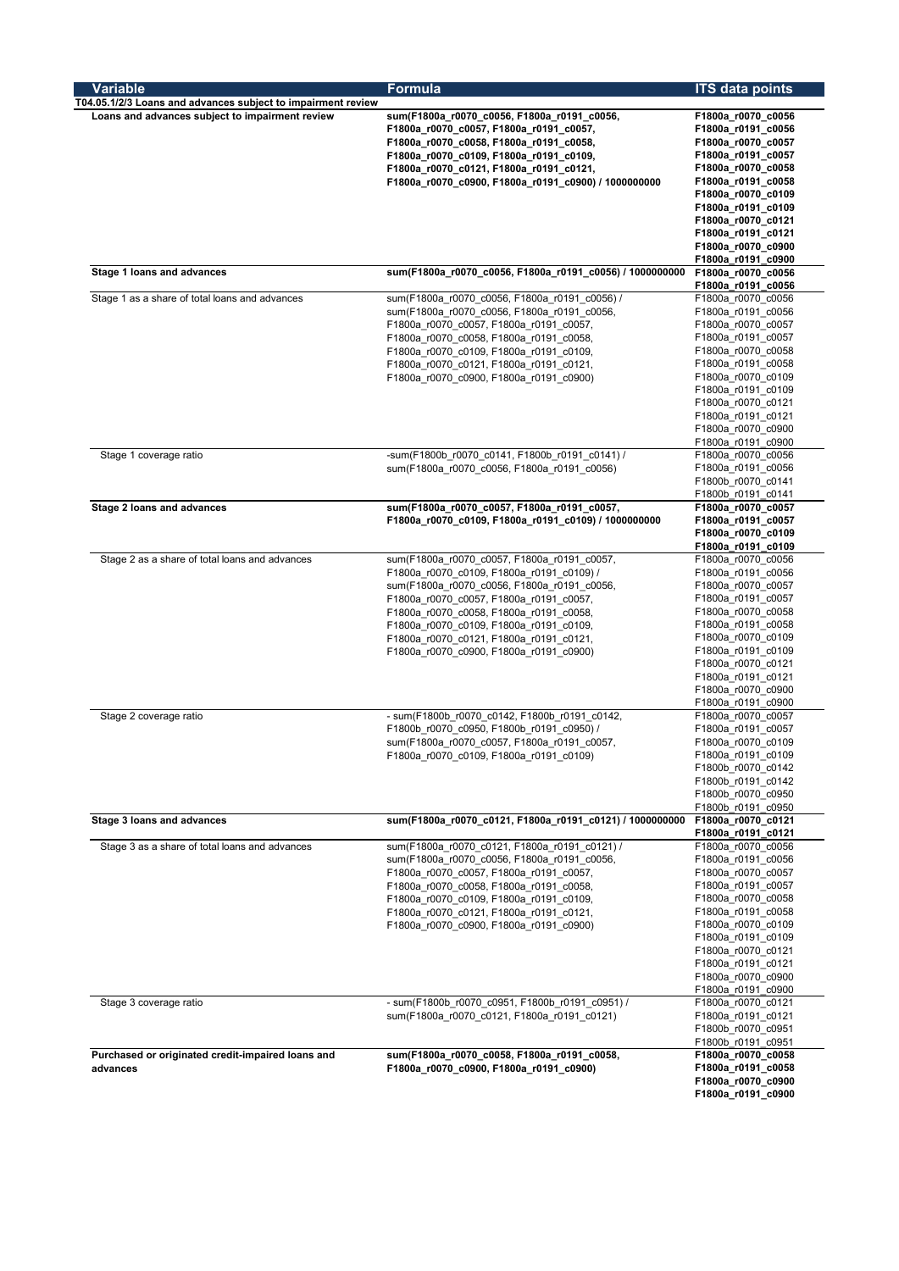| <b>Variable</b>                                              | <b>Formula</b>                                                                                                                                                                       | <b>ITS data points</b>                   |
|--------------------------------------------------------------|--------------------------------------------------------------------------------------------------------------------------------------------------------------------------------------|------------------------------------------|
| T04.05.1/2/3 Loans and advances subject to impairment review |                                                                                                                                                                                      |                                          |
| Loans and advances subject to impairment review              | sum(F1800a_r0070_c0056, F1800a_r0191_c0056,                                                                                                                                          | F1800a_r0070_c0056                       |
|                                                              | F1800a_r0070_c0057, F1800a_r0191_c0057,                                                                                                                                              | F1800a_r0191_c0056                       |
|                                                              | F1800a_r0070_c0058, F1800a_r0191_c0058,                                                                                                                                              | F1800a_r0070_c0057                       |
|                                                              | F1800a_r0070_c0109, F1800a_r0191_c0109,                                                                                                                                              | F1800a_r0191_c0057                       |
|                                                              | F1800a_r0070_c0121, F1800a_r0191_c0121,                                                                                                                                              | F1800a_r0070_c0058<br>F1800a_r0191_c0058 |
|                                                              | F1800a_r0070_c0900, F1800a_r0191_c0900) / 1000000000                                                                                                                                 | F1800a_r0070_c0109                       |
|                                                              |                                                                                                                                                                                      | F1800a_r0191_c0109                       |
|                                                              |                                                                                                                                                                                      | F1800a_r0070_c0121                       |
|                                                              |                                                                                                                                                                                      | F1800a_r0191_c0121                       |
|                                                              |                                                                                                                                                                                      | F1800a_r0070_c0900                       |
|                                                              |                                                                                                                                                                                      | F1800a_r0191_c0900                       |
| Stage 1 loans and advances                                   | sum(F1800a_r0070_c0056, F1800a_r0191_c0056) / 1000000000                                                                                                                             | F1800a_r0070_c0056                       |
|                                                              |                                                                                                                                                                                      | F1800a_r0191_c0056                       |
| Stage 1 as a share of total loans and advances               | sum(F1800a_r0070_c0056, F1800a_r0191_c0056) /<br>sum(F1800a r0070 c0056, F1800a r0191 c0056,                                                                                         | F1800a_r0070_c0056<br>F1800a_r0191_c0056 |
|                                                              | F1800a_r0070_c0057, F1800a_r0191_c0057,                                                                                                                                              | F1800a_r0070_c0057                       |
|                                                              | F1800a_r0070_c0058, F1800a_r0191_c0058,                                                                                                                                              | F1800a r0191 c0057                       |
|                                                              | F1800a r0070 c0109, F1800a r0191 c0109,                                                                                                                                              | F1800a_r0070_c0058                       |
|                                                              | F1800a r0070 c0121, F1800a r0191 c0121,                                                                                                                                              | F1800a_r0191_c0058                       |
|                                                              | F1800a r0070 c0900, F1800a r0191 c0900)                                                                                                                                              | F1800a_r0070_c0109                       |
|                                                              |                                                                                                                                                                                      | F1800a r0191 c0109                       |
|                                                              |                                                                                                                                                                                      | F1800a r0070 c0121                       |
|                                                              |                                                                                                                                                                                      | F1800a r0191 c0121                       |
|                                                              |                                                                                                                                                                                      | F1800a_r0070_c0900                       |
| Stage 1 coverage ratio                                       | -sum(F1800b r0070 c0141, F1800b r0191 c0141) /                                                                                                                                       | F1800a r0191 c0900                       |
|                                                              | sum(F1800a r0070 c0056, F1800a r0191 c0056)                                                                                                                                          | F1800a_r0070_c0056<br>F1800a_r0191_c0056 |
|                                                              |                                                                                                                                                                                      | F1800b_r0070_c0141                       |
|                                                              |                                                                                                                                                                                      | F1800b r0191 c0141                       |
| Stage 2 loans and advances                                   | sum(F1800a_r0070_c0057, F1800a_r0191_c0057,                                                                                                                                          | F1800a r0070 c0057                       |
|                                                              | F1800a_r0070_c0109, F1800a_r0191_c0109) / 1000000000                                                                                                                                 | F1800a_r0191_c0057                       |
|                                                              |                                                                                                                                                                                      | F1800a_r0070_c0109                       |
|                                                              |                                                                                                                                                                                      | F1800a_r0191_c0109                       |
| Stage 2 as a share of total loans and advances               | sum(F1800a r0070 c0057, F1800a r0191 c0057,                                                                                                                                          | F1800a r0070 c0056                       |
|                                                              | F1800a r0070 c0109, F1800a r0191 c0109) /                                                                                                                                            | F1800a_r0191_c0056                       |
|                                                              | sum (F1800a r0070 c0056, F1800a r0191 c0056,                                                                                                                                         | F1800a_r0070_c0057                       |
|                                                              | F1800a_r0070_c0057, F1800a_r0191_c0057,<br>F1800a_r0070_c0058, F1800a_r0191_c0058,                                                                                                   | F1800a_r0191_c0057<br>F1800a_r0070_c0058 |
|                                                              | F1800a_r0070_c0109, F1800a_r0191_c0109,                                                                                                                                              | F1800a_r0191_c0058                       |
|                                                              | F1800a_r0070_c0121, F1800a_r0191_c0121,                                                                                                                                              | F1800a_r0070_c0109                       |
|                                                              | F1800a r0070 c0900, F1800a r0191 c0900)                                                                                                                                              | F1800a_r0191_c0109                       |
|                                                              |                                                                                                                                                                                      | F1800a r0070 c0121                       |
|                                                              |                                                                                                                                                                                      | F1800a r0191 c0121                       |
|                                                              |                                                                                                                                                                                      | F1800a_r0070_c0900                       |
|                                                              |                                                                                                                                                                                      | F1800a_r0191_c0900                       |
| Stage 2 coverage ratio                                       | - sum(F1800b r0070 c0142, F1800b r0191 c0142,<br>F1800b r0070 c0950, F1800b r0191 c0950) /<br>sum(F1800a_r0070_c0057, F1800a_r0191_c0057,<br>F1800a r0070 c0109, F1800a r0191 c0109) | F1800a r0070 c0057                       |
|                                                              |                                                                                                                                                                                      | F1800a r0191 c0057                       |
|                                                              |                                                                                                                                                                                      | F1800a r0070 c0109<br>F1800a r0191 c0109 |
|                                                              |                                                                                                                                                                                      | F1800b_r0070_c0142                       |
|                                                              |                                                                                                                                                                                      | F1800b_r0191_c0142                       |
|                                                              |                                                                                                                                                                                      | F1800b_r0070_c0950                       |
|                                                              |                                                                                                                                                                                      | F1800b_r0191_c0950                       |
| Stage 3 loans and advances                                   | sum(F1800a_r0070_c0121, F1800a_r0191_c0121) / 1000000000                                                                                                                             | F1800a_r0070_c0121                       |
|                                                              |                                                                                                                                                                                      | F1800a_r0191_c0121                       |
| Stage 3 as a share of total loans and advances               | sum(F1800a r0070 c0121, F1800a r0191 c0121) /                                                                                                                                        | F1800a r0070 c0056                       |
|                                                              | sum(F1800a r0070 c0056, F1800a r0191 c0056,                                                                                                                                          | F1800a_r0191_c0056                       |
|                                                              | F1800a_r0070_c0057, F1800a_r0191_c0057,<br>F1800a r0070 c0058, F1800a r0191 c0058,                                                                                                   | F1800a_r0070_c0057<br>F1800a_r0191_c0057 |
|                                                              | F1800a r0070 c0109, F1800a r0191 c0109,                                                                                                                                              | F1800a_r0070_c0058                       |
|                                                              | F1800a_r0070_c0121, F1800a_r0191_c0121,                                                                                                                                              | F1800a_r0191_c0058                       |
|                                                              | F1800a_r0070_c0900, F1800a_r0191_c0900)                                                                                                                                              | F1800a_r0070_c0109                       |
|                                                              |                                                                                                                                                                                      | F1800a_r0191_c0109                       |
|                                                              |                                                                                                                                                                                      | F1800a_r0070_c0121                       |
|                                                              |                                                                                                                                                                                      | F1800a_r0191_c0121                       |
|                                                              |                                                                                                                                                                                      | F1800a_r0070_c0900                       |
|                                                              |                                                                                                                                                                                      | F1800a_r0191_c0900                       |
| Stage 3 coverage ratio                                       | - sum(F1800b r0070 c0951, F1800b r0191 c0951) /                                                                                                                                      | F1800a_r0070_c0121                       |
|                                                              | sum(F1800a_r0070_c0121, F1800a_r0191_c0121)                                                                                                                                          | F1800a_r0191_c0121                       |
|                                                              |                                                                                                                                                                                      | F1800b_r0070_c0951<br>F1800b_r0191_c0951 |
| Purchased or originated credit-impaired loans and            | sum(F1800a_r0070_c0058, F1800a_r0191_c0058,                                                                                                                                          | F1800a_r0070_c0058                       |
| advances                                                     | F1800a_r0070_c0900, F1800a_r0191_c0900)                                                                                                                                              | F1800a_r0191_c0058                       |
|                                                              |                                                                                                                                                                                      | F1800a_r0070_c0900                       |
|                                                              |                                                                                                                                                                                      | F1800a_r0191_c0900                       |
|                                                              |                                                                                                                                                                                      |                                          |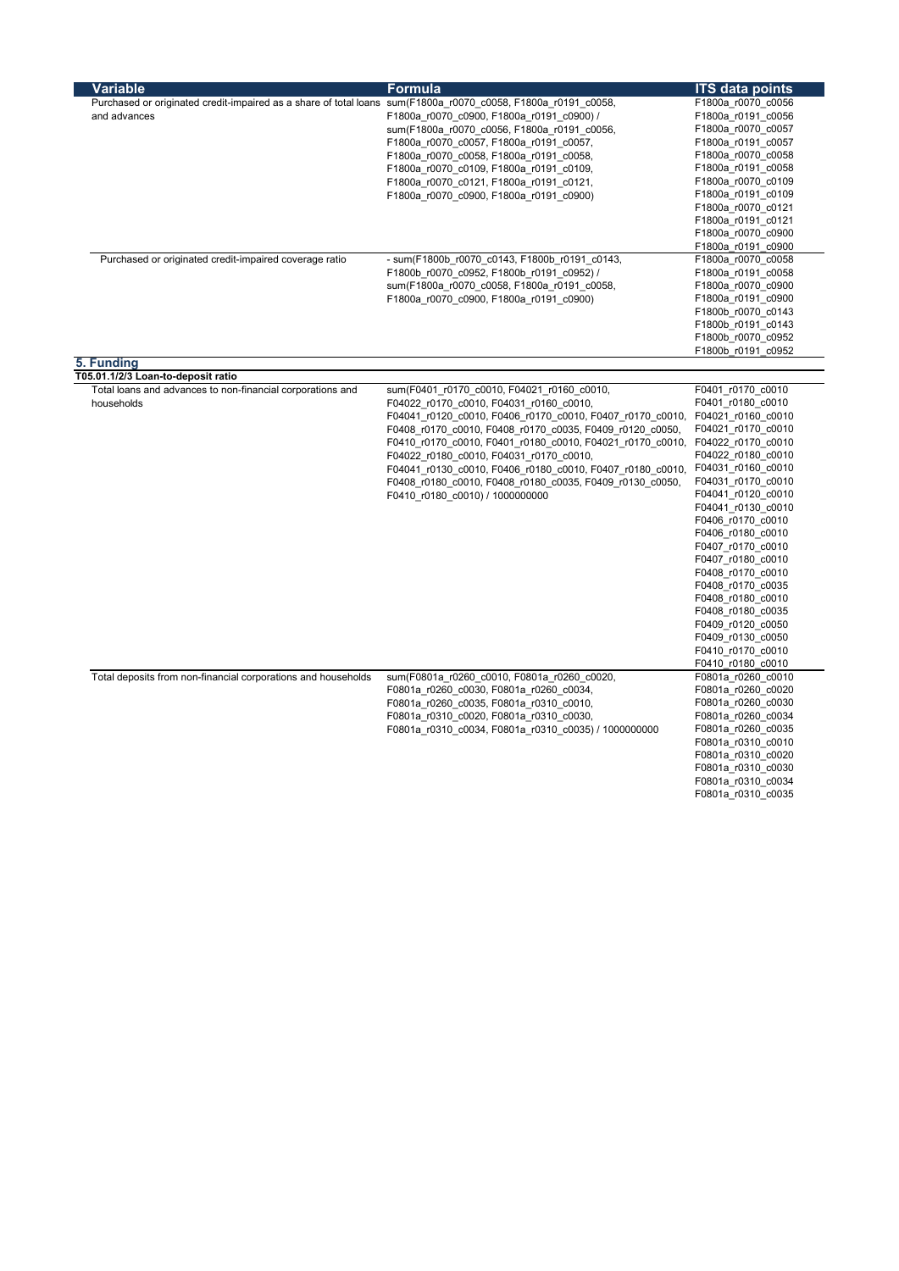| Variable                                                                                                      | Formula                                                   | <b>ITS data points</b> |
|---------------------------------------------------------------------------------------------------------------|-----------------------------------------------------------|------------------------|
| Purchased or originated credit-impaired as a share of total loans sum(F1800a_r0070_c0058, F1800a_r0191_c0058, |                                                           | F1800a_r0070_c0056     |
| and advances                                                                                                  | F1800a r0070 c0900, F1800a r0191 c0900) /                 | F1800a r0191 c0056     |
|                                                                                                               | sum(F1800a r0070 c0056, F1800a r0191 c0056,               | F1800a r0070 c0057     |
|                                                                                                               | F1800a r0070 c0057, F1800a r0191 c0057,                   | F1800a r0191 c0057     |
|                                                                                                               | F1800a r0070 c0058, F1800a r0191 c0058,                   | F1800a r0070 c0058     |
|                                                                                                               | F1800a_r0070_c0109, F1800a_r0191_c0109,                   | F1800a_r0191_c0058     |
|                                                                                                               | F1800a r0070 c0121, F1800a r0191 c0121,                   | F1800a r0070 c0109     |
|                                                                                                               | F1800a r0070 c0900, F1800a r0191 c0900)                   | F1800a r0191 c0109     |
|                                                                                                               |                                                           | F1800a_r0070_c0121     |
|                                                                                                               |                                                           | F1800a r0191 c0121     |
|                                                                                                               |                                                           | F1800a r0070 c0900     |
|                                                                                                               |                                                           | F1800a r0191 c0900     |
| Purchased or originated credit-impaired coverage ratio                                                        | - sum(F1800b r0070 c0143, F1800b r0191 c0143,             | F1800a r0070 c0058     |
|                                                                                                               | F1800b r0070 c0952, F1800b r0191 c0952) /                 | F1800a r0191 c0058     |
|                                                                                                               | sum(F1800a r0070 c0058, F1800a r0191 c0058,               | F1800a r0070 c0900     |
|                                                                                                               | F1800a r0070 c0900, F1800a r0191 c0900)                   | F1800a r0191 c0900     |
|                                                                                                               |                                                           | F1800b r0070 c0143     |
|                                                                                                               |                                                           | F1800b r0191 c0143     |
|                                                                                                               |                                                           | F1800b r0070 c0952     |
|                                                                                                               |                                                           | F1800b r0191 c0952     |
| 5. Funding<br>T05.01.1/2/3 Loan-to-deposit ratio                                                              |                                                           |                        |
| Total loans and advances to non-financial corporations and                                                    | sum(F0401_r0170_c0010, F04021_r0160_c0010,                | F0401 r0170 c0010      |
| households                                                                                                    | F04022 r0170 c0010, F04031 r0160 c0010,                   | F0401 r0180 c0010      |
|                                                                                                               | F04041_r0120_c0010, F0406_r0170_c0010, F0407_r0170_c0010, | F04021 r0160 c0010     |
|                                                                                                               | F0408 r0170 c0010, F0408 r0170 c0035, F0409 r0120 c0050,  | F04021 r0170 c0010     |
|                                                                                                               | F0410 r0170 c0010, F0401 r0180 c0010, F04021 r0170 c0010, | F04022 r0170 c0010     |
|                                                                                                               | F04022_r0180_c0010, F04031_r0170_c0010,                   | F04022 r0180 c0010     |
|                                                                                                               | F04041 r0130 c0010, F0406 r0180 c0010, F0407 r0180 c0010, | F04031 r0160 c0010     |
|                                                                                                               | F0408_r0180_c0010, F0408_r0180_c0035, F0409_r0130_c0050,  | F04031 r0170 c0010     |
|                                                                                                               | F0410 r0180 c0010) / 1000000000                           | F04041_r0120_c0010     |
|                                                                                                               |                                                           | F04041 r0130 c0010     |
|                                                                                                               |                                                           | F0406 r0170 c0010      |
|                                                                                                               |                                                           | F0406_r0180_c0010      |
|                                                                                                               |                                                           | F0407 r0170 c0010      |
|                                                                                                               |                                                           | F0407 r0180 c0010      |
|                                                                                                               |                                                           | F0408 r0170 c0010      |
|                                                                                                               |                                                           | F0408 r0170 c0035      |
|                                                                                                               |                                                           | F0408_r0180_c0010      |
|                                                                                                               |                                                           | F0408_r0180_c0035      |
|                                                                                                               |                                                           | F0409_r0120_c0050      |
|                                                                                                               |                                                           | F0409 r0130 c0050      |
|                                                                                                               |                                                           | F0410_r0170_c0010      |
|                                                                                                               |                                                           | F0410 r0180 c0010      |
| Total deposits from non-financial corporations and households                                                 | sum(F0801a r0260 c0010, F0801a r0260 c0020,               | F0801a_r0260_c0010     |
|                                                                                                               | F0801a r0260 c0030, F0801a r0260 c0034,                   | F0801a r0260 c0020     |
|                                                                                                               | F0801a r0260 c0035, F0801a r0310 c0010,                   | F0801a r0260 c0030     |
|                                                                                                               | F0801a r0310 c0020, F0801a r0310 c0030,                   | F0801a_r0260_c0034     |
|                                                                                                               | F0801a r0310 c0034, F0801a r0310 c0035) / 1000000000      | F0801a r0260 c0035     |
|                                                                                                               |                                                           | F0801a_r0310_c0010     |
|                                                                                                               |                                                           | F0801a_r0310_c0020     |
|                                                                                                               |                                                           | F0801a r0310 c0030     |
|                                                                                                               |                                                           | F0801a_r0310_c0034     |
|                                                                                                               |                                                           | F0801a_r0310_c0035     |
|                                                                                                               |                                                           |                        |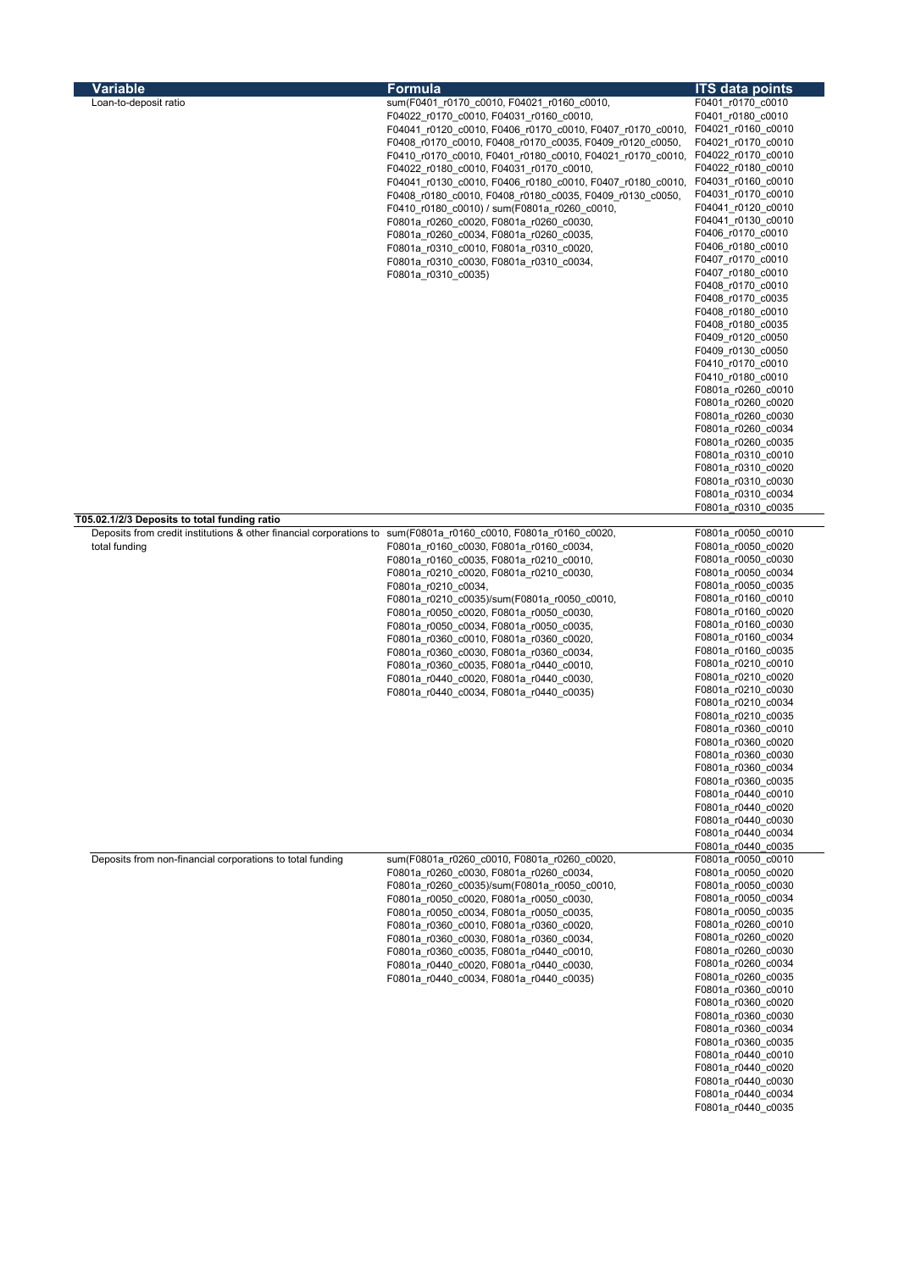|  |  | Variable |  |
|--|--|----------|--|
|  |  |          |  |

| Variable                                                            | Formula                                                                                              | <b>ITS data points</b>                   |
|---------------------------------------------------------------------|------------------------------------------------------------------------------------------------------|------------------------------------------|
| Loan-to-deposit ratio                                               | sum(F0401 r0170 c0010, F04021 r0160 c0010,                                                           | F0401 r0170 c0010                        |
|                                                                     | F04022 r0170 c0010, F04031 r0160 c0010,                                                              | F0401 r0180 c0010                        |
|                                                                     | F04041_r0120_c0010, F0406_r0170_c0010, F0407_r0170_c0010, F04021_r0160_c0010                         |                                          |
|                                                                     | F0408 r0170 c0010, F0408 r0170 c0035, F0409 r0120 c0050,                                             | F04021_r0170_c0010                       |
|                                                                     | F0410 r0170 c0010, F0401 r0180 c0010, F04021 r0170 c0010,                                            | F04022_r0170_c0010                       |
|                                                                     | F04022_r0180_c0010, F04031_r0170_c0010,<br>F04041 r0130 c0010, F0406 r0180 c0010, F0407 r0180 c0010, | F04022 r0180 c0010<br>F04031_r0160_c0010 |
|                                                                     | F0408 r0180 c0010, F0408 r0180 c0035, F0409 r0130 c0050,                                             | F04031_r0170_c0010                       |
|                                                                     | F0410_r0180_c0010) / sum(F0801a_r0260_c0010,                                                         | F04041_r0120_c0010                       |
|                                                                     | F0801a r0260 c0020, F0801a r0260 c0030,                                                              | F04041 r0130 c0010                       |
|                                                                     | F0801a_r0260_c0034, F0801a_r0260_c0035,                                                              | F0406 r0170 c0010                        |
|                                                                     | F0801a_r0310_c0010, F0801a_r0310_c0020,                                                              | F0406_r0180_c0010                        |
|                                                                     | F0801a r0310 c0030, F0801a r0310 c0034,                                                              | F0407_r0170_c0010                        |
|                                                                     | F0801a_r0310_c0035)                                                                                  | F0407_r0180_c0010                        |
|                                                                     |                                                                                                      | F0408_r0170_c0010                        |
|                                                                     |                                                                                                      | F0408_r0170_c0035                        |
|                                                                     |                                                                                                      | F0408_r0180_c0010                        |
|                                                                     |                                                                                                      | F0408_r0180_c0035<br>F0409_r0120_c0050   |
|                                                                     |                                                                                                      | F0409_r0130_c0050                        |
|                                                                     |                                                                                                      | F0410_r0170_c0010                        |
|                                                                     |                                                                                                      | F0410 r0180 c0010                        |
|                                                                     |                                                                                                      | F0801a r0260 c0010                       |
|                                                                     |                                                                                                      | F0801a_r0260_c0020                       |
|                                                                     |                                                                                                      | F0801a_r0260_c0030                       |
|                                                                     |                                                                                                      | F0801a_r0260_c0034                       |
|                                                                     |                                                                                                      | F0801a_r0260_c0035                       |
|                                                                     |                                                                                                      | F0801a_r0310_c0010                       |
|                                                                     |                                                                                                      | F0801a_r0310_c0020<br>F0801a_r0310_c0030 |
|                                                                     |                                                                                                      | F0801a r0310 c0034                       |
|                                                                     |                                                                                                      | F0801a_r0310_c0035                       |
| T05.02.1/2/3 Deposits to total funding ratio                        |                                                                                                      |                                          |
| Deposits from credit institutions & other financial corporations to | sum(F0801a r0160 c0010, F0801a r0160 c0020,                                                          | F0801a_r0050_c0010                       |
| total funding                                                       | F0801a_r0160_c0030, F0801a_r0160_c0034,                                                              | F0801a_r0050_c0020                       |
|                                                                     | F0801a r0160 c0035, F0801a r0210 c0010,                                                              | F0801a_r0050_c0030<br>F0801a_r0050_c0034 |
|                                                                     | F0801a_r0210_c0020, F0801a_r0210_c0030,<br>F0801a r0210 c0034,                                       | F0801a_r0050_c0035                       |
|                                                                     | F0801a_r0210_c0035)/sum(F0801a_r0050_c0010,                                                          | F0801a r0160 c0010                       |
|                                                                     | F0801a_r0050_c0020, F0801a_r0050_c0030,                                                              | F0801a_r0160_c0020                       |
|                                                                     | F0801a r0050 c0034, F0801a r0050 c0035,                                                              | F0801a_r0160_c0030                       |
|                                                                     | F0801a r0360 c0010, F0801a r0360 c0020,                                                              | F0801a_r0160_c0034                       |
|                                                                     | F0801a_r0360_c0030, F0801a_r0360_c0034,                                                              | F0801a_r0160_c0035                       |
|                                                                     | F0801a r0360 c0035, F0801a r0440 c0010,                                                              | F0801a r0210 c0010                       |
|                                                                     | F0801a_r0440_c0020, F0801a_r0440_c0030,                                                              | F0801a_r0210_c0020                       |
|                                                                     | F0801a r0440 c0034, F0801a r0440 c0035)                                                              | F0801a_r0210_c0030<br>F0801a r0210 c0034 |
|                                                                     |                                                                                                      | F0801a r0210 c0035                       |
|                                                                     |                                                                                                      | F0801a_r0360_c0010                       |
|                                                                     |                                                                                                      | F0801a r0360 c0020                       |
|                                                                     |                                                                                                      | F0801a_r0360_c0030                       |
|                                                                     |                                                                                                      | F0801a_r0360_c0034                       |
|                                                                     |                                                                                                      | F0801a r0360 c0035                       |
|                                                                     |                                                                                                      | F0801a_r0440_c0010                       |
|                                                                     |                                                                                                      | F0801a_r0440_c0020                       |
|                                                                     |                                                                                                      | F0801a r0440 c0030                       |
|                                                                     |                                                                                                      | F0801a_r0440_c0034<br>F0801a_r0440_c0035 |
| Deposits from non-financial corporations to total funding           | sum(F0801a_r0260_c0010, F0801a_r0260_c0020,                                                          | F0801a_r0050_c0010                       |
|                                                                     | F0801a r0260 c0030, F0801a r0260 c0034,                                                              | F0801a r0050 c0020                       |
|                                                                     | F0801a r0260 c0035)/sum(F0801a r0050 c0010,                                                          | F0801a_r0050_c0030                       |
|                                                                     | F0801a_r0050_c0020, F0801a_r0050_c0030,                                                              | F0801a r0050 c0034                       |
|                                                                     | F0801a r0050 c0034, F0801a r0050 c0035,                                                              | F0801a_r0050_c0035                       |
|                                                                     | F0801a_r0360_c0010, F0801a_r0360_c0020,                                                              | F0801a_r0260_c0010                       |
|                                                                     | F0801a r0360 c0030, F0801a r0360 c0034,                                                              | F0801a r0260 c0020                       |
|                                                                     | F0801a r0360 c0035, F0801a r0440 c0010,                                                              | F0801a r0260 c0030                       |
|                                                                     | F0801a r0440 c0020, F0801a r0440 c0030,                                                              | F0801a_r0260_c0034<br>F0801a_r0260_c0035 |
|                                                                     | F0801a r0440 c0034, F0801a r0440 c0035)                                                              | F0801a r0360 c0010                       |
|                                                                     |                                                                                                      |                                          |

F0801a\_r0360\_c0020 F0801a\_r0360\_c0030 F0801a\_r0360\_c0034 F0801a\_r0360\_c0035 F0801a\_r0440\_c0010 F0801a\_r0440\_c0020 F0801a\_r0440\_c0030

F0801a\_r0440\_c0034 F0801a\_r0440\_c0035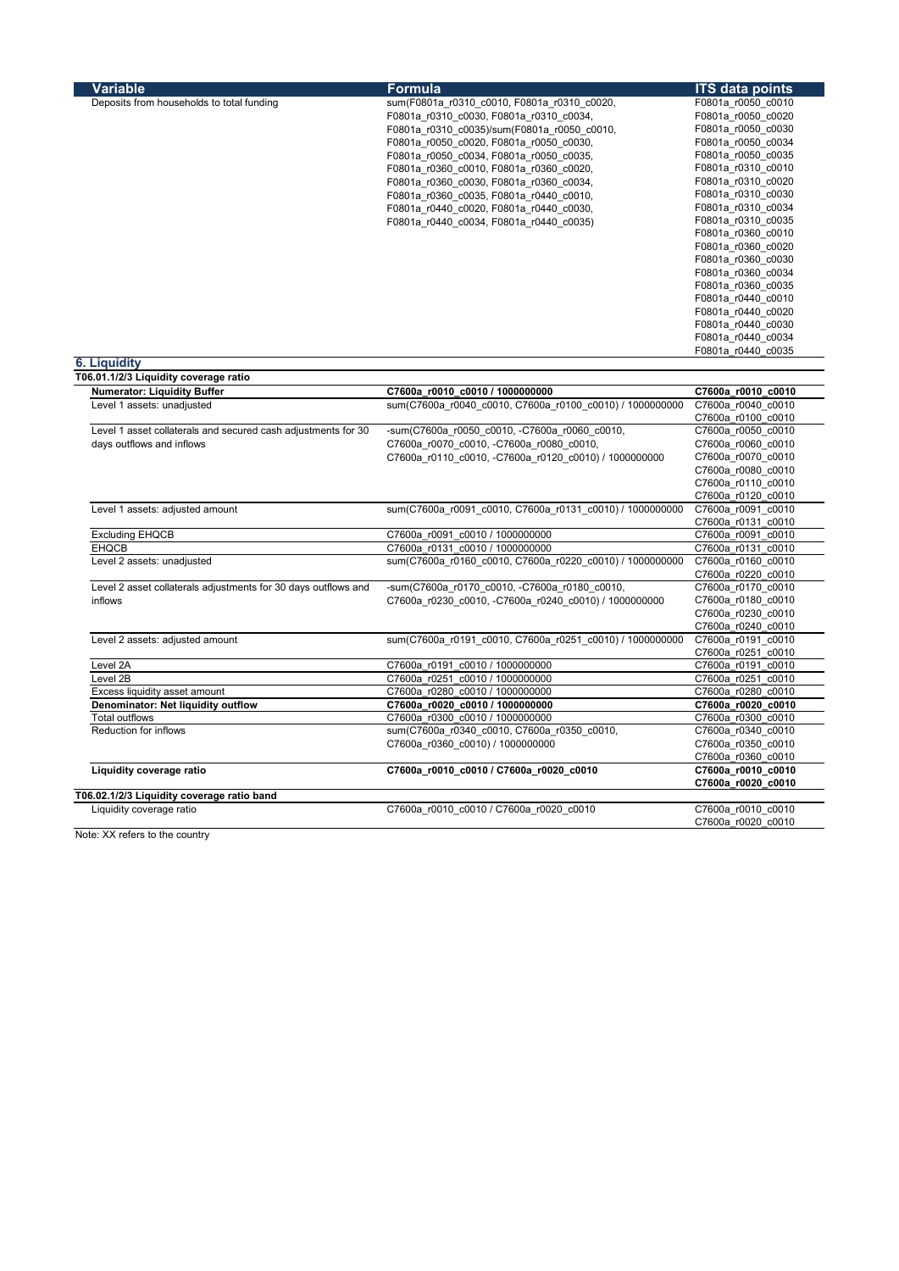| Variable                                                       | <b>Formula</b>                                           | <b>ITS data points</b> |
|----------------------------------------------------------------|----------------------------------------------------------|------------------------|
| Deposits from households to total funding                      | sum(F0801a r0310 c0010, F0801a r0310 c0020,              | F0801a r0050 c0010     |
|                                                                | F0801a r0310 c0030, F0801a r0310 c0034,                  | F0801a r0050 c0020     |
|                                                                | F0801a_r0310_c0035)/sum(F0801a_r0050_c0010,              | F0801a r0050 c0030     |
|                                                                | F0801a r0050 c0020, F0801a r0050 c0030,                  | F0801a r0050 c0034     |
|                                                                | F0801a r0050 c0034, F0801a r0050 c0035,                  | F0801a_r0050_c0035     |
|                                                                | F0801a r0360 c0010, F0801a r0360 c0020,                  | F0801a r0310 c0010     |
|                                                                | F0801a r0360 c0030, F0801a r0360 c0034,                  | F0801a r0310 c0020     |
|                                                                | F0801a r0360 c0035, F0801a r0440 c0010,                  | F0801a r0310 c0030     |
|                                                                | F0801a_r0440_c0020, F0801a_r0440_c0030,                  | F0801a_r0310_c0034     |
|                                                                | F0801a r0440 c0034, F0801a r0440 c0035)                  | F0801a r0310 c0035     |
|                                                                |                                                          | F0801a r0360 c0010     |
|                                                                |                                                          | F0801a_r0360_c0020     |
|                                                                |                                                          | F0801a r0360 c0030     |
|                                                                |                                                          | F0801a r0360 c0034     |
|                                                                |                                                          | F0801a r0360 c0035     |
|                                                                |                                                          | F0801a_r0440_c0010     |
|                                                                |                                                          | F0801a r0440 c0020     |
|                                                                |                                                          | F0801a r0440 c0030     |
|                                                                |                                                          | F0801a_r0440_c0034     |
|                                                                |                                                          | F0801a r0440 c0035     |
| 6. Liquidity                                                   |                                                          |                        |
| T06.01.1/2/3 Liquidity coverage ratio                          |                                                          |                        |
| <b>Numerator: Liquidity Buffer</b>                             | C7600a_r0010_c0010 / 1000000000                          | C7600a_r0010_c0010     |
| Level 1 assets: unadjusted                                     | sum(C7600a r0040 c0010, C7600a r0100 c0010) / 1000000000 | C7600a r0040 c0010     |
|                                                                |                                                          | C7600a r0100 c0010     |
| Level 1 asset collaterals and secured cash adjustments for 30  | -sum(C7600a r0050 c0010, -C7600a r0060 c0010,            | C7600a r0050 c0010     |
| days outflows and inflows                                      | C7600a_r0070_c0010, -C7600a_r0080_c0010,                 | C7600a_r0060_c0010     |
|                                                                | C7600a r0110 c0010, -C7600a r0120 c0010) / 1000000000    | C7600a r0070 c0010     |
|                                                                |                                                          | C7600a r0080 c0010     |
|                                                                |                                                          | C7600a r0110 c0010     |
|                                                                |                                                          | C7600a r0120 c0010     |
| Level 1 assets: adjusted amount                                | sum(C7600a r0091 c0010, C7600a r0131 c0010) / 1000000000 | C7600a r0091 c0010     |
|                                                                |                                                          | C7600a r0131 c0010     |
| <b>Excluding EHQCB</b>                                         | C7600a r0091 c0010 / 1000000000                          | C7600a r0091 c0010     |
| <b>EHQCB</b>                                                   | C7600a r0131 c0010 / 1000000000                          | C7600a r0131 c0010     |
| Level 2 assets: unadjusted                                     | sum(C7600a_r0160_c0010, C7600a_r0220_c0010) / 1000000000 | C7600a_r0160_c0010     |
|                                                                |                                                          | C7600a r0220 c0010     |
| Level 2 asset collaterals adjustments for 30 days outflows and | -sum(C7600a r0170 c0010, -C7600a r0180 c0010,            | C7600a r0170 c0010     |
| inflows                                                        | C7600a_r0230_c0010, -C7600a_r0240_c0010) / 1000000000    | C7600a r0180 c0010     |
|                                                                |                                                          | C7600a r0230 c0010     |
|                                                                |                                                          | C7600a r0240 c0010     |
| Level 2 assets: adjusted amount                                | sum(C7600a r0191 c0010, C7600a r0251 c0010) / 1000000000 | C7600a r0191 c0010     |
|                                                                |                                                          | C7600a r0251 c0010     |
| Level 2A                                                       | C7600a_r0191_c0010 / 1000000000                          | C7600a_r0191_c0010     |
| Level 2B                                                       | C7600a r0251 c0010 / 1000000000                          | C7600a r0251 c0010     |
| Excess liquidity asset amount                                  | C7600a r0280 c0010 / 1000000000                          | C7600a_r0280_c0010     |
| Denominator: Net liquidity outflow                             | C7600a_r0020_c0010 / 1000000000                          | C7600a r0020 c0010     |
| Total outflows                                                 | C7600a r0300 c0010 / 1000000000                          | C7600a r0300 c0010     |
| Reduction for inflows                                          | sum(C7600a r0340 c0010, C7600a r0350 c0010,              | C7600a r0340 c0010     |
|                                                                | C7600a_r0360_c0010) / 1000000000                         | C7600a r0350 c0010     |
|                                                                |                                                          | C7600a r0360 c0010     |
| Liquidity coverage ratio                                       | C7600a r0010 c0010 / C7600a r0020 c0010                  | C7600a r0010 c0010     |
|                                                                |                                                          | C7600a_r0020_c0010     |
| T06.02.1/2/3 Liquidity coverage ratio band                     |                                                          |                        |
| Liquidity coverage ratio                                       | C7600a r0010 c0010 / C7600a r0020 c0010                  | C7600a r0010 c0010     |
|                                                                |                                                          | C7600a r0020 c0010     |

Note: XX refers to the country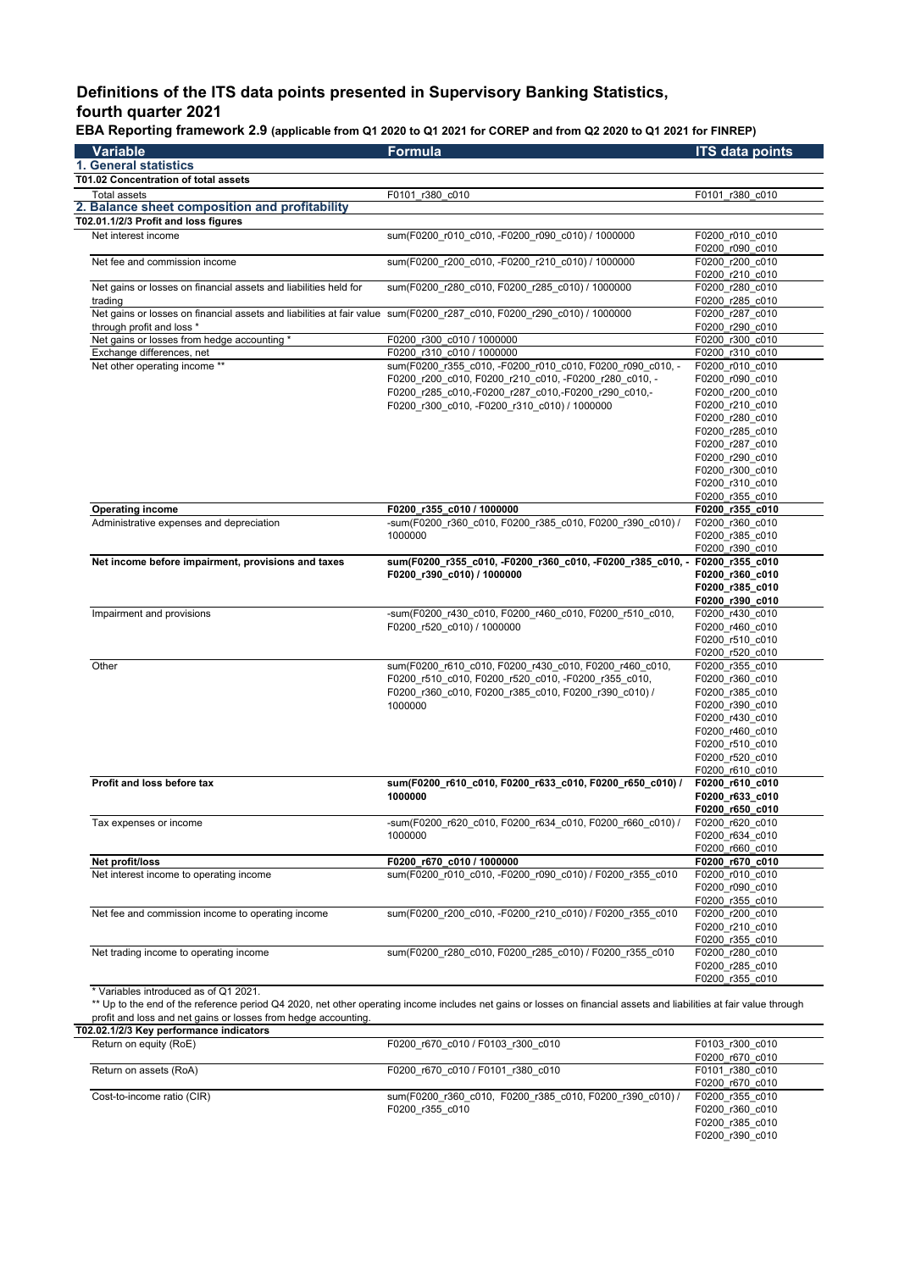## **Definitions of the ITS data points presented in Supervisory Banking Statistics, fourth quarter 2021**

### **EBA Reporting framework 2.9 (applicable from Q1 2020 to Q1 2021 for COREP and from Q2 2020 to Q1 2021 for FINREP)**

| <b>Variable</b><br>1. General statistics                                                                              | <b>Formula</b>                                                                                              | <b>ITS data points</b>             |
|-----------------------------------------------------------------------------------------------------------------------|-------------------------------------------------------------------------------------------------------------|------------------------------------|
| T01.02 Concentration of total assets                                                                                  |                                                                                                             |                                    |
| <b>Total assets</b>                                                                                                   | F0101 r380 c010                                                                                             | F0101 r380 c010                    |
| 2. Balance sheet composition and profitability                                                                        |                                                                                                             |                                    |
| T02.01.1/2/3 Profit and loss figures                                                                                  |                                                                                                             |                                    |
| Net interest income                                                                                                   | sum(F0200 r010 c010, -F0200 r090 c010) / 1000000                                                            | F0200_r010_c010                    |
|                                                                                                                       |                                                                                                             | F0200 r090 c010                    |
| Net fee and commission income                                                                                         | sum(F0200_r200_c010, -F0200_r210_c010) / 1000000                                                            | F0200_r200_c010                    |
|                                                                                                                       |                                                                                                             | F0200_r210_c010                    |
| Net gains or losses on financial assets and liabilities held for                                                      | sum(F0200 r280 c010, F0200 r285 c010) / 1000000                                                             | F0200 r280 c010                    |
| trading                                                                                                               |                                                                                                             | F0200 r285 c010                    |
| Net gains or losses on financial assets and liabilities at fair value sum(F0200 r287 c010, F0200 r290 c010) / 1000000 |                                                                                                             | F0200 r287 c010                    |
| through profit and loss *                                                                                             |                                                                                                             | F0200_r290_c010                    |
| Net gains or losses from hedge accounting *                                                                           | F0200 r300 c010 / 1000000                                                                                   | F0200 r300 c010                    |
| Exchange differences, net                                                                                             | F0200 r310 c010 / 1000000                                                                                   | F0200 r310 c010                    |
| Net other operating income **                                                                                         | sum(F0200_r355_c010, -F0200_r010_c010, F0200_r090_c010, -                                                   | F0200_r010_c010                    |
|                                                                                                                       | F0200 r200 c010, F0200 r210 c010, -F0200 r280 c010, -                                                       | F0200 r090 c010                    |
|                                                                                                                       | F0200 r285 c010,-F0200 r287 c010,-F0200 r290 c010,-                                                         | F0200_r200_c010                    |
|                                                                                                                       | F0200_r300_c010, -F0200_r310_c010) / 1000000                                                                | F0200_r210_c010                    |
|                                                                                                                       |                                                                                                             | F0200_r280_c010                    |
|                                                                                                                       |                                                                                                             | F0200_r285_c010                    |
|                                                                                                                       |                                                                                                             | F0200_r287_c010                    |
|                                                                                                                       |                                                                                                             | F0200_r290_c010                    |
|                                                                                                                       |                                                                                                             | F0200_r300_c010                    |
|                                                                                                                       |                                                                                                             | F0200_r310_c010<br>F0200_r355_c010 |
| <b>Operating income</b>                                                                                               | F0200_r355_c010 / 1000000                                                                                   | F0200_r355_c010                    |
| Administrative expenses and depreciation                                                                              | -sum(F0200_r360_c010, F0200_r385_c010, F0200_r390_c010) /                                                   | F0200_r360_c010                    |
|                                                                                                                       | 1000000                                                                                                     | F0200 r385 c010                    |
|                                                                                                                       |                                                                                                             | F0200 r390 c010                    |
| Net income before impairment, provisions and taxes                                                                    | sum(F0200_r355_c010, -F0200_r360_c010, -F0200_r385_c010, - F0200_r355_c010                                  |                                    |
|                                                                                                                       | F0200_r390_c010) / 1000000                                                                                  | F0200_r360_c010                    |
|                                                                                                                       |                                                                                                             | F0200_r385_c010                    |
|                                                                                                                       |                                                                                                             | F0200_r390_c010                    |
| Impairment and provisions                                                                                             | -sum(F0200 r430 c010, F0200 r460 c010, F0200 r510 c010,<br>F0200 r520 c010) / 1000000                       | F0200 r430 c010                    |
|                                                                                                                       |                                                                                                             | F0200 r460 c010                    |
|                                                                                                                       |                                                                                                             | F0200_r510_c010                    |
|                                                                                                                       |                                                                                                             | F0200_r520_c010                    |
| Other                                                                                                                 | sum(F0200_r610_c010, F0200_r430_c010, F0200_r460_c010,                                                      | F0200_r355_c010                    |
|                                                                                                                       | F0200 r510 c010, F0200 r520 c010, -F0200 r355 c010,<br>F0200_r360_c010, F0200_r385_c010, F0200_r390_c010) / | F0200_r360_c010                    |
|                                                                                                                       |                                                                                                             | F0200_r385_c010                    |
|                                                                                                                       | 1000000                                                                                                     | F0200 r390 c010                    |
|                                                                                                                       |                                                                                                             | F0200_r430_c010                    |
|                                                                                                                       |                                                                                                             | F0200_r460_c010                    |
|                                                                                                                       |                                                                                                             | F0200_r510_c010                    |
|                                                                                                                       |                                                                                                             | F0200 r520 c010                    |
|                                                                                                                       |                                                                                                             | F0200_r610_c010                    |
| Profit and loss before tax                                                                                            | sum(F0200_r610_c010, F0200_r633_c010, F0200_r650_c010) /                                                    | F0200_r610_c010                    |
|                                                                                                                       | 1000000                                                                                                     | F0200_r633_c010                    |
|                                                                                                                       |                                                                                                             | F0200_r650_c010                    |
| Tax expenses or income                                                                                                | -sum(F0200 r620 c010, F0200 r634 c010, F0200 r660 c010) /                                                   | F0200_r620_c010                    |
|                                                                                                                       | 1000000                                                                                                     | F0200_r634_c010                    |
| Net profit/loss                                                                                                       | F0200_r670_c010 / 1000000                                                                                   | F0200_r660_c010<br>F0200_r670_c010 |
| Net interest income to operating income                                                                               | sum(F0200 r010 c010, -F0200 r090 c010) / F0200 r355 c010                                                    | F0200_r010_c010                    |
|                                                                                                                       |                                                                                                             | F0200_r090_c010                    |
|                                                                                                                       |                                                                                                             | F0200_r355_c010                    |
| Net fee and commission income to operating income                                                                     | sum(F0200 r200 c010, -F0200 r210 c010) / F0200 r355 c010                                                    | F0200_r200_c010                    |
|                                                                                                                       |                                                                                                             | F0200_r210_c010                    |
|                                                                                                                       |                                                                                                             | F0200_r355_c010                    |
| Net trading income to operating income                                                                                | sum(F0200_r280_c010, F0200_r285_c010) / F0200_r355_c010                                                     | F0200_r280_c010                    |
|                                                                                                                       |                                                                                                             | F0200_r285_c010                    |
|                                                                                                                       |                                                                                                             |                                    |
|                                                                                                                       |                                                                                                             |                                    |
| * Variables introduced as of Q1 2021.                                                                                 |                                                                                                             | F0200 r355 c010                    |

| Return on equity (RoE)     | F0200 r670 c010 / F0103 r300 c010                        | F0103 r300 c010 |
|----------------------------|----------------------------------------------------------|-----------------|
|                            |                                                          | F0200 r670 c010 |
| Return on assets (RoA)     | F0200 r670 c010 / F0101 r380 c010                        | F0101 r380 c010 |
|                            |                                                          | F0200 r670 c010 |
| Cost-to-income ratio (CIR) | sum(F0200 r360 c010, F0200 r385 c010, F0200 r390 c010) / | F0200 r355 c010 |
|                            | F0200 r355 c010                                          | F0200 r360 c010 |
|                            |                                                          | F0200 r385 c010 |
|                            |                                                          | F0200 r390 c010 |
|                            |                                                          |                 |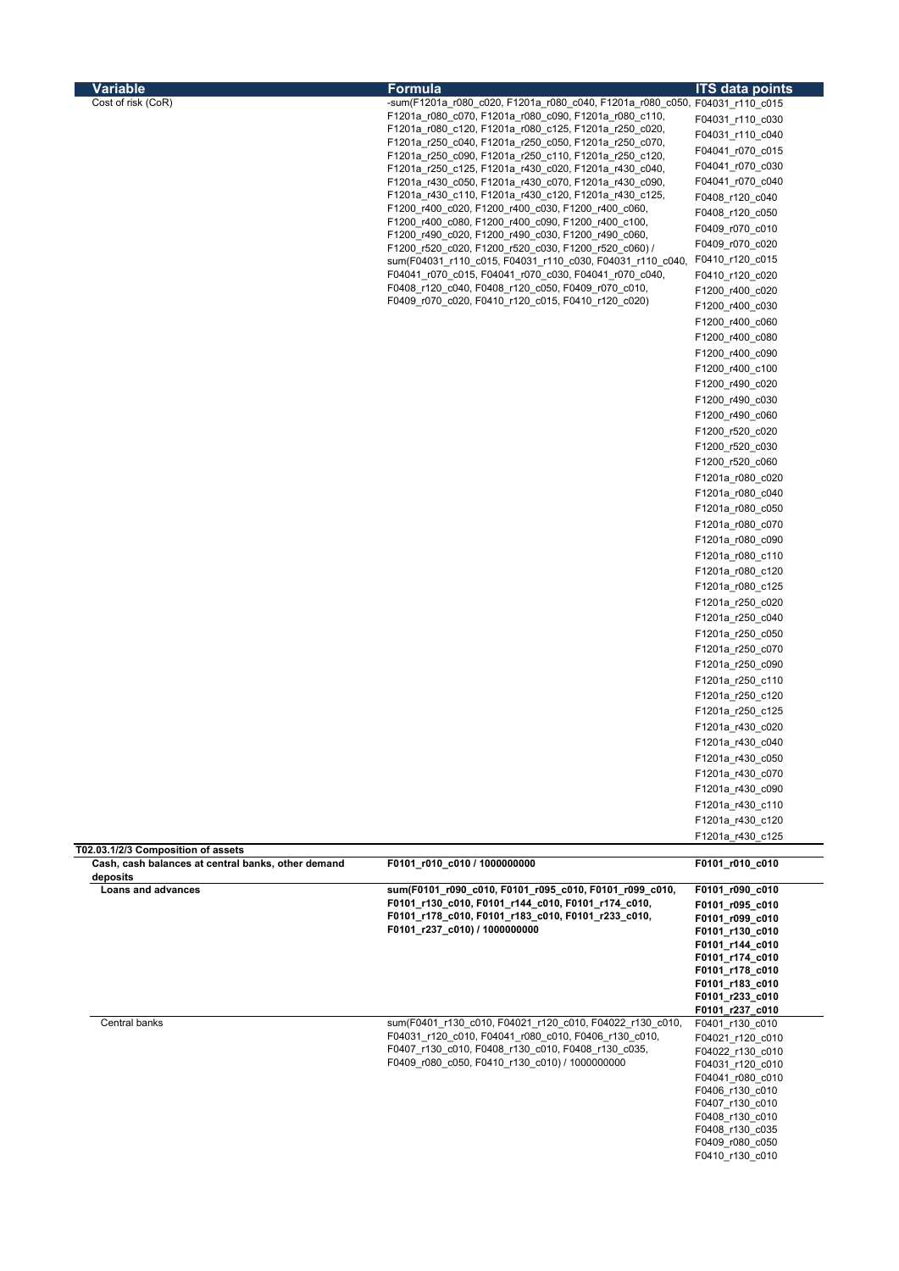| variable           |  |
|--------------------|--|
| Cost of risk (CoR) |  |

**T02.03.1/2/3 Composition of assets**

## **Variable Formula ITS data points**

| Cost of risk (CoR)                                             | -sum(F1201a_r080_c020, F1201a_r080_c040, F1201a_r080_c050, F04031_r110_c015<br>F1201a_r080_c070, F1201a_r080_c090, F1201a_r080_c110,<br>F1201a_r080_c120, F1201a_r080_c125, F1201a_r250_c020, | F04031_r110_c030<br>F04031_r110_c040 |
|----------------------------------------------------------------|-----------------------------------------------------------------------------------------------------------------------------------------------------------------------------------------------|--------------------------------------|
|                                                                | F1201a_r250_c040, F1201a_r250_c050, F1201a_r250_c070,<br>F1201a_r250_c090, F1201a_r250_c110, F1201a_r250_c120,                                                                                | F04041_r070_c015<br>F04041_r070_c030 |
|                                                                | F1201a_r250_c125, F1201a_r430_c020, F1201a_r430_c040,<br>F1201a_r430_c050, F1201a_r430_c070, F1201a_r430_c090,                                                                                | F04041_r070_c040                     |
|                                                                | F1201a_r430_c110, F1201a_r430_c120, F1201a_r430_c125,                                                                                                                                         | F0408_r120_c040                      |
|                                                                | F1200_r400_c020, F1200_r400_c030, F1200_r400_c060,                                                                                                                                            | F0408_r120_c050                      |
|                                                                | F1200_r400_c080, F1200_r400_c090, F1200_r400_c100,                                                                                                                                            | F0409_r070_c010                      |
|                                                                | F1200_r490_c020, F1200_r490_c030, F1200_r490_c060,<br>F1200_r520_c020, F1200_r520_c030, F1200_r520_c060) /                                                                                    | F0409_r070_c020                      |
|                                                                | sum(F04031_r110_c015, F04031_r110_c030, F04031_r110_c040,                                                                                                                                     | F0410_r120_c015                      |
|                                                                | F04041_r070_c015, F04041_r070_c030, F04041_r070_c040,                                                                                                                                         | F0410 r120 c020                      |
|                                                                | F0408_r120_c040, F0408_r120_c050, F0409_r070_c010,                                                                                                                                            | F1200_r400_c020                      |
|                                                                | F0409_r070_c020, F0410_r120_c015, F0410_r120_c020)                                                                                                                                            | F1200_r400_c030                      |
|                                                                |                                                                                                                                                                                               | F1200_r400_c060                      |
|                                                                |                                                                                                                                                                                               | F1200_r400_c080                      |
|                                                                |                                                                                                                                                                                               | F1200_r400_c090                      |
|                                                                |                                                                                                                                                                                               | F1200_r400_c100                      |
|                                                                |                                                                                                                                                                                               | F1200_r490_c020                      |
|                                                                |                                                                                                                                                                                               | F1200_r490_c030                      |
|                                                                |                                                                                                                                                                                               | F1200_r490_c060                      |
|                                                                |                                                                                                                                                                                               | F1200_r520_c020                      |
|                                                                |                                                                                                                                                                                               | F1200_r520_c030                      |
|                                                                |                                                                                                                                                                                               | F1200_r520_c060<br>F1201a_r080_c020  |
|                                                                |                                                                                                                                                                                               | F1201a_r080_c040                     |
|                                                                |                                                                                                                                                                                               | F1201a_r080_c050                     |
|                                                                |                                                                                                                                                                                               | F1201a_r080_c070                     |
|                                                                |                                                                                                                                                                                               | F1201a_r080_c090                     |
|                                                                |                                                                                                                                                                                               | F1201a_r080_c110                     |
|                                                                |                                                                                                                                                                                               | F1201a_r080_c120                     |
|                                                                |                                                                                                                                                                                               | F1201a_r080_c125                     |
|                                                                |                                                                                                                                                                                               | F1201a_r250_c020                     |
|                                                                |                                                                                                                                                                                               | F1201a_r250_c040                     |
|                                                                |                                                                                                                                                                                               | F1201a_r250_c050                     |
|                                                                |                                                                                                                                                                                               | F1201a_r250_c070                     |
|                                                                |                                                                                                                                                                                               | F1201a_r250_c090                     |
|                                                                |                                                                                                                                                                                               | F1201a_r250_c110                     |
|                                                                |                                                                                                                                                                                               | F1201a_r250_c120                     |
|                                                                |                                                                                                                                                                                               | F1201a_r250_c125                     |
|                                                                |                                                                                                                                                                                               | F1201a_r430_c020                     |
|                                                                |                                                                                                                                                                                               | F1201a_r430_c040<br>F1201a_r430_c050 |
|                                                                |                                                                                                                                                                                               | F1201a_r430_c070                     |
|                                                                |                                                                                                                                                                                               | F1201a_r430_c090                     |
|                                                                |                                                                                                                                                                                               | F1201a_r430_c110                     |
|                                                                |                                                                                                                                                                                               | F1201a_r430_c120                     |
|                                                                |                                                                                                                                                                                               | F1201a r430 c125                     |
| 2.03.1/2/3 Composition of assets                               |                                                                                                                                                                                               |                                      |
| Cash, cash balances at central banks, other demand<br>deposits | F0101 r010 c010 / 1000000000                                                                                                                                                                  | F0101_r010_c010                      |
| Loans and advances                                             | sum(F0101_r090_c010, F0101_r095_c010, F0101_r099_c010,                                                                                                                                        | F0101_r090_c010                      |
|                                                                | F0101_r130_c010, F0101_r144_c010, F0101_r174_c010,                                                                                                                                            | F0101_r095_c010                      |
|                                                                | F0101_r178_c010, F0101_r183_c010, F0101_r233_c010,                                                                                                                                            | F0101_r099_c010                      |
|                                                                | F0101_r237_c010) / 1000000000                                                                                                                                                                 | F0101_r130_c010                      |
|                                                                |                                                                                                                                                                                               | F0101_r144_c010<br>F0101_r174_c010   |
|                                                                |                                                                                                                                                                                               | F0101_r178_c010                      |
|                                                                |                                                                                                                                                                                               | F0101_r183_c010                      |
|                                                                |                                                                                                                                                                                               | F0101_r233_c010                      |
| Central banks                                                  | sum(F0401_r130_c010, F04021_r120_c010, F04022_r130_c010,                                                                                                                                      | F0101_r237_c010<br>F0401 r130 c010   |

| deposits           |                                                          |                  |
|--------------------|----------------------------------------------------------|------------------|
| Loans and advances | sum(F0101_r090_c010, F0101_r095_c010, F0101_r099_c010,   | F0101_r090_c010  |
|                    | F0101_r130_c010, F0101_r144_c010, F0101_r174_c010,       | F0101 r095 c010  |
|                    | F0101_r178_c010, F0101_r183_c010, F0101_r233_c010,       | F0101_r099_c010  |
|                    | F0101_r237_c010) / 1000000000                            | F0101_r130_c010  |
|                    |                                                          | F0101_r144_c010  |
|                    |                                                          | F0101_r174_c010  |
|                    |                                                          | F0101_r178_c010  |
|                    |                                                          | F0101_r183_c010  |
|                    |                                                          | F0101_r233_c010  |
|                    |                                                          | F0101 r237 c010  |
| Central banks      | sum(F0401_r130_c010, F04021_r120_c010, F04022_r130_c010, | F0401 r130 c010  |
|                    | F04031 r120 c010, F04041 r080 c010, F0406 r130 c010,     | F04021 r120 c010 |
|                    | F0407 r130 c010, F0408 r130 c010, F0408 r130 c035,       | F04022 r130 c010 |
|                    | F0409 r080 c050, F0410 r130 c010) / 1000000000           | F04031 r120 c010 |
|                    |                                                          | F04041 r080 c010 |
|                    |                                                          | F0406 r130 c010  |
|                    |                                                          | F0407 r130 c010  |
|                    |                                                          | F0408 r130 c010  |
|                    |                                                          | F0408 r130 c035  |
|                    |                                                          | F0409 r080 c050  |
|                    |                                                          | F0410 r130 c010  |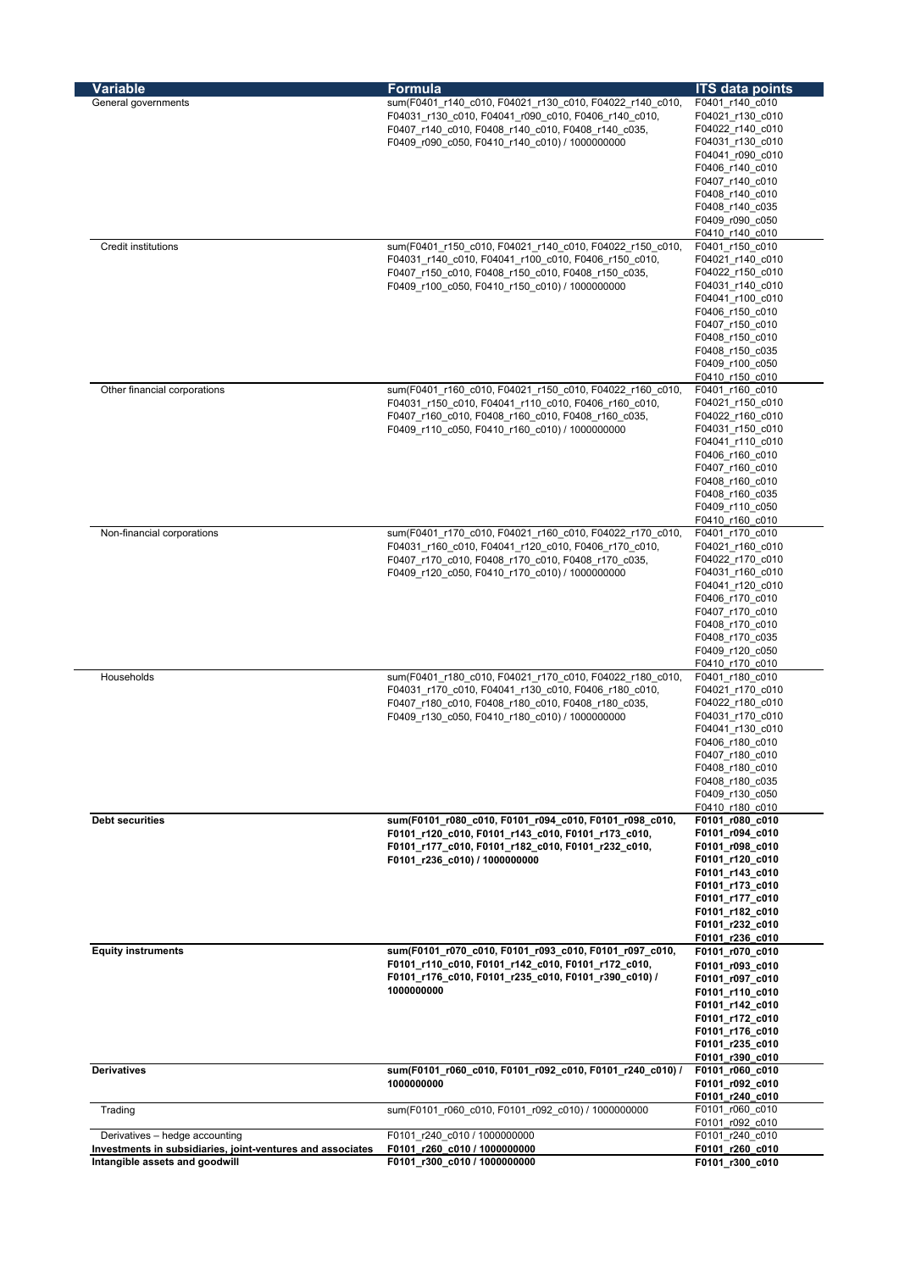| <b>Variable</b>                                            | <b>Formula</b>                                                                                                                                                                                                           | <b>ITS data points</b>                                                                                                                                                                                            |
|------------------------------------------------------------|--------------------------------------------------------------------------------------------------------------------------------------------------------------------------------------------------------------------------|-------------------------------------------------------------------------------------------------------------------------------------------------------------------------------------------------------------------|
| General governments                                        | sum(F0401_r140_c010, F04021_r130_c010, F04022_r140_c010,<br>F04031 r130 c010, F04041 r090 c010, F0406 r140 c010,<br>F0407_r140_c010, F0408_r140_c010, F0408_r140_c035,<br>F0409_r090_c050, F0410_r140_c010) / 1000000000 | F0401 r140 c010<br>F04021 r130 c010<br>F04022 r140 c010<br>F04031_r130_c010<br>F04041 r090 c010<br>F0406_r140_c010<br>F0407 r140 c010<br>F0408_r140_c010<br>F0408_r140_c035<br>F0409 r090 c050<br>F0410 r140 c010 |
| Credit institutions                                        | sum(F0401 r150 c010, F04021 r140 c010, F04022 r150 c010,<br>F04031 r140 c010, F04041 r100 c010, F0406 r150 c010,<br>F0407 r150 c010, F0408 r150 c010, F0408 r150 c035,<br>F0409 r100 c050, F0410 r150 c010) / 1000000000 | F0401_r150_c010<br>F04021_r140_c010<br>F04022 r150 c010<br>F04031_r140_c010<br>F04041_r100_c010<br>F0406_r150_c010<br>F0407 r150 c010<br>F0408_r150_c010<br>F0408_r150_c035<br>F0409_r100_c050<br>F0410_r150_c010 |
| Other financial corporations                               | sum(F0401 r160 c010, F04021 r150 c010, F04022 r160 c010,<br>F04031 r150 c010, F04041 r110 c010, F0406 r160 c010,<br>F0407_r160_c010, F0408_r160_c010, F0408_r160_c035,<br>F0409_r110_c050, F0410_r160_c010) / 1000000000 | F0401 r160 c010<br>F04021 r150 c010<br>F04022_r160_c010<br>F04031_r150_c010<br>F04041 r110 c010<br>F0406_r160_c010<br>F0407 r160 c010<br>F0408_r160_c010<br>F0408_r160_c035<br>F0409_r110_c050<br>F0410_r160_c010 |
| Non-financial corporations                                 | sum(F0401 r170 c010, F04021 r160 c010, F04022 r170 c010,<br>F04031 r160 c010, F04041 r120 c010, F0406 r170 c010,<br>F0407 r170 c010, F0408 r170 c010, F0408 r170 c035,<br>F0409_r120_c050, F0410_r170_c010) / 1000000000 | F0401 r170 c010<br>F04021 r160 c010<br>F04022_r170_c010<br>F04031_r160_c010<br>F04041_r120_c010<br>F0406_r170_c010<br>F0407_r170_c010<br>F0408_r170_c010<br>F0408_r170_c035<br>F0409_r120_c050<br>F0410 r170 c010 |
| Households                                                 | sum(F0401 r180 c010, F04021 r170 c010, F04022 r180 c010,<br>F04031 r170 c010, F04041 r130 c010, F0406 r180 c010,<br>F0407_r180_c010, F0408_r180_c010, F0408_r180_c035,<br>F0409 r130 c050, F0410 r180 c010) / 1000000000 | F0401 r180 c010<br>F04021_r170_c010<br>F04022_r180_c010<br>F04031 r170 c010<br>F04041 r130 c010<br>F0406_r180_c010<br>F0407_r180_c010<br>F0408_r180_c010<br>F0408 r180 c035<br>F0409_r130_c050<br>F0410 r180 c010 |
| <b>Debt securities</b>                                     | sum(F0101_r080_c010, F0101_r094_c010, F0101_r098_c010,<br>F0101_r120_c010, F0101_r143_c010, F0101_r173_c010,<br>F0101_r177_c010, F0101_r182_c010, F0101_r232_c010,<br>F0101_r236_c010) / 1000000000                      | F0101 r080 c010<br>F0101_r094_c010<br>F0101_r098_c010<br>F0101_r120_c010<br>F0101_r143_c010<br>F0101_r173_c010<br>F0101_r177_c010<br>F0101_r182_c010<br>F0101_r232_c010<br>F0101_r236_c010                        |
| <b>Equity instruments</b>                                  | sum(F0101_r070_c010, F0101_r093_c010, F0101_r097_c010,<br>F0101_r110_c010, F0101_r142_c010, F0101_r172_c010,<br>F0101_r176_c010, F0101_r235_c010, F0101_r390_c010) /<br>1000000000                                       | F0101_r070_c010<br>F0101_r093_c010<br>F0101_r097_c010<br>F0101_r110_c010<br>F0101_r142_c010<br>F0101_r172_c010<br>F0101_r176_c010<br>F0101_r235_c010<br>F0101_r390_c010                                           |
| <b>Derivatives</b>                                         | sum(F0101_r060_c010, F0101_r092_c010, F0101_r240_c010) /<br>1000000000                                                                                                                                                   | F0101_r060_c010<br>F0101_r092_c010<br>F0101_r240_c010                                                                                                                                                             |
| Trading<br>Derivatives - hedge accounting                  | sum(F0101 r060 c010, F0101 r092 c010) / 1000000000<br>F0101 r240 c010 / 1000000000                                                                                                                                       | F0101_r060_c010<br>F0101 r092 c010<br>F0101_r240_c010                                                                                                                                                             |
| Investments in subsidiaries, joint-ventures and associates | F0101_r260_c010 / 1000000000                                                                                                                                                                                             | F0101_r260_c010                                                                                                                                                                                                   |
| Intangible assets and goodwill                             | F0101_r300_c010 / 1000000000                                                                                                                                                                                             | F0101_r300_c010                                                                                                                                                                                                   |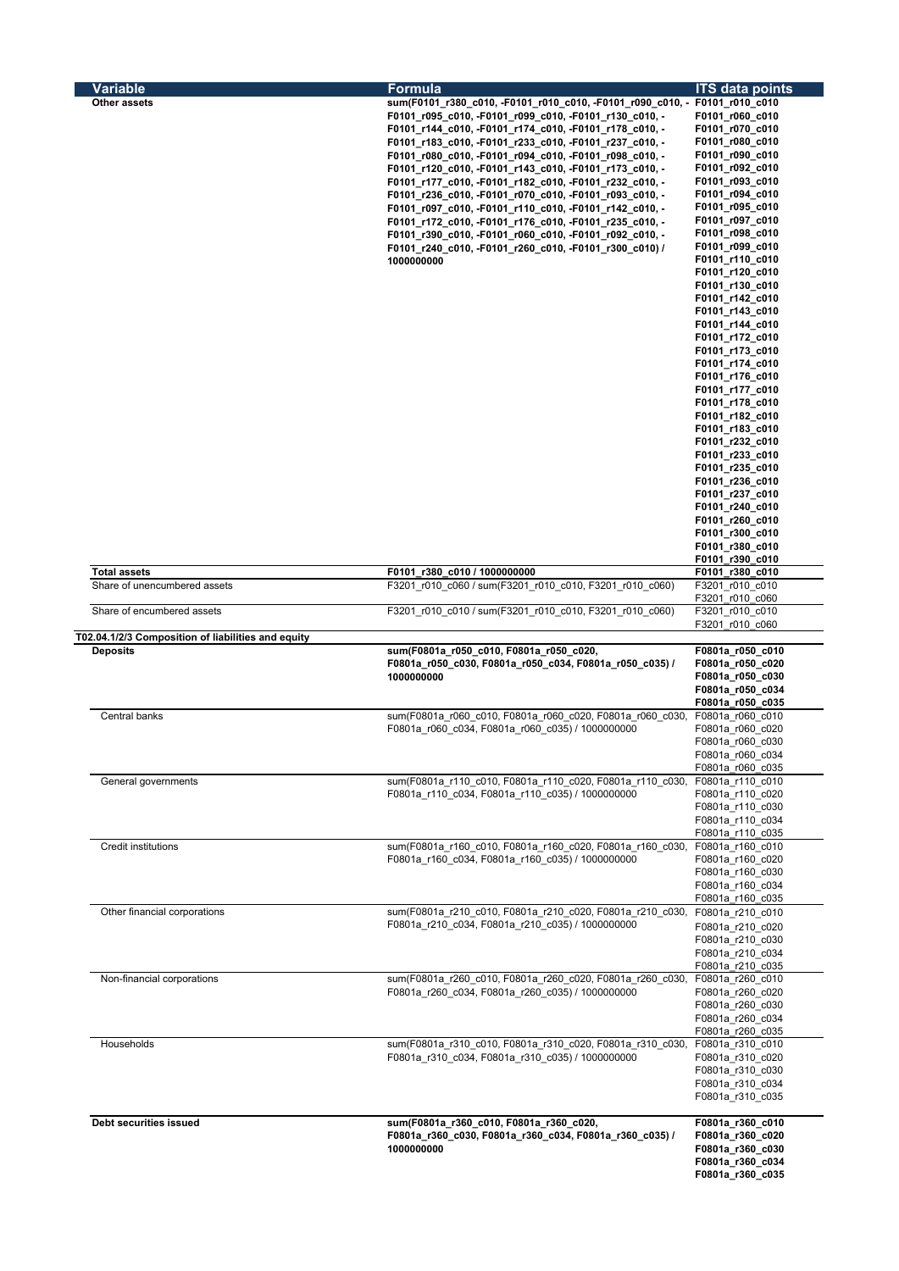| <b>Variable</b>                                    | Formula                                                                                                          | <b>ITS</b> data points               |
|----------------------------------------------------|------------------------------------------------------------------------------------------------------------------|--------------------------------------|
| Other assets                                       | sum(F0101_r380_c010, -F0101_r010_c010, -F0101_r090_c010, -  F0101_r010_c010                                      |                                      |
|                                                    | F0101_r095_c010, -F0101_r099_c010, -F0101_r130_c010, -                                                           | F0101_r060_c010                      |
|                                                    | F0101_r144_c010, -F0101_r174_c010, -F0101_r178_c010, -<br>F0101_r183_c010, -F0101_r233_c010, -F0101_r237_c010, - | F0101_r070_c010<br>F0101_r080_c010   |
|                                                    | F0101_r080_c010, -F0101_r094_c010, -F0101_r098_c010, -                                                           | F0101_r090_c010                      |
|                                                    | F0101 r120 c010, -F0101 r143 c010, -F0101 r173 c010, -                                                           | F0101_r092_c010                      |
|                                                    | F0101_r177_c010, -F0101_r182_c010, -F0101_r232_c010, -                                                           | F0101_r093_c010                      |
|                                                    | F0101_r236_c010, -F0101_r070_c010, -F0101_r093_c010, -                                                           | F0101_r094_c010                      |
|                                                    | F0101_r097_c010, -F0101_r110_c010, -F0101_r142_c010, -                                                           | F0101_r095_c010                      |
|                                                    | F0101_r172_c010, -F0101_r176_c010, -F0101_r235_c010, -<br>F0101_r390_c010, -F0101_r060_c010, -F0101_r092_c010, - | F0101_r097_c010<br>F0101_r098_c010   |
|                                                    | F0101_r240_c010, -F0101_r260_c010, -F0101_r300_c010) /                                                           | F0101_r099_c010                      |
|                                                    | 1000000000                                                                                                       | F0101_r110_c010                      |
|                                                    |                                                                                                                  | F0101_r120_c010                      |
|                                                    |                                                                                                                  | F0101_r130_c010<br>F0101_r142_c010   |
|                                                    |                                                                                                                  | F0101_r143_c010                      |
|                                                    |                                                                                                                  | F0101_r144_c010                      |
|                                                    |                                                                                                                  | F0101_r172_c010                      |
|                                                    |                                                                                                                  | F0101_r173_c010                      |
|                                                    |                                                                                                                  | F0101_r174_c010<br>F0101_r176_c010   |
|                                                    |                                                                                                                  | F0101_r177_c010                      |
|                                                    |                                                                                                                  | F0101_r178_c010                      |
|                                                    |                                                                                                                  | F0101_r182_c010                      |
|                                                    |                                                                                                                  | F0101_r183_c010                      |
|                                                    |                                                                                                                  | F0101_r232_c010                      |
|                                                    |                                                                                                                  | F0101_r233_c010<br>F0101_r235_c010   |
|                                                    |                                                                                                                  | F0101_r236_c010                      |
|                                                    |                                                                                                                  | F0101_r237_c010                      |
|                                                    |                                                                                                                  | F0101_r240_c010                      |
|                                                    |                                                                                                                  | F0101_r260_c010                      |
|                                                    |                                                                                                                  | F0101_r300_c010<br>F0101_r380_c010   |
|                                                    |                                                                                                                  | F0101_r390_c010                      |
| <b>Total assets</b>                                | F0101_r380_c010 / 1000000000                                                                                     | F0101_r380_c010                      |
| Share of unencumbered assets                       | F3201_r010_c060 / sum(F3201_r010_c010, F3201_r010_c060)                                                          | F3201 r010 c010                      |
| Share of encumbered assets                         | F3201_r010_c010 / sum(F3201_r010_c010, F3201_r010_c060)                                                          | F3201 r010 c060                      |
|                                                    |                                                                                                                  | F3201 r010 c010<br>F3201 r010 c060   |
| T02.04.1/2/3 Composition of liabilities and equity |                                                                                                                  |                                      |
| <b>Deposits</b>                                    | sum(F0801a_r050_c010, F0801a_r050_c020,                                                                          | F0801a_r050_c010                     |
|                                                    | F0801a_r050_c030, F0801a_r050_c034, F0801a_r050_c035) /                                                          | F0801a_r050_c020                     |
|                                                    | 1000000000                                                                                                       | F0801a_r050_c030                     |
|                                                    |                                                                                                                  | F0801a_r050_c034<br>F0801a_r050_c035 |
| Central banks                                      | sum(F0801a_r060_c010, F0801a_r060_c020, F0801a_r060_c030,                                                        | F0801a_r060_c010                     |
|                                                    | F0801a r060 c034, F0801a r060 c035) / 1000000000                                                                 | F0801a_r060_c020                     |
|                                                    |                                                                                                                  | F0801a r060 c030                     |
|                                                    |                                                                                                                  | F0801a_r060_c034                     |
| General governments                                | sum(F0801a_r110_c010, F0801a_r110_c020, F0801a_r110_c030, F0801a_r110_c010                                       | F0801a_r060_c035                     |
|                                                    | F0801a r110 c034, F0801a r110 c035) / 1000000000                                                                 | F0801a_r110_c020                     |
|                                                    |                                                                                                                  | F0801a r110 c030                     |
|                                                    |                                                                                                                  | F0801a_r110_c034                     |
| <b>Credit institutions</b>                         | sum(F0801a r160 c010, F0801a r160 c020, F0801a r160 c030,                                                        | F0801a_r110_c035                     |
|                                                    | F0801a_r160_c034, F0801a_r160_c035) / 1000000000                                                                 | F0801a_r160_c010<br>F0801a_r160_c020 |
|                                                    |                                                                                                                  | F0801a r160 c030                     |
|                                                    |                                                                                                                  | F0801a_r160_c034                     |
|                                                    |                                                                                                                  | F0801a r160 c035                     |
| Other financial corporations                       | sum(F0801a r210 c010, F0801a r210 c020, F0801a r210 c030,<br>F0801a_r210_c034, F0801a_r210_c035) / 1000000000    | F0801a r210 c010                     |
|                                                    |                                                                                                                  | F0801a r210 c020                     |
|                                                    |                                                                                                                  | F0801a_r210_c030<br>F0801a_r210_c034 |
|                                                    |                                                                                                                  | F0801a_r210_c035                     |
| Non-financial corporations                         | sum(F0801a r260 c010, F0801a r260 c020, F0801a r260 c030,                                                        | F0801a_r260_c010                     |
|                                                    | F0801a_r260_c034, F0801a_r260_c035) / 1000000000                                                                 | F0801a_r260_c020                     |
|                                                    |                                                                                                                  | F0801a_r260_c030                     |
|                                                    |                                                                                                                  | F0801a_r260_c034<br>F0801a_r260_c035 |
| Households                                         | sum(F0801a_r310_c010, F0801a_r310_c020, F0801a_r310_c030,                                                        | F0801a_r310_c010                     |
|                                                    | F0801a_r310_c034, F0801a_r310_c035) / 1000000000                                                                 | F0801a_r310_c020                     |
|                                                    |                                                                                                                  | F0801a_r310_c030                     |
|                                                    |                                                                                                                  | F0801a_r310_c034                     |
|                                                    |                                                                                                                  | F0801a_r310_c035                     |
| Debt securities issued                             | sum(F0801a_r360_c010, F0801a_r360_c020,                                                                          | F0801a_r360_c010                     |
|                                                    |                                                                                                                  |                                      |
|                                                    | F0801a_r360_c030, F0801a_r360_c034, F0801a_r360_c035) /                                                          | F0801a_r360_c020                     |
|                                                    | 1000000000                                                                                                       | F0801a_r360_c030                     |
|                                                    |                                                                                                                  | F0801a_r360_c034<br>F0801a_r360_c035 |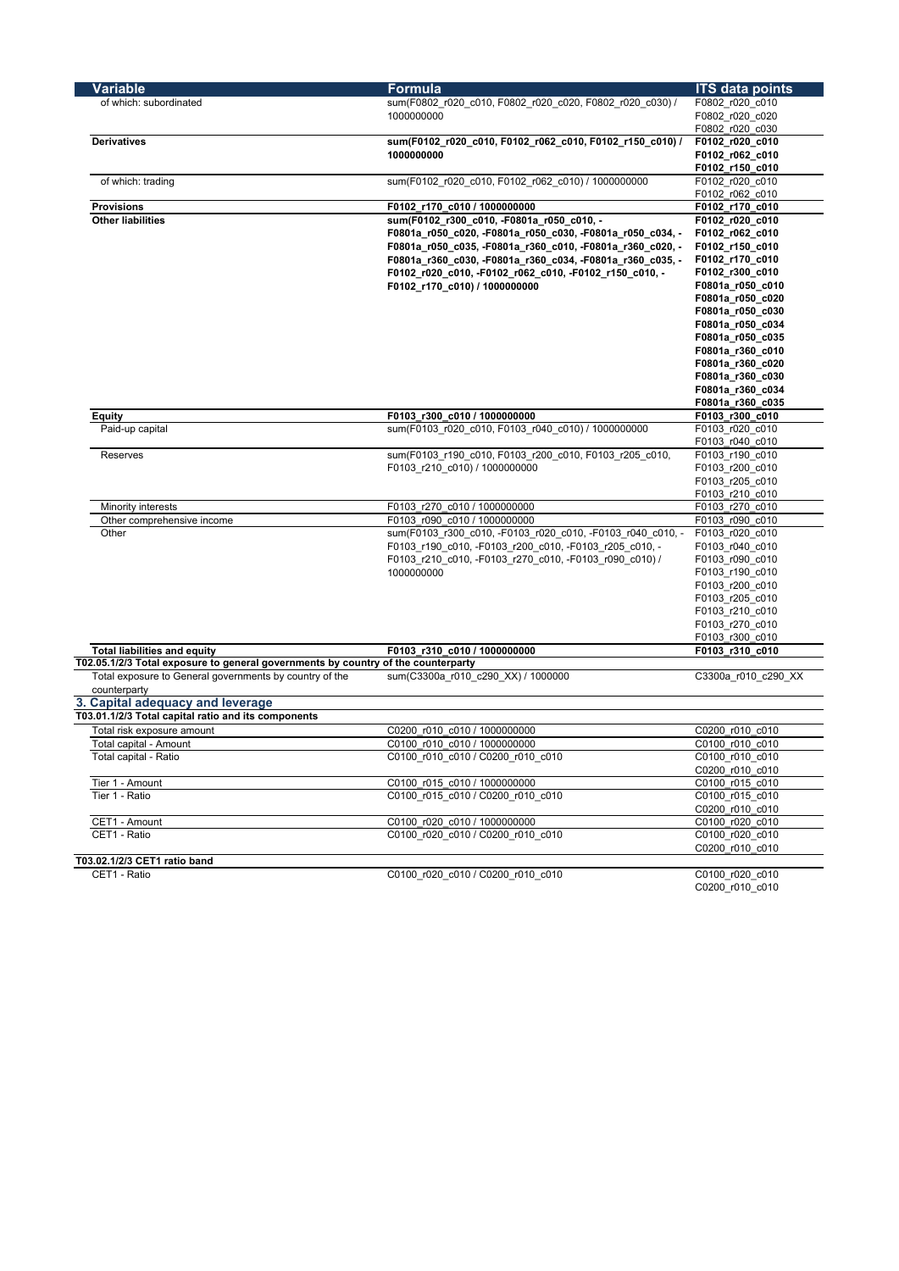| <b>Variable</b>                                                                   | <b>Formula</b>                                                                          | <b>ITS data points</b> |
|-----------------------------------------------------------------------------------|-----------------------------------------------------------------------------------------|------------------------|
| of which: subordinated                                                            | sum(F0802_r020_c010, F0802_r020_c020, F0802_r020_c030) /                                | F0802 r020 c010        |
|                                                                                   | 1000000000                                                                              | F0802 r020 c020        |
|                                                                                   |                                                                                         | F0802 r020 c030        |
| <b>Derivatives</b>                                                                | sum(F0102_r020_c010, F0102_r062_c010, F0102_r150_c010) /                                | F0102_r020_c010        |
|                                                                                   | 1000000000                                                                              | F0102_r062_c010        |
|                                                                                   |                                                                                         | F0102_r150_c010        |
| of which: trading                                                                 | sum(F0102_r020_c010, F0102_r062_c010) / 1000000000                                      | F0102 r020 c010        |
|                                                                                   |                                                                                         | F0102_r062_c010        |
| <b>Provisions</b>                                                                 | F0102_r170_c010 / 1000000000                                                            | F0102 r170 c010        |
| <b>Other liabilities</b>                                                          | sum(F0102_r300_c010, -F0801a_r050_c010, -                                               | F0102_r020_c010        |
|                                                                                   | F0801a_r050_c020, -F0801a_r050_c030, -F0801a_r050_c034, -                               | F0102 r062 c010        |
|                                                                                   | F0801a_r050_c035, -F0801a_r360_c010, -F0801a_r360_c020, -                               | F0102_r150_c010        |
|                                                                                   | F0801a_r360_c030, -F0801a_r360_c034, -F0801a_r360_c035, -                               | F0102_r170_c010        |
|                                                                                   | F0102_r020_c010, -F0102_r062_c010, -F0102_r150_c010, -                                  | F0102 r300 c010        |
|                                                                                   | F0102_r170_c010) / 1000000000                                                           | F0801a_r050_c010       |
|                                                                                   |                                                                                         | F0801a_r050_c020       |
|                                                                                   |                                                                                         | F0801a_r050_c030       |
|                                                                                   |                                                                                         | F0801a_r050_c034       |
|                                                                                   |                                                                                         |                        |
|                                                                                   |                                                                                         | F0801a_r050_c035       |
|                                                                                   |                                                                                         | F0801a_r360_c010       |
|                                                                                   |                                                                                         | F0801a_r360_c020       |
|                                                                                   |                                                                                         | F0801a_r360_c030       |
|                                                                                   |                                                                                         | F0801a_r360_c034       |
|                                                                                   |                                                                                         | F0801a_r360_c035       |
| Equity                                                                            | F0103 r300 c010 / 1000000000                                                            | F0103_r300_c010        |
| Paid-up capital                                                                   | sum(F0103 r020 c010, F0103 r040 c010) / 1000000000                                      | F0103_r020_c010        |
|                                                                                   |                                                                                         | F0103_r040_c010        |
| <b>Reserves</b>                                                                   | sum(F0103_r190_c010, F0103_r200_c010, F0103_r205_c010,<br>F0103 r210 c010) / 1000000000 | F0103 r190 c010        |
|                                                                                   |                                                                                         | F0103_r200_c010        |
|                                                                                   |                                                                                         | F0103_r205_c010        |
|                                                                                   |                                                                                         | F0103 r210 c010        |
| Minority interests                                                                | F0103 r270 c010 / 1000000000                                                            | F0103 r270 c010        |
| Other comprehensive income                                                        | F0103 r090 c010 / 1000000000                                                            | F0103 r090 c010        |
| Other                                                                             | sum(F0103 r300 c010, -F0103 r020 c010, -F0103 r040 c010, -                              | F0103 r020 c010        |
|                                                                                   | F0103 r190 c010, -F0103 r200 c010, -F0103 r205 c010, -                                  | F0103 r040 c010        |
|                                                                                   | F0103 r210 c010, -F0103 r270 c010, -F0103 r090 c010) /<br>1000000000                    | F0103 r090 c010        |
|                                                                                   |                                                                                         | F0103_r190_c010        |
|                                                                                   |                                                                                         | F0103_r200_c010        |
|                                                                                   |                                                                                         | F0103 r205 c010        |
|                                                                                   |                                                                                         | F0103_r210_c010        |
|                                                                                   |                                                                                         | F0103_r270_c010        |
|                                                                                   |                                                                                         | F0103_r300_c010        |
| <b>Total liabilities and equity</b>                                               | F0103 r310 c010 / 1000000000                                                            | F0103_r310_c010        |
| T02.05.1/2/3 Total exposure to general governments by country of the counterparty |                                                                                         |                        |
| Total exposure to General governments by country of the                           | sum(C3300a r010 c290 XX) / 1000000                                                      | C3300a_r010_c290_XX    |
| counterparty                                                                      |                                                                                         |                        |
| 3. Capital adequacy and leverage                                                  |                                                                                         |                        |
| T03.01.1/2/3 Total capital ratio and its components                               |                                                                                         |                        |
| Total risk exposure amount                                                        | C0200 r010 c010 / 1000000000                                                            | C0200 r010 c010        |
| Total capital - Amount                                                            | C0100 r010 c010 / 1000000000                                                            | C0100 r010 c010        |
| Total capital - Ratio                                                             | C0100_r010_c010 / C0200_r010_c010                                                       | C0100_r010_c010        |
|                                                                                   |                                                                                         | C0200 r010 c010        |
| Tier 1 - Amount                                                                   | C0100 r015 c010 / 1000000000                                                            | C0100 r015 c010        |
| Tier 1 - Ratio                                                                    | C0100 r015 c010 / C0200 r010 c010                                                       | C0100 r015 c010        |
|                                                                                   |                                                                                         | C0200 r010 c010        |
| CET1 - Amount                                                                     | C0100 r020 c010 / 1000000000                                                            | C0100 r020 c010        |
| CET1 - Ratio                                                                      | C0100_r020_c010 / C0200_r010_c010                                                       | C0100 r020 c010        |
|                                                                                   |                                                                                         | C0200 r010 c010        |
| T03.02.1/2/3 CET1 ratio band                                                      |                                                                                         |                        |
| CET1 - Ratio                                                                      | C0100 r020 c010 / C0200 r010 c010                                                       | C0100 r020 c010        |
|                                                                                   |                                                                                         | C0200 r010 c010        |
|                                                                                   |                                                                                         |                        |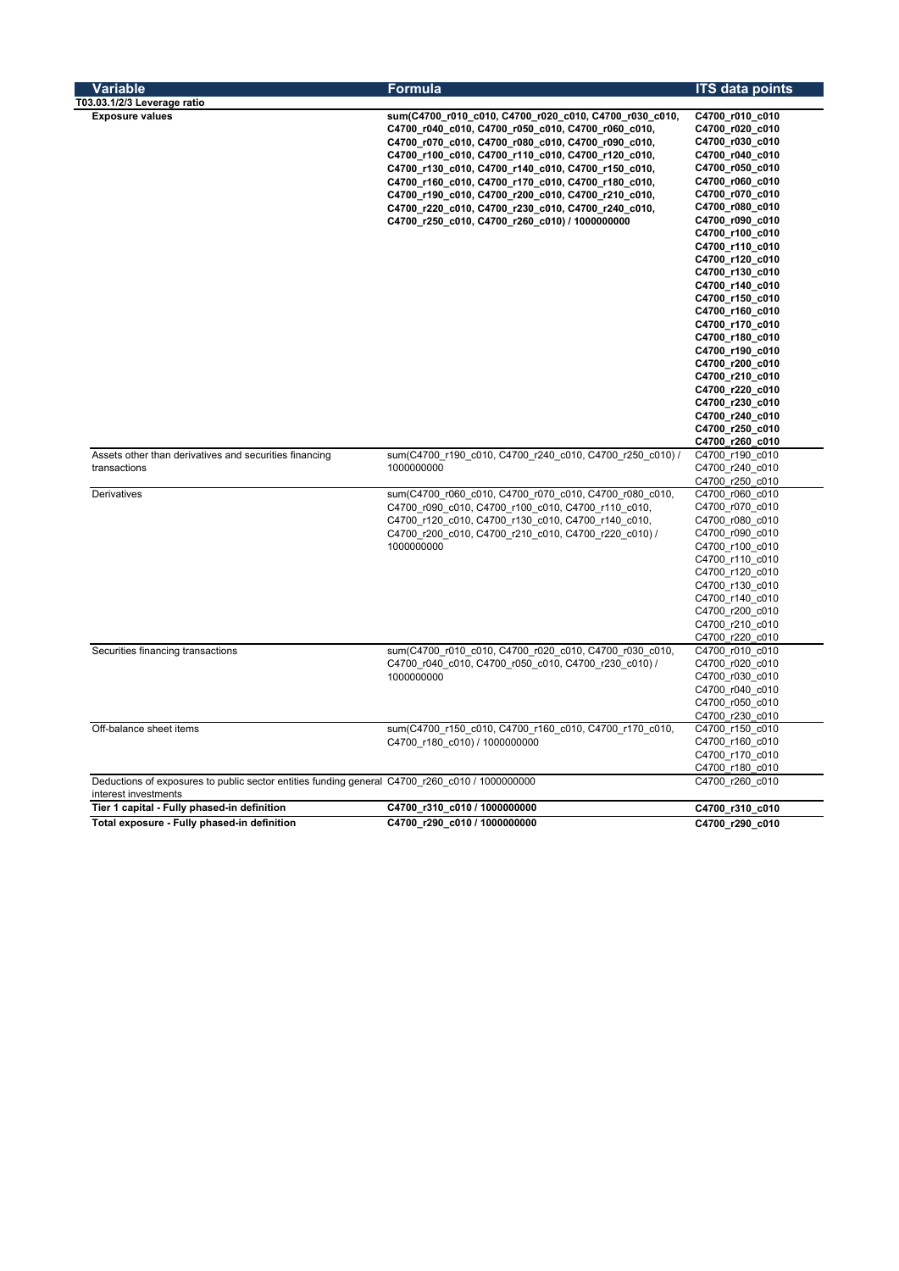| Variable                                                                                       | Formula                                                                                                                                                                        | <b>ITS data points</b> |
|------------------------------------------------------------------------------------------------|--------------------------------------------------------------------------------------------------------------------------------------------------------------------------------|------------------------|
| T03.03.1/2/3 Leverage ratio                                                                    |                                                                                                                                                                                |                        |
| <b>Exposure values</b>                                                                         | sum(C4700_r010_c010, C4700_r020_c010, C4700_r030_c010,                                                                                                                         | C4700_r010_c010        |
|                                                                                                | C4700_r040_c010, C4700_r050_c010, C4700_r060_c010,                                                                                                                             | C4700_r020_c010        |
|                                                                                                | C4700_r070_c010, C4700_r080_c010, C4700_r090_c010,                                                                                                                             | C4700_r030_c010        |
|                                                                                                | C4700_r100_c010, C4700_r110_c010, C4700_r120_c010,                                                                                                                             | C4700_r040_c010        |
|                                                                                                | C4700_r130_c010, C4700_r140_c010, C4700_r150_c010,                                                                                                                             | C4700_r050_c010        |
|                                                                                                | C4700_r160_c010, C4700_r170_c010, C4700_r180_c010,                                                                                                                             | C4700_r060_c010        |
|                                                                                                | C4700_r190_c010, C4700_r200_c010, C4700_r210_c010,                                                                                                                             | C4700_r070_c010        |
|                                                                                                | C4700 r220 c010, C4700 r230 c010, C4700 r240 c010,                                                                                                                             | C4700_r080_c010        |
|                                                                                                | C4700_r250_c010, C4700_r260_c010) / 1000000000                                                                                                                                 | C4700_r090_c010        |
|                                                                                                |                                                                                                                                                                                | C4700_r100_c010        |
|                                                                                                |                                                                                                                                                                                | C4700_r110_c010        |
|                                                                                                |                                                                                                                                                                                | C4700_r120_c010        |
|                                                                                                |                                                                                                                                                                                | C4700_r130_c010        |
|                                                                                                |                                                                                                                                                                                | C4700_r140_c010        |
|                                                                                                |                                                                                                                                                                                | C4700_r150_c010        |
|                                                                                                |                                                                                                                                                                                | C4700_r160_c010        |
|                                                                                                |                                                                                                                                                                                | C4700_r170_c010        |
|                                                                                                |                                                                                                                                                                                |                        |
|                                                                                                |                                                                                                                                                                                | C4700_r180_c010        |
|                                                                                                |                                                                                                                                                                                | C4700_r190_c010        |
|                                                                                                |                                                                                                                                                                                | C4700_r200_c010        |
|                                                                                                |                                                                                                                                                                                | C4700_r210_c010        |
|                                                                                                |                                                                                                                                                                                | C4700_r220_c010        |
|                                                                                                |                                                                                                                                                                                | C4700_r230_c010        |
|                                                                                                |                                                                                                                                                                                | C4700_r240_c010        |
|                                                                                                |                                                                                                                                                                                | C4700_r250_c010        |
|                                                                                                |                                                                                                                                                                                | C4700_r260_c010        |
| Assets other than derivatives and securities financing                                         | sum(C4700 r190 c010, C4700 r240 c010, C4700 r250 c010) /                                                                                                                       | C4700_r190_c010        |
| transactions                                                                                   | 1000000000                                                                                                                                                                     | C4700_r240_c010        |
|                                                                                                |                                                                                                                                                                                | C4700 r250 c010        |
| Derivatives                                                                                    | sum(C4700 r060 c010, C4700 r070 c010, C4700 r080 c010,                                                                                                                         | C4700 r060 c010        |
|                                                                                                | C4700_r090_c010, C4700_r100_c010, C4700_r110_c010,<br>C4700_r120_c010, C4700_r130_c010, C4700_r140_c010,<br>C4700_r200_c010, C4700_r210_c010, C4700_r220_c010) /<br>1000000000 | C4700_r070_c010        |
|                                                                                                |                                                                                                                                                                                | C4700_r080_c010        |
|                                                                                                |                                                                                                                                                                                | C4700_r090_c010        |
|                                                                                                |                                                                                                                                                                                | C4700 r100 c010        |
|                                                                                                |                                                                                                                                                                                | C4700 r110 c010        |
|                                                                                                |                                                                                                                                                                                | C4700 r120 c010        |
|                                                                                                |                                                                                                                                                                                | C4700 r130 c010        |
|                                                                                                |                                                                                                                                                                                | C4700_r140_c010        |
|                                                                                                |                                                                                                                                                                                | C4700_r200_c010        |
|                                                                                                |                                                                                                                                                                                | C4700 r210 c010        |
|                                                                                                |                                                                                                                                                                                | C4700_r220_c010        |
| Securities financing transactions                                                              | sum(C4700 r010 c010, C4700 r020 c010, C4700 r030 c010,<br>C4700 r040 c010, C4700 r050 c010, C4700 r230 c010) /<br>1000000000                                                   | C4700 r010 c010        |
|                                                                                                |                                                                                                                                                                                | C4700 r020 c010        |
|                                                                                                |                                                                                                                                                                                | C4700 r030 c010        |
|                                                                                                |                                                                                                                                                                                | C4700 r040 c010        |
|                                                                                                |                                                                                                                                                                                | C4700_r050_c010        |
|                                                                                                |                                                                                                                                                                                | C4700 r230 c010        |
| Off-balance sheet items                                                                        | sum(C4700_r150_c010, C4700_r160_c010, C4700_r170_c010,                                                                                                                         | C4700 r150 c010        |
|                                                                                                | C4700 r180 c010) / 1000000000                                                                                                                                                  | C4700 r160 c010        |
|                                                                                                |                                                                                                                                                                                | C4700_r170_c010        |
|                                                                                                |                                                                                                                                                                                | C4700_r180_c010        |
| Deductions of exposures to public sector entities funding general C4700 r260 c010 / 1000000000 |                                                                                                                                                                                | C4700 r260 c010        |
| interest investments                                                                           |                                                                                                                                                                                |                        |
| Tier 1 capital - Fully phased-in definition                                                    | C4700_r310_c010 / 1000000000                                                                                                                                                   | C4700_r310_c010        |
| Total exposure - Fully phased-in definition                                                    | C4700_r290_c010 / 1000000000                                                                                                                                                   | C4700_r290_c010        |
|                                                                                                |                                                                                                                                                                                |                        |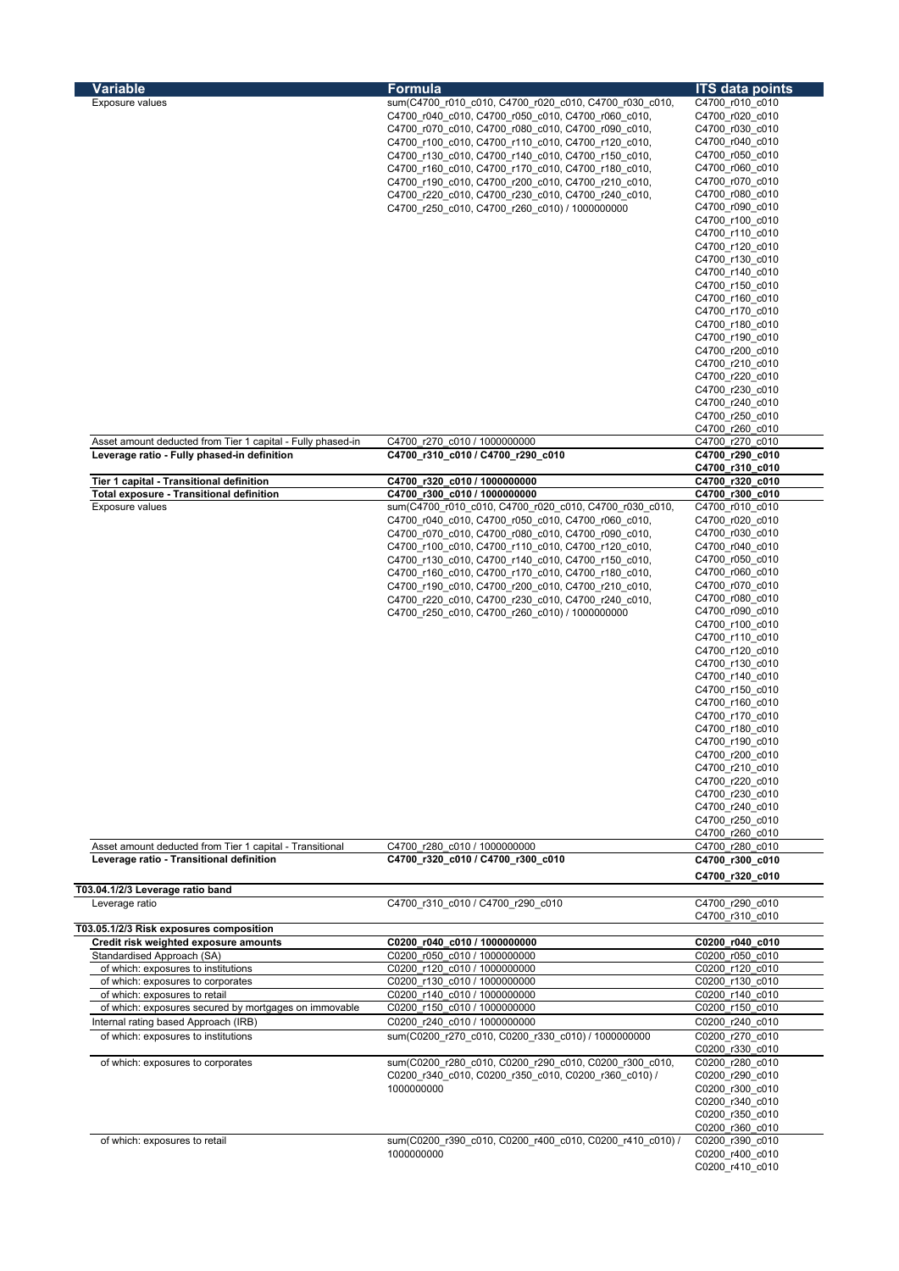| Variable                                                    | Formula                                                  | <b>ITS data points</b> |
|-------------------------------------------------------------|----------------------------------------------------------|------------------------|
| Exposure values                                             | sum(C4700_r010_c010, C4700_r020_c010, C4700_r030_c010,   | C4700_r010_c010        |
|                                                             |                                                          |                        |
|                                                             | C4700 r040 c010, C4700 r050 c010, C4700 r060 c010,       | C4700_r020_c010        |
|                                                             | C4700_r070_c010, C4700_r080_c010, C4700_r090_c010,       | C4700_r030_c010        |
|                                                             | C4700_r100_c010, C4700_r110_c010, C4700_r120_c010,       | C4700_r040_c010        |
|                                                             | C4700 r130 c010, C4700 r140 c010, C4700 r150 c010,       | C4700_r050_c010        |
|                                                             |                                                          | C4700_r060_c010        |
|                                                             | C4700 r160 c010, C4700 r170 c010, C4700 r180 c010,       |                        |
|                                                             | C4700_r190_c010, C4700_r200_c010, C4700_r210_c010,       | C4700_r070_c010        |
|                                                             | C4700 r220 c010, C4700 r230 c010, C4700 r240 c010,       | C4700_r080_c010        |
|                                                             | C4700_r250_c010, C4700_r260_c010) / 1000000000           | C4700_r090_c010        |
|                                                             |                                                          | C4700_r100_c010        |
|                                                             |                                                          |                        |
|                                                             |                                                          | C4700_r110_c010        |
|                                                             |                                                          | C4700_r120_c010        |
|                                                             |                                                          | C4700_r130_c010        |
|                                                             |                                                          | C4700_r140_c010        |
|                                                             |                                                          | C4700_r150_c010        |
|                                                             |                                                          |                        |
|                                                             |                                                          | C4700_r160_c010        |
|                                                             |                                                          | C4700_r170_c010        |
|                                                             |                                                          | C4700_r180_c010        |
|                                                             |                                                          | C4700_r190_c010        |
|                                                             |                                                          | C4700_r200_c010        |
|                                                             |                                                          |                        |
|                                                             |                                                          | C4700_r210_c010        |
|                                                             |                                                          | C4700 r220 c010        |
|                                                             |                                                          | C4700_r230_c010        |
|                                                             |                                                          | C4700_r240_c010        |
|                                                             |                                                          | C4700_r250_c010        |
|                                                             |                                                          |                        |
|                                                             |                                                          | C4700_r260_c010        |
| Asset amount deducted from Tier 1 capital - Fully phased-in | C4700 r270 c010 / 1000000000                             | C4700 r270 c010        |
| Leverage ratio - Fully phased-in definition                 | C4700_r310_c010 / C4700_r290_c010                        | C4700_r290_c010        |
|                                                             |                                                          | C4700_r310_c010        |
| Tier 1 capital - Transitional definition                    | C4700_r320_c010 / 1000000000                             | C4700_r320_c010        |
| Total exposure - Transitional definition                    | C4700_r300_c010 / 1000000000                             | C4700_r300_c010        |
|                                                             |                                                          |                        |
| Exposure values                                             | sum(C4700_r010_c010, C4700_r020_c010, C4700_r030_c010,   | C4700_r010_c010        |
|                                                             | C4700_r040_c010, C4700_r050_c010, C4700_r060_c010,       | C4700_r020_c010        |
|                                                             | C4700_r070_c010, C4700_r080_c010, C4700_r090_c010,       | C4700_r030_c010        |
|                                                             | C4700 r100 c010, C4700 r110 c010, C4700 r120 c010,       | C4700_r040_c010        |
|                                                             |                                                          |                        |
|                                                             | C4700_r130_c010, C4700_r140_c010, C4700_r150_c010,       | C4700_r050_c010        |
|                                                             | C4700 r160 c010, C4700 r170 c010, C4700 r180 c010,       | C4700_r060_c010        |
|                                                             | C4700_r190_c010, C4700_r200_c010, C4700_r210_c010,       | C4700_r070_c010        |
|                                                             | C4700_r220_c010, C4700_r230_c010, C4700_r240_c010,       | C4700_r080_c010        |
|                                                             |                                                          | C4700_r090_c010        |
|                                                             | C4700_r250_c010, C4700_r260_c010) / 1000000000           |                        |
|                                                             |                                                          | C4700_r100_c010        |
|                                                             |                                                          | C4700_r110_c010        |
|                                                             |                                                          | C4700_r120_c010        |
|                                                             |                                                          | C4700_r130_c010        |
|                                                             |                                                          |                        |
|                                                             |                                                          | C4700 r140 c010        |
|                                                             |                                                          | C4700_r150_c010        |
|                                                             |                                                          | C4700_r160_c010        |
|                                                             |                                                          | C4700_r170_c010        |
|                                                             |                                                          | C4700_r180_c010        |
|                                                             |                                                          |                        |
|                                                             |                                                          | C4700_r190_c010        |
|                                                             |                                                          | C4700 r200 c010        |
|                                                             |                                                          | C4700 r210 c010        |
|                                                             |                                                          | C4700 r220 c010        |
|                                                             |                                                          | C4700 r230 c010        |
|                                                             |                                                          |                        |
|                                                             |                                                          | C4700 r240 c010        |
|                                                             |                                                          | C4700_r250_c010        |
|                                                             |                                                          | C4700 r260 c010        |
| Asset amount deducted from Tier 1 capital - Transitional    | C4700 r280 c010 / 1000000000                             | C4700 r280 c010        |
| Leverage ratio - Transitional definition                    | C4700_r320_c010 / C4700_r300_c010                        | C4700_r300_c010        |
|                                                             |                                                          |                        |
|                                                             |                                                          | C4700_r320_c010        |
| T03.04.1/2/3 Leverage ratio band                            |                                                          |                        |
| Leverage ratio                                              | C4700 r310 c010 / C4700 r290 c010                        | C4700_r290_c010        |
|                                                             |                                                          | C4700 r310 c010        |
| T03.05.1/2/3 Risk exposures composition                     |                                                          |                        |
| Credit risk weighted exposure amounts                       |                                                          |                        |
|                                                             | C0200_r040_c010 / 1000000000                             | C0200_r040_c010        |
| Standardised Approach (SA)                                  | C0200 r050 c010 / 1000000000                             | C0200 r050 c010        |
| of which: exposures to institutions                         | C0200 r120 c010 / 1000000000                             | C0200 r120 c010        |
| of which: exposures to corporates                           | C0200 r130 c010 / 1000000000                             | C0200 r130 c010        |
| of which: exposures to retail                               | C0200 r140 c010 / 1000000000                             | C0200 r140 c010        |
| of which: exposures secured by mortgages on immovable       | C0200_r150_c010 / 1000000000                             | C0200_r150_c010        |
|                                                             |                                                          |                        |
| Internal rating based Approach (IRB)                        | C0200 r240 c010 / 1000000000                             | C0200 r240 c010        |
| of which: exposures to institutions                         | sum(C0200_r270_c010, C0200_r330_c010) / 1000000000       | C0200 r270 c010        |
|                                                             |                                                          | C0200 r330 c010        |
|                                                             |                                                          |                        |
| of which: exposures to corporates                           | sum(C0200 r280 c010, C0200 r290 c010, C0200 r300 c010,   | C0200 r280 c010        |
|                                                             | C0200 r340 c010, C0200 r350 c010, C0200 r360 c010) /     | C0200 r290 c010        |
|                                                             | 1000000000                                               | C0200_r300_c010        |
|                                                             |                                                          | C0200_r340_c010        |
|                                                             |                                                          | C0200 r350 c010        |
|                                                             |                                                          |                        |
|                                                             |                                                          | C0200 r360 c010        |
| of which: exposures to retail                               | sum(C0200 r390 c010, C0200 r400 c010, C0200 r410 c010) / | C0200 r390 c010        |
|                                                             | 1000000000                                               | C0200 r400 c010        |
|                                                             |                                                          | C0200 r410 c010        |
|                                                             |                                                          |                        |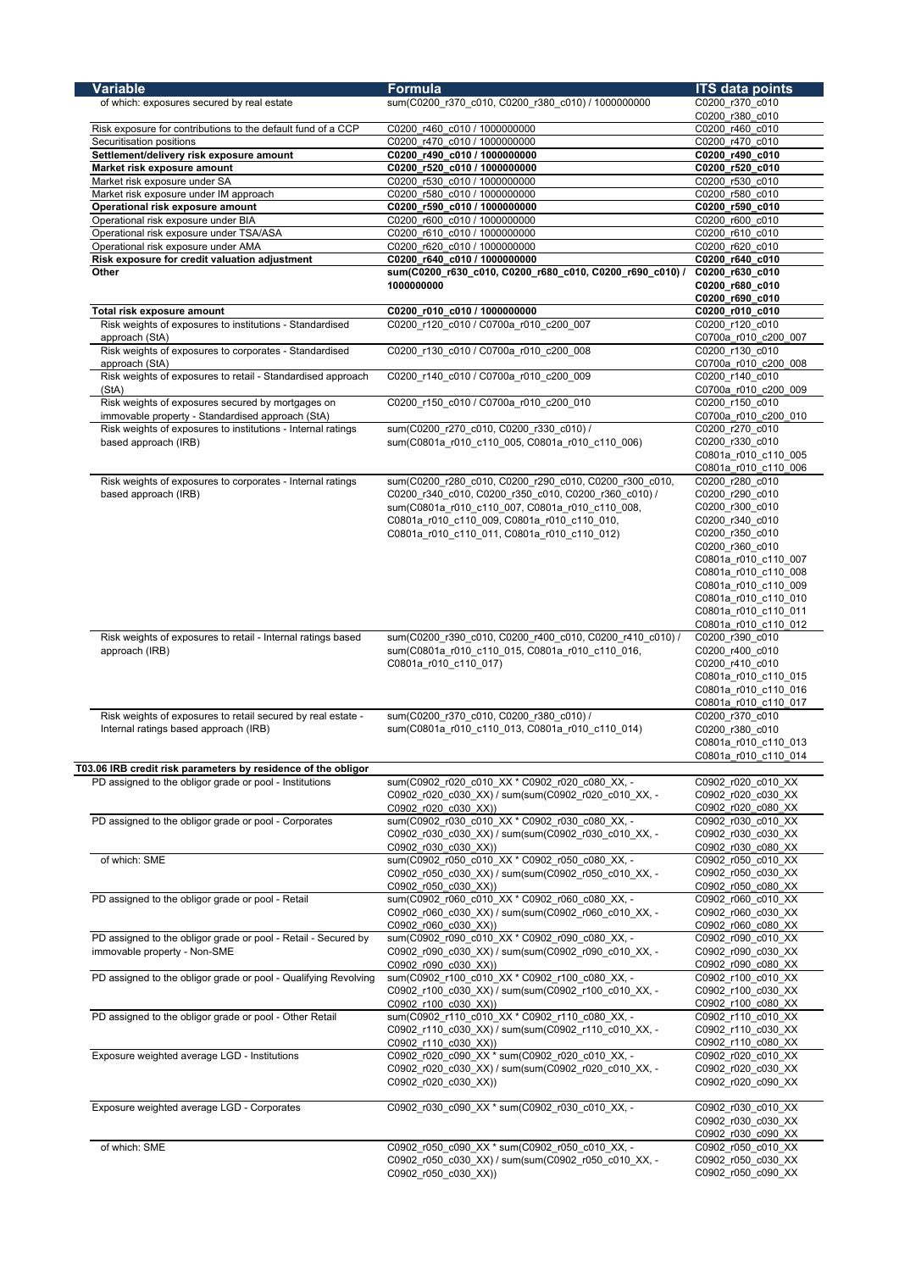| <b>Variable</b>                                                 | <b>Formula</b>                                           | <b>ITS data points</b> |
|-----------------------------------------------------------------|----------------------------------------------------------|------------------------|
| of which: exposures secured by real estate                      | sum(C0200_r370_c010, C0200_r380_c010) / 1000000000       | C0200_r370_c010        |
|                                                                 |                                                          | C0200 r380 c010        |
| Risk exposure for contributions to the default fund of a CCP    | C0200 r460 c010 / 1000000000                             | C0200 r460 c010        |
| Securitisation positions                                        | C0200 r470 c010 / 1000000000                             | C0200 r470 c010        |
|                                                                 | C0200_r490_c010 / 1000000000                             | C0200_r490_c010        |
| Settlement/delivery risk exposure amount                        | C0200 r520 c010 / 1000000000                             | C0200 r520 c010        |
| Market risk exposure amount                                     |                                                          |                        |
| Market risk exposure under SA                                   | C0200 r530 c010 / 1000000000                             | C0200 r530 c010        |
| Market risk exposure under IM approach                          | C0200 r580 c010 / 1000000000                             | C0200 r580 c010        |
| Operational risk exposure amount                                | C0200_r590_c010 / 1000000000                             | C0200_r590_c010        |
| Operational risk exposure under BIA                             | C0200 r600 c010 / 1000000000                             | C0200 r600 c010        |
| Operational risk exposure under TSA/ASA                         | C0200 r610 c010 / 1000000000                             | C0200 r610 c010        |
| Operational risk exposure under AMA                             | C0200 r620 c010 / 1000000000                             | C0200 r620 c010        |
| Risk exposure for credit valuation adjustment                   | C0200_r640_c010 / 1000000000                             | C0200 r640 c010        |
| Other                                                           | sum(C0200_r630_c010, C0200_r680_c010, C0200_r690_c010) / | C0200_r630_c010        |
|                                                                 | 1000000000                                               | C0200_r680_c010        |
|                                                                 |                                                          | C0200_r690_c010        |
| Total risk exposure amount                                      | C0200_r010_c010 / 1000000000                             | C0200_r010_c010        |
|                                                                 | C0200_r120_c010 / C0700a_r010_c200_007                   |                        |
| Risk weights of exposures to institutions - Standardised        |                                                          | C0200 r120 c010        |
| approach (StA)                                                  |                                                          | C0700a_r010_c200_007   |
| Risk weights of exposures to corporates - Standardised          | C0200 r130 c010 / C0700a r010 c200 008                   | C0200 r130 c010        |
| approach (StA)                                                  |                                                          | C0700a r010 c200 008   |
| Risk weights of exposures to retail - Standardised approach     | C0200 r140 c010 / C0700a r010 c200 009                   | C0200 r140 c010        |
| (StA)                                                           |                                                          | C0700a r010 c200 009   |
| Risk weights of exposures secured by mortgages on               | C0200 r150 c010 / C0700a r010 c200 010                   | C0200 r150 c010        |
| immovable property - Standardised approach (StA)                |                                                          | C0700a r010 c200 010   |
| Risk weights of exposures to institutions - Internal ratings    | sum(C0200 r270 c010, C0200 r330 c010) /                  | C0200 r270 c010        |
| based approach (IRB)                                            | sum(C0801a r010 c110 005, C0801a r010 c110 006)          | C0200 r330 c010        |
|                                                                 |                                                          | C0801a_r010_c110_005   |
|                                                                 |                                                          |                        |
|                                                                 |                                                          | C0801a r010 c110 006   |
| Risk weights of exposures to corporates - Internal ratings      | sum(C0200 r280 c010, C0200 r290 c010, C0200 r300 c010,   | C0200 r280 c010        |
| based approach (IRB)                                            | C0200_r340_c010, C0200_r350_c010, C0200_r360_c010) /     | C0200_r290_c010        |
|                                                                 | sum(C0801a_r010_c110_007, C0801a_r010_c110_008,          | C0200_r300_c010        |
|                                                                 | C0801a r010 c110 009, C0801a r010 c110 010,              | C0200_r340_c010        |
|                                                                 | C0801a_r010_c110_011, C0801a_r010_c110_012)              | C0200 r350 c010        |
|                                                                 |                                                          | C0200_r360_c010        |
|                                                                 |                                                          | C0801a_r010_c110_007   |
|                                                                 |                                                          |                        |
|                                                                 |                                                          | C0801a_r010_c110_008   |
|                                                                 |                                                          | C0801a r010 c110 009   |
|                                                                 |                                                          | C0801a_r010_c110_010   |
|                                                                 |                                                          | C0801a_r010_c110_011   |
|                                                                 |                                                          | C0801a_r010_c110_012   |
| Risk weights of exposures to retail - Internal ratings based    | sum(C0200 r390 c010, C0200 r400 c010, C0200 r410 c010) / | C0200 r390 c010        |
| approach (IRB)                                                  | sum(C0801a r010 c110 015, C0801a r010 c110 016,          | C0200 r400 c010        |
|                                                                 | C0801a_r010_c110_017)                                    | C0200_r410_c010        |
|                                                                 |                                                          |                        |
|                                                                 |                                                          | C0801a_r010_c110_015   |
|                                                                 |                                                          | C0801a r010 c110 016   |
|                                                                 |                                                          | C0801a_r010_c110_017   |
| Risk weights of exposures to retail secured by real estate -    | sum(C0200 r370 c010, C0200 r380 c010) /                  | C0200 r370 c010        |
| Internal ratings based approach (IRB)                           | sum(C0801a_r010_c110_013, C0801a_r010_c110_014)          | C0200 r380 c010        |
|                                                                 |                                                          | C0801a r010 c110 013   |
|                                                                 |                                                          | C0801a_r010_c110_014   |
| T03.06 IRB credit risk parameters by residence of the obligor   |                                                          |                        |
| PD assigned to the obligor grade or pool - Institutions         | sum(C0902 r020 c010 XX * C0902 r020 c080 XX, -           | C0902_r020_c010_XX     |
|                                                                 | C0902 r020 c030 XX) / sum(sum(C0902 r020 c010 XX, -      | C0902_r020_c030_XX     |
|                                                                 |                                                          |                        |
|                                                                 | C0902 r020 c030 XX))                                     | C0902_r020_c080_XX     |
| PD assigned to the obligor grade or pool - Corporates           | sum(C0902 r030 c010 XX * C0902 r030 c080 XX, -           | C0902 r030 c010 XX     |
|                                                                 | C0902_r030_c030_XX) / sum(sum(C0902_r030_c010_XX, -      | C0902_r030_c030_XX     |
|                                                                 | C0902 r030 c030 XX))                                     | C0902_r030_c080_XX     |
| of which: SME                                                   | sum(C0902_r050_c010_XX * C0902_r050_c080_XX, -           | C0902 r050 c010 XX     |
|                                                                 | C0902_r050_c030_XX) / sum(sum(C0902_r050_c010_XX, -      | C0902_r050_c030_XX     |
|                                                                 | C0902 r050 c030 XX))                                     | C0902 r050 c080 XX     |
| PD assigned to the obligor grade or pool - Retail               | sum(C0902 r060 c010 XX * C0902 r060 c080 XX, -           | C0902 r060 c010 XX     |
|                                                                 | C0902_r060_c030_XX) / sum(sum(C0902_r060_c010_XX, -      | C0902_r060_c030_XX     |
|                                                                 | C0902_r060_c030_XX))                                     | C0902_r060_c080_XX     |
| PD assigned to the obligor grade or pool - Retail - Secured by  | sum(C0902 r090 c010 XX * C0902 r090 c080 XX, -           | C0902 r090 c010 XX     |
| immovable property - Non-SME                                    | C0902 r090 c030 XX) / sum(sum(C0902 r090 c010 XX, -      | C0902_r090_c030_XX     |
|                                                                 |                                                          |                        |
|                                                                 | C0902 r090 c030 XX))                                     | C0902 r090 c080 XX     |
| PD assigned to the obligor grade or pool - Qualifying Revolving | sum(C0902_r100_c010_XX * C0902_r100_c080_XX, -           | C0902_r100_c010_XX     |
|                                                                 | C0902_r100_c030_XX) / sum(sum(C0902_r100_c010_XX, -      | C0902_r100_c030_XX     |
|                                                                 | C0902 r100 c030 XX))                                     | C0902 r100 c080 XX     |
| PD assigned to the obligor grade or pool - Other Retail         | sum(C0902 r110 c010 XX * C0902 r110 c080 XX, -           | C0902_r110_c010_XX     |
|                                                                 | C0902_r110_c030_XX) / sum(sum(C0902_r110_c010_XX, -      | C0902_r110_c030_XX     |
|                                                                 | C0902 r110 c030 XX))                                     | C0902 r110 c080 XX     |
| Exposure weighted average LGD - Institutions                    | C0902_r020_c090_XX * sum(C0902_r020_c010_XX, -           | C0902 r020 c010 XX     |
|                                                                 | C0902_r020_c030_XX) / sum(sum(C0902_r020_c010_XX, -      | C0902_r020_c030_XX     |
|                                                                 |                                                          |                        |
|                                                                 | C0902_r020_c030_XX))                                     | C0902_r020_c090_XX     |
|                                                                 |                                                          |                        |
| Exposure weighted average LGD - Corporates                      | C0902 r030 c090 XX * sum(C0902 r030 c010 XX, -           | C0902 r030 c010 XX     |
|                                                                 |                                                          | C0902_r030_c030_XX     |
|                                                                 |                                                          |                        |
|                                                                 |                                                          | C0902 r030 c090 XX     |
|                                                                 |                                                          |                        |
| of which: SME                                                   | C0902 r050 c090 XX * sum(C0902 r050 c010 XX, -           | C0902 r050 c010 XX     |
|                                                                 | C0902 r050 c030 XX) / sum(sum(C0902 r050 c010 XX, -      | C0902 r050 c030 XX     |
|                                                                 | C0902_r050_c030_XX))                                     | C0902_r050_c090_XX     |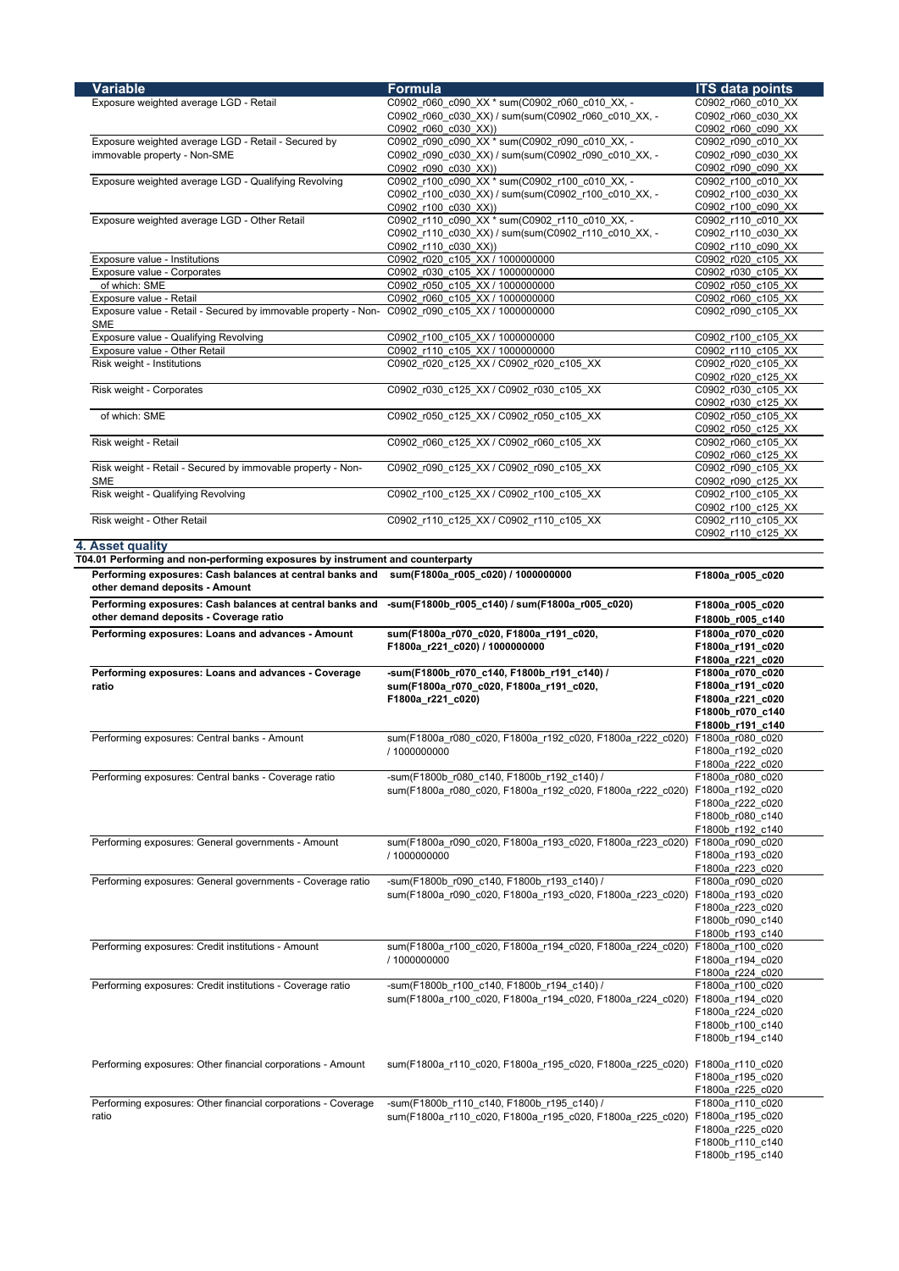| <b>Variable</b>                                                                                         |                                                                            |                                      |
|---------------------------------------------------------------------------------------------------------|----------------------------------------------------------------------------|--------------------------------------|
|                                                                                                         | <b>Formula</b>                                                             | <b>ITS data points</b>               |
| Exposure weighted average LGD - Retail                                                                  | C0902_r060_c090_XX * sum(C0902_r060_c010_XX, -                             | C0902 r060 c010 XX                   |
|                                                                                                         | C0902 r060 c030 XX) / sum(sum(C0902 r060 c010 XX, -                        | C0902 r060 c030 XX                   |
|                                                                                                         | C0902 r060 c030 XX))                                                       | C0902 r060 c090 XX                   |
| Exposure weighted average LGD - Retail - Secured by                                                     | C0902 r090 c090 XX * sum(C0902 r090 c010 XX, -                             | C0902 r090 c010 XX                   |
| immovable property - Non-SME                                                                            | C0902 r090 c030 XX) / sum(sum(C0902 r090 c010 XX, -                        | C0902_r090_c030_XX                   |
|                                                                                                         | C0902 r090 c030 XX))                                                       | C0902_r090_c090_XX                   |
| Exposure weighted average LGD - Qualifying Revolving                                                    | C0902_r100_c090_XX * sum(C0902_r100_c010_XX, -                             | C0902_r100_c010_XX                   |
|                                                                                                         | C0902_r100_c030_XX) / sum(sum(C0902_r100_c010_XX, -                        | C0902_r100_c030_XX                   |
|                                                                                                         | C0902 r100 c030 XX))                                                       | C0902 r100 c090 XX                   |
|                                                                                                         | C0902 r110 c090 XX * sum(C0902 r110 c010 XX, -                             |                                      |
| Exposure weighted average LGD - Other Retail                                                            |                                                                            | C0902 r110 c010 XX                   |
|                                                                                                         | C0902_r110_c030_XX) / sum(sum(C0902_r110_c010_XX, -                        | C0902_r110_c030_XX                   |
|                                                                                                         | C0902_r110_c030_XX))                                                       | C0902_r110_c090_XX                   |
| Exposure value - Institutions                                                                           | C0902_r020_c105_XX / 1000000000                                            | C0902 r020 c105 XX                   |
| Exposure value - Corporates                                                                             | C0902 r030 c105 XX / 1000000000                                            | C0902 r030 c105 XX                   |
| of which: SME                                                                                           | C0902_r050_c105_XX / 1000000000                                            | C0902 r050 c105 XX                   |
| Exposure value - Retail                                                                                 | C0902_r060_c105_XX / 1000000000                                            | C0902 r060 c105 XX                   |
| Exposure value - Retail - Secured by immovable property - Non- C0902 r090 c105 XX / 1000000000          |                                                                            | C0902 r090 c105 XX                   |
| <b>SME</b>                                                                                              |                                                                            |                                      |
| Exposure value - Qualifying Revolving                                                                   | C0902_r100_c105_XX / 1000000000                                            | C0902_r100_c105_XX                   |
| Exposure value - Other Retail                                                                           | C0902 r110 c105 XX / 1000000000                                            | C0902 r110 c105 XX                   |
| Risk weight - Institutions                                                                              | C0902_r020_c125_XX / C0902_r020_c105_XX                                    | C0902_r020_c105_XX                   |
|                                                                                                         |                                                                            |                                      |
|                                                                                                         |                                                                            | C0902 r020 c125 XX                   |
| Risk weight - Corporates                                                                                | C0902_r030_c125_XX / C0902_r030_c105_XX                                    | C0902 r030 c105 XX                   |
|                                                                                                         |                                                                            | C0902 r030 c125 XX                   |
| of which: SME                                                                                           | C0902_r050_c125_XX / C0902_r050_c105_XX                                    | C0902_r050_c105_XX                   |
|                                                                                                         |                                                                            | C0902_r050_c125_XX                   |
| Risk weight - Retail                                                                                    | C0902 r060 c125 XX / C0902 r060 c105 XX                                    | C0902 r060 c105 XX                   |
|                                                                                                         |                                                                            | C0902_r060_c125_XX                   |
| Risk weight - Retail - Secured by immovable property - Non-                                             | C0902_r090_c125_XX / C0902_r090_c105_XX                                    | C0902 r090 c105 XX                   |
| SME                                                                                                     |                                                                            | C0902_r090_c125_XX                   |
| Risk weight - Qualifying Revolving                                                                      | C0902 r100 c125 XX / C0902 r100 c105 XX                                    | C0902 r100 c105 XX                   |
|                                                                                                         |                                                                            | C0902_r100_c125_XX                   |
| Risk weight - Other Retail                                                                              | C0902_r110_c125_XX / C0902_r110_c105_XX                                    | C0902 r110 c105 XX                   |
|                                                                                                         |                                                                            |                                      |
|                                                                                                         |                                                                            | C0902 r110 c125 XX                   |
| 4. Asset quality                                                                                        |                                                                            |                                      |
| T04.01 Performing and non-performing exposures by instrument and counterparty                           |                                                                            |                                      |
| Performing exposures: Cash balances at central banks and sum(F1800a_r005_c020) / 1000000000             |                                                                            | F1800a_r005_c020                     |
| other demand deposits - Amount                                                                          |                                                                            |                                      |
| Performing exposures: Cash balances at central banks and -sum(F1800b_r005_c140) / sum(F1800a_r005_c020) |                                                                            | F1800a_r005_c020                     |
|                                                                                                         |                                                                            |                                      |
|                                                                                                         |                                                                            |                                      |
| other demand deposits - Coverage ratio                                                                  |                                                                            | F1800b_r005_c140                     |
| Performing exposures: Loans and advances - Amount                                                       | sum(F1800a_r070_c020, F1800a_r191_c020,                                    | F1800a_r070_c020                     |
|                                                                                                         | F1800a_r221_c020) / 1000000000                                             | F1800a_r191_c020                     |
|                                                                                                         |                                                                            | F1800a_r221_c020                     |
| Performing exposures: Loans and advances - Coverage                                                     | -sum(F1800b_r070_c140, F1800b_r191_c140) /                                 | F1800a_r070_c020                     |
| ratio                                                                                                   | sum(F1800a_r070_c020, F1800a_r191_c020,                                    | F1800a_r191_c020                     |
|                                                                                                         |                                                                            | F1800a_r221_c020                     |
|                                                                                                         | F1800a_r221_c020)                                                          |                                      |
|                                                                                                         |                                                                            | F1800b_r070_c140                     |
|                                                                                                         |                                                                            | F1800b_r191_c140                     |
| Performing exposures: Central banks - Amount                                                            | sum(F1800a_r080_c020, F1800a_r192_c020, F1800a_r222_c020) F1800a_r080_c020 |                                      |
|                                                                                                         | / 1000000000                                                               | F1800a_r192_c020                     |
|                                                                                                         |                                                                            | F1800a_r222_c020                     |
| Performing exposures: Central banks - Coverage ratio                                                    | -sum(F1800b r080 c140, F1800b r192 c140) /                                 | F1800a r080 c020                     |
|                                                                                                         | sum(F1800a_r080_c020, F1800a_r192_c020, F1800a_r222_c020) F1800a_r192_c020 |                                      |
|                                                                                                         |                                                                            | F1800a_r222_c020                     |
|                                                                                                         |                                                                            | F1800b_r080_c140                     |
|                                                                                                         |                                                                            | F1800b_r192_c140                     |
| Performing exposures: General governments - Amount                                                      | sum(F1800a_r090_c020, F1800a_r193_c020, F1800a_r223_c020) F1800a_r090_c020 |                                      |
|                                                                                                         | / 1000000000                                                               | F1800a_r193_c020                     |
|                                                                                                         |                                                                            |                                      |
|                                                                                                         |                                                                            | F1800a r223 c020                     |
| Performing exposures: General governments - Coverage ratio                                              | -sum(F1800b r090 c140, F1800b r193 c140) /                                 | F1800a r090 c020                     |
|                                                                                                         | sum(F1800a_r090_c020, F1800a_r193_c020, F1800a_r223_c020) F1800a_r193_c020 |                                      |
|                                                                                                         |                                                                            | F1800a r223 c020                     |
|                                                                                                         |                                                                            | F1800b_r090_c140                     |
|                                                                                                         |                                                                            | F1800b_r193_c140                     |
| Performing exposures: Credit institutions - Amount                                                      | sum(F1800a_r100_c020, F1800a_r194_c020, F1800a_r224_c020) F1800a_r100_c020 |                                      |
|                                                                                                         | / 1000000000                                                               | F1800a_r194_c020                     |
|                                                                                                         |                                                                            | F1800a_r224_c020                     |
|                                                                                                         |                                                                            |                                      |
| Performing exposures: Credit institutions - Coverage ratio                                              | -sum(F1800b_r100_c140, F1800b_r194_c140) /                                 | F1800a_r100_c020                     |
|                                                                                                         | sum(F1800a_r100_c020, F1800a_r194_c020, F1800a_r224_c020) F1800a_r194_c020 |                                      |
|                                                                                                         |                                                                            | F1800a_r224_c020                     |
|                                                                                                         |                                                                            | F1800b_r100_c140                     |
|                                                                                                         |                                                                            | F1800b_r194_c140                     |
|                                                                                                         |                                                                            |                                      |
| Performing exposures: Other financial corporations - Amount                                             | sum(F1800a_r110_c020, F1800a_r195_c020, F1800a_r225_c020) F1800a_r110_c020 |                                      |
|                                                                                                         |                                                                            | F1800a_r195_c020                     |
|                                                                                                         |                                                                            | F1800a_r225_c020                     |
| Performing exposures: Other financial corporations - Coverage                                           | -sum(F1800b r110 c140, F1800b r195 c140) /                                 | F1800a r110 c020                     |
| ratio                                                                                                   | sum(F1800a_r110_c020, F1800a_r195_c020, F1800a_r225_c020) F1800a_r195_c020 |                                      |
|                                                                                                         |                                                                            | F1800a_r225_c020                     |
|                                                                                                         |                                                                            |                                      |
|                                                                                                         |                                                                            | F1800b_r110_c140<br>F1800b_r195_c140 |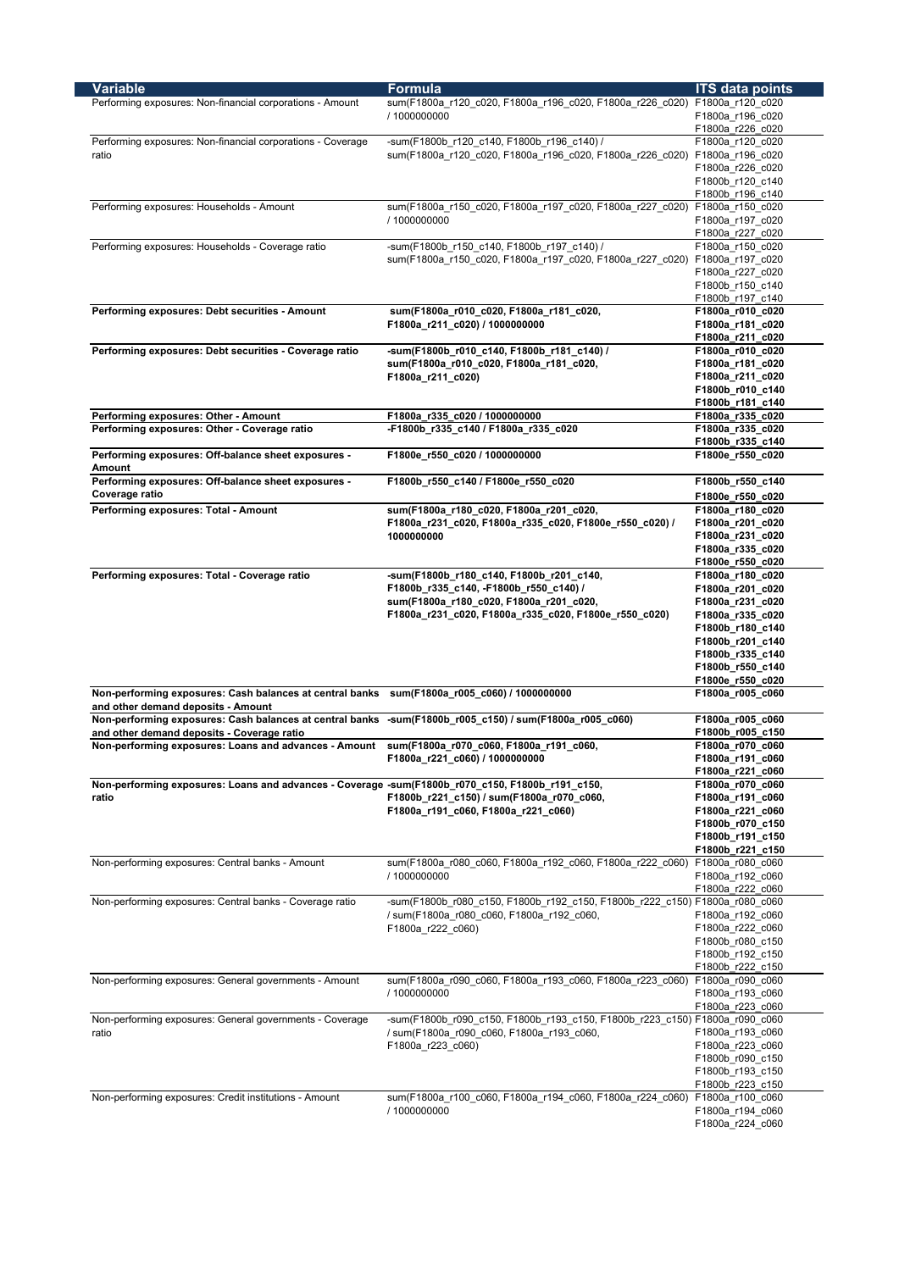| <b>Variable</b>                                                                                                                                                                                                                                        | Formula                                                                                                                                                                                | <b>ITS data points</b>                                                                                                                                                           |
|--------------------------------------------------------------------------------------------------------------------------------------------------------------------------------------------------------------------------------------------------------|----------------------------------------------------------------------------------------------------------------------------------------------------------------------------------------|----------------------------------------------------------------------------------------------------------------------------------------------------------------------------------|
| Performing exposures: Non-financial corporations - Amount                                                                                                                                                                                              | sum(F1800a_r120_c020, F1800a_r196_c020, F1800a_r226_c020) F1800a_r120_c020<br>/1000000000                                                                                              | F1800a r196 c020<br>F1800a r226 c020                                                                                                                                             |
| Performing exposures: Non-financial corporations - Coverage<br>ratio                                                                                                                                                                                   | -sum(F1800b r120 c140, F1800b r196 c140) /<br>sum(F1800a_r120_c020, F1800a_r196_c020, F1800a_r226_c020)                                                                                | F1800a r120 c020<br>F1800a_r196_c020<br>F1800a_r226_c020<br>F1800b_r120_c140<br>F1800b r196 c140                                                                                 |
| Performing exposures: Households - Amount                                                                                                                                                                                                              | sum(F1800a_r150_c020, F1800a_r197_c020, F1800a_r227_c020) F1800a_r150_c020<br>/ 1000000000                                                                                             | F1800a_r197_c020<br>F1800a r227 c020                                                                                                                                             |
| Performing exposures: Households - Coverage ratio                                                                                                                                                                                                      | -sum(F1800b r150 c140, F1800b r197 c140) /<br>sum(F1800a_r150_c020, F1800a_r197_c020, F1800a_r227_c020) F1800a_r197_c020                                                               | F1800a r150 c020<br>F1800a r227 c020<br>F1800b_r150_c140<br>F1800b r197 c140                                                                                                     |
| Performing exposures: Debt securities - Amount                                                                                                                                                                                                         | sum(F1800a_r010_c020, F1800a_r181_c020,<br>F1800a_r211_c020) / 1000000000                                                                                                              | F1800a_r010_c020<br>F1800a_r181_c020<br>F1800a_r211_c020                                                                                                                         |
| Performing exposures: Debt securities - Coverage ratio                                                                                                                                                                                                 | -sum(F1800b_r010_c140, F1800b_r181_c140) /<br>sum(F1800a_r010_c020, F1800a_r181_c020,<br>F1800a_r211_c020)                                                                             | F1800a_r010_c020<br>F1800a_r181_c020<br>F1800a_r211_c020<br>F1800b_r010_c140<br>F1800b_r181_c140                                                                                 |
| Performing exposures: Other - Amount                                                                                                                                                                                                                   | F1800a_r335_c020 / 1000000000                                                                                                                                                          | F1800a r335 c020                                                                                                                                                                 |
| Performing exposures: Other - Coverage ratio                                                                                                                                                                                                           | -F1800b_r335_c140 / F1800a_r335_c020                                                                                                                                                   | F1800a_r335_c020                                                                                                                                                                 |
| Performing exposures: Off-balance sheet exposures -                                                                                                                                                                                                    | F1800e r550 c020 / 1000000000                                                                                                                                                          | F1800b r335 c140<br>F1800e_r550_c020                                                                                                                                             |
| Amount<br>Performing exposures: Off-balance sheet exposures -<br>Coverage ratio                                                                                                                                                                        | F1800b_r550_c140 / F1800e_r550_c020                                                                                                                                                    | F1800b_r550_c140<br>F1800e_r550_c020                                                                                                                                             |
| Performing exposures: Total - Amount                                                                                                                                                                                                                   | sum(F1800a_r180_c020, F1800a_r201_c020,<br>F1800a_r231_c020, F1800a_r335_c020, F1800e_r550_c020) /<br>1000000000                                                                       | F1800a_r180_c020<br>F1800a_r201_c020<br>F1800a_r231_c020<br>F1800a_r335_c020<br>F1800e_r550_c020                                                                                 |
| Performing exposures: Total - Coverage ratio                                                                                                                                                                                                           | -sum(F1800b_r180_c140, F1800b_r201_c140,<br>F1800b_r335_c140, -F1800b_r550_c140) /<br>sum(F1800a_r180_c020, F1800a_r201_c020,<br>F1800a_r231_c020, F1800a_r335_c020, F1800e_r550_c020) | F1800a_r180_c020<br>F1800a_r201_c020<br>F1800a_r231_c020<br>F1800a_r335_c020<br>F1800b_r180_c140<br>F1800b_r201_c140<br>F1800b_r335_c140<br>F1800b_r550_c140<br>F1800e_r550_c020 |
| Non-performing exposures: Cash balances at central banks sum(F1800a r005 c060) / 1000000000<br>and other demand deposits - Amount                                                                                                                      |                                                                                                                                                                                        | F1800a_r005_c060                                                                                                                                                                 |
| Non-performing exposures: Cash balances at central banks -sum(F1800b_r005_c150) / sum(F1800a_r005_c060)<br>and other demand deposits - Coverage ratio<br>Non-performing exposures: Loans and advances - Amount sum(F1800a_r070_c060, F1800a_r191_c060, |                                                                                                                                                                                        | F1800a_r005_c060<br>F1800b_r005_c150<br>F1800a_r070_c060                                                                                                                         |
|                                                                                                                                                                                                                                                        | F1800a_r221_c060) / 1000000000                                                                                                                                                         | F1800a_r191_c060<br>F1800a_r221_c060                                                                                                                                             |
| Non-performing exposures: Loans and advances - Coverage -sum(F1800b_r070_c150, F1800b_r191_c150,<br>ratio                                                                                                                                              | F1800b_r221_c150) / sum(F1800a_r070_c060,<br>F1800a_r191_c060, F1800a_r221_c060)                                                                                                       | F1800a_r070_c060<br>F1800a_r191_c060<br>F1800a_r221_c060<br>F1800b_r070_c150<br>F1800b_r191_c150<br>F1800b_r221_c150                                                             |
| Non-performing exposures: Central banks - Amount                                                                                                                                                                                                       | sum(F1800a_r080_c060, F1800a_r192_c060, F1800a_r222_c060)<br>/ 1000000000                                                                                                              | F1800a_r080_c060<br>F1800a_r192_c060<br>F1800a r222 c060                                                                                                                         |
| Non-performing exposures: Central banks - Coverage ratio                                                                                                                                                                                               | -sum(F1800b r080 c150, F1800b_r192_c150, F1800b_r222_c150) F1800a_r080_c060<br>/ sum(F1800a r080 c060, F1800a r192 c060,<br>F1800a_r222_c060)                                          | F1800a_r192_c060<br>F1800a_r222_c060<br>F1800b r080 c150<br>F1800b_r192_c150<br>F1800b_r222_c150                                                                                 |
| Non-performing exposures: General governments - Amount                                                                                                                                                                                                 | sum(F1800a r090 c060, F1800a r193 c060, F1800a r223 c060)<br>/ 1000000000                                                                                                              | F1800a r090 c060<br>F1800a_r193_c060<br>F1800a r223 c060                                                                                                                         |
| Non-performing exposures: General governments - Coverage<br>ratio                                                                                                                                                                                      | -sum(F1800b_r090_c150, F1800b_r193_c150, F1800b_r223_c150) F1800a_r090_c060<br>/ sum(F1800a_r090_c060, F1800a_r193_c060,<br>F1800a_r223_c060)                                          | F1800a_r193_c060<br>F1800a r223 c060<br>F1800b_r090_c150<br>F1800b_r193_c150<br>F1800b_r223_c150                                                                                 |
| Non-performing exposures: Credit institutions - Amount                                                                                                                                                                                                 | sum(F1800a_r100_c060, F1800a_r194_c060, F1800a_r224_c060)<br>/ 1000000000                                                                                                              | F1800a r100 c060<br>F1800a_r194_c060<br>F1800a_r224_c060                                                                                                                         |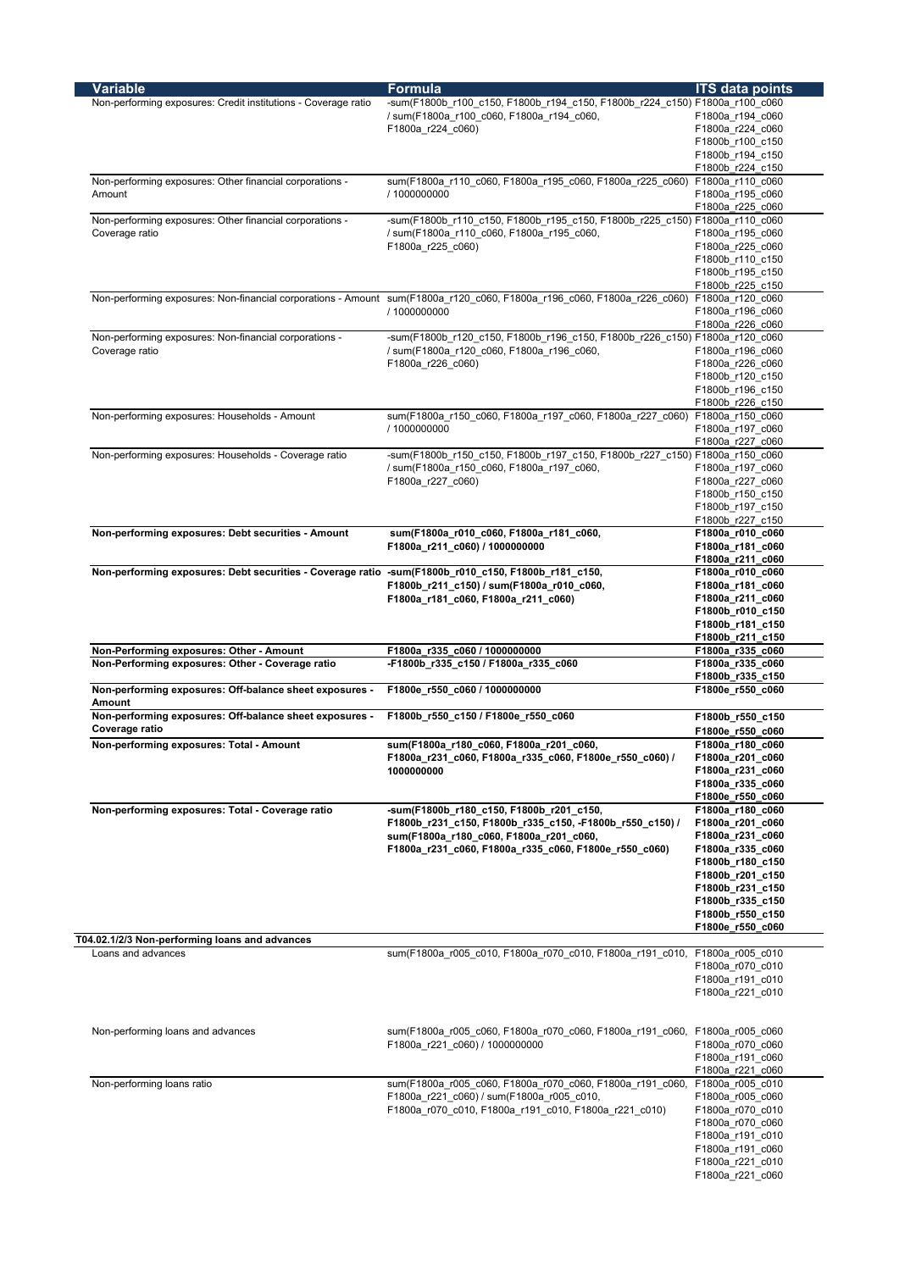| <b>Variable</b><br>Non-performing exposures: Credit institutions - Coverage ratio                   | Formula<br>-sum(F1800b_r100_c150, F1800b_r194_c150, F1800b_r224_c150) F1800a_r100_c060                                  | <b>ITS data points</b>               |
|-----------------------------------------------------------------------------------------------------|-------------------------------------------------------------------------------------------------------------------------|--------------------------------------|
|                                                                                                     | / sum(F1800a_r100_c060, F1800a_r194_c060,                                                                               | F1800a r194 c060                     |
|                                                                                                     | F1800a_r224_c060)                                                                                                       | F1800a r224 c060                     |
|                                                                                                     |                                                                                                                         | F1800b_r100_c150                     |
|                                                                                                     |                                                                                                                         | F1800b r194 c150<br>F1800b_r224_c150 |
| Non-performing exposures: Other financial corporations -                                            | sum(F1800a r110 c060, F1800a r195 c060, F1800a r225 c060)                                                               | F1800a_r110_c060                     |
| Amount                                                                                              | / 1000000000                                                                                                            | F1800a_r195_c060                     |
|                                                                                                     |                                                                                                                         | F1800a r225 c060                     |
| Non-performing exposures: Other financial corporations -                                            | -sum(F1800b_r110_c150, F1800b_r195_c150, F1800b_r225_c150) F1800a_r110_c060                                             |                                      |
| Coverage ratio                                                                                      | / sum(F1800a r110 c060, F1800a r195 c060,                                                                               | F1800a_r195_c060                     |
|                                                                                                     | F1800a_r225_c060)                                                                                                       | F1800a_r225_c060                     |
|                                                                                                     |                                                                                                                         | F1800b_r110_c150                     |
|                                                                                                     |                                                                                                                         | F1800b_r195_c150                     |
|                                                                                                     |                                                                                                                         | F1800b_r225_c150                     |
|                                                                                                     | Non-performing exposures: Non-financial corporations - Amount sum(F1800a_r120_c060, F1800a_r196_c060, F1800a_r226_c060) | F1800a_r120_c060                     |
|                                                                                                     | / 1000000000                                                                                                            | F1800a_r196_c060<br>F1800a r226 c060 |
| Non-performing exposures: Non-financial corporations -                                              | -sum(F1800b_r120_c150, F1800b_r196_c150, F1800b_r226_c150) F1800a_r120_c060                                             |                                      |
| Coverage ratio                                                                                      | / sum(F1800a_r120_c060, F1800a_r196_c060,                                                                               | F1800a_r196_c060                     |
|                                                                                                     | F1800a_r226_c060)                                                                                                       | F1800a_r226_c060                     |
|                                                                                                     |                                                                                                                         | F1800b_r120_c150                     |
|                                                                                                     |                                                                                                                         | F1800b_r196_c150                     |
|                                                                                                     |                                                                                                                         | F1800b_r226_c150                     |
| Non-performing exposures: Households - Amount                                                       | sum(F1800a_r150_c060, F1800a_r197_c060, F1800a_r227_c060)                                                               | F1800a_r150_c060                     |
|                                                                                                     | / 1000000000                                                                                                            | F1800a_r197_c060                     |
|                                                                                                     |                                                                                                                         | F1800a r227 c060                     |
| Non-performing exposures: Households - Coverage ratio                                               | -sum(F1800b_r150_c150, F1800b_r197_c150, F1800b_r227_c150) F1800a_r150_c060                                             |                                      |
|                                                                                                     | / sum(F1800a_r150_c060, F1800a_r197_c060,                                                                               | F1800a_r197_c060                     |
|                                                                                                     | F1800a_r227_c060)                                                                                                       | F1800a_r227_c060                     |
|                                                                                                     |                                                                                                                         | F1800b_r150_c150                     |
|                                                                                                     |                                                                                                                         | F1800b_r197_c150                     |
|                                                                                                     |                                                                                                                         | F1800b_r227_c150                     |
| Non-performing exposures: Debt securities - Amount                                                  | sum(F1800a_r010_c060, F1800a_r181_c060,                                                                                 | F1800a_r010_c060                     |
|                                                                                                     | F1800a_r211_c060) / 1000000000                                                                                          | F1800a_r181_c060                     |
|                                                                                                     |                                                                                                                         | F1800a_r211_c060                     |
| Non-performing exposures: Debt securities - Coverage ratio -sum(F1800b_r010_c150, F1800b_r181_c150, |                                                                                                                         | F1800a_r010_c060                     |
|                                                                                                     | F1800b_r211_c150) / sum(F1800a_r010_c060,                                                                               | F1800a_r181_c060                     |
|                                                                                                     | F1800a_r181_c060, F1800a_r211_c060)                                                                                     | F1800a_r211_c060                     |
|                                                                                                     |                                                                                                                         | F1800b_r010_c150                     |
|                                                                                                     |                                                                                                                         | F1800b_r181_c150                     |
|                                                                                                     |                                                                                                                         | F1800b_r211_c150                     |
| Non-Performing exposures: Other - Amount                                                            | F1800a_r335_c060 / 1000000000<br>-F1800b_r335_c150 / F1800a_r335_c060                                                   | F1800a_r335_c060                     |
| Non-Performing exposures: Other - Coverage ratio                                                    |                                                                                                                         | F1800a_r335_c060<br>F1800b_r335_c150 |
| Non-performing exposures: Off-balance sheet exposures -                                             | F1800e_r550_c060 / 1000000000                                                                                           | F1800e_r550_c060                     |
| Amount<br>Non-performing exposures: Off-balance sheet exposures -                                   | F1800b_r550_c150 / F1800e_r550_c060                                                                                     |                                      |
| Coverage ratio                                                                                      |                                                                                                                         | F1800b_r550_c150<br>F1800e_r550_c060 |
| Non-performing exposures: Total - Amount                                                            | sum(F1800a r180 c060, F1800a r201 c060,                                                                                 | F1800a r180 c060                     |
|                                                                                                     | F1800a_r231_c060, F1800a_r335_c060, F1800e_r550_c060) /                                                                 | F1800a_r201_c060                     |
|                                                                                                     | 1000000000                                                                                                              | F1800a_r231_c060                     |
|                                                                                                     |                                                                                                                         | F1800a_r335_c060                     |
|                                                                                                     |                                                                                                                         | F1800e_r550_c060                     |
| Non-performing exposures: Total - Coverage ratio                                                    | -sum(F1800b_r180_c150, F1800b_r201_c150,                                                                                | F1800a r180 c060                     |
|                                                                                                     | F1800b_r231_c150, F1800b_r335_c150, -F1800b_r550_c150) /                                                                | F1800a_r201_c060                     |
|                                                                                                     | sum(F1800a_r180_c060, F1800a_r201_c060,                                                                                 | F1800a_r231_c060                     |
|                                                                                                     | F1800a_r231_c060, F1800a_r335_c060, F1800e_r550_c060)                                                                   | F1800a_r335_c060                     |
|                                                                                                     |                                                                                                                         | F1800b_r180_c150                     |
|                                                                                                     |                                                                                                                         | F1800b_r201_c150                     |
|                                                                                                     |                                                                                                                         | F1800b_r231_c150                     |
|                                                                                                     |                                                                                                                         | F1800b_r335_c150                     |
|                                                                                                     |                                                                                                                         | F1800b_r550_c150                     |
|                                                                                                     |                                                                                                                         | F1800e_r550_c060                     |
| T04.02.1/2/3 Non-performing loans and advances                                                      |                                                                                                                         |                                      |
| Loans and advances                                                                                  | sum(F1800a r005 c010, F1800a r070 c010, F1800a r191 c010, F1800a r005 c010                                              |                                      |
|                                                                                                     |                                                                                                                         | F1800a r070 c010                     |
|                                                                                                     |                                                                                                                         | F1800a_r191_c010                     |
|                                                                                                     |                                                                                                                         | F1800a_r221_c010                     |
|                                                                                                     |                                                                                                                         |                                      |
| Non-performing loans and advances                                                                   | sum(F1800a_r005_c060, F1800a_r070_c060, F1800a_r191_c060,                                                               | F1800a_r005_c060                     |
|                                                                                                     | F1800a r221 c060) / 1000000000                                                                                          | F1800a_r070_c060                     |
|                                                                                                     |                                                                                                                         | F1800a_r191_c060                     |
|                                                                                                     |                                                                                                                         | F1800a_r221_c060                     |
| Non-performing loans ratio                                                                          | sum(F1800a r005 c060, F1800a r070 c060, F1800a r191 c060, F1800a r005 c010                                              |                                      |
|                                                                                                     | F1800a r221 c060) / sum(F1800a r005 c010,                                                                               | F1800a r005 c060                     |
|                                                                                                     | F1800a_r070_c010, F1800a_r191_c010, F1800a_r221_c010)                                                                   | F1800a_r070_c010                     |
|                                                                                                     |                                                                                                                         | F1800a_r070_c060                     |
|                                                                                                     |                                                                                                                         | F1800a_r191_c010                     |
|                                                                                                     |                                                                                                                         |                                      |
|                                                                                                     |                                                                                                                         | F1800a_r191_c060                     |
|                                                                                                     |                                                                                                                         | F1800a_r221_c010                     |
|                                                                                                     |                                                                                                                         | F1800a_r221_c060                     |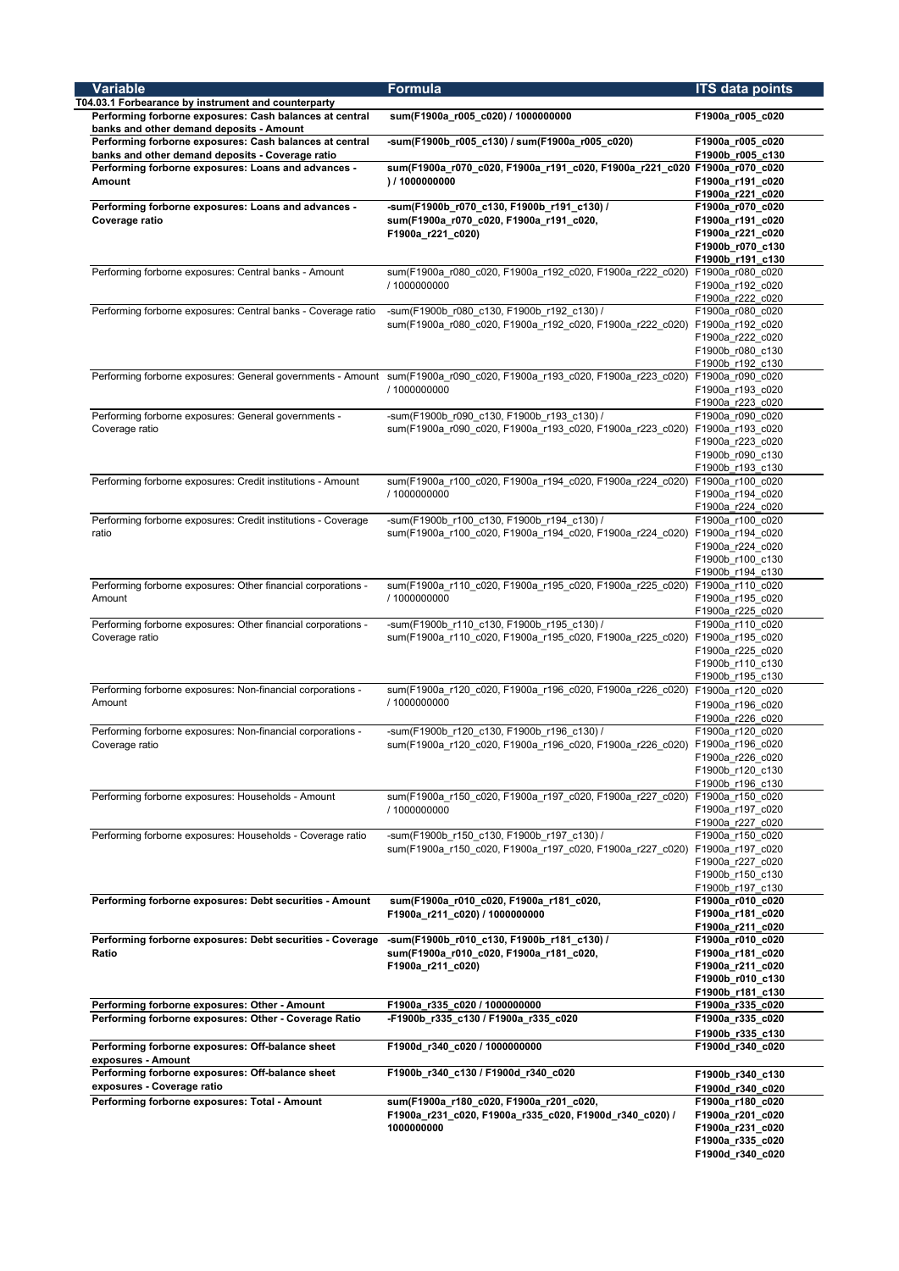| Variable<br>T04.03.1 Forbearance by instrument and counterparty                                             | Formula                                                                                                                                | <b>ITS data points</b>               |
|-------------------------------------------------------------------------------------------------------------|----------------------------------------------------------------------------------------------------------------------------------------|--------------------------------------|
| Performing forborne exposures: Cash balances at central<br>banks and other demand deposits - Amount         | sum(F1900a_r005_c020) / 1000000000                                                                                                     | F1900a_r005_c020                     |
| Performing forborne exposures: Cash balances at central<br>banks and other demand deposits - Coverage ratio | -sum(F1900b_r005_c130) / sum(F1900a_r005_c020)                                                                                         | F1900a_r005_c020<br>F1900b_r005_c130 |
| Performing forborne exposures: Loans and advances -<br>Amount                                               | sum(F1900a_r070_c020, F1900a_r191_c020, F1900a_r221_c020_F1900a_r070_c020<br>) / 1000000000                                            | F1900a_r191_c020                     |
|                                                                                                             |                                                                                                                                        | F1900a_r221_c020                     |
| Performing forborne exposures: Loans and advances -<br>Coverage ratio                                       | -sum(F1900b_r070_c130, F1900b_r191_c130) /<br>sum(F1900a_r070_c020, F1900a_r191_c020,                                                  | F1900a_r070_c020<br>F1900a_r191_c020 |
|                                                                                                             | F1900a_r221_c020)                                                                                                                      | F1900a_r221_c020<br>F1900b_r070_c130 |
|                                                                                                             |                                                                                                                                        | F1900b_r191_c130                     |
| Performing forborne exposures: Central banks - Amount                                                       | sum(F1900a r080 c020, F1900a r192 c020, F1900a r222 c020) F1900a r080 c020<br>/ 1000000000                                             | F1900a r192 c020                     |
|                                                                                                             |                                                                                                                                        | F1900a_r222_c020                     |
| Performing forborne exposures: Central banks - Coverage ratio                                               | -sum(F1900b r080 c130, F1900b r192 c130) /<br>sum(F1900a_r080_c020, F1900a_r192_c020, F1900a_r222_c020) F1900a_r192_c020               | F1900a r080 c020                     |
|                                                                                                             |                                                                                                                                        | F1900a_r222_c020                     |
|                                                                                                             |                                                                                                                                        | F1900b_r080_c130<br>F1900b_r192_c130 |
|                                                                                                             | Performing forborne exposures: General governments - Amount sum(F1900a_r090_c020, F1900a_r193_c020, F1900a_r223_c020) F1900a_r090_c020 |                                      |
|                                                                                                             | /1000000000                                                                                                                            | F1900a_r193_c020                     |
| Performing forborne exposures: General governments -                                                        | -sum(F1900b r090 c130, F1900b r193 c130) /                                                                                             | F1900a_r223_c020<br>F1900a r090 c020 |
| Coverage ratio                                                                                              | sum(F1900a_r090_c020, F1900a_r193_c020, F1900a_r223_c020) F1900a_r193_c020                                                             |                                      |
|                                                                                                             |                                                                                                                                        | F1900a_r223_c020<br>F1900b_r090_c130 |
|                                                                                                             |                                                                                                                                        | F1900b_r193_c130                     |
| Performing forborne exposures: Credit institutions - Amount                                                 | sum(F1900a_r100_c020, F1900a_r194_c020, F1900a_r224_c020) F1900a_r100_c020<br>/ 1000000000                                             | F1900a_r194_c020                     |
|                                                                                                             |                                                                                                                                        | F1900a r224 c020                     |
| Performing forborne exposures: Credit institutions - Coverage<br>ratio                                      | -sum(F1900b r100 c130, F1900b r194 c130) /<br>sum(F1900a_r100_c020, F1900a_r194_c020, F1900a_r224_c020) F1900a_r194_c020               | F1900a r100 c020                     |
|                                                                                                             |                                                                                                                                        | F1900a_r224_c020                     |
|                                                                                                             |                                                                                                                                        | F1900b_r100_c130<br>F1900b_r194_c130 |
| Performing forborne exposures: Other financial corporations -                                               | sum(F1900a_r110_c020, F1900a_r195_c020, F1900a_r225_c020) F1900a_r110_c020                                                             |                                      |
| Amount                                                                                                      | / 1000000000                                                                                                                           | F1900a_r195_c020<br>F1900a r225 c020 |
| Performing forborne exposures: Other financial corporations -                                               | -sum(F1900b r110 c130, F1900b r195 c130) /                                                                                             | F1900a_r110_c020                     |
| Coverage ratio                                                                                              | sum(F1900a_r110_c020, F1900a_r195_c020, F1900a_r225_c020) F1900a_r195_c020                                                             | F1900a_r225_c020                     |
|                                                                                                             |                                                                                                                                        | F1900b_r110_c130                     |
| Performing forborne exposures: Non-financial corporations -                                                 | sum(F1900a_r120_c020, F1900a_r196_c020, F1900a_r226_c020) F1900a_r120_c020                                                             | F1900b_r195_c130                     |
| Amount                                                                                                      | / 1000000000                                                                                                                           | F1900a r196 c020                     |
| Performing forborne exposures: Non-financial corporations -                                                 | -sum(F1900b r120 c130, F1900b r196 c130) /                                                                                             | F1900a r226 c020<br>F1900a r120 c020 |
| Coverage ratio                                                                                              | sum(F1900a_r120_c020, F1900a_r196_c020, F1900a_r226_c020) F1900a_r196_c020                                                             |                                      |
|                                                                                                             |                                                                                                                                        | F1900a_r226_c020<br>F1900b r120 c130 |
|                                                                                                             |                                                                                                                                        | F1900b r196 c130                     |
| Performing forborne exposures: Households - Amount                                                          | sum(F1900a r150 c020, F1900a_r197_c020, F1900a_r227_c020) F1900a_r150_c020<br>/ 1000000000                                             | F1900a r197 c020                     |
|                                                                                                             |                                                                                                                                        | F1900a r227 c020                     |
| Performing forborne exposures: Households - Coverage ratio                                                  | -sum(F1900b r150 c130, F1900b r197 c130) /<br>sum(F1900a r150 c020, F1900a r197 c020, F1900a r227 c020) F1900a r197 c020               | F1900a r150 c020                     |
|                                                                                                             |                                                                                                                                        | F1900a_r227_c020                     |
|                                                                                                             |                                                                                                                                        | F1900b_r150_c130<br>F1900b_r197_c130 |
| Performing forborne exposures: Debt securities - Amount                                                     | sum(F1900a_r010_c020, F1900a_r181_c020,                                                                                                | F1900a_r010_c020                     |
|                                                                                                             | F1900a_r211_c020) / 1000000000                                                                                                         | F1900a_r181_c020<br>F1900a r211 c020 |
| Performing forborne exposures: Debt securities - Coverage                                                   | -sum(F1900b_r010_c130, F1900b_r181_c130) /                                                                                             | F1900a r010 c020                     |
| Ratio                                                                                                       | sum(F1900a_r010_c020, F1900a_r181_c020,<br>F1900a_r211_c020)                                                                           | F1900a_r181_c020<br>F1900a_r211_c020 |
|                                                                                                             |                                                                                                                                        | F1900b_r010_c130                     |
| Performing forborne exposures: Other - Amount                                                               | F1900a_r335_c020 / 1000000000                                                                                                          | F1900b_r181_c130<br>F1900a_r335_c020 |
| Performing forborne exposures: Other - Coverage Ratio                                                       | -F1900b_r335_c130 / F1900a_r335_c020                                                                                                   | F1900a_r335_c020                     |
|                                                                                                             |                                                                                                                                        | F1900b_r335_c130                     |
| Performing forborne exposures: Off-balance sheet<br>exposures - Amount                                      | F1900d_r340_c020 / 1000000000                                                                                                          | F1900d_r340_c020                     |
| Performing forborne exposures: Off-balance sheet                                                            | F1900b_r340_c130 / F1900d_r340_c020                                                                                                    | F1900b_r340_c130                     |
| exposures - Coverage ratio<br>Performing forborne exposures: Total - Amount                                 | sum(F1900a_r180_c020, F1900a_r201_c020,                                                                                                | F1900d_r340_c020<br>F1900a_r180_c020 |
|                                                                                                             | F1900a_r231_c020, F1900a_r335_c020, F1900d_r340_c020) /                                                                                | F1900a_r201_c020                     |
|                                                                                                             | 1000000000                                                                                                                             | F1900a_r231_c020<br>F1900a_r335_c020 |
|                                                                                                             |                                                                                                                                        |                                      |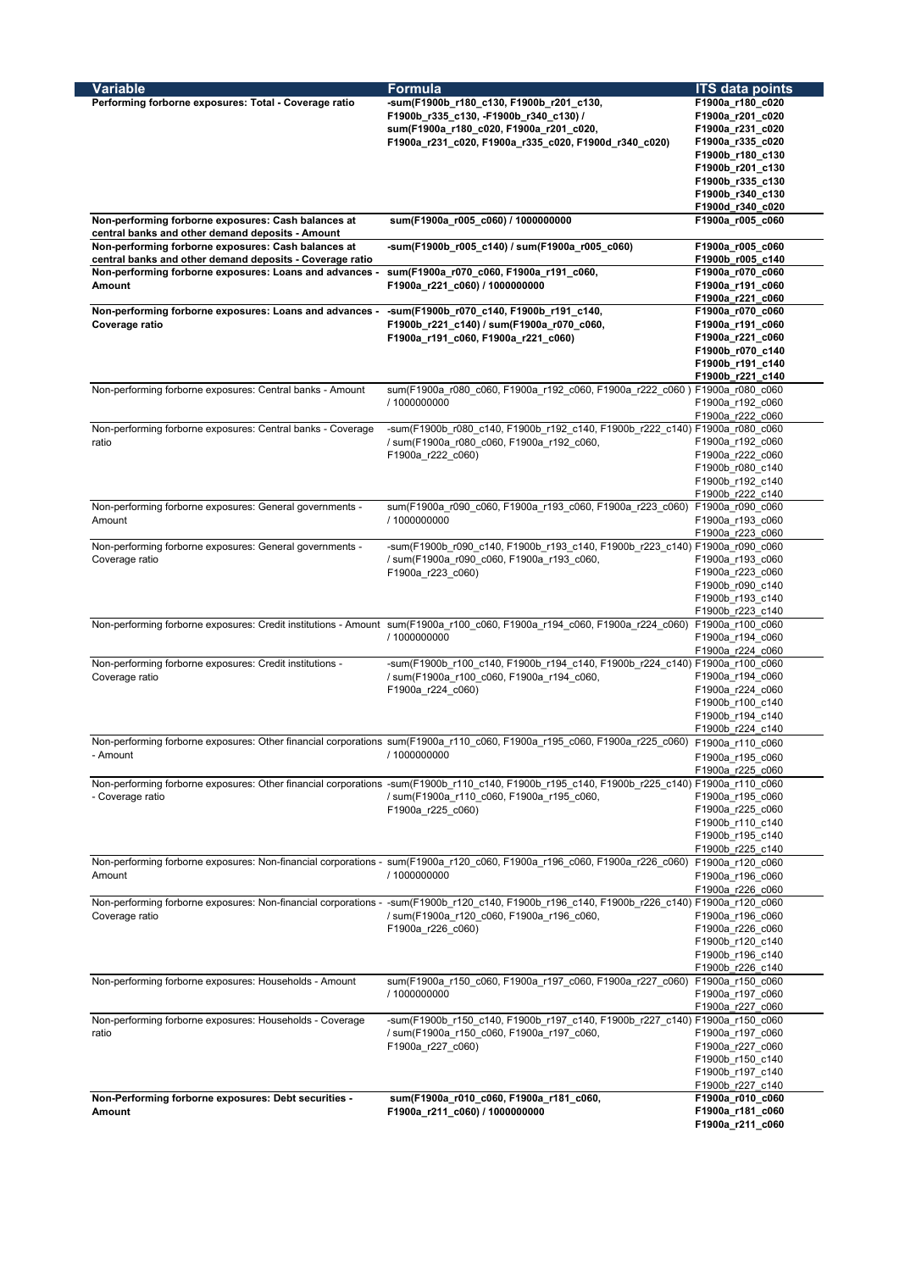| Variable                                                                                                        | Formula                                                                                                                                     | <b>ITS</b> data points               |
|-----------------------------------------------------------------------------------------------------------------|---------------------------------------------------------------------------------------------------------------------------------------------|--------------------------------------|
| Performing forborne exposures: Total - Coverage ratio                                                           | -sum(F1900b_r180_c130, F1900b_r201_c130,                                                                                                    | F1900a_r180_c020                     |
|                                                                                                                 | F1900b_r335_c130, -F1900b_r340_c130) /                                                                                                      | F1900a_r201_c020                     |
|                                                                                                                 | sum(F1900a_r180_c020, F1900a_r201_c020,                                                                                                     | F1900a_r231_c020                     |
|                                                                                                                 | F1900a_r231_c020, F1900a_r335_c020, F1900d_r340_c020)                                                                                       | F1900a_r335_c020                     |
|                                                                                                                 |                                                                                                                                             | F1900b_r180_c130                     |
|                                                                                                                 |                                                                                                                                             | F1900b_r201_c130                     |
|                                                                                                                 |                                                                                                                                             | F1900b_r335_c130                     |
|                                                                                                                 |                                                                                                                                             | F1900b_r340_c130                     |
| Non-performing forborne exposures: Cash balances at                                                             | sum(F1900a_r005_c060) / 1000000000                                                                                                          | F1900d_r340_c020                     |
| central banks and other demand deposits - Amount                                                                |                                                                                                                                             | F1900a_r005_c060                     |
| Non-performing forborne exposures: Cash balances at<br>central banks and other demand deposits - Coverage ratio | -sum(F1900b_r005_c140) / sum(F1900a_r005_c060)                                                                                              | F1900a_r005_c060<br>F1900b_r005_c140 |
| Non-performing forborne exposures: Loans and advances -                                                         | sum(F1900a_r070_c060, F1900a_r191_c060,                                                                                                     | F1900a r070 c060                     |
| Amount                                                                                                          | F1900a_r221_c060) / 1000000000                                                                                                              | F1900a_r191_c060<br>F1900a_r221_c060 |
| Non-performing forborne exposures: Loans and advances - - sum(F1900b_r070_c140, F1900b_r191_c140,               |                                                                                                                                             | F1900a_r070_c060                     |
| Coverage ratio                                                                                                  | F1900b_r221_c140) / sum(F1900a_r070_c060,                                                                                                   | F1900a_r191_c060                     |
|                                                                                                                 | F1900a_r191_c060, F1900a_r221_c060)                                                                                                         | F1900a_r221_c060                     |
|                                                                                                                 |                                                                                                                                             | F1900b_r070_c140                     |
|                                                                                                                 |                                                                                                                                             | F1900b_r191_c140                     |
|                                                                                                                 |                                                                                                                                             | F1900b_r221_c140                     |
| Non-performing forborne exposures: Central banks - Amount                                                       | sum(F1900a r080 c060, F1900a r192 c060, F1900a r222 c060) F1900a r080 c060                                                                  |                                      |
|                                                                                                                 | /1000000000                                                                                                                                 | F1900a_r192_c060                     |
|                                                                                                                 |                                                                                                                                             | F1900a r222 c060                     |
| Non-performing forborne exposures: Central banks - Coverage                                                     | -sum(F1900b_r080_c140, F1900b_r192_c140, F1900b_r222_c140) F1900a_r080_c060                                                                 |                                      |
| ratio                                                                                                           | / sum(F1900a r080 c060, F1900a r192 c060,                                                                                                   | F1900a r192 c060                     |
|                                                                                                                 | F1900a_r222_c060)                                                                                                                           | F1900a_r222_c060                     |
|                                                                                                                 |                                                                                                                                             | F1900b r080 c140                     |
|                                                                                                                 |                                                                                                                                             | F1900b r192 c140                     |
|                                                                                                                 |                                                                                                                                             | F1900b_r222_c140                     |
| Non-performing forborne exposures: General governments -                                                        | sum(F1900a_r090_c060, F1900a_r193_c060, F1900a_r223_c060)                                                                                   | F1900a r090 c060                     |
| Amount                                                                                                          | / 1000000000                                                                                                                                | F1900a_r193_c060                     |
|                                                                                                                 |                                                                                                                                             | F1900a r223 c060                     |
| Non-performing forborne exposures: General governments -                                                        | -sum(F1900b_r090_c140, F1900b_r193_c140, F1900b_r223_c140) F1900a_r090_c060                                                                 |                                      |
| Coverage ratio                                                                                                  | /sum(F1900a_r090_c060, F1900a_r193_c060,                                                                                                    | F1900a_r193_c060                     |
|                                                                                                                 | F1900a_r223_c060)                                                                                                                           | F1900a_r223_c060                     |
|                                                                                                                 |                                                                                                                                             | F1900b_r090_c140                     |
|                                                                                                                 |                                                                                                                                             | F1900b_r193_c140<br>F1900b_r223_c140 |
|                                                                                                                 | Non-performing forborne exposures: Credit institutions - Amount sum(F1900a_r100_c060, F1900a_r194_c060, F1900a_r224_c060)                   | F1900a_r100_c060                     |
|                                                                                                                 | / 1000000000                                                                                                                                | F1900a r194 c060                     |
|                                                                                                                 |                                                                                                                                             | F1900a r224 c060                     |
| Non-performing forborne exposures: Credit institutions -                                                        | -sum(F1900b_r100_c140, F1900b_r194_c140, F1900b_r224_c140) F1900a_r100_c060                                                                 |                                      |
| Coverage ratio                                                                                                  | / sum(F1900a_r100_c060, F1900a_r194_c060,<br>F1900a_r224_c060)                                                                              | F1900a_r194_c060                     |
|                                                                                                                 |                                                                                                                                             | F1900a_r224_c060                     |
|                                                                                                                 |                                                                                                                                             | F1900b_r100_c140                     |
|                                                                                                                 |                                                                                                                                             | F1900b r194 c140                     |
|                                                                                                                 |                                                                                                                                             | F1900b_r224_c140                     |
|                                                                                                                 | Non-performing forborne exposures: Other financial corporations sum(F1900a_r110_c060, F1900a_r195_c060, F1900a_r225_c060) F1900a_r110_c060  |                                      |
| - Amount                                                                                                        | / 1000000000                                                                                                                                | F1900a r195 c060                     |
|                                                                                                                 |                                                                                                                                             | F1900a_r225_c060                     |
|                                                                                                                 | Non-performing forborne exposures: Other financial corporations -sum(F1900b r110 c140, F1900b r195 c140, F1900b r225 c140) F1900a r110 c060 |                                      |
| - Coverage ratio                                                                                                | / sum(F1900a_r110_c060, F1900a_r195_c060,                                                                                                   | F1900a_r195_c060                     |
|                                                                                                                 | F1900a_r225_c060)                                                                                                                           | F1900a_r225_c060                     |
|                                                                                                                 |                                                                                                                                             | F1900b_r110_c140                     |
|                                                                                                                 |                                                                                                                                             | F1900b_r195_c140<br>F1900b r225 c140 |
|                                                                                                                 | Non-performing forborne exposures: Non-financial corporations - sum(F1900a_r120_c060, F1900a_r196_c060, F1900a_r226_c060)                   |                                      |
| Amount                                                                                                          | /1000000000                                                                                                                                 | F1900a_r120_c060                     |
|                                                                                                                 |                                                                                                                                             | F1900a_r196_c060<br>F1900a r226 c060 |
|                                                                                                                 | Non-performing forborne exposures: Non-financial corporations - -sum(F1900b_r120_c140, F1900b_r196_c140, F1900b_r226_c140) F1900a_r120_c060 |                                      |
| Coverage ratio                                                                                                  | /sum(F1900a_r120_c060, F1900a_r196 c060,                                                                                                    | F1900a r196 c060                     |
|                                                                                                                 | F1900a_r226_c060)                                                                                                                           | F1900a_r226_c060                     |
|                                                                                                                 |                                                                                                                                             | F1900b_r120_c140                     |
|                                                                                                                 |                                                                                                                                             | F1900b_r196_c140                     |
|                                                                                                                 |                                                                                                                                             | F1900b r226 c140                     |
| Non-performing forborne exposures: Households - Amount                                                          | sum(F1900a_r150_c060, F1900a_r197_c060, F1900a_r227_c060)                                                                                   | F1900a_r150_c060                     |
|                                                                                                                 | / 1000000000                                                                                                                                | F1900a_r197_c060                     |
|                                                                                                                 |                                                                                                                                             | F1900a_r227_c060                     |
| Non-performing forborne exposures: Households - Coverage                                                        | -sum(F1900b r150 c140, F1900b r197 c140, F1900b r227 c140) F1900a r150 c060                                                                 |                                      |
| ratio                                                                                                           | / sum(F1900a_r150_c060, F1900a_r197_c060,                                                                                                   | F1900a_r197_c060                     |
|                                                                                                                 | F1900a_r227_c060)                                                                                                                           | F1900a_r227_c060                     |
|                                                                                                                 |                                                                                                                                             | F1900b_r150_c140                     |
|                                                                                                                 |                                                                                                                                             | F1900b_r197_c140                     |
|                                                                                                                 |                                                                                                                                             | F1900b_r227_c140                     |
| Non-Performing forborne exposures: Debt securities -                                                            | sum(F1900a_r010_c060, F1900a_r181_c060,                                                                                                     | F1900a_r010_c060                     |
| Amount                                                                                                          | F1900a_r211_c060) / 1000000000                                                                                                              | F1900a_r181_c060                     |
|                                                                                                                 |                                                                                                                                             | F1900a_r211_c060                     |
|                                                                                                                 |                                                                                                                                             |                                      |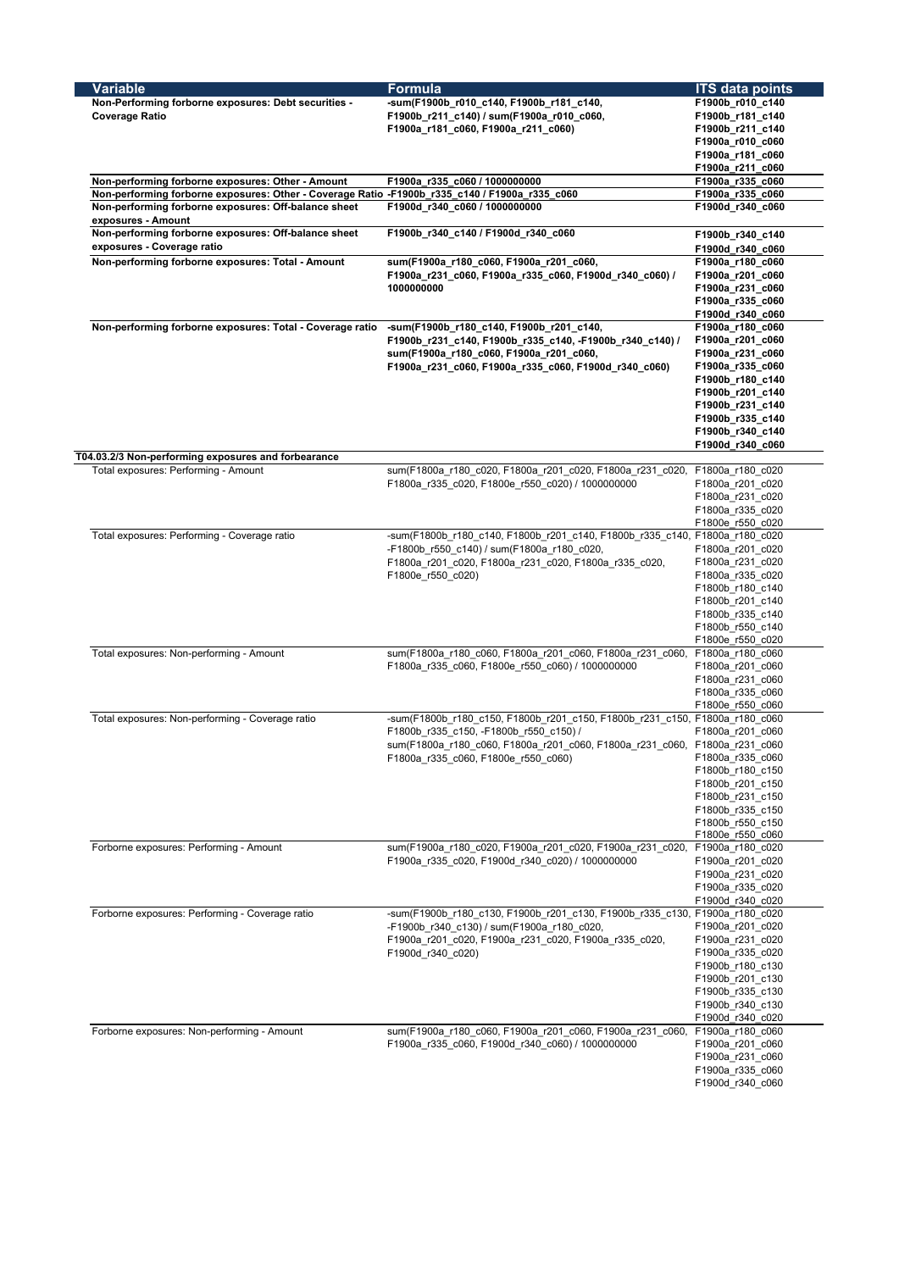| <b>Variable</b>                                                                                | <b>Formula</b>                                                                                                | <b>ITS data points</b>               |
|------------------------------------------------------------------------------------------------|---------------------------------------------------------------------------------------------------------------|--------------------------------------|
| Non-Performing forborne exposures: Debt securities -                                           | -sum(F1900b_r010_c140, F1900b_r181_c140,                                                                      | F1900b_r010_c140                     |
| <b>Coverage Ratio</b>                                                                          | F1900b_r211_c140) / sum(F1900a_r010_c060,                                                                     | F1900b_r181_c140                     |
|                                                                                                | F1900a_r181_c060, F1900a_r211_c060)                                                                           | F1900b_r211_c140                     |
|                                                                                                |                                                                                                               | F1900a_r010_c060                     |
|                                                                                                |                                                                                                               | F1900a_r181_c060                     |
|                                                                                                |                                                                                                               | F1900a_r211_c060                     |
| Non-performing forborne exposures: Other - Amount                                              | F1900a_r335_c060 / 1000000000                                                                                 | F1900a_r335_c060                     |
| Non-performing forborne exposures: Other - Coverage Ratio -F1900b_r335_c140 / F1900a_r335_c060 |                                                                                                               | F1900a_r335_c060                     |
| Non-performing forborne exposures: Off-balance sheet<br>exposures - Amount                     | F1900d_r340_c060 / 1000000000                                                                                 | F1900d_r340_c060                     |
| Non-performing forborne exposures: Off-balance sheet                                           | F1900b_r340_c140 / F1900d_r340_c060                                                                           | F1900b_r340_c140                     |
| exposures - Coverage ratio                                                                     |                                                                                                               | F1900d_r340_c060                     |
| Non-performing forborne exposures: Total - Amount                                              | sum(F1900a_r180_c060, F1900a_r201_c060,                                                                       | F1900a_r180_c060                     |
|                                                                                                | F1900a_r231_c060, F1900a_r335_c060, F1900d_r340_c060) /<br>1000000000                                         | F1900a_r201_c060<br>F1900a_r231_c060 |
|                                                                                                |                                                                                                               | F1900a_r335_c060                     |
|                                                                                                |                                                                                                               | F1900d_r340_c060                     |
| Non-performing forborne exposures: Total - Coverage ratio                                      | -sum(F1900b_r180_c140, F1900b_r201_c140,                                                                      | F1900a_r180_c060                     |
|                                                                                                | F1900b_r231_c140, F1900b_r335_c140, -F1900b_r340_c140) /                                                      | F1900a_r201_c060                     |
|                                                                                                | sum(F1900a_r180_c060, F1900a_r201_c060,                                                                       | F1900a_r231_c060                     |
|                                                                                                | F1900a_r231_c060, F1900a_r335_c060, F1900d_r340_c060)                                                         | F1900a_r335_c060                     |
|                                                                                                |                                                                                                               | F1900b_r180_c140                     |
|                                                                                                |                                                                                                               | F1900b_r201_c140                     |
|                                                                                                |                                                                                                               | F1900b_r231_c140                     |
|                                                                                                |                                                                                                               | F1900b_r335_c140                     |
|                                                                                                |                                                                                                               | F1900b_r340_c140                     |
|                                                                                                |                                                                                                               | F1900d_r340_c060                     |
| T04.03.2/3 Non-performing exposures and forbearance                                            |                                                                                                               |                                      |
| Total exposures: Performing - Amount                                                           | sum(F1800a r180 c020, F1800a r201 c020, F1800a r231 c020,                                                     | F1800a_r180_c020                     |
|                                                                                                | F1800a_r335_c020, F1800e_r550_c020) / 1000000000                                                              | F1800a_r201_c020                     |
|                                                                                                |                                                                                                               | F1800a r231 c020                     |
|                                                                                                |                                                                                                               | F1800a_r335_c020                     |
|                                                                                                |                                                                                                               | F1800e r550 c020                     |
| Total exposures: Performing - Coverage ratio                                                   | -sum(F1800b r180 c140, F1800b_r201_c140, F1800b_r335_c140, F1800a_r180_c020                                   |                                      |
|                                                                                                | -F1800b_r550_c140) / sum(F1800a_r180_c020,                                                                    | F1800a_r201_c020                     |
|                                                                                                | F1800a_r201_c020, F1800a_r231_c020, F1800a_r335_c020,                                                         | F1800a_r231_c020                     |
|                                                                                                | F1800e_r550_c020)                                                                                             | F1800a_r335_c020<br>F1800b_r180_c140 |
|                                                                                                |                                                                                                               | F1800b_r201_c140                     |
|                                                                                                |                                                                                                               | F1800b_r335_c140                     |
|                                                                                                |                                                                                                               | F1800b_r550_c140                     |
|                                                                                                |                                                                                                               | F1800e_r550_c020                     |
| Total exposures: Non-performing - Amount                                                       | sum(F1800a_r180_c060, F1800a_r201_c060, F1800a_r231_c060,<br>F1800a_r335_c060, F1800e_r550_c060) / 1000000000 | F1800a_r180_c060                     |
|                                                                                                |                                                                                                               | F1800a_r201_c060                     |
|                                                                                                |                                                                                                               | F1800a_r231_c060                     |
|                                                                                                |                                                                                                               | F1800a_r335_c060                     |
|                                                                                                |                                                                                                               | F1800e_r550_c060                     |
| Total exposures: Non-performing - Coverage ratio                                               | -sum(F1800b r180 c150, F1800b_r201_c150, F1800b_r231_c150, F1800a_r180_c060                                   |                                      |
|                                                                                                | F1800b_r335_c150, -F1800b_r550_c150) /                                                                        | F1800a_r201_c060                     |
|                                                                                                | sum(F1800a r180 c060, F1800a r201 c060, F1800a r231 c060, F1800a_r231_c060                                    |                                      |
|                                                                                                | F1800a r335 c060, F1800e r550 c060)                                                                           | F1800a_r335_c060                     |
|                                                                                                |                                                                                                               | F1800b_r180_c150                     |
|                                                                                                |                                                                                                               | F1800b_r201_c150                     |
|                                                                                                |                                                                                                               | F1800b_r231_c150                     |
|                                                                                                |                                                                                                               | F1800b r335 c150                     |
|                                                                                                |                                                                                                               | F1800b r550 c150                     |
| Forborne exposures: Performing - Amount                                                        | sum(F1900a_r180_c020, F1900a_r201_c020, F1900a_r231_c020, F1900a_r180_c020                                    | F1800e_r550_c060                     |
|                                                                                                | F1900a_r335_c020, F1900d_r340_c020) / 1000000000                                                              |                                      |
|                                                                                                |                                                                                                               | F1900a_r201_c020<br>F1900a r231 c020 |
|                                                                                                |                                                                                                               | F1900a r335 c020                     |
|                                                                                                |                                                                                                               | F1900d r340 c020                     |
| Forborne exposures: Performing - Coverage ratio                                                | -sum(F1900b r180 c130, F1900b_r201_c130, F1900b_r335_c130, F1900a_r180_c020                                   |                                      |
|                                                                                                | -F1900b_r340_c130) / sum(F1900a_r180_c020,<br>F1900a r201 c020, F1900a r231 c020, F1900a r335 c020,           | F1900a_r201_c020                     |
|                                                                                                |                                                                                                               | F1900a r231 c020                     |
|                                                                                                | F1900d r340 c020)                                                                                             | F1900a_r335_c020                     |
|                                                                                                |                                                                                                               | F1900b_r180_c130                     |
|                                                                                                |                                                                                                               | F1900b_r201_c130                     |
|                                                                                                |                                                                                                               | F1900b r335 c130                     |
|                                                                                                |                                                                                                               | F1900b_r340_c130                     |
|                                                                                                |                                                                                                               | F1900d r340 c020                     |
| Forborne exposures: Non-performing - Amount                                                    | sum(F1900a r180 c060, F1900a r201 c060, F1900a r231 c060,                                                     | F1900a_r180_c060                     |
|                                                                                                | F1900a r335 c060, F1900d r340 c060) / 1000000000                                                              | F1900a r201 c060                     |
|                                                                                                |                                                                                                               | F1900a_r231_c060                     |
|                                                                                                |                                                                                                               | F1900a r335 c060                     |
|                                                                                                |                                                                                                               | F1900d r340 c060                     |
|                                                                                                |                                                                                                               |                                      |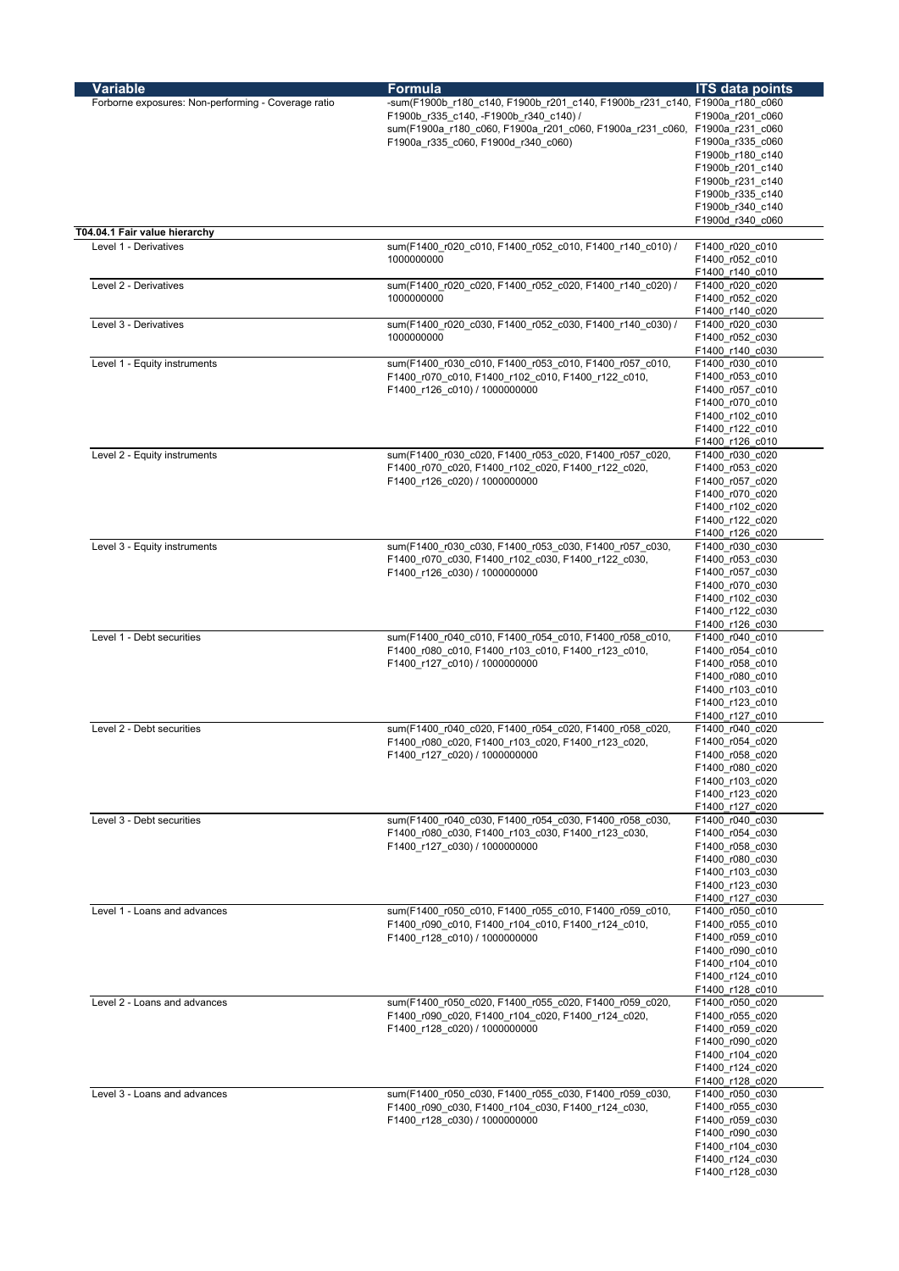| <b>Variable</b>                                     | <b>Formula</b>                                                                                               | <b>ITS data points</b>             |
|-----------------------------------------------------|--------------------------------------------------------------------------------------------------------------|------------------------------------|
| Forborne exposures: Non-performing - Coverage ratio | -sum(F1900b_r180_c140, F1900b_r201_c140, F1900b_r231_c140, F1900a_r180_c060                                  |                                    |
|                                                     | F1900b r335 c140, -F1900b r340 c140) /                                                                       | F1900a r201 c060                   |
|                                                     | sum(F1900a r180 c060, F1900a r201 c060, F1900a r231 c060, F1900a_r231_c060                                   |                                    |
|                                                     | F1900a_r335_c060, F1900d_r340_c060)                                                                          | F1900a_r335_c060                   |
|                                                     |                                                                                                              | F1900b_r180_c140                   |
|                                                     |                                                                                                              | F1900b_r201_c140                   |
|                                                     |                                                                                                              | F1900b_r231_c140                   |
|                                                     |                                                                                                              | F1900b_r335_c140                   |
|                                                     |                                                                                                              | F1900b_r340_c140                   |
| T04.04.1 Fair value hierarchy                       |                                                                                                              | F1900d r340 c060                   |
| Level 1 - Derivatives                               | sum(F1400 r020 c010, F1400 r052 c010, F1400 r140 c010) /                                                     | F1400 r020 c010                    |
|                                                     | 1000000000                                                                                                   | F1400_r052_c010                    |
|                                                     |                                                                                                              | F1400 r140 c010                    |
| Level 2 - Derivatives                               | sum(F1400 r020 c020, F1400 r052 c020, F1400 r140 c020) /                                                     | F1400 r020 c020                    |
|                                                     | 1000000000                                                                                                   | F1400_r052_c020                    |
| Level 3 - Derivatives                               |                                                                                                              | F1400_r140_c020                    |
|                                                     | sum(F1400 r020 c030, F1400 r052 c030, F1400 r140 c030) /<br>1000000000                                       | F1400 r020 c030<br>F1400 r052 c030 |
|                                                     |                                                                                                              | F1400 r140 c030                    |
| Level 1 - Equity instruments                        | sum(F1400_r030_c010, F1400_r053_c010, F1400_r057_c010,                                                       | F1400_r030_c010                    |
|                                                     | F1400 r070 c010, F1400 r102 c010, F1400 r122 c010,                                                           | F1400 r053 c010                    |
|                                                     | F1400_r126_c010) / 1000000000                                                                                | F1400 r057 c010                    |
|                                                     |                                                                                                              | F1400_r070_c010                    |
|                                                     |                                                                                                              | F1400 r102 c010                    |
|                                                     |                                                                                                              | F1400_r122_c010                    |
|                                                     |                                                                                                              | F1400 r126 c010                    |
| Level 2 - Equity instruments                        | sum(F1400_r030_c020, F1400_r053_c020, F1400_r057_c020,<br>F1400 r070 c020, F1400 r102 c020, F1400 r122 c020, | F1400_r030_c020<br>F1400 r053 c020 |
|                                                     | F1400_r126_c020) / 1000000000                                                                                | F1400_r057_c020                    |
|                                                     |                                                                                                              | F1400_r070_c020                    |
|                                                     |                                                                                                              | F1400 r102 c020                    |
|                                                     |                                                                                                              | F1400_r122_c020                    |
|                                                     |                                                                                                              | F1400_r126_c020                    |
| Level 3 - Equity instruments                        | sum(F1400 r030 c030, F1400 r053 c030, F1400 r057 c030,                                                       | F1400 r030 c030                    |
|                                                     | F1400_r070_c030, F1400_r102_c030, F1400_r122_c030,                                                           | F1400 r053 c030                    |
|                                                     | F1400 r126 c030) / 1000000000                                                                                | F1400_r057_c030                    |
|                                                     |                                                                                                              | F1400_r070_c030<br>F1400_r102_c030 |
|                                                     |                                                                                                              | F1400_r122_c030                    |
|                                                     |                                                                                                              | F1400_r126_c030                    |
| Level 1 - Debt securities                           | sum(F1400 r040 c010, F1400 r054 c010, F1400 r058 c010,                                                       | F1400_r040_c010                    |
|                                                     | F1400_r080_c010, F1400_r103_c010, F1400_r123_c010,<br>F1400 r127 c010) / 1000000000                          | F1400 r054 c010                    |
|                                                     |                                                                                                              | F1400 r058 c010                    |
|                                                     |                                                                                                              | F1400_r080_c010                    |
|                                                     |                                                                                                              | F1400_r103_c010                    |
|                                                     |                                                                                                              | F1400_r123_c010<br>F1400_r127_c010 |
| Level 2 - Debt securities                           | sum(F1400 r040 c020, F1400 r054 c020, F1400 r058 c020,                                                       | F1400 r040 c020                    |
|                                                     | F1400 r080 c020, F1400 r103 c020, F1400 r123 c020,<br>F1400_r127_c020) / 1000000000                          | F1400_r054_c020                    |
|                                                     |                                                                                                              | F1400_r058_c020                    |
|                                                     |                                                                                                              | F1400 r080 c020                    |
|                                                     |                                                                                                              | F1400_r103_c020                    |
|                                                     |                                                                                                              | F1400_r123_c020                    |
| Level 3 - Debt securities                           |                                                                                                              | F1400_r127_c020                    |
|                                                     | sum(F1400 r040 c030, F1400 r054 c030, F1400 r058 c030,<br>F1400 r080 c030, F1400 r103 c030, F1400 r123 c030, | F1400_r040_c030<br>F1400_r054_c030 |
|                                                     | F1400 r127 c030) / 1000000000                                                                                | F1400_r058_c030                    |
|                                                     |                                                                                                              | F1400_r080_c030                    |
|                                                     |                                                                                                              | F1400_r103_c030                    |
|                                                     |                                                                                                              | F1400_r123_c030                    |
|                                                     |                                                                                                              | F1400 r127 c030                    |
| Level 1 - Loans and advances                        | sum(F1400_r050_c010, F1400_r055_c010, F1400_r059_c010,                                                       | F1400_r050_c010                    |
|                                                     | F1400_r090_c010, F1400_r104_c010, F1400_r124_c010,                                                           | F1400_r055_c010                    |
|                                                     | F1400_r128_c010) / 1000000000                                                                                | F1400_r059_c010<br>F1400_r090_c010 |
|                                                     |                                                                                                              | F1400_r104_c010                    |
|                                                     |                                                                                                              | F1400_r124_c010                    |
|                                                     |                                                                                                              | F1400_r128_c010                    |
| Level 2 - Loans and advances                        | sum(F1400_r050_c020, F1400_r055_c020, F1400_r059_c020,                                                       | F1400_r050_c020                    |
|                                                     | F1400_r090_c020, F1400_r104_c020, F1400_r124_c020,                                                           | F1400_r055_c020                    |
|                                                     | F1400_r128_c020) / 1000000000                                                                                | F1400_r059_c020                    |
|                                                     |                                                                                                              | F1400_r090_c020                    |
|                                                     |                                                                                                              | F1400_r104_c020                    |
|                                                     |                                                                                                              | F1400_r124_c020<br>F1400_r128_c020 |
| Level 3 - Loans and advances                        | sum(F1400 r050 c030, F1400 r055 c030, F1400 r059 c030,                                                       | F1400_r050_c030                    |
|                                                     | F1400_r090_c030, F1400_r104_c030, F1400_r124_c030,                                                           | F1400_r055_c030                    |
|                                                     | F1400_r128_c030) / 1000000000                                                                                | F1400_r059_c030                    |
|                                                     |                                                                                                              | F1400_r090_c030                    |
|                                                     |                                                                                                              | F1400_r104_c030                    |
|                                                     |                                                                                                              | F1400_r124_c030                    |
|                                                     |                                                                                                              | F1400_r128_c030                    |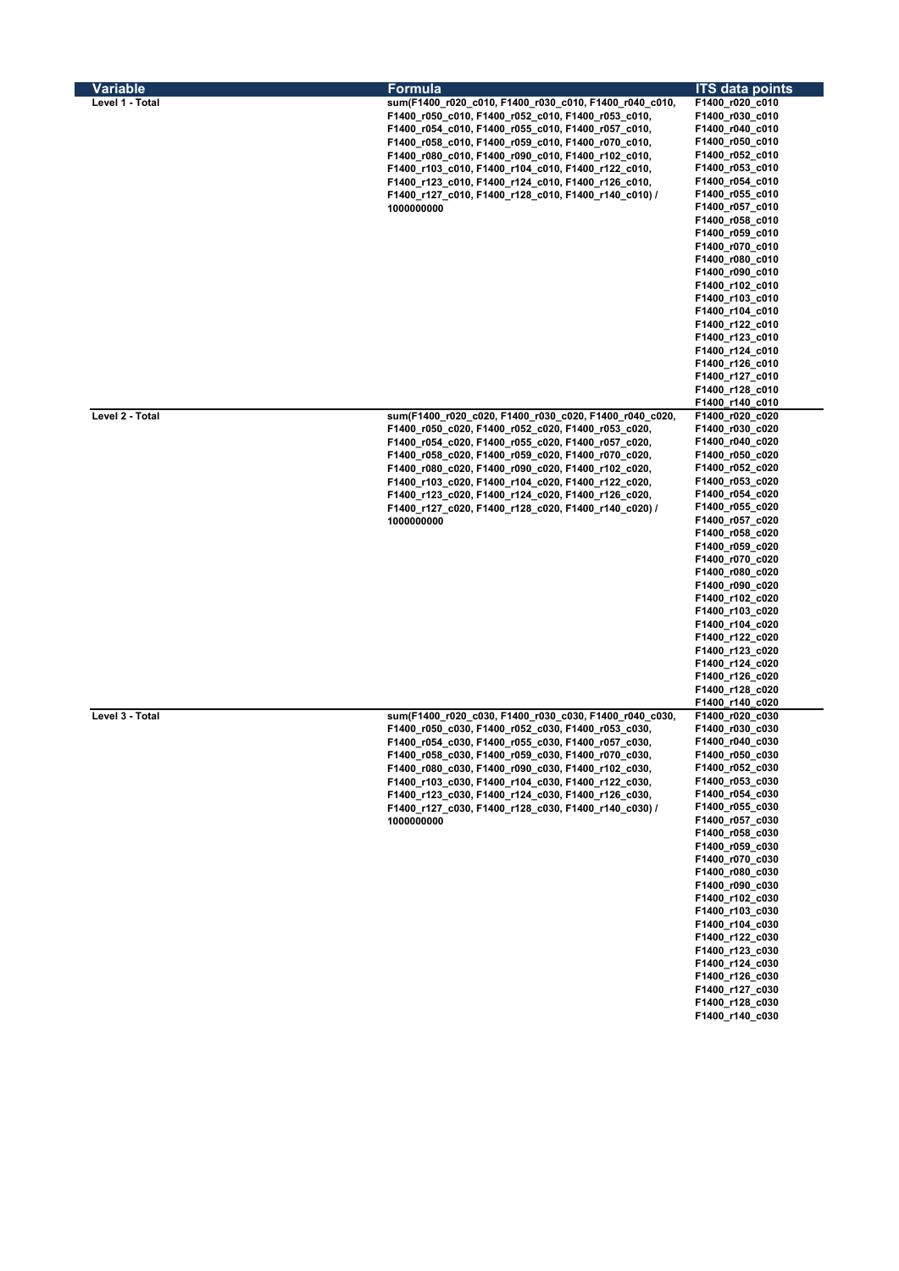| Variable<br>Level 1 - Total | <b>Formula</b><br>sum(F1400_r020_c010, F1400_r030_c010, F1400_r040_c010,<br>F1400_r050_c010, F1400_r052_c010, F1400_r053_c010,<br>F1400_r054_c010, F1400_r055_c010, F1400_r057_c010,<br>F1400_r058_c010, F1400_r059_c010, F1400_r070_c010,<br>F1400_r080_c010, F1400_r090_c010, F1400_r102_c010, | <b>ITS data points</b><br>F1400_r020_c010<br>F1400_r030_c010<br>F1400_r040_c010<br>F1400_r050_c010 |
|-----------------------------|--------------------------------------------------------------------------------------------------------------------------------------------------------------------------------------------------------------------------------------------------------------------------------------------------|----------------------------------------------------------------------------------------------------|
|                             |                                                                                                                                                                                                                                                                                                  |                                                                                                    |
|                             |                                                                                                                                                                                                                                                                                                  |                                                                                                    |
|                             |                                                                                                                                                                                                                                                                                                  |                                                                                                    |
|                             |                                                                                                                                                                                                                                                                                                  |                                                                                                    |
|                             |                                                                                                                                                                                                                                                                                                  | F1400_r052_c010                                                                                    |
|                             | F1400_r103_c010, F1400_r104_c010, F1400_r122_c010,                                                                                                                                                                                                                                               | F1400_r053_c010                                                                                    |
|                             | F1400_r123_c010, F1400_r124_c010, F1400_r126_c010,                                                                                                                                                                                                                                               | F1400_r054_c010                                                                                    |
|                             | F1400_r127_c010, F1400_r128_c010, F1400_r140_c010) /                                                                                                                                                                                                                                             | F1400_r055_c010<br>F1400_r057_c010                                                                 |
|                             | 1000000000                                                                                                                                                                                                                                                                                       | F1400_r058_c010                                                                                    |
|                             |                                                                                                                                                                                                                                                                                                  | F1400_r059_c010                                                                                    |
|                             |                                                                                                                                                                                                                                                                                                  | F1400_r070_c010                                                                                    |
|                             |                                                                                                                                                                                                                                                                                                  | F1400_r080_c010                                                                                    |
|                             |                                                                                                                                                                                                                                                                                                  | F1400_r090_c010                                                                                    |
|                             |                                                                                                                                                                                                                                                                                                  | F1400_r102_c010                                                                                    |
|                             |                                                                                                                                                                                                                                                                                                  | F1400_r103_c010                                                                                    |
|                             |                                                                                                                                                                                                                                                                                                  | F1400_r104_c010                                                                                    |
|                             |                                                                                                                                                                                                                                                                                                  | F1400_r122_c010                                                                                    |
|                             |                                                                                                                                                                                                                                                                                                  | F1400_r123_c010                                                                                    |
|                             |                                                                                                                                                                                                                                                                                                  | F1400_r124_c010                                                                                    |
|                             |                                                                                                                                                                                                                                                                                                  | F1400_r126_c010                                                                                    |
|                             |                                                                                                                                                                                                                                                                                                  | F1400_r127_c010                                                                                    |
|                             |                                                                                                                                                                                                                                                                                                  | F1400_r128_c010                                                                                    |
| Level 2 - Total             | sum(F1400_r020_c020, F1400_r030_c020, F1400_r040_c020,                                                                                                                                                                                                                                           | F1400_r140_c010                                                                                    |
|                             | F1400_r050_c020, F1400_r052_c020, F1400_r053_c020,                                                                                                                                                                                                                                               | F1400_r020_c020<br>F1400_r030_c020                                                                 |
|                             | F1400_r054_c020, F1400_r055_c020, F1400_r057_c020,                                                                                                                                                                                                                                               | F1400_r040_c020                                                                                    |
|                             | F1400_r058_c020, F1400_r059_c020, F1400_r070_c020,                                                                                                                                                                                                                                               | F1400_r050_c020                                                                                    |
|                             | F1400_r080_c020, F1400_r090_c020, F1400_r102_c020,                                                                                                                                                                                                                                               | F1400_r052_c020                                                                                    |
|                             | F1400_r103_c020, F1400_r104_c020, F1400_r122_c020,                                                                                                                                                                                                                                               | F1400_r053_c020                                                                                    |
|                             | F1400_r123_c020, F1400_r124_c020, F1400_r126_c020,                                                                                                                                                                                                                                               | F1400_r054_c020                                                                                    |
|                             | F1400_r127_c020, F1400_r128_c020, F1400_r140_c020) /                                                                                                                                                                                                                                             | F1400_r055_c020                                                                                    |
|                             | 1000000000                                                                                                                                                                                                                                                                                       | F1400_r057_c020                                                                                    |
|                             |                                                                                                                                                                                                                                                                                                  | F1400_r058_c020                                                                                    |
|                             |                                                                                                                                                                                                                                                                                                  | F1400_r059_c020                                                                                    |
|                             |                                                                                                                                                                                                                                                                                                  | F1400_r070_c020                                                                                    |
|                             |                                                                                                                                                                                                                                                                                                  | F1400_r080_c020                                                                                    |
|                             |                                                                                                                                                                                                                                                                                                  | F1400_r090_c020                                                                                    |
|                             |                                                                                                                                                                                                                                                                                                  | F1400_r102_c020<br>F1400_r103_c020                                                                 |
|                             |                                                                                                                                                                                                                                                                                                  | F1400_r104_c020                                                                                    |
|                             |                                                                                                                                                                                                                                                                                                  | F1400_r122_c020                                                                                    |
|                             |                                                                                                                                                                                                                                                                                                  | F1400_r123_c020                                                                                    |
|                             |                                                                                                                                                                                                                                                                                                  | F1400_r124_c020                                                                                    |
|                             |                                                                                                                                                                                                                                                                                                  | F1400_r126_c020                                                                                    |
|                             |                                                                                                                                                                                                                                                                                                  | F1400_r128_c020                                                                                    |
|                             |                                                                                                                                                                                                                                                                                                  | F1400_r140_c020                                                                                    |
| Level 3 - Total             | sum(F1400_r020_c030, F1400_r030_c030, F1400_r040_c030,                                                                                                                                                                                                                                           | F1400_r020_c030                                                                                    |
|                             | F1400_r050_c030, F1400_r052_c030, F1400_r053_c030,                                                                                                                                                                                                                                               | F1400_r030_c030                                                                                    |
|                             | F1400_r054_c030, F1400_r055_c030, F1400_r057_c030,                                                                                                                                                                                                                                               | F1400_r040_c030                                                                                    |
|                             | F1400_r058_c030, F1400_r059_c030, F1400_r070_c030,                                                                                                                                                                                                                                               | F1400_r050_c030                                                                                    |
|                             | F1400_r080_c030, F1400_r090_c030, F1400_r102_c030,                                                                                                                                                                                                                                               | F1400_r052_c030                                                                                    |
|                             | F1400_r103_c030, F1400_r104_c030, F1400_r122_c030,                                                                                                                                                                                                                                               | F1400_r053_c030<br>F1400_r054_c030                                                                 |
|                             | F1400_r123_c030, F1400_r124_c030, F1400_r126_c030,<br>F1400_r127_c030, F1400_r128_c030, F1400_r140_c030) /                                                                                                                                                                                       | F1400_r055_c030                                                                                    |
|                             | 1000000000                                                                                                                                                                                                                                                                                       | F1400_r057_c030                                                                                    |
|                             |                                                                                                                                                                                                                                                                                                  | F1400_r058_c030                                                                                    |
|                             |                                                                                                                                                                                                                                                                                                  | F1400_r059_c030                                                                                    |
|                             |                                                                                                                                                                                                                                                                                                  | F1400_r070_c030                                                                                    |
|                             |                                                                                                                                                                                                                                                                                                  | F1400_r080_c030                                                                                    |
|                             |                                                                                                                                                                                                                                                                                                  | F1400_r090_c030                                                                                    |
|                             |                                                                                                                                                                                                                                                                                                  | F1400_r102_c030                                                                                    |
|                             |                                                                                                                                                                                                                                                                                                  | F1400_r103_c030                                                                                    |
|                             |                                                                                                                                                                                                                                                                                                  | F1400_r104_c030                                                                                    |
|                             |                                                                                                                                                                                                                                                                                                  | F1400_r122_c030                                                                                    |
|                             |                                                                                                                                                                                                                                                                                                  | F1400_r123_c030                                                                                    |
|                             |                                                                                                                                                                                                                                                                                                  | F1400_r124_c030                                                                                    |
|                             |                                                                                                                                                                                                                                                                                                  | F1400_r126_c030                                                                                    |
|                             |                                                                                                                                                                                                                                                                                                  |                                                                                                    |
|                             |                                                                                                                                                                                                                                                                                                  | F1400_r127_c030                                                                                    |
|                             |                                                                                                                                                                                                                                                                                                  | F1400_r128_c030<br>F1400_r140_c030                                                                 |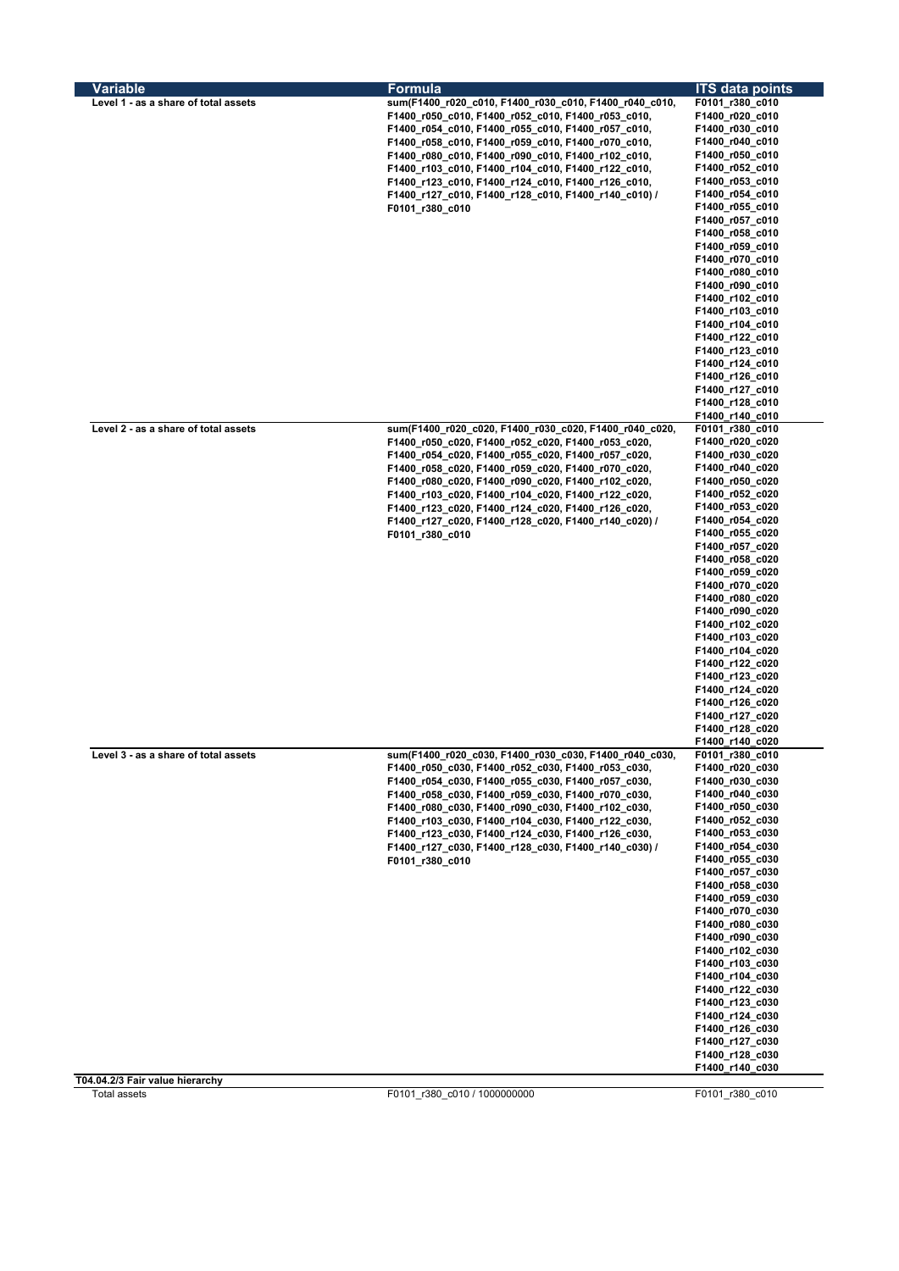| Variable<br>Level 1 - as a share of total assets | Formula                                                                                                  | <b>ITS data points</b>             |
|--------------------------------------------------|----------------------------------------------------------------------------------------------------------|------------------------------------|
|                                                  | sum(F1400_r020_c010, F1400_r030_c010, F1400_r040_c010,                                                   | F0101_r380_c010<br>F1400_r020_c010 |
|                                                  | F1400_r050_c010, F1400_r052_c010, F1400_r053_c010,<br>F1400_r054_c010, F1400_r055_c010, F1400_r057_c010, | F1400_r030_c010                    |
|                                                  | F1400_r058_c010, F1400_r059_c010, F1400_r070_c010,                                                       | F1400_r040_c010                    |
|                                                  | F1400_r080_c010, F1400_r090_c010, F1400_r102_c010,                                                       | F1400_r050_c010                    |
|                                                  | F1400_r103_c010, F1400_r104_c010, F1400_r122_c010,                                                       | F1400_r052_c010                    |
|                                                  | F1400_r123_c010, F1400_r124_c010, F1400_r126_c010,                                                       | F1400_r053_c010                    |
|                                                  | F1400_r127_c010, F1400_r128_c010, F1400_r140_c010) /                                                     | F1400_r054_c010                    |
|                                                  | F0101_r380_c010                                                                                          | F1400_r055_c010                    |
|                                                  |                                                                                                          | F1400_r057_c010                    |
|                                                  |                                                                                                          | F1400_r058_c010                    |
|                                                  |                                                                                                          | F1400_r059_c010                    |
|                                                  |                                                                                                          | F1400_r070_c010                    |
|                                                  |                                                                                                          | F1400_r080_c010                    |
|                                                  |                                                                                                          | F1400_r090_c010<br>F1400_r102_c010 |
|                                                  |                                                                                                          | F1400_r103_c010                    |
|                                                  |                                                                                                          | F1400_r104_c010                    |
|                                                  |                                                                                                          | F1400_r122_c010                    |
|                                                  |                                                                                                          | F1400_r123_c010                    |
|                                                  |                                                                                                          | F1400_r124_c010                    |
|                                                  |                                                                                                          | F1400_r126_c010                    |
|                                                  |                                                                                                          | F1400_r127_c010                    |
|                                                  |                                                                                                          | F1400_r128_c010                    |
|                                                  |                                                                                                          | F1400_r140_c010                    |
| Level 2 - as a share of total assets             | sum(F1400_r020_c020, F1400_r030_c020, F1400_r040_c020,                                                   | F0101_r380_c010                    |
|                                                  | F1400_r050_c020, F1400_r052_c020, F1400_r053_c020,                                                       | F1400_r020_c020                    |
|                                                  | F1400_r054_c020, F1400_r055_c020, F1400_r057_c020,<br>F1400_r058_c020, F1400_r059_c020, F1400_r070_c020, | F1400_r030_c020<br>F1400_r040_c020 |
|                                                  | F1400_r080_c020, F1400_r090_c020, F1400_r102_c020,                                                       | F1400_r050_c020                    |
|                                                  | F1400_r103_c020, F1400_r104_c020, F1400_r122_c020,                                                       | F1400_r052_c020                    |
|                                                  | F1400_r123_c020, F1400_r124_c020, F1400_r126_c020,                                                       | F1400_r053_c020                    |
|                                                  | F1400_r127_c020, F1400_r128_c020, F1400_r140_c020) /                                                     | F1400_r054_c020                    |
|                                                  | F0101_r380_c010                                                                                          | F1400_r055_c020                    |
|                                                  |                                                                                                          | F1400_r057_c020                    |
|                                                  |                                                                                                          | F1400_r058_c020                    |
|                                                  |                                                                                                          | F1400_r059_c020                    |
|                                                  |                                                                                                          | F1400_r070_c020                    |
|                                                  |                                                                                                          | F1400_r080_c020                    |
|                                                  |                                                                                                          | F1400_r090_c020                    |
|                                                  |                                                                                                          | F1400_r102_c020<br>F1400_r103_c020 |
|                                                  |                                                                                                          | F1400_r104_c020                    |
|                                                  |                                                                                                          | F1400_r122_c020                    |
|                                                  |                                                                                                          | F1400_r123_c020                    |
|                                                  |                                                                                                          | F1400_r124_c020                    |
|                                                  |                                                                                                          | F1400_r126_c020                    |
|                                                  |                                                                                                          | F1400_r127_c020                    |
|                                                  |                                                                                                          | F1400_r128_c020                    |
|                                                  |                                                                                                          | F1400_r140_c020                    |
| Level 3 - as a share of total assets             | sum(F1400_r020_c030, F1400_r030_c030, F1400_r040_c030,                                                   | F0101_r380_c010                    |
|                                                  | F1400_r050_c030, F1400_r052_c030, F1400_r053_c030,                                                       | F1400_r020_c030                    |
|                                                  | F1400_r054_c030, F1400_r055_c030, F1400_r057_c030,<br>F1400_r058_c030, F1400_r059_c030, F1400_r070_c030, | F1400_r030_c030                    |
|                                                  | F1400_r080_c030, F1400_r090_c030, F1400_r102_c030,                                                       | F1400_r040_c030<br>F1400_r050_c030 |
|                                                  | F1400_r103_c030, F1400_r104_c030, F1400_r122_c030,                                                       | F1400_r052_c030                    |
|                                                  | F1400_r123_c030, F1400_r124_c030, F1400_r126_c030,                                                       | F1400_r053_c030                    |
|                                                  | F1400_r127_c030, F1400_r128_c030, F1400_r140_c030) /                                                     | F1400_r054_c030                    |
|                                                  | F0101_r380_c010                                                                                          | F1400_r055_c030                    |
|                                                  |                                                                                                          | F1400_r057_c030                    |
|                                                  |                                                                                                          | F1400_r058_c030                    |
|                                                  |                                                                                                          | F1400_r059_c030                    |
|                                                  |                                                                                                          | F1400_r070_c030                    |
|                                                  |                                                                                                          | F1400_r080_c030                    |
|                                                  |                                                                                                          | F1400_r090_c030                    |
|                                                  |                                                                                                          | F1400_r102_c030                    |
|                                                  |                                                                                                          | F1400_r103_c030<br>F1400_r104_c030 |
|                                                  |                                                                                                          | F1400_r122_c030                    |
|                                                  |                                                                                                          | F1400_r123_c030                    |
|                                                  |                                                                                                          | F1400_r124_c030                    |
|                                                  |                                                                                                          | F1400_r126_c030                    |
|                                                  |                                                                                                          | F1400_r127_c030                    |
|                                                  |                                                                                                          | F1400_r128_c030                    |
|                                                  |                                                                                                          | F1400_r140_c030                    |
| T04.04.2/3 Fair value hierarchy                  |                                                                                                          |                                    |
| <b>Total assets</b>                              | F0101_r380_c010 / 1000000000                                                                             | F0101_r380_c010                    |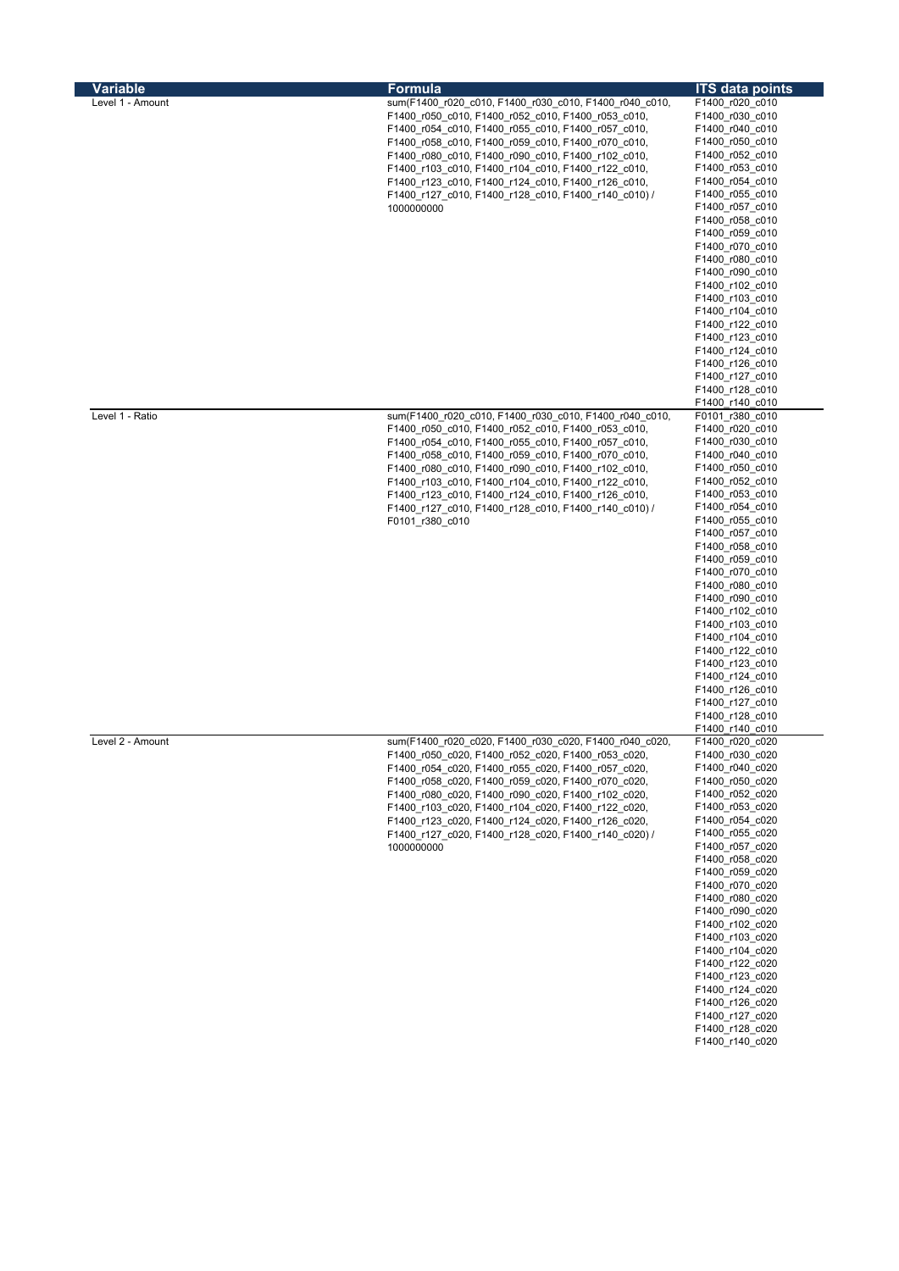| Variable         | Formula                                                | <b>ITS data points</b> |
|------------------|--------------------------------------------------------|------------------------|
| Level 1 - Amount | sum(F1400_r020_c010, F1400_r030_c010, F1400_r040_c010, | F1400 r020 c010        |
|                  | F1400_r050_c010, F1400_r052_c010, F1400_r053_c010,     | F1400_r030_c010        |
|                  | F1400 r054 c010, F1400 r055 c010, F1400 r057 c010,     | F1400_r040_c010        |
|                  | F1400_r058_c010, F1400_r059_c010, F1400_r070_c010,     | F1400_r050_c010        |
|                  | F1400 r080 c010, F1400 r090 c010, F1400 r102 c010,     | F1400_r052_c010        |
|                  | F1400_r103_c010, F1400_r104_c010, F1400_r122_c010,     | F1400_r053_c010        |
|                  | F1400 r123 c010, F1400 r124 c010, F1400 r126 c010,     | F1400_r054_c010        |
|                  | F1400_r127_c010, F1400_r128_c010, F1400_r140_c010) /   | F1400_r055_c010        |
|                  | 1000000000                                             | F1400_r057_c010        |
|                  |                                                        | F1400_r058_c010        |
|                  |                                                        | F1400_r059_c010        |
|                  |                                                        | F1400_r070_c010        |
|                  |                                                        | F1400_r080_c010        |
|                  |                                                        | F1400 r090 c010        |
|                  |                                                        | F1400_r102_c010        |
|                  |                                                        | F1400_r103_c010        |
|                  |                                                        | F1400_r104_c010        |
|                  |                                                        | F1400_r122_c010        |
|                  |                                                        | F1400_r123_c010        |
|                  |                                                        | F1400_r124_c010        |
|                  |                                                        | F1400_r126_c010        |
|                  |                                                        | F1400_r127_c010        |
|                  |                                                        | F1400_r128_c010        |
|                  |                                                        | F1400_r140_c010        |
| Level 1 - Ratio  | sum(F1400_r020_c010, F1400_r030_c010, F1400_r040_c010, | F0101 r380 c010        |
|                  | F1400_r050_c010, F1400_r052_c010, F1400_r053_c010,     | F1400_r020_c010        |
|                  | F1400_r054_c010, F1400_r055_c010, F1400_r057_c010,     | F1400_r030_c010        |
|                  | F1400_r058_c010, F1400_r059_c010, F1400_r070_c010,     | F1400_r040_c010        |
|                  | F1400_r080_c010, F1400_r090_c010, F1400_r102_c010,     | F1400 r050 c010        |
|                  | F1400_r103_c010, F1400_r104_c010, F1400_r122_c010,     | F1400_r052_c010        |
|                  | F1400_r123_c010, F1400_r124_c010, F1400_r126_c010,     | F1400_r053_c010        |
|                  | F1400_r127_c010, F1400_r128_c010, F1400_r140_c010) /   | F1400 r054 c010        |
|                  | F0101_r380_c010                                        | F1400_r055_c010        |
|                  |                                                        | F1400_r057_c010        |
|                  |                                                        | F1400_r058_c010        |
|                  |                                                        | F1400_r059_c010        |
|                  |                                                        | F1400_r070_c010        |
|                  |                                                        | F1400_r080_c010        |
|                  |                                                        | F1400_r090_c010        |
|                  |                                                        |                        |
|                  |                                                        | F1400_r102_c010        |
|                  |                                                        | F1400_r103_c010        |
|                  |                                                        | F1400_r104_c010        |
|                  |                                                        | F1400_r122_c010        |
|                  |                                                        | F1400 r123 c010        |
|                  |                                                        | F1400_r124_c010        |
|                  |                                                        | F1400_r126_c010        |
|                  |                                                        | F1400_r127_c010        |
|                  |                                                        | F1400_r128_c010        |
|                  |                                                        | F1400 r140 c010        |
| Level 2 - Amount | sum(F1400 r020 c020, F1400 r030 c020, F1400 r040 c020, | F1400_r020_c020        |
|                  | F1400_r050_c020, F1400_r052_c020, F1400_r053_c020,     | F1400_r030_c020        |
|                  | F1400_r054_c020, F1400_r055_c020, F1400_r057_c020,     | F1400_r040_c020        |
|                  | F1400_r058_c020, F1400_r059_c020, F1400_r070_c020,     | F1400_r050_c020        |
|                  | F1400_r080_c020, F1400_r090_c020, F1400_r102_c020,     | F1400_r052_c020        |
|                  | F1400_r103_c020, F1400_r104_c020, F1400_r122_c020,     | F1400_r053_c020        |
|                  | F1400_r123_c020, F1400_r124_c020, F1400_r126_c020,     | F1400_r054_c020        |
|                  | F1400_r127_c020, F1400_r128_c020, F1400_r140_c020) /   | F1400_r055_c020        |
|                  | 1000000000                                             | F1400_r057_c020        |
|                  |                                                        | F1400_r058_c020        |
|                  |                                                        | F1400_r059_c020        |
|                  |                                                        | F1400_r070_c020        |
|                  |                                                        | F1400_r080_c020        |
|                  |                                                        | F1400_r090_c020        |
|                  |                                                        | F1400 r102 c020        |
|                  |                                                        | F1400_r103_c020        |
|                  |                                                        | F1400_r104_c020        |
|                  |                                                        | F1400_r122_c020        |
|                  |                                                        | F1400_r123_c020        |
|                  |                                                        | F1400_r124_c020        |
|                  |                                                        | F1400_r126_c020        |
|                  |                                                        | F1400_r127_c020        |
|                  |                                                        | F1400_r128_c020        |
|                  |                                                        | F1400_r140_c020        |
|                  |                                                        |                        |
|                  |                                                        |                        |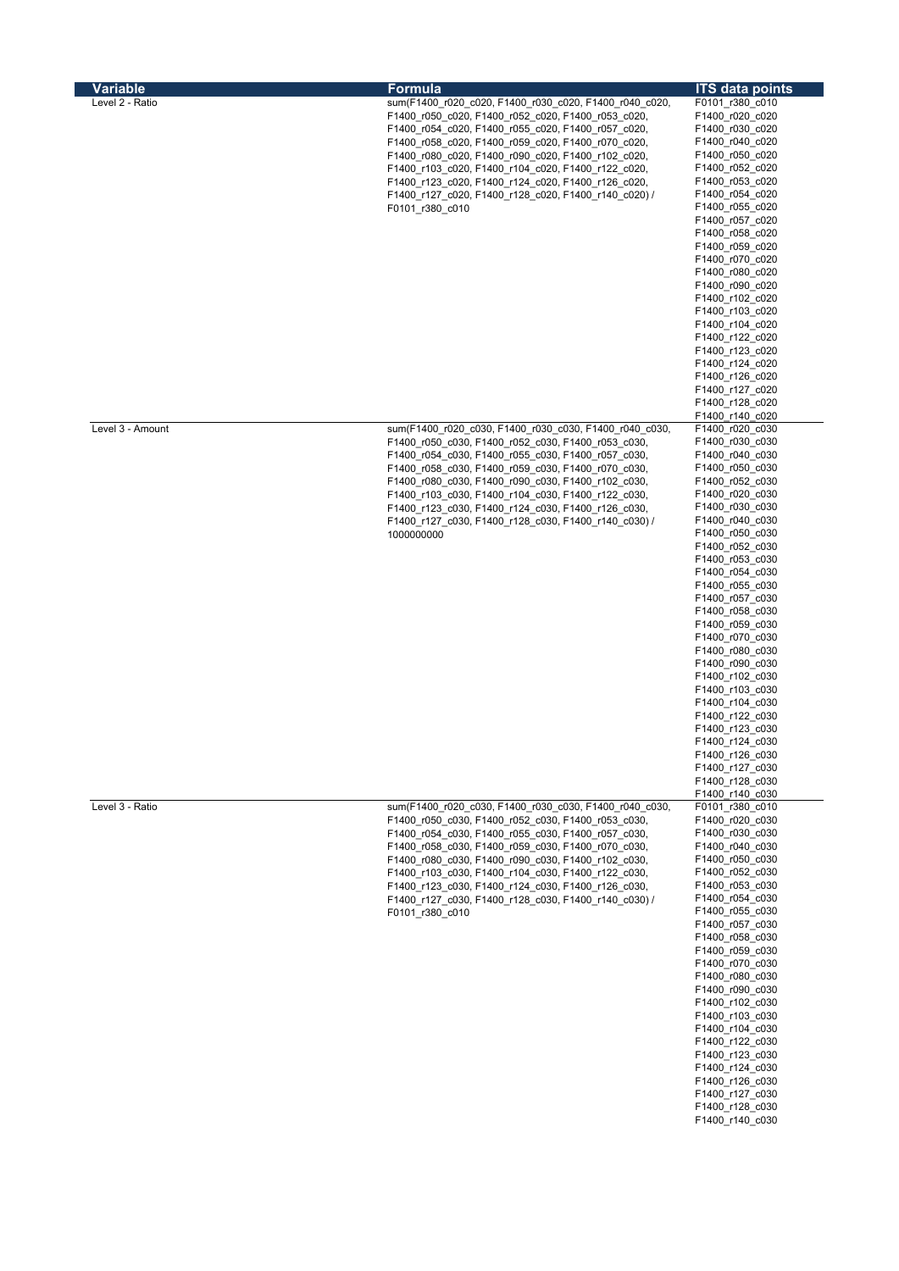| Variable<br>Level 2 - Ratio | Formula<br>sum(F1400_r020_c020, F1400_r030_c020, F1400_r040_c020,<br>F1400_r050_c020, F1400_r052_c020, F1400_r053_c020,<br>F1400 r054 c020, F1400 r055 c020, F1400 r057 c020,<br>F1400_r058_c020, F1400_r059_c020, F1400_r070_c020,<br>F1400 r080 c020, F1400 r090 c020, F1400 r102 c020,<br>F1400 r103 c020, F1400 r104 c020, F1400 r122 c020,<br>F1400_r123_c020, F1400_r124_c020, F1400_r126_c020,<br>F1400_r127_c020, F1400_r128_c020, F1400_r140_c020) /<br>F0101_r380_c010 | <b>ITS data points</b><br>F0101_r380_c010<br>F1400_r020_c020<br>F1400_r030_c020<br>F1400_r040_c020<br>F1400_r050_c020<br>F1400_r052_c020<br>F1400_r053_c020<br>F1400 r054 c020<br>F1400_r055_c020<br>F1400_r057_c020<br>F1400 r058 c020<br>F1400_r059_c020<br>F1400_r070_c020<br>F1400_r080_c020<br>F1400 r090 c020<br>F1400_r102_c020<br>F1400_r103_c020<br>F1400_r104_c020<br>F1400_r122_c020<br>F1400_r123_c020<br>F1400_r124_c020<br>F1400_r126_c020<br>F1400_r127_c020                                                                                         |
|-----------------------------|----------------------------------------------------------------------------------------------------------------------------------------------------------------------------------------------------------------------------------------------------------------------------------------------------------------------------------------------------------------------------------------------------------------------------------------------------------------------------------|---------------------------------------------------------------------------------------------------------------------------------------------------------------------------------------------------------------------------------------------------------------------------------------------------------------------------------------------------------------------------------------------------------------------------------------------------------------------------------------------------------------------------------------------------------------------|
|                             |                                                                                                                                                                                                                                                                                                                                                                                                                                                                                  | F1400 r128 c020<br>F1400 r140 c020                                                                                                                                                                                                                                                                                                                                                                                                                                                                                                                                  |
| Level 3 - Amount            | sum(F1400 r020 c030, F1400 r030 c030, F1400 r040 c030,<br>F1400_r050_c030, F1400_r052_c030, F1400_r053_c030,<br>F1400_r054_c030, F1400_r055_c030, F1400_r057_c030,<br>F1400_r058_c030, F1400_r059_c030, F1400_r070_c030,<br>F1400 r080 c030, F1400 r090 c030, F1400 r102 c030,<br>F1400 r103 c030, F1400 r104 c030, F1400 r122 c030,<br>F1400_r123_c030, F1400_r124_c030, F1400_r126_c030,<br>F1400_r127_c030, F1400_r128_c030, F1400_r140_c030) /<br>1000000000                 | F1400_r020_c030<br>F1400 r030 c030<br>F1400_r040_c030<br>F1400 r050 c030<br>F1400 r052 c030<br>F1400_r020_c030<br>F1400_r030_c030<br>F1400_r040_c030<br>F1400_r050_c030<br>F1400_r052_c030<br>F1400_r053_c030<br>F1400 r054 c030<br>F1400_r055_c030<br>F1400_r057_c030<br>F1400_r058_c030<br>F1400_r059_c030<br>F1400_r070_c030<br>F1400_r080_c030<br>F1400_r090_c030<br>F1400_r102_c030<br>F1400_r103_c030<br>F1400 r104 c030<br>F1400 r122 c030<br>F1400 r123 c030<br>F1400_r124_c030<br>F1400_r126_c030<br>F1400_r127_c030<br>F1400_r128_c030<br>F1400 r140 c030 |
| Level 3 - Ratio             | sum(F1400_r020_c030, F1400_r030_c030, F1400_r040_c030,<br>F1400_r050_c030, F1400_r052_c030, F1400_r053_c030,<br>F1400_r054_c030, F1400_r055_c030, F1400_r057_c030,<br>F1400 r058 c030, F1400 r059 c030, F1400 r070 c030,<br>F1400 r080 c030, F1400 r090 c030, F1400 r102 c030,<br>F1400 r103 c030, F1400 r104 c030, F1400 r122 c030,<br>F1400_r123_c030, F1400_r124_c030, F1400_r126_c030,<br>F1400_r127_c030, F1400_r128_c030, F1400_r140_c030) /<br>F0101 r380 c010            | F0101_r380_c010<br>F1400_r020_c030<br>F1400_r030_c030<br>F1400_r040_c030<br>F1400_r050_c030<br>F1400_r052_c030<br>F1400_r053_c030<br>F1400 r054 c030<br>F1400_r055_c030<br>F1400_r057_c030<br>F1400_r058_c030<br>F1400 r059 c030<br>F1400_r070_c030<br>F1400_r080_c030<br>F1400_r090_c030<br>F1400_r102_c030<br>F1400_r103_c030<br>F1400_r104_c030<br>F1400_r122_c030<br>F1400_r123_c030<br>F1400_r124_c030<br>F1400_r126_c030<br>F1400_r127_c030<br>F1400_r128_c030<br>F1400_r140_c030                                                                             |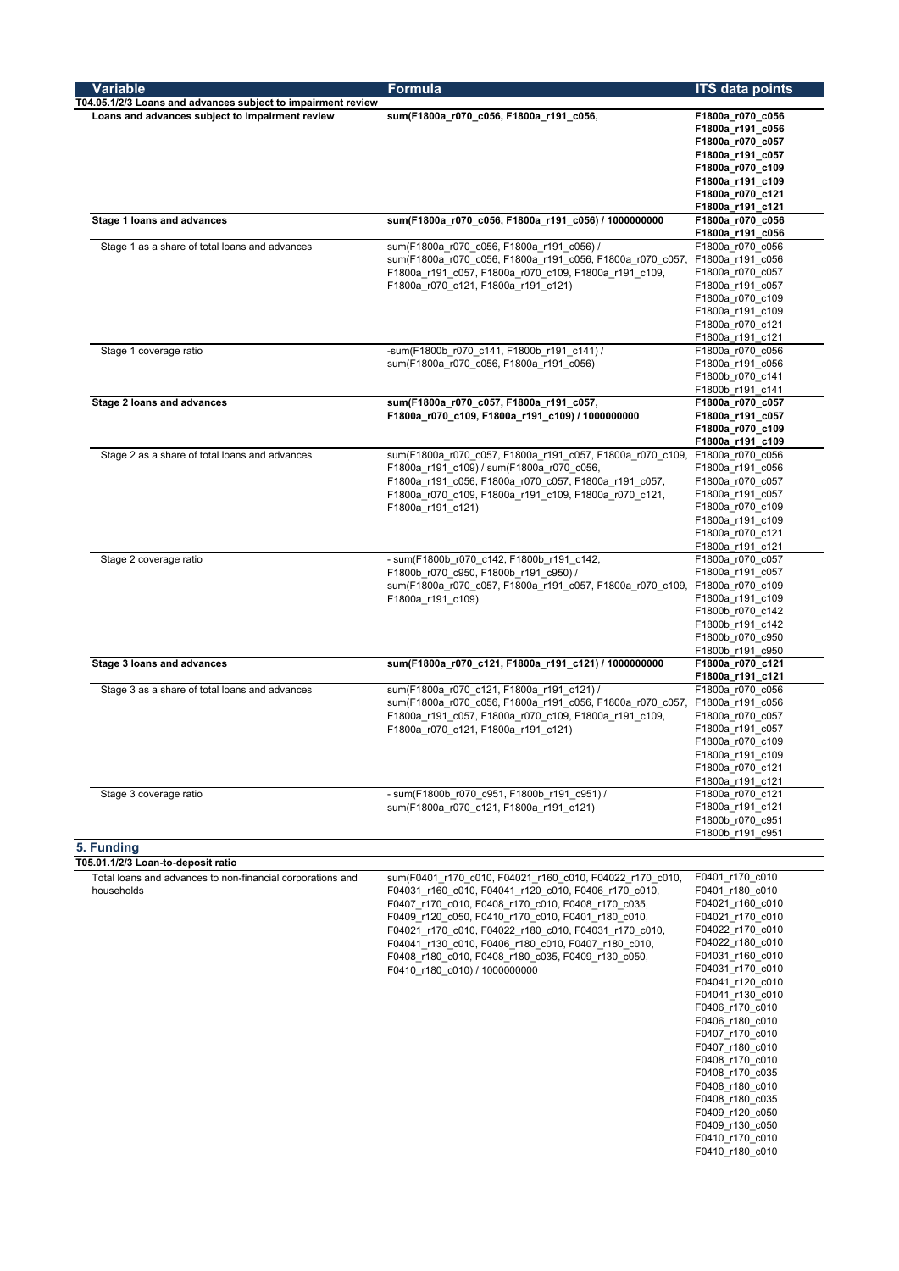| <b>Variable</b>                                              | Formula                                                                    | <b>ITS data points</b> |
|--------------------------------------------------------------|----------------------------------------------------------------------------|------------------------|
| T04.05.1/2/3 Loans and advances subject to impairment review |                                                                            |                        |
| Loans and advances subject to impairment review              | sum(F1800a_r070_c056, F1800a_r191_c056,                                    | F1800a_r070_c056       |
|                                                              |                                                                            | F1800a_r191_c056       |
|                                                              |                                                                            | F1800a_r070_c057       |
|                                                              |                                                                            | F1800a_r191_c057       |
|                                                              |                                                                            | F1800a_r070_c109       |
|                                                              |                                                                            | F1800a_r191_c109       |
|                                                              |                                                                            | F1800a_r070_c121       |
|                                                              |                                                                            | F1800a_r191_c121       |
| Stage 1 loans and advances                                   | sum(F1800a_r070_c056, F1800a_r191_c056) / 1000000000                       | F1800a_r070_c056       |
|                                                              |                                                                            | F1800a_r191_c056       |
| Stage 1 as a share of total loans and advances               | sum(F1800a r070 c056, F1800a r191 c056) /                                  | F1800a_r070_c056       |
|                                                              | sum(F1800a_r070_c056, F1800a_r191_c056, F1800a_r070_c057,                  | F1800a r191 c056       |
|                                                              | F1800a_r191_c057, F1800a_r070_c109, F1800a_r191_c109,                      | F1800a_r070_c057       |
|                                                              | F1800a_r070_c121, F1800a_r191_c121)                                        | F1800a_r191_c057       |
|                                                              |                                                                            | F1800a_r070_c109       |
|                                                              |                                                                            | F1800a_r191_c109       |
|                                                              |                                                                            | F1800a_r070_c121       |
|                                                              |                                                                            | F1800a_r191_c121       |
| Stage 1 coverage ratio                                       | -sum(F1800b r070 c141, F1800b r191 c141) /                                 | F1800a_r070_c056       |
|                                                              | sum(F1800a_r070_c056, F1800a_r191_c056)                                    | F1800a_r191_c056       |
|                                                              |                                                                            | F1800b_r070_c141       |
|                                                              |                                                                            | F1800b_r191_c141       |
| <b>Stage 2 loans and advances</b>                            | sum(F1800a_r070_c057, F1800a_r191_c057,                                    | F1800a_r070_c057       |
|                                                              | F1800a_r070_c109, F1800a_r191_c109) / 1000000000                           | F1800a_r191_c057       |
|                                                              |                                                                            | F1800a_r070_c109       |
|                                                              |                                                                            | F1800a_r191_c109       |
| Stage 2 as a share of total loans and advances               | sum(F1800a r070 c057, F1800a r191 c057, F1800a r070 c109, F1800a r070 c056 |                        |
|                                                              | F1800a r191 c109) / sum(F1800a r070 c056,                                  | F1800a_r191_c056       |
|                                                              | F1800a_r191_c056, F1800a_r070_c057, F1800a_r191_c057,                      | F1800a_r070_c057       |
|                                                              | F1800a r070 c109, F1800a r191 c109, F1800a r070 c121,                      | F1800a_r191_c057       |
|                                                              | F1800a_r191_c121)                                                          | F1800a_r070_c109       |
|                                                              |                                                                            | F1800a_r191_c109       |
|                                                              |                                                                            | F1800a_r070_c121       |
|                                                              |                                                                            | F1800a r191 c121       |
| Stage 2 coverage ratio                                       | - sum(F1800b r070 c142, F1800b r191 c142,                                  | F1800a_r070_c057       |
|                                                              | F1800b_r070_c950, F1800b_r191_c950) /                                      | F1800a_r191_c057       |
|                                                              | sum(F1800a_r070_c057, F1800a_r191_c057, F1800a_r070_c109,                  | F1800a_r070_c109       |
|                                                              | F1800a_r191_c109)                                                          | F1800a_r191_c109       |
|                                                              |                                                                            | F1800b_r070_c142       |
|                                                              |                                                                            | F1800b_r191_c142       |
|                                                              |                                                                            | F1800b_r070_c950       |
|                                                              |                                                                            | F1800b_r191_c950       |
| <b>Stage 3 loans and advances</b>                            | sum(F1800a_r070_c121, F1800a_r191_c121) / 1000000000                       | F1800a_r070_c121       |
|                                                              |                                                                            | F1800a_r191_c121       |
| Stage 3 as a share of total loans and advances               | sum(F1800a_r070_c121, F1800a_r191_c121) /                                  | F1800a_r070_c056       |
|                                                              | sum(F1800a r070 c056, F1800a r191 c056, F1800a r070 c057,                  | F1800a_r191_c056       |
|                                                              | F1800a_r191_c057, F1800a_r070_c109, F1800a_r191_c109,                      | F1800a_r070_c057       |
|                                                              | F1800a_r070_c121, F1800a_r191_c121)                                        | F1800a_r191_c057       |
|                                                              |                                                                            | F1800a_r070_c109       |
|                                                              |                                                                            | F1800a r191 c109       |
|                                                              |                                                                            | F1800a_r070_c121       |
|                                                              |                                                                            | F1800a r191 c121       |
| Stage 3 coverage ratio                                       | - sum(F1800b r070 c951, F1800b r191 c951) /                                | F1800a r070 c121       |
|                                                              | sum(F1800a r070 c121, F1800a r191 c121)                                    | F1800a_r191_c121       |
|                                                              |                                                                            | F1800b r070 c951       |
|                                                              |                                                                            | F1800b_r191_c951       |
| 5. Funding                                                   |                                                                            |                        |
| T05.01.1/2/3 Loan-to-deposit ratio                           |                                                                            |                        |
| Total loans and advances to non-financial corporations and   | sum(F0401_r170_c010, F04021_r160_c010, F04022_r170_c010,                   | F0401 r170 c010        |

advances to non-financial corporations households F04031\_r160\_c010, F04041\_r120\_c010, F0406\_r170\_c010,

F0407\_r170\_c010, F0408\_r170\_c010, F0408\_r170\_c035, F0409\_r120\_c050, F0410\_r170\_c010, F0401\_r180\_c010, F04021\_r170\_c010, F04022\_r180\_c010, F04031\_r170\_c010, F04041\_r130\_c010, F0406\_r180\_c010, F0407\_r180\_c010, F0408\_r180\_c010, F0408\_r180\_c035, F0409\_r130\_c050, F0410\_r180\_c010) / 1000000000

F0401\_r170\_c010 F0401\_r180\_c010 F04021\_r160\_c010 F04021\_r170\_c010 F04022\_r170\_c010 F04022\_r180\_c010 F04031\_r160\_c010 F04031\_r170\_c010 F04041\_r120\_c010 F04041\_r130\_c010 F0406\_r170\_c010 F0406\_r180\_c010 F0407\_r170\_c010 F0407\_r180\_c010 F0408\_r170\_c010 F0408\_r170\_c035 F0408\_r180\_c010 F0408\_r180\_c035 F0409\_r120\_c050 F0409\_r130\_c050 F0410\_r170\_c010 F0410\_r180\_c010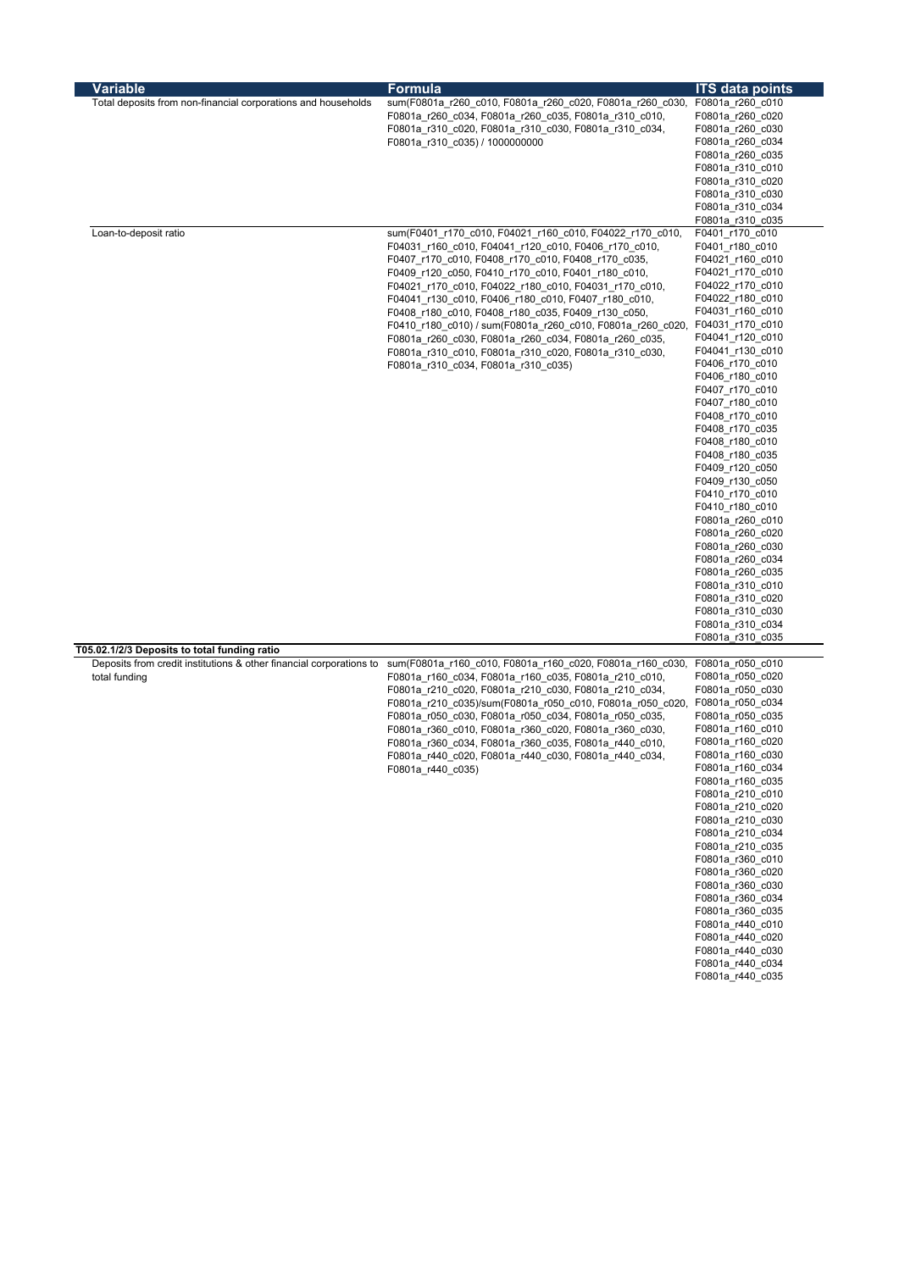| <b>Variable</b>                                                     | Formula                                                                                                                                                          | <b>ITS</b> data points               |
|---------------------------------------------------------------------|------------------------------------------------------------------------------------------------------------------------------------------------------------------|--------------------------------------|
| Total deposits from non-financial corporations and households       | sum(F0801a_r260_c010, F0801a_r260_c020, F0801a_r260_c030,                                                                                                        | F0801a_r260_c010                     |
|                                                                     | F0801a_r260_c034, F0801a_r260_c035, F0801a_r310_c010,                                                                                                            | F0801a_r260_c020                     |
|                                                                     | F0801a_r310_c020, F0801a_r310_c030, F0801a_r310_c034,                                                                                                            | F0801a_r260_c030                     |
|                                                                     | F0801a_r310_c035) / 1000000000                                                                                                                                   | F0801a_r260_c034                     |
|                                                                     |                                                                                                                                                                  | F0801a r260 c035                     |
|                                                                     |                                                                                                                                                                  | F0801a r310 c010                     |
|                                                                     |                                                                                                                                                                  | F0801a_r310_c020                     |
|                                                                     |                                                                                                                                                                  | F0801a r310 c030                     |
|                                                                     |                                                                                                                                                                  | F0801a_r310_c034                     |
|                                                                     |                                                                                                                                                                  | F0801a_r310_c035                     |
| Loan-to-deposit ratio                                               | sum(F0401 r170 c010, F04021 r160 c010, F04022 r170 c010,                                                                                                         | F0401_r170_c010                      |
|                                                                     | F04031_r160_c010, F04041_r120_c010, F0406_r170_c010,<br>F0407_r170_c010, F0408_r170_c010, F0408_r170_c035,<br>F0409 r120 c050, F0410 r170 c010, F0401 r180 c010, | F0401 r180 c010                      |
|                                                                     |                                                                                                                                                                  | F04021_r160_c010                     |
|                                                                     |                                                                                                                                                                  | F04021_r170_c010                     |
|                                                                     | F04021_r170_c010, F04022_r180_c010, F04031_r170_c010,                                                                                                            | F04022_r170_c010                     |
|                                                                     | F04041_r130_c010, F0406_r180_c010, F0407_r180_c010,                                                                                                              | F04022_r180_c010                     |
|                                                                     | F0408_r180_c010, F0408_r180_c035, F0409_r130_c050,                                                                                                               | F04031_r160_c010                     |
|                                                                     | F0410_r180_c010) / sum(F0801a_r260_c010, F0801a_r260_c020,                                                                                                       | F04031_r170_c010                     |
|                                                                     | F0801a r260 c030, F0801a r260 c034, F0801a r260 c035,                                                                                                            | F04041_r120_c010                     |
|                                                                     | F0801a_r310_c010, F0801a_r310_c020, F0801a_r310_c030,                                                                                                            | F04041_r130_c010                     |
|                                                                     | F0801a_r310_c034, F0801a_r310_c035)                                                                                                                              | F0406 r170 c010                      |
|                                                                     |                                                                                                                                                                  | F0406_r180_c010                      |
|                                                                     |                                                                                                                                                                  | F0407_r170_c010                      |
|                                                                     |                                                                                                                                                                  | F0407_r180_c010                      |
|                                                                     |                                                                                                                                                                  | F0408_r170_c010                      |
|                                                                     |                                                                                                                                                                  | F0408_r170_c035                      |
|                                                                     |                                                                                                                                                                  | F0408_r180_c010                      |
|                                                                     |                                                                                                                                                                  |                                      |
|                                                                     |                                                                                                                                                                  | F0408_r180_c035                      |
|                                                                     |                                                                                                                                                                  | F0409 r120 c050                      |
|                                                                     |                                                                                                                                                                  | F0409 r130 c050                      |
|                                                                     |                                                                                                                                                                  | F0410_r170_c010                      |
|                                                                     |                                                                                                                                                                  | F0410_r180_c010                      |
|                                                                     |                                                                                                                                                                  | F0801a_r260_c010                     |
|                                                                     |                                                                                                                                                                  | F0801a_r260_c020                     |
|                                                                     |                                                                                                                                                                  | F0801a_r260_c030                     |
|                                                                     |                                                                                                                                                                  | F0801a_r260_c034                     |
|                                                                     |                                                                                                                                                                  | F0801a_r260_c035                     |
|                                                                     |                                                                                                                                                                  | F0801a_r310_c010                     |
|                                                                     |                                                                                                                                                                  | F0801a_r310_c020                     |
|                                                                     |                                                                                                                                                                  | F0801a_r310_c030                     |
|                                                                     |                                                                                                                                                                  | F0801a_r310_c034                     |
|                                                                     |                                                                                                                                                                  | F0801a_r310_c035                     |
| T05.02.1/2/3 Deposits to total funding ratio                        |                                                                                                                                                                  |                                      |
| Deposits from credit institutions & other financial corporations to | sum(F0801a_r160_c010, F0801a_r160_c020, F0801a_r160_c030,                                                                                                        | F0801a r050 c010                     |
| total funding                                                       | F0801a_r160_c034, F0801a_r160_c035, F0801a_r210_c010,                                                                                                            | F0801a_r050_c020                     |
|                                                                     | F0801a_r210_c020, F0801a_r210_c030, F0801a_r210_c034,                                                                                                            | F0801a_r050_c030                     |
|                                                                     | F0801a r210 c035)/sum(F0801a r050 c010, F0801a r050 c020,                                                                                                        | F0801a_r050_c034                     |
|                                                                     |                                                                                                                                                                  |                                      |
|                                                                     |                                                                                                                                                                  |                                      |
|                                                                     | F0801a_r050_c030, F0801a_r050_c034, F0801a_r050_c035,                                                                                                            | F0801a_r050_c035                     |
|                                                                     | F0801a r360 c010, F0801a r360 c020, F0801a r360 c030,                                                                                                            | F0801a_r160_c010                     |
|                                                                     | F0801a_r360_c034, F0801a_r360_c035, F0801a_r440_c010,                                                                                                            | F0801a r160 c020                     |
|                                                                     | F0801a_r440_c020, F0801a_r440_c030, F0801a_r440_c034,                                                                                                            | F0801a r160 c030                     |
|                                                                     | F0801a_r440_c035)                                                                                                                                                | F0801a_r160_c034                     |
|                                                                     |                                                                                                                                                                  | F0801a_r160_c035                     |
|                                                                     |                                                                                                                                                                  | F0801a_r210_c010                     |
|                                                                     |                                                                                                                                                                  | F0801a_r210_c020                     |
|                                                                     |                                                                                                                                                                  | F0801a_r210_c030                     |
|                                                                     |                                                                                                                                                                  | F0801a_r210_c034                     |
|                                                                     |                                                                                                                                                                  | F0801a_r210_c035                     |
|                                                                     |                                                                                                                                                                  | F0801a_r360_c010                     |
|                                                                     |                                                                                                                                                                  | F0801a r360 c020                     |
|                                                                     |                                                                                                                                                                  | F0801a_r360_c030                     |
|                                                                     |                                                                                                                                                                  | F0801a_r360_c034                     |
|                                                                     |                                                                                                                                                                  | F0801a r360 c035                     |
|                                                                     |                                                                                                                                                                  |                                      |
|                                                                     |                                                                                                                                                                  | F0801a_r440_c010                     |
|                                                                     |                                                                                                                                                                  | F0801a_r440_c020                     |
|                                                                     |                                                                                                                                                                  | F0801a_r440_c030                     |
|                                                                     |                                                                                                                                                                  | F0801a_r440_c034<br>F0801a_r440_c035 |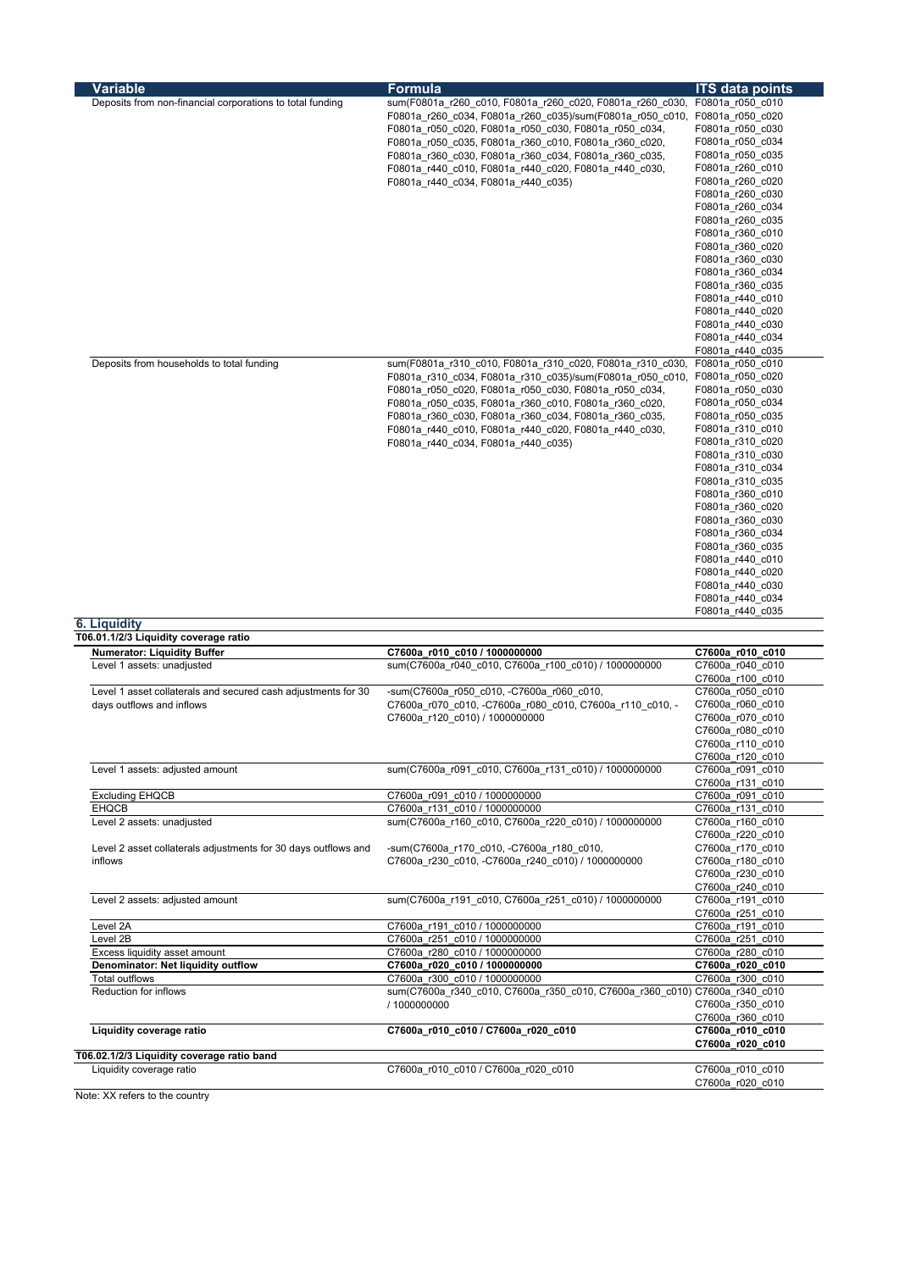| <b>Variable</b>                                                | <b>Formula</b>                                                             | <b>ITS data points</b>               |
|----------------------------------------------------------------|----------------------------------------------------------------------------|--------------------------------------|
| Deposits from non-financial corporations to total funding      | sum(F0801a r260 c010, F0801a r260 c020, F0801a r260 c030,                  | F0801a r050 c010                     |
|                                                                | F0801a r260 c034, F0801a r260 c035)/sum(F0801a r050 c010,                  | F0801a_r050_c020                     |
|                                                                | F0801a_r050_c020, F0801a_r050_c030, F0801a_r050_c034,                      | F0801a_r050_c030                     |
|                                                                |                                                                            | F0801a r050 c034                     |
|                                                                | F0801a_r050_c035, F0801a_r360_c010, F0801a_r360_c020,                      |                                      |
|                                                                | F0801a_r360_c030, F0801a_r360_c034, F0801a_r360_c035,                      | F0801a_r050_c035                     |
|                                                                | F0801a r440 c010, F0801a r440 c020, F0801a r440 c030,                      | F0801a r260 c010                     |
|                                                                | F0801a_r440_c034, F0801a_r440_c035)                                        | F0801a_r260_c020                     |
|                                                                |                                                                            | F0801a_r260_c030                     |
|                                                                |                                                                            | F0801a r260 c034                     |
|                                                                |                                                                            |                                      |
|                                                                |                                                                            | F0801a_r260_c035                     |
|                                                                |                                                                            | F0801a_r360_c010                     |
|                                                                |                                                                            | F0801a_r360_c020                     |
|                                                                |                                                                            | F0801a_r360_c030                     |
|                                                                |                                                                            | F0801a_r360_c034                     |
|                                                                |                                                                            | F0801a_r360_c035                     |
|                                                                |                                                                            | F0801a_r440_c010                     |
|                                                                |                                                                            |                                      |
|                                                                |                                                                            | F0801a r440 c020                     |
|                                                                |                                                                            | F0801a_r440_c030                     |
|                                                                |                                                                            | F0801a_r440_c034                     |
|                                                                |                                                                            | F0801a_r440_c035                     |
| Deposits from households to total funding                      | sum(F0801a r310 c010, F0801a r310 c020, F0801a r310 c030,                  | F0801a r050 c010                     |
|                                                                | F0801a r310 c034, F0801a r310 c035)/sum(F0801a r050 c010,                  | F0801a_r050_c020                     |
|                                                                |                                                                            | F0801a_r050_c030                     |
|                                                                | F0801a_r050_c020, F0801a_r050_c030, F0801a_r050_c034,                      |                                      |
|                                                                | F0801a_r050_c035, F0801a_r360_c010, F0801a_r360_c020,                      | F0801a_r050_c034                     |
|                                                                | F0801a_r360_c030, F0801a_r360_c034, F0801a_r360_c035,                      | F0801a r050 c035                     |
|                                                                | F0801a_r440_c010, F0801a_r440_c020, F0801a_r440_c030,                      | F0801a_r310_c010                     |
|                                                                | F0801a_r440_c034, F0801a_r440_c035)                                        | F0801a_r310_c020                     |
|                                                                |                                                                            | F0801a_r310_c030                     |
|                                                                |                                                                            | F0801a_r310_c034                     |
|                                                                |                                                                            |                                      |
|                                                                |                                                                            | F0801a r310 c035                     |
|                                                                |                                                                            | F0801a_r360_c010                     |
|                                                                |                                                                            | F0801a_r360_c020                     |
|                                                                |                                                                            | F0801a_r360_c030                     |
|                                                                |                                                                            | F0801a r360 c034                     |
|                                                                |                                                                            | F0801a_r360_c035                     |
|                                                                |                                                                            |                                      |
|                                                                |                                                                            | F0801a_r440_c010                     |
|                                                                |                                                                            | F0801a_r440_c020                     |
|                                                                |                                                                            | F0801a r440 c030                     |
|                                                                |                                                                            | F0801a_r440_c034                     |
|                                                                |                                                                            | F0801a_r440_c035                     |
| 6. Liquidity                                                   |                                                                            |                                      |
| T06.01.1/2/3 Liquidity coverage ratio                          |                                                                            |                                      |
|                                                                |                                                                            |                                      |
| <b>Numerator: Liquidity Buffer</b>                             | C7600a_r010_c010 / 1000000000                                              | C7600a_r010_c010                     |
| Level 1 assets: unadjusted                                     | sum(C7600a_r040_c010, C7600a_r100_c010) / 1000000000                       | C7600a_r040_c010                     |
|                                                                |                                                                            | C7600a r100 c010                     |
| Level 1 asset collaterals and secured cash adjustments for 30  | -sum(C7600a r050 c010, -C7600a r060 c010,                                  | C7600a r050 c010                     |
| days outflows and inflows                                      | C7600a_r070_c010, -C7600a_r080_c010, C7600a_r110_c010, -                   | C7600a_r060_c010                     |
|                                                                | C7600a_r120_c010) / 1000000000                                             | C7600a_r070_c010                     |
|                                                                |                                                                            |                                      |
|                                                                |                                                                            | C7600a_r080_c010                     |
|                                                                |                                                                            | C7600a_r110_c010                     |
|                                                                |                                                                            | C7600a_r120_c010                     |
| Level 1 assets: adjusted amount                                | sum(C7600a r091 c010, C7600a r131 c010) / 1000000000                       | C7600a r091 c010                     |
|                                                                |                                                                            | C7600a r131 c010                     |
| <b>Excluding EHQCB</b>                                         | C7600a r091 c010 / 1000000000                                              | C7600a r091 c010                     |
| <b>EHQCB</b>                                                   | C7600a r131 c010 / 1000000000                                              | C7600a_r131_c010                     |
| Level 2 assets: unadjusted                                     | sum(C7600a_r160_c010, C7600a_r220_c010) / 1000000000                       | C7600a r160 c010                     |
|                                                                |                                                                            |                                      |
|                                                                |                                                                            | C7600a_r220_c010                     |
| Level 2 asset collaterals adjustments for 30 days outflows and | -sum(C7600a r170 c010, -C7600a r180 c010,                                  | C7600a_r170_c010                     |
| inflows                                                        | C7600a r230 c010, -C7600a r240 c010) / 1000000000                          | C7600a_r180_c010                     |
|                                                                |                                                                            | C7600a_r230_c010                     |
|                                                                |                                                                            | C7600a r240 c010                     |
| Level 2 assets: adjusted amount                                |                                                                            |                                      |
|                                                                |                                                                            |                                      |
|                                                                | sum(C7600a r191 c010, C7600a r251 c010) / 1000000000                       | C7600a r191 c010                     |
|                                                                |                                                                            | C7600a_r251_c010                     |
| Level 2A                                                       | C7600a r191 c010 / 1000000000                                              | C7600a r191 c010                     |
| Level 2B                                                       | C7600a r251 c010 / 1000000000                                              | C7600a r251 c010                     |
| Excess liquidity asset amount                                  | C7600a r280 c010 / 1000000000                                              | C7600a r280 c010                     |
| Denominator: Net liquidity outflow                             | C7600a_r020_c010 / 1000000000                                              | C7600a_r020_c010                     |
|                                                                |                                                                            |                                      |
| Total outflows                                                 | C7600a r300 c010 / 1000000000                                              | C7600a r300 c010                     |
| Reduction for inflows                                          | sum(C7600a r340 c010, C7600a r350 c010, C7600a r360 c010) C7600a r340 c010 |                                      |
|                                                                | / 1000000000                                                               | C7600a_r350_c010                     |
|                                                                |                                                                            | C7600a r360 c010                     |
| Liquidity coverage ratio                                       | C7600a_r010_c010 / C7600a_r020_c010                                        | C7600a_r010_c010                     |
|                                                                |                                                                            | C7600a_r020_c010                     |
|                                                                |                                                                            |                                      |
| T06.02.1/2/3 Liquidity coverage ratio band                     |                                                                            |                                      |
| Liquidity coverage ratio                                       | C7600a r010 c010 / C7600a r020 c010                                        | C7600a r010 c010<br>C7600a r020 c010 |

Note: XX refers to the country